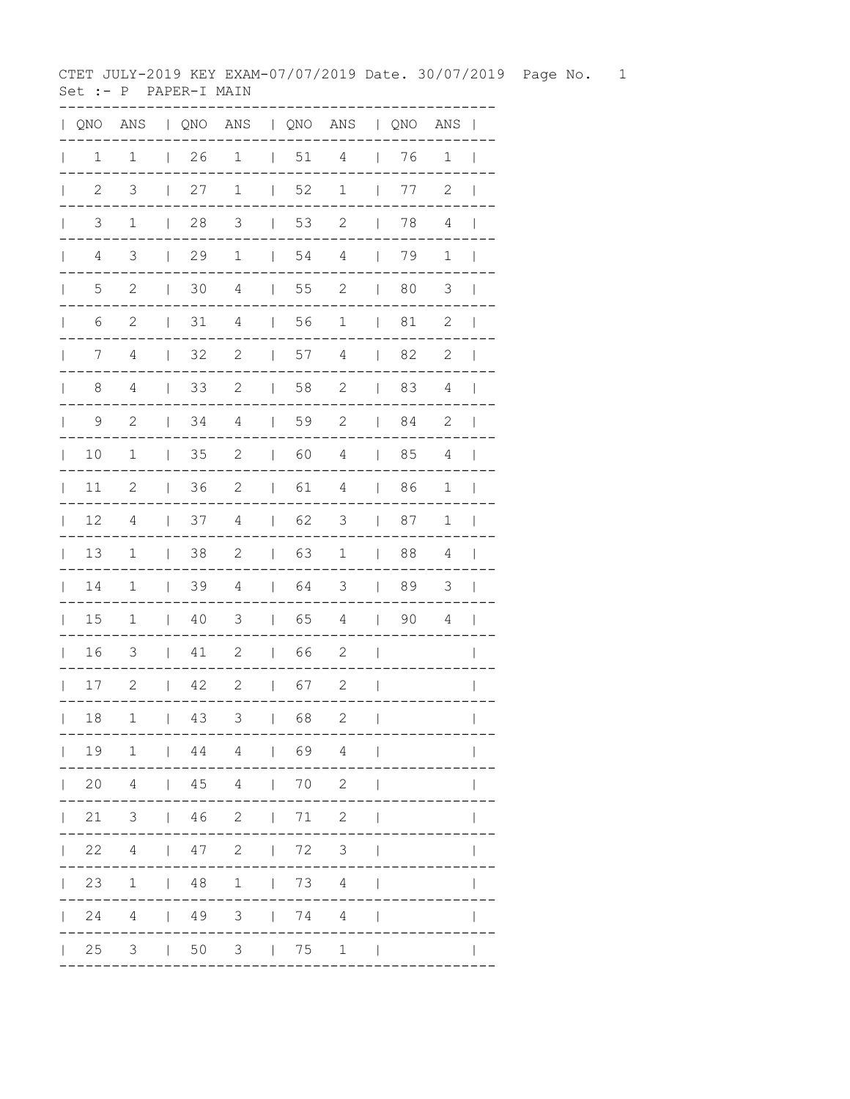CTET JULY-2019 KEY EXAM-07/07/2019 Date. 30/07/2019 Page No. 1 Set :- P PAPER-I MAIN

| $\mathbf{L}$ | QNO            | ANS            |                          |    |                                                             |                                       |                                     | QNO ANS   QNO ANS |                                       | QNO ANS |                | $\overline{\phantom{a}}$ |
|--------------|----------------|----------------|--------------------------|----|-------------------------------------------------------------|---------------------------------------|-------------------------------------|-------------------|---------------------------------------|---------|----------------|--------------------------|
| $\mathbf{L}$ | 1              | 1              | $\mathbb{L}$             | 26 | $\mathbf 1$                                                 | $\begin{array}{c} \hline \end{array}$ | 51                                  | 4                 | $\overline{\phantom{a}}$              | 76      | $\mathbf 1$    | $\overline{\phantom{a}}$ |
| $\mathbf{L}$ | $\sqrt{2}$     | $\mathfrak{Z}$ | $\mathsf{I}$             | 27 | $1\,$                                                       | $\overline{\phantom{a}}$              | 52                                  | $\mathbf 1$       | $\overline{\phantom{a}}$              | 77      | $\sqrt{2}$     | $\overline{\phantom{a}}$ |
| $\mathbb{L}$ | 3              | $\mathbf 1$    | $\mathbf{I}$             | 28 | 3                                                           | $\mathsf{I}$                          | 53                                  | $\mathbf{2}$      | $\overline{\phantom{a}}$              | 78      | $\sqrt{4}$     | $\overline{\phantom{a}}$ |
| $\mathbf{L}$ | $\overline{4}$ | 3              | $\mathbf{I}$             | 29 | $1\,$                                                       | $\overline{\phantom{a}}$              | 54                                  | $\overline{4}$    | $\overline{\phantom{a}}$              | 79      | $\mathbf 1$    | $\overline{\phantom{a}}$ |
| $\mathbf{L}$ | $\overline{5}$ | $\mathbf{2}$   | $\mathbb{I}$             | 30 | $\overline{4}$                                              | $\overline{\phantom{a}}$              | 55                                  | 2                 | $\overline{\phantom{a}}$              | 80      | $\mathcal{S}$  | $\mathbf{I}$             |
| $\mathbb{L}$ | 6              | 2              | $\overline{\phantom{a}}$ | 31 | $\sqrt{4}$                                                  | $\overline{\phantom{a}}$              | 56                                  | $\mathbf 1$       | $\overline{\phantom{a}}$              | 81      | $\sqrt{2}$     | $\overline{\phantom{a}}$ |
| $\mathbf{L}$ | 7              | 4              | $\overline{\phantom{a}}$ | 32 | $\mathbf{2}$                                                | $\overline{\phantom{a}}$              | 57                                  | 4                 | $\mathbb{I}$                          | 82      | $\mathbf{2}$   | $\overline{\phantom{a}}$ |
| $\mathbf{L}$ | 8              | $\overline{4}$ | $\mathbb{I}$             | 33 | $\mathbf{2}$                                                | $\mathbf{I}$                          | 58                                  | $\mathbf{2}$      | $\overline{\phantom{a}}$              | 83      | $\overline{4}$ | $\overline{\phantom{a}}$ |
| $\mathbf{L}$ | 9              | 2              | $\mathbf{I}$             | 34 | $\overline{4}$                                              | $\overline{\phantom{a}}$              | 59                                  | $\mathbf{2}$      | $\mathbb{R}$                          | 84      | $\mathbf{2}$   | $\overline{\phantom{a}}$ |
| $\mathbf{L}$ | 10             | $\mathbf 1$    | $\perp$                  | 35 | $\mathbf{2}$                                                | $\overline{\phantom{a}}$              | 60                                  | $\sqrt{4}$        | $\blacksquare$                        | 85      | $\overline{4}$ | $\overline{\phantom{a}}$ |
| $\mathbb{L}$ | 11             | $\mathbf{2}$   | $\perp$                  | 36 | $\mathbf{2}$                                                | $\mathbb{R}$                          | 61                                  | 4                 | $\mathbb{R}$                          | 86      | $\mathbf 1$    | $\perp$                  |
| $\mathbb{L}$ | 12             | 4              | $\perp$                  | 37 | 4                                                           | $\mathbb{R}$                          | 62                                  | 3                 | $\overline{\phantom{a}}$              | 87      | $\mathbf 1$    | $\overline{\phantom{a}}$ |
| $\mathbf{L}$ | 13             | $\mathbf 1$    | $\perp$                  | 38 | $\mathbf{2}$                                                | $\mathbf{I}$                          | 63                                  | $\mathbf 1$       | $\mathbb{R}$                          | 88      | 4              | $\overline{\phantom{a}}$ |
| $\mathbb{L}$ | 14             | $\mathbf 1$    | $\perp$                  | 39 | $\overline{4}$                                              | $\mathbb{R}$                          | 64                                  | 3                 | $\overline{\phantom{a}}$              | 89      | $\mathcal{S}$  | $\overline{\phantom{a}}$ |
| $\mathbb{R}$ | $15$           | $\mathbf 1$    | $\mathbb{L}$             | 40 | 3                                                           | $\mathbf{I}$                          | 65                                  | $\overline{4}$    | $\begin{array}{c} \hline \end{array}$ | 90      | $\overline{4}$ | $\overline{\phantom{0}}$ |
| $\mathbf{L}$ | 16             | 3              | $\mathbf{I}$             | 41 | $\mathbf{2}$                                                | $\mathbb{L}$                          | 66                                  | $\mathbf{2}$      | $\overline{\phantom{a}}$              |         |                | $\mathbf{I}$             |
| $\mathbf{L}$ | $17$           | $\mathbf{2}$   | $\mathbf{L}$             | 42 | $\mathbf{2}$                                                | $\mathbb{R}$                          | 67                                  | 2                 | $\overline{\phantom{a}}$              |         |                | $\overline{\phantom{a}}$ |
| $\mathbf{L}$ | 18             | 1              | L                        | 43 | 3                                                           | $\mathsf{I}$                          | 68                                  | $\mathbf{2}$      | $\overline{1}$                        |         |                | $\overline{1}$           |
|              | 191            |                |                          |    | 1444                                                        |                                       | 1 69 4                              |                   | $\mathbb{I}$                          |         |                |                          |
|              | $\mathbf{L}$   |                |                          |    | 20 4   45 4   70 2                                          |                                       |                                     |                   | $\overline{\phantom{a}}$              |         |                |                          |
| $\mathbf{L}$ | 21             |                |                          |    | $3 \t 46 \t 2$                                              |                                       | 1 71 2                              |                   | $\overline{\phantom{a}}$              |         |                |                          |
| $\mathbf{L}$ | 22             |                |                          |    | 4   47 2                                                    |                                       | $\begin{array}{ccc} \end{array}$ 72 | 3 <sup>7</sup>    | $\overline{\phantom{a}}$              |         |                |                          |
|              | 23             | $\overline{1}$ |                          |    | 1481                                                        |                                       | $1 \t 73 \t 4$                      |                   |                                       |         |                |                          |
|              | $\mathbf{L}$   |                |                          |    | 24 4   49 3   74                                            |                                       |                                     | $\overline{4}$    |                                       |         |                |                          |
|              | $\vert$ 25     | 3              |                          |    | $\begin{array}{cccc} \mid & 50 & 3 & \mid & 75 \end{array}$ |                                       |                                     | $\mathbf 1$       |                                       |         |                |                          |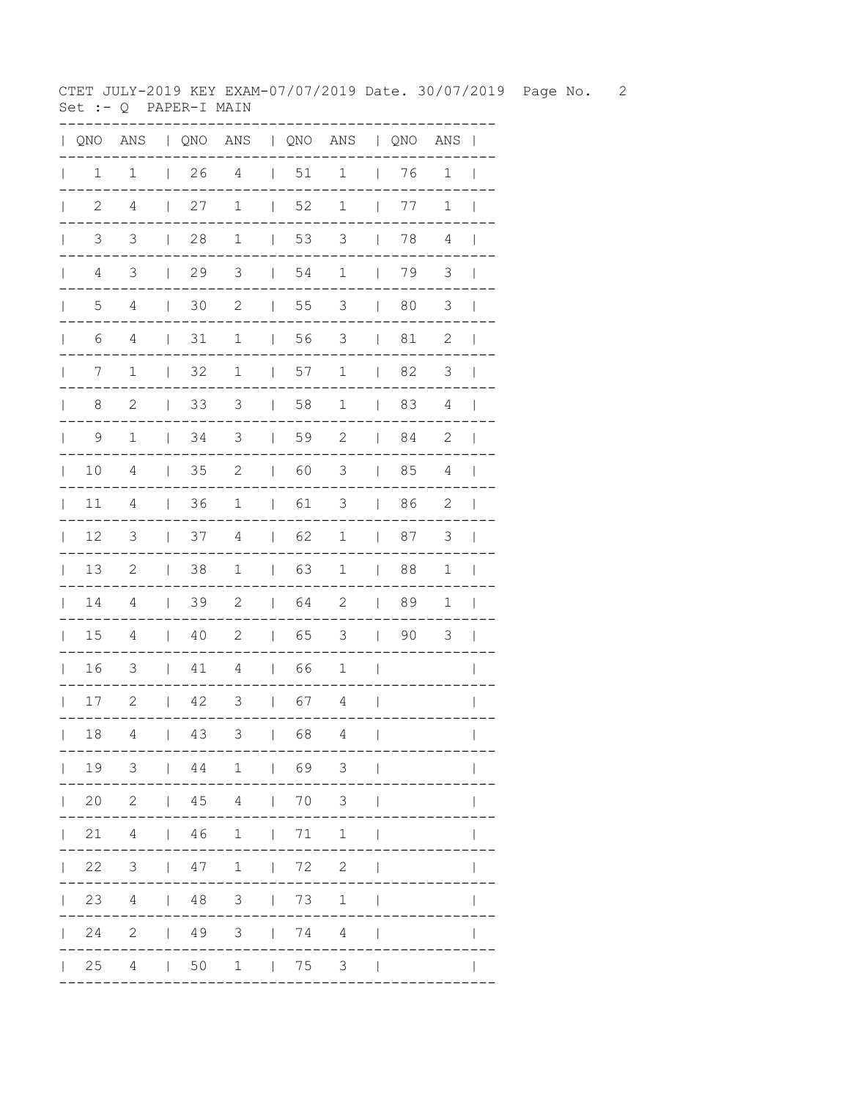CTET JULY-2019 KEY EXAM-07/07/2019 Date. 30/07/2019 Page No. 2 Set :-  $Q$  PAPER-I MAIN

| $\mathbf{L}$ | QNO                            |                 |                          |                    |                |                          |                                     | ANS   QNO ANS   QNO ANS   QNO ANS |                          |    |                |                          |
|--------------|--------------------------------|-----------------|--------------------------|--------------------|----------------|--------------------------|-------------------------------------|-----------------------------------|--------------------------|----|----------------|--------------------------|
| $\mathbf{L}$ | $\mathbf 1$                    | $1\,$           | $\mathbb{R}$             | 26                 | $\overline{4}$ | $\Box$                   | 51                                  | $1\,$                             | $\mathbb{R}$             | 76 | $1\,$          | $\overline{\phantom{0}}$ |
| $\mathbb{L}$ | $\mathbf{2}$                   | 4               | $\overline{1}$           | 27                 | $\mathbf 1$    | $\overline{\phantom{a}}$ | 52                                  | $1\,$                             | $\overline{\phantom{a}}$ | 77 | $\mathbf 1$    | $\overline{\phantom{0}}$ |
| $\mathbf{L}$ | $\mathfrak{Z}$                 | $\mathsf 3$     | $\mathbf{I}$             | 28                 | $\mathbf 1$    | $\mathbf{I}$             | 53                                  | 3                                 | $\overline{\phantom{a}}$ | 78 | 4              | $\overline{\phantom{a}}$ |
|              | $\overline{4}$<br>$\mathbf{L}$ | $\mathfrak{Z}$  | $\mathbb{R}$             | 29                 | $\mathcal{S}$  | $\mathbb{R}$             | 54                                  | $1\,$                             | $\mathbf{I}$             | 79 | 3              | $\blacksquare$           |
| $\mathbf{L}$ | 5                              | $\overline{4}$  | $\overline{\phantom{a}}$ | 30                 | $\mathbf{2}$   | $\Box$                   | 55                                  | 3                                 | $\mathbf{I}$             | 80 | 3              | $\mathcal{L}$            |
| $\mathbf{L}$ | 6                              | $\overline{4}$  | $\mathbf{I}$             | $31\,$             | $\mathbf 1$    | $\mathbf{I}$             | 56                                  | $\mathcal{S}$                     | $\overline{1}$           | 81 | $\sqrt{2}$     | $\blacksquare$           |
| $\mathbf{L}$ | 7                              | $\mathbf 1$     | $\perp$                  | 32                 | 1              | $\Box$                   | 57                                  | $\mathbf 1$                       | $\mathbb{R}^n$           | 82 | 3              | $\mathbf{I}$             |
| $\mathbb{L}$ | 8                              | $\mathbf{2}$    | $\overline{1}$           | 33                 | $\mathcal{S}$  | $\Box$                   | 58                                  | $\mathbf 1$                       | $\mathbf{I}$             | 83 | 4              | $\overline{\phantom{a}}$ |
| $\mathbb{L}$ | 9                              | $1\,$           | $\perp$                  | 34                 | $\mathcal{S}$  | $\mathbb{R}$             | 59                                  | $\mathbf{2}$                      | $\mathbf{I}$             | 84 | $\mathbf{2}$   | $\mathbf{I}$             |
| $\mathbb{L}$ | $10$                           | $\overline{4}$  | $\perp$                  | 35                 | $\mathbf{2}$   | $\mathbb{L}$             | 60                                  | 3                                 | $\mathbf{I}$             | 85 | $\overline{4}$ | $\Box$                   |
| $\mathbf{L}$ | 11                             | 4               | $\mathbb{L}$             | 36                 | $\mathbf 1$    | $\mathbb{R}$             | 61                                  | 3                                 | $\overline{\phantom{a}}$ | 86 | $\mathbf{2}$   | $\overline{\phantom{a}}$ |
| $\mathbf{L}$ | 12                             | 3               | $\mathbf{I}$             | 37                 | $\overline{4}$ | $\mathbf{L}$             | 62                                  | $\mathbf 1$                       | $\mathbf{I}$             | 87 | $\mathfrak{Z}$ | $\blacksquare$           |
| $\mathbf{L}$ | 13                             | $\mathbf{2}$    | $\mathbf{I}$             | 38                 | $\mathbf 1$    | $\mathbf{L}$             | 63                                  | $\mathbf 1$                       | $\overline{\phantom{a}}$ | 88 | $1\,$          | $\overline{\phantom{a}}$ |
| $\mathbf{L}$ | 14                             | 4               | $\mathbf{L}$             | 39                 | $\mathbf{2}$   | $\mathbb{L}$             | 64                                  | $\mathbf{2}$                      | $\mathbf{I}$             | 89 | $\mathbf 1$    | $\mathbf{I}$             |
|              | 15<br>$\mathbf{L}$             | 4               | $\mathbb{L}$             | 40                 | $\mathbf{2}$   | $\mathbf{L}$             | 65                                  | 3                                 | $\overline{\phantom{a}}$ | 90 | 3              | $\mathbb{R}$             |
| $\mathbb{L}$ | 16                             | 3               | $\mathbf{L}$             | 41                 | $\overline{4}$ | $\mathbb{L}$             | 66                                  | $\mathbf{1}$                      | $\overline{\phantom{a}}$ |    |                | $\mathbf{I}$             |
|              | 17                             | $\mathbf{2}$    |                          | 42<br>$\mathbb{R}$ | $\mathcal{S}$  |                          | $\begin{array}{ccc} \end{array}$ 67 | $\overline{4}$                    | $\overline{\phantom{a}}$ |    |                | $\mathbf{I}$             |
| $\mathbf{L}$ | 18                             | 4               | $\mathsf{I}$             | 43                 | 3              | $\mathbf{I}$             | 68                                  | 4                                 | $\overline{\phantom{a}}$ |    |                | $\overline{\phantom{a}}$ |
|              | 19                             | 3               |                          | $\vert$ 44         | $\mathbf 1$    |                          | $\begin{array}{ccc} \end{array}$ 69 | $\mathcal{S}$                     |                          |    |                |                          |
|              | 20                             | $\mathbf{2}$    |                          | $\vert$ 45         | $\overline{4}$ |                          | $\vert$ 70                          | $\mathsf 3$                       |                          |    |                |                          |
|              | 21                             | $\overline{4}$  | $\mathbb{L}$             | 46                 | $\mathbf 1$    | $\mathbf{L}$             | 71                                  | $\mathbf 1$                       | $\overline{\phantom{a}}$ |    |                |                          |
|              | 22                             | 3               | $\mathbf{L}$             | 47                 | $\mathbf 1$    | $\overline{\phantom{a}}$ | 72                                  | $\mathbf{2}$                      | I                        |    |                |                          |
|              | 23                             | $4\overline{ }$ | $\Box$                   | 48 3               |                |                          | $\begin{array}{ccc} \end{array}$ 73 | $1\,$                             |                          |    |                |                          |
|              | 24                             | $\overline{2}$  |                          |                    | $1493$ $174$   |                          |                                     | $\overline{4}$                    | $\overline{\phantom{a}}$ |    |                |                          |
|              | $\vert$ 25                     | $\overline{4}$  |                          | $\vert$ 50         | $\mathbf 1$    |                          | $\vert$ 75                          | $\mathfrak{Z}$                    |                          |    |                |                          |
|              |                                |                 |                          |                    |                |                          |                                     |                                   |                          |    |                |                          |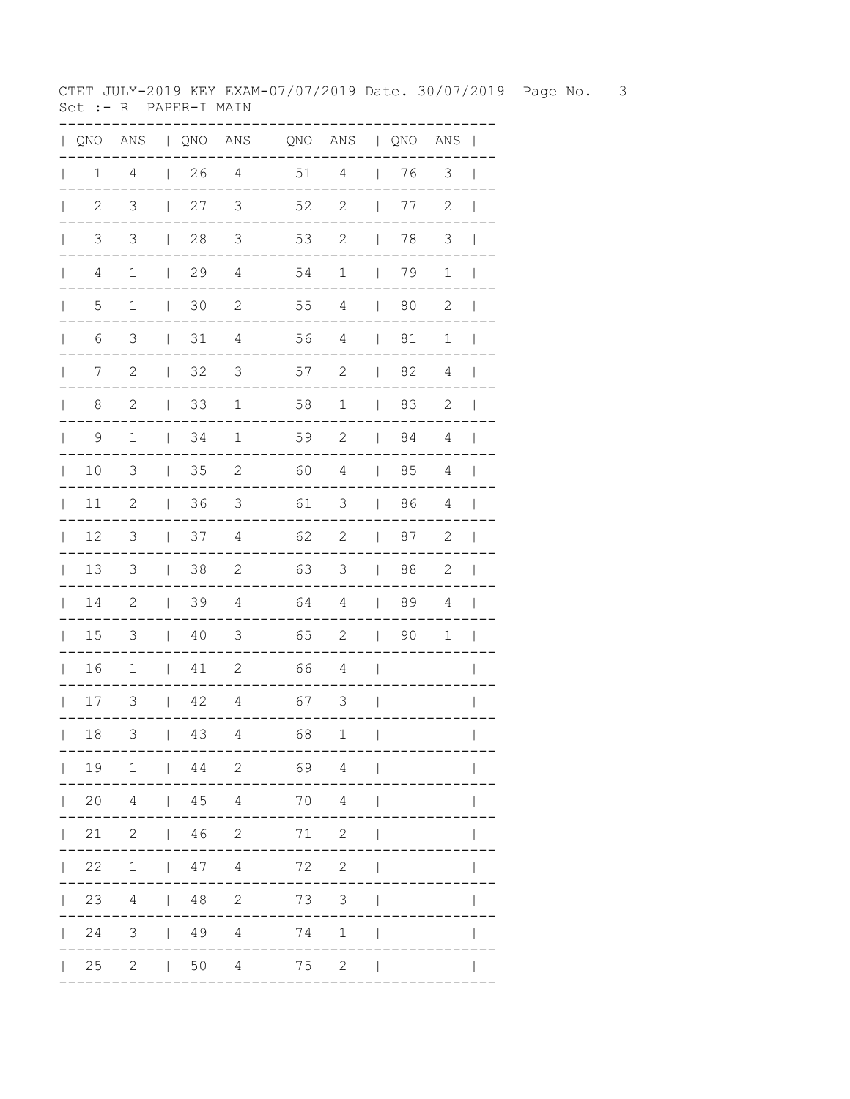CTET JULY-2019 KEY EXAM-07/07/2019 Date. 30/07/2019 Page No. 3 Set :- R PAPER-I MAIN

| $\mathbf{L}$ | QNO            |                |                |            |                |                |                                     | ANS   QNO ANS   QNO ANS   QNO ANS |                              |    |                |                          |
|--------------|----------------|----------------|----------------|------------|----------------|----------------|-------------------------------------|-----------------------------------|------------------------------|----|----------------|--------------------------|
| $\mathbf{L}$ | $\mathbf 1$    | $\overline{4}$ | $\mathbb{R}$   | 26         | $\overline{4}$ | $\mathbb{R}$   | 51                                  | $\overline{4}$                    | $\mathcal{L}_{\mathrm{max}}$ | 76 | $\mathfrak{Z}$ | $\overline{\phantom{0}}$ |
| $\mathbf{L}$ | $\mathbf{2}$   | $\mathfrak{Z}$ | $\mathbf{I}$   | 27         | $\mathfrak{Z}$ | $\perp$        | 52                                  | $\sqrt{2}$                        | $\overline{\phantom{a}}$     | 77 | $\sqrt{2}$     | $\overline{\phantom{0}}$ |
| $\mathbf{L}$ | $\mathfrak{Z}$ | $\mathfrak{Z}$ | $\mathbf{I}$   | 28         | $\mathfrak{Z}$ | $\mathbf{I}$   | 53                                  | $\mathbf{2}$                      | $\overline{\phantom{a}}$     | 78 | $\mathfrak{Z}$ | $\overline{\phantom{a}}$ |
| $\mathbf{L}$ | $\overline{4}$ | $1\,$          | $\overline{1}$ | 29         | $\overline{4}$ | $\mathbb{R}$   | 54                                  | $\mathbf 1$                       | $\overline{1}$               | 79 | $1\,$          | $\overline{\phantom{0}}$ |
| $\mathbf{L}$ | 5              | $1\,$          | $\mathbb{R}$   | 30         | 2              | $\Box$         | 55                                  | $\overline{4}$                    | $\mathbf{I}$                 | 80 | $\mathbf{2}$   | $\overline{\phantom{0}}$ |
| $\mathbf{L}$ | 6              | 3              | $\perp$        | 31         | $\overline{4}$ | $\perp$        | 56                                  | $\overline{4}$                    | $\mathbf{I}$                 | 81 | $\mathbf 1$    | $\Box$                   |
| $\mathbb{R}$ | 7              | $\mathbf{2}$   | $\perp$        | 32         | $\mathcal{S}$  | $\mathbb{R}$   | 57                                  | 2                                 | $\mathbb{R}$                 | 82 | 4              | $\blacksquare$           |
| $\mathbb{L}$ | $\,8\,$        | $\mathbf{2}$   | $\mathbb{R}$   | 33         | $\mathbf 1$    | $\Box$         | 58                                  | $\mathbf 1$                       | $\mathbf{I}$                 | 83 | $\mathbf{2}$   | $\overline{\phantom{a}}$ |
| $\mathbb{L}$ | 9              | $\mathbf{1}$   | $\mathbb{R}$   | 34         | $\mathbf 1$    | $\mathbb{R}$   | 59                                  | $\mathbf{2}$                      | $\perp$                      | 84 | 4              | $\blacksquare$           |
| $\mathbb{L}$ | $10$           | $\mathsf 3$    | $\mathbf{I}$   | 35         | $\mathbf{2}$   | $\mathbb{R}$   | 60                                  | $\overline{4}$                    | $\mathbb{R}$                 | 85 | $\overline{4}$ | $\blacksquare$           |
| $\mathbb{R}$ | 11             | $\mathbf{2}$   | $\mathbb{L}$   | 36         | 3              | $\mathbb{L}$   | 61                                  | 3                                 | $\overline{\phantom{a}}$     | 86 | 4              | $\overline{\phantom{0}}$ |
| $\mathbb{R}$ | 12             | 3              | $\mathbf{I}$   | 37         | $\overline{4}$ | $\mathbf{I}$   | 62                                  | $\mathbf{2}$                      | $\overline{\phantom{a}}$     | 87 | $\mathbf{2}$   | $\mathbf{I}$             |
| $\mathbb{L}$ | 13             | 3              | $\mathbf{I}$   | 38         | $\mathbf{2}$   | $\mathbf{L}$   | 63                                  | 3                                 | $\mathbf{I}$                 | 88 | $\mathbf{2}$   | $\mathbf{I}$             |
| $\mathbf{L}$ | 14             | 2              | $\mathbf{L}$   | 39         | $\overline{4}$ | $\mathbb{L}$   | 64                                  | 4                                 | $\mathbf{I}$                 | 89 | 4              | $\overline{\phantom{a}}$ |
| $\mathbf{L}$ | 15             | 3              | $\mathbf{L}$   | 40         | 3              | $\mathbf{L}$   | 65                                  | $\mathbf{2}$                      | $\mathbb{L}$                 | 90 | $\mathbf 1$    | $\blacksquare$           |
| $\mathbb{R}$ | 16             | $\mathbf 1$    | $\mathbb{L}$   | 41         | 2              | $\mathbb{L}$   | 66                                  | $\overline{4}$                    | $\overline{\phantom{a}}$     |    |                | $\mathbf{I}$             |
|              | $17\,$         | 3              | $\mathbb{L}$   | 42         | $\overline{4}$ |                | $\begin{array}{ccc} \end{array}$ 67 | 3                                 | $\overline{\phantom{a}}$     |    |                | $\mathbf{I}$             |
| $\mathbf{L}$ | 18             | 3              | $\mathsf{I}$   | 43         | $\overline{4}$ | $\mathbf{L}$   | 68                                  | $\mathbf 1$                       | $\overline{\phantom{a}}$     |    |                | $\overline{\phantom{a}}$ |
|              | 19             | $\mathbf 1$    |                | $144$ 2    |                |                | $\begin{array}{ccc} \end{array}$ 69 | $\overline{4}$                    |                              |    |                |                          |
|              | 20             | $\overline{4}$ |                | $\vert$ 45 | $\overline{4}$ |                | $\vert$ 70                          | $\overline{4}$                    |                              |    |                |                          |
|              | 21             | $\mathbf{2}$   | $\mathbb{R}$   | 46         | $\overline{c}$ | $\mathbb{L}$   | 71                                  | $\mathbf{2}$                      | $\overline{\phantom{a}}$     |    |                |                          |
|              | 22             | $\mathbf 1$    | $\mathbf{L}$   | 47         | $\overline{4}$ | $\bar{\Gamma}$ | 72                                  | $\mathbf{2}$                      | $\overline{\phantom{a}}$     |    |                |                          |
|              | 23             | $\overline{4}$ | $\Box$         | 48 2       |                |                | $\begin{array}{ccc} \end{array}$ 73 | $\mathsf 3$                       |                              |    |                |                          |
|              | 24 3           |                |                |            | 1494174        |                |                                     | $1\,$                             | $\overline{\phantom{a}}$     |    |                |                          |
|              | $\vert$ 25     | $\overline{c}$ | $\sim$ 1.      | 50         | $\overline{4}$ |                | $\vert$ 75                          | $\sqrt{2}$                        |                              |    |                |                          |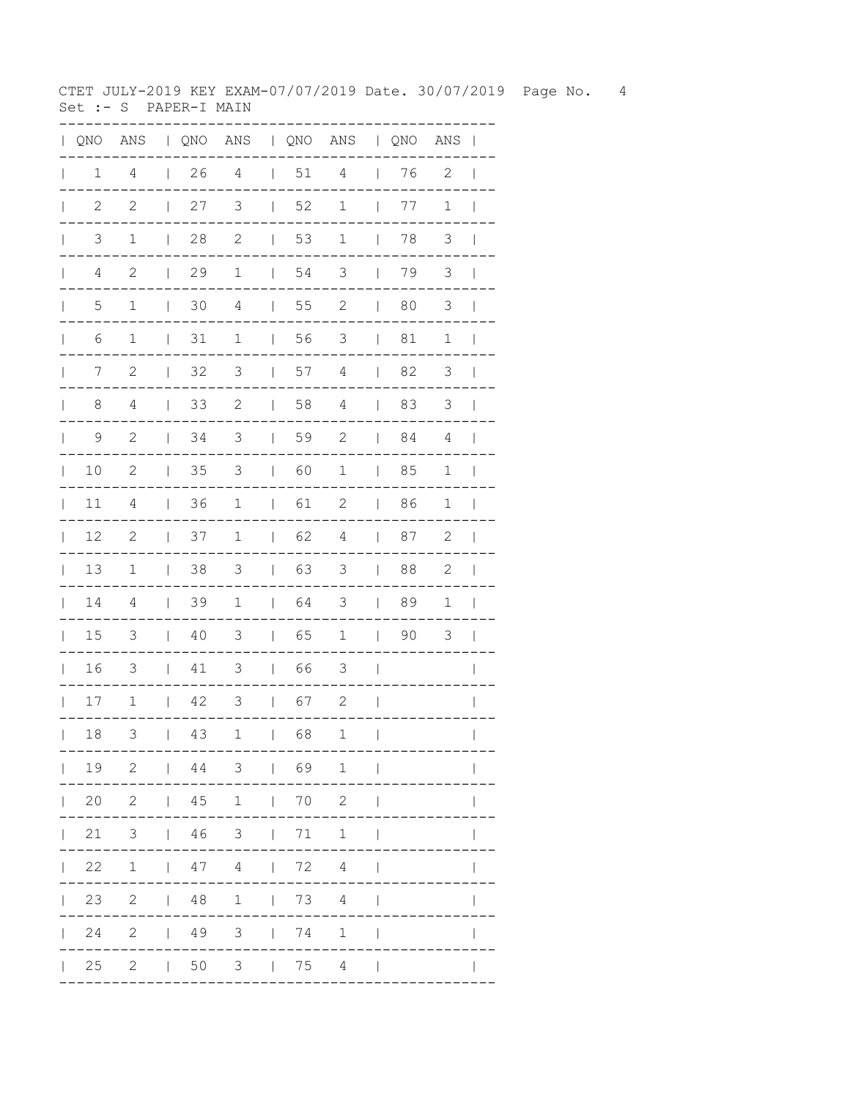CTET JULY-2019 KEY EXAM-07/07/2019 Date. 30/07/2019 Page No. 4 Set :- S PAPER-I MAIN

| $\mathbf{L}$ | QNO            | ANS                      |                                       |                      |                      |                                       |                                     | QNO ANS   QNO ANS   QNO ANS |                                       |    |                | $\blacksquare$           |
|--------------|----------------|--------------------------|---------------------------------------|----------------------|----------------------|---------------------------------------|-------------------------------------|-----------------------------|---------------------------------------|----|----------------|--------------------------|
| $\mathbb{L}$ | 1              | $\overline{4}$           | $\mathbb{I}$                          | 26                   | $\overline{4}$       | $\overline{1}$                        | 51                                  | 4                           | $\overline{\phantom{a}}$              | 76 | 2              | $\overline{\phantom{a}}$ |
| $\mathbf{L}$ | $\mathbf{2}$   | 2                        | $\overline{\phantom{a}}$              | 27                   | 3                    | $\overline{\phantom{a}}$              | 52                                  | 1                           | $\overline{\phantom{a}}$              | 77 | $\mathbf 1$    | $\mathbf{I}$             |
| $\mathbf{L}$ | $\mathfrak{Z}$ | $\mathbf 1$              | $\overline{\phantom{a}}$              | 28                   | $\mathbf{2}$         | $\begin{array}{c} \hline \end{array}$ | 53                                  | $\mathbf 1$                 | $\overline{\phantom{a}}$              | 78 | 3              | $\overline{\phantom{a}}$ |
| $\mathbb{L}$ | $\overline{4}$ | $\mathbf{2}$             | $\overline{\phantom{a}}$              | 29                   | $\mathbf 1$          | $\begin{array}{c} \hline \end{array}$ | 54                                  | $\mathfrak{Z}$              | $\overline{\phantom{a}}$              | 79 | $\mathfrak{Z}$ | $\overline{\phantom{a}}$ |
| $\mathbf{L}$ | 5              | $1\,$                    | $\mathbf{I}$                          | 30                   | 4                    | $\overline{\phantom{a}}$              | 55                                  | $\sqrt{2}$                  | $\begin{array}{c} \hline \end{array}$ | 80 | $\mathfrak{Z}$ | $\overline{\phantom{a}}$ |
| $\mathbf{L}$ | 6              | $\mathbf 1$              | $\overline{\phantom{a}}$              | 31                   | $\mathbf 1$          | $\mathbf{I}$                          | 56                                  | 3                           | $\overline{1}$                        | 81 | $1\,$          | $\overline{\phantom{a}}$ |
| $\mathbb{L}$ | 7              | 2                        | $\overline{\phantom{a}}$              | 32                   | $\mathfrak{Z}$       | $\overline{1}$                        | 57                                  | $\overline{4}$              | $\overline{\phantom{a}}$              | 82 | 3              | $\overline{\phantom{a}}$ |
| $\mathbf{L}$ | 8              | 4                        | $\overline{1}$                        | 33                   | $\mathbf{2}$         | $\overline{1}$                        | 58                                  | 4                           | $\overline{1}$                        | 83 | 3              | $\overline{\phantom{a}}$ |
| $\mathbf{L}$ | $\mathsf 9$    | $\mathbf{2}$             | $\perp$                               | 34                   | 3                    | $\perp$                               | 59                                  | $\mathbf{2}$                | $\overline{1}$                        | 84 | 4              | $\overline{\phantom{a}}$ |
| $\mathbf{L}$ | 10             | $\mathbf{2}$             | $\mathbf{I}$                          | 35                   | $\mathfrak{Z}$       | $\mathbf{I}$                          | 60                                  | $\mathbf 1$                 | $\overline{\phantom{a}}$              | 85 | 1              | $\overline{\phantom{a}}$ |
| $\mathbf{L}$ | 11             | $\overline{4}$           | $\overline{\phantom{a}}$              | 36                   | $\mathbf 1$          | $\overline{\phantom{a}}$              | 61                                  | $\mathbf{2}$                | $\overline{\phantom{a}}$              | 86 | 1              | $\mathbf{I}$             |
| $\mathbb{L}$ | 12             | $\mathbf{2}$             | $\begin{array}{c} \hline \end{array}$ | 37                   | $\mathbf 1$          | $\mathbf{I}$                          | 62                                  | $\overline{4}$              | $\overline{\phantom{a}}$              | 87 | $\mathbf 2$    | $\overline{\phantom{a}}$ |
| $\mathbf{L}$ | 13             | $\mathbf 1$              | $\mathbf{I}$                          | 38                   | $\mathfrak{Z}$       | $\mathbf{I}$                          | 63                                  | 3                           | $\begin{array}{c} \hline \end{array}$ | 88 | $\sqrt{2}$     | $\overline{\phantom{a}}$ |
| $\mathbf{L}$ | $1\,4$         | $\overline{4}$           | $\mathbf{I}$                          | 39                   | $1\,$                | $\mathbf{I}$                          | 64                                  | 3                           | $\overline{\phantom{a}}$              | 89 | $\mathbf 1$    | $\overline{\phantom{a}}$ |
| $\mathbf{I}$ | 15             | 3                        | $\mathbf{I}$                          | 40                   | $\mathcal{S}$        | $\mathbf{I}$                          | 65                                  | $1\,$                       | $\mathsf{I}$                          | 90 | 3              | $\mathbf{I}$             |
| $\mathbf{L}$ | 16             | 3                        | $\mathbf{I}$                          | 41                   | 3                    | L                                     | 66                                  | 3                           | $\overline{\phantom{a}}$              |    |                | $\mathsf{I}$             |
| $\mathbf{L}$ | 17             | $\mathbf 1$              | $\ $                                  | 42                   | 3                    | $\mathbf{L}$                          | 67                                  | 2                           | $\begin{array}{c} \hline \end{array}$ |    |                | $\mathsf{I}$             |
| $\mathbb{L}$ | 18             | 3                        | $\mathbf{I}$                          | 43                   | $\mathbf 1$          | $\mathsf{I}$                          | 68                                  | $\mathbf 1$                 | $\overline{\phantom{a}}$              |    |                | $\overline{1}$           |
|              |                | 19 2   44 3   69         |                                       |                      |                      |                                       |                                     | $\mathbf{1}$                | $\overline{1}$                        |    |                |                          |
|              | 20             | $2^{\circ}$              |                                       |                      | 1451170              |                                       |                                     | $\mathbf{2}$                |                                       |    |                |                          |
|              | 21             | 3 <sup>7</sup>           |                                       |                      | 1463                 |                                       | $\begin{array}{ccc} \end{array}$ 71 | $\mathbf 1$                 |                                       |    |                |                          |
|              | 22             |                          |                                       |                      | $1 \t 47 \t 4 \t 72$ |                                       |                                     | $\overline{4}$              |                                       |    |                |                          |
|              | 23             | $\overline{\phantom{a}}$ |                                       |                      | 1481                 |                                       | $\begin{array}{ccc} \end{array}$ 73 | 4                           | $\overline{1}$                        |    |                |                          |
|              | 24             | 2   49 3   74            |                                       |                      |                      |                                       |                                     | $\mathbf 1$                 | $\mathsf{l}$                          |    |                |                          |
|              | $\vert$ 25     |                          |                                       | $2 \qquad \qquad 50$ |                      |                                       | $3 \qquad \qquad 75$                | $\overline{4}$              |                                       |    |                |                          |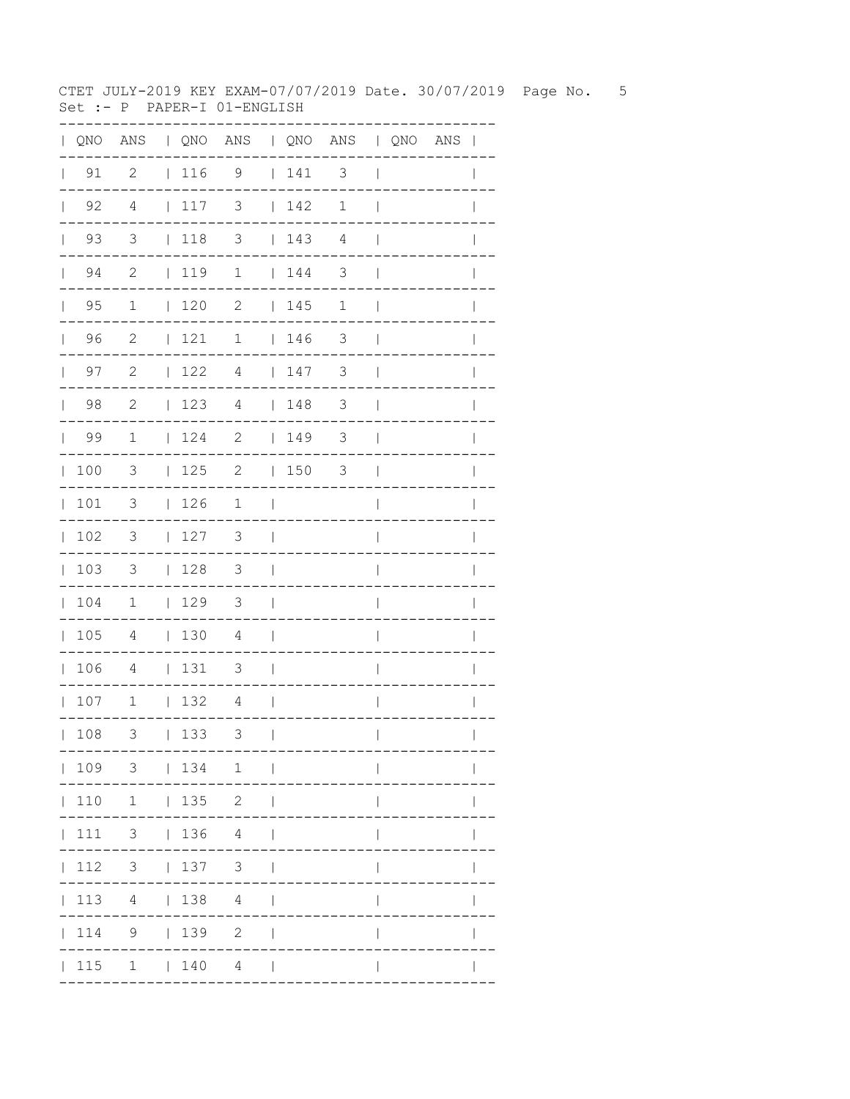CTET JULY-2019 KEY EXAM-07/07/2019 Date. 30/07/2019 Page No. 5 Set :- P PAPER-I 01-ENGLISH

|                |             |                         |              |                                      | QNO ANS   QNO ANS   QNO ANS   QNO ANS |                |                                                             |                          |                          |  | $\blacksquare$ |
|----------------|-------------|-------------------------|--------------|--------------------------------------|---------------------------------------|----------------|-------------------------------------------------------------|--------------------------|--------------------------|--|----------------|
|                | $\vert$ 91  | 2                       |              | 116                                  | 9                                     |                | 141                                                         | 3                        | $\mathbf{I}$             |  |                |
|                | $\vert$ 92  | 4                       | $\mathbb{R}$ | 117                                  | 3                                     |                | $\begin{array}{c} \begin{array}{c} \end{array} \end{array}$ | 1                        | $\overline{1}$           |  |                |
| $\mathbb{R}^n$ | 93          | $\overline{3}$          |              | $\vert$ 118                          | $\overline{\mathbf{3}}$               |                | 143                                                         | $\overline{4}$           | $\mathbf{I}$             |  |                |
|                | $\vert$ 94  | $\overline{2}$          |              | $1119$ 1                             |                                       |                | 144                                                         | $\mathfrak{Z}$           | $\overline{\phantom{a}}$ |  |                |
|                | $\vert$ 95  | $\mathbf{1}$            |              | 120                                  | 2                                     |                | 145                                                         | 1                        | $\overline{\phantom{a}}$ |  | $\mathbf{I}$   |
|                | 96          | $\overline{c}$          |              | 121                                  | $\mathbf 1$                           |                | 146                                                         | $\overline{\phantom{a}}$ | $\overline{\phantom{a}}$ |  |                |
| $\mathbf{L}$   | 97          | 2                       |              | 122                                  | 4                                     |                | 147                                                         | 3                        | $\overline{1}$           |  |                |
|                | $\vert$ 98  | - 2                     |              | 123                                  | 4                                     |                | 148                                                         | 3                        | $\overline{\phantom{a}}$ |  | $\mathbf{I}$   |
|                | 99          | $\mathbf{1}$            |              | 124                                  | 2   149                               |                |                                                             | $\overline{\mathbf{3}}$  | $\overline{\phantom{a}}$ |  | $\mathbf{I}$   |
|                | 100         | $\overline{\mathbf{3}}$ |              | $125$ 2                              |                                       |                | 150                                                         | $\overline{\phantom{a}}$ | $\overline{\phantom{a}}$ |  |                |
|                | 101         | $\overline{\mathbf{3}}$ |              | 126                                  | $\mathbf 1$                           | $\mathcal{L}$  |                                                             |                          | $\overline{\phantom{a}}$ |  |                |
|                | 102         | $\mathcal{S}$           |              | 127                                  | 3                                     | $\blacksquare$ |                                                             |                          | $\overline{\phantom{a}}$ |  | I              |
|                | 103         | $\overline{\mathbf{3}}$ |              | 128                                  | $\overline{\mathbf{3}}$               | $\sim$         |                                                             |                          | $\overline{\phantom{a}}$ |  |                |
|                | 104         | $\overline{1}$          |              | 129                                  | $\overline{\mathbf{3}}$               | $\Box$         |                                                             |                          | I                        |  |                |
|                | 105         | $\overline{4}$          |              | $\vert$ 130                          | 4                                     | $\Box$         |                                                             |                          | I                        |  |                |
|                | 106         | 4                       |              | $\begin{array}{c c} 131 \end{array}$ | 3                                     | $\blacksquare$ |                                                             |                          | $\overline{1}$           |  |                |
|                | 107         | $\overline{1}$          |              | 132                                  | 4                                     | $\Box$         |                                                             |                          | $\overline{\phantom{a}}$ |  | $\mathbf{I}$   |
|                | 108         | 3                       |              | 133                                  | 3                                     | $\perp$        |                                                             |                          | $\mathbf{I}$             |  | $\mathbf{I}$   |
|                |             |                         |              |                                      | 109 3   134 1                         |                |                                                             |                          |                          |  |                |
|                |             | $110$ 1 $135$ 2         |              |                                      |                                       |                |                                                             |                          |                          |  |                |
|                | 111         | $3 \t136 \t4$           |              |                                      |                                       |                |                                                             |                          |                          |  |                |
|                | 112         |                         |              |                                      | 3   137 3                             | $\perp$        |                                                             |                          |                          |  |                |
|                | $\vert$ 113 |                         |              |                                      | 4   138 4                             | $\mathbf{I}$   |                                                             |                          |                          |  |                |
|                | 114         |                         |              | 9   139                              | $\mathbf{2}$                          | $\overline{1}$ |                                                             |                          |                          |  |                |
|                |             |                         |              |                                      | $ 115 \t1 \t 140 \t4 \t $             |                |                                                             |                          |                          |  |                |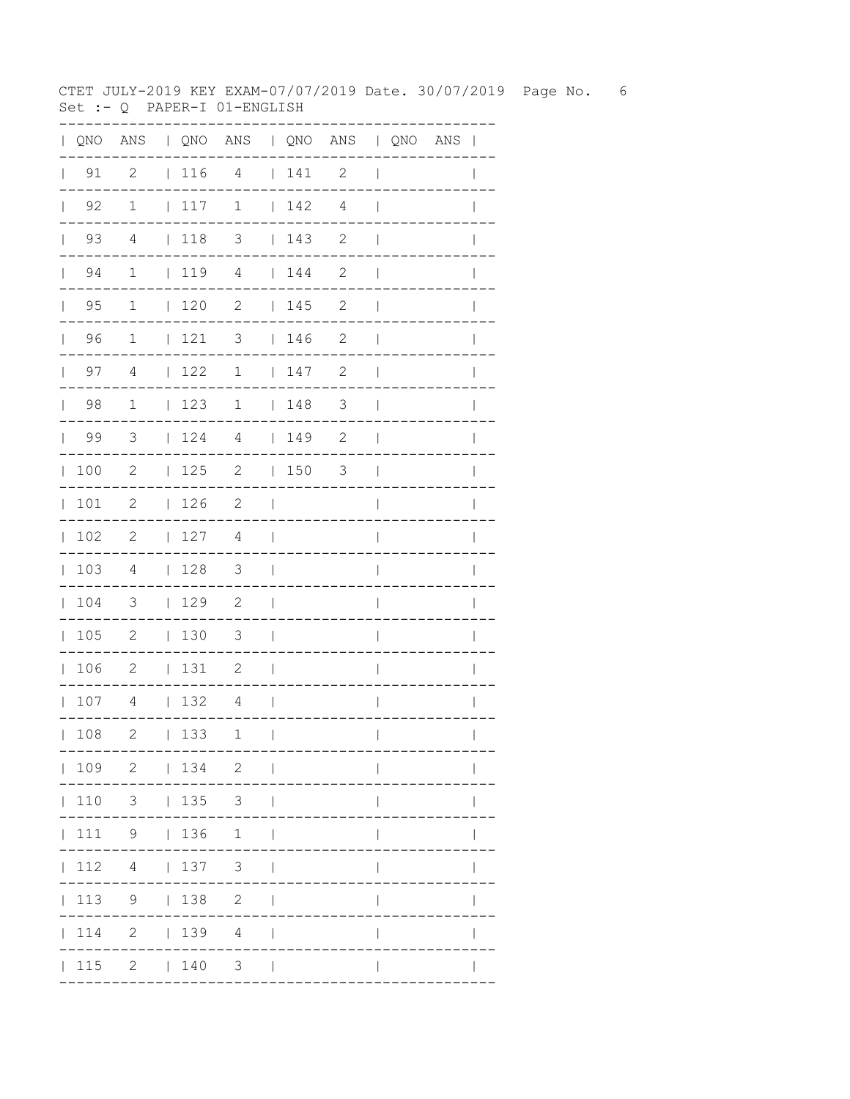CTET JULY-2019 KEY EXAM-07/07/2019 Date. 30/07/2019 Page No. 6 Set :- Q PAPER-I 01-ENGLISH

| $\mathbf{L}$ |                    |                          |                 | QNO ANS   QNO ANS   QNO ANS   QNO ANS |                          |             |                          |                          |  | $\overline{1}$ |
|--------------|--------------------|--------------------------|-----------------|---------------------------------------|--------------------------|-------------|--------------------------|--------------------------|--|----------------|
| $\mathbf{L}$ | 91                 | $\overline{\phantom{a}}$ |                 | 11641                                 |                          |             | 2                        | $\overline{\phantom{a}}$ |  |                |
|              | $\vert$ 92         | $\mathbf{1}$             | 117             | $\mathbf{1}$                          |                          | 142         | 4                        | $\overline{\phantom{a}}$ |  |                |
|              | 93<br>$\mathbf{L}$ | 4                        | $\vert$ 118     | 3                                     |                          | 143         | 2                        | $\mathbf{I}$             |  |                |
|              | 94<br>$\mathbb{R}$ | $\mathbf{1}$             | 1194            |                                       |                          | 144         | 2                        | $\overline{\phantom{a}}$ |  |                |
|              | $\vert$ 95         | $\mathbf{1}$             | $120$ 2         |                                       |                          | 145         | $\mathbf{2}$             | $\overline{\phantom{a}}$ |  |                |
|              | 96                 | $\mathbf{1}$             | $121$ 3         |                                       |                          | 146         | $\mathbf{2}$             | $\mathbf{I}$             |  |                |
|              | $\vert$ 97         | 4                        | 122             | $\mathbf 1$                           |                          | 147         | $\mathbf{2}$             | $\overline{\phantom{a}}$ |  | $\mathbf{I}$   |
|              | $\vert$ 98         | $\mathbf{1}$             | 123             | $\mathbf{1}$                          |                          | $\vert$ 148 | $\overline{\phantom{a}}$ | $\mathbf{I}$             |  |                |
|              | 99                 | $\overline{\mathbf{3}}$  | 124             | 4                                     |                          | $149$ 2     |                          | $\overline{\phantom{a}}$ |  |                |
|              | 100                | 2                        | 125             | $\mathbf{2}$                          |                          | $ 150$ 3    |                          | $\Box$                   |  | $\mathbf{I}$   |
|              | 101                | 2                        | 126             | $\overline{\phantom{0}}^2$            | $\mathbf{1}$             |             |                          | $\overline{\phantom{a}}$ |  | I              |
|              | 102                | $\overline{\phantom{0}}$ | 127             | 4                                     | $\overline{\phantom{0}}$ |             |                          | I                        |  |                |
|              | 103                | $\overline{4}$           | 128             | $\overline{\mathbf{3}}$               | $\mathcal{L}$            |             |                          | I                        |  |                |
|              | 104                | $\overline{\mathbf{3}}$  | 129             | $\overline{2}$                        | $\Box$                   |             |                          | $\overline{\phantom{a}}$ |  |                |
|              | 105                | $\overline{\phantom{0}}$ | $\vert$ 130     | $\overline{\phantom{a}}$              | $\Box$                   |             |                          | $\overline{\phantom{a}}$ |  |                |
|              | 106                | $\overline{\phantom{0}}$ | 131             | $\overline{\phantom{0}}^2$            | $\Box$                   |             |                          | $\overline{\phantom{a}}$ |  |                |
|              | 107                | $\overline{4}$           | 132             | $\overline{4}$                        | $\mathcal{L}$            |             |                          | $\overline{\phantom{a}}$ |  | $\mathbf{I}$   |
|              | 108                | $\mathbf{2}$             | 133             | 1                                     | $\perp$                  |             |                          | $\overline{\phantom{a}}$ |  | $\mathbf{I}$   |
|              |                    | 109 2   134 2            |                 |                                       | $\sim$ 1                 |             |                          |                          |  |                |
|              | 110                |                          | $3 \t 135 \t 3$ |                                       |                          |             |                          |                          |  |                |
|              | 111                | 9                        | 136             | $\mathbf 1$                           |                          |             |                          |                          |  |                |
|              | 112                | $4\overline{ }$          | 137             | $\mathcal{S}$                         |                          |             |                          |                          |  |                |
|              | 113                | 9                        | 138             | 2                                     |                          |             |                          |                          |  |                |
|              | 114                | 2                        | 139             | $\overline{4}$                        |                          |             |                          |                          |  |                |
|              | $\vert$ 115        |                          | $2 \t 140$      | 3                                     | $\Box$                   |             |                          |                          |  |                |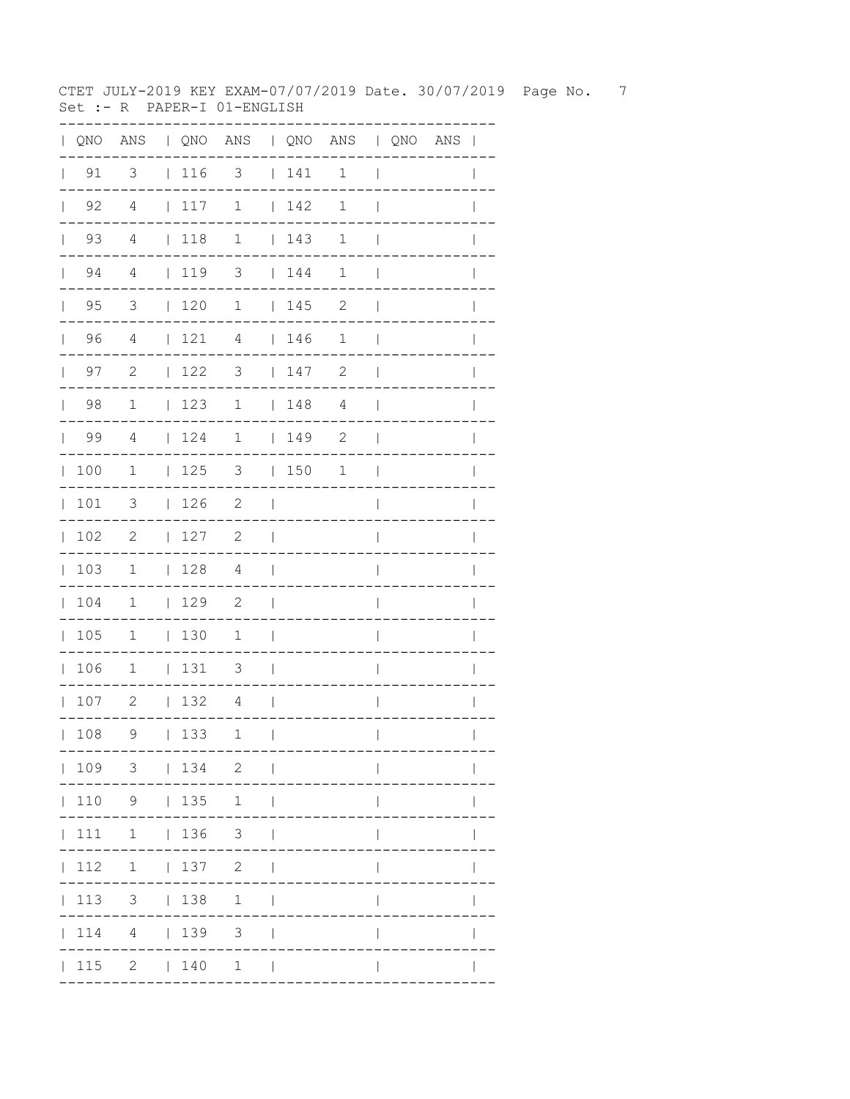CTET JULY-2019 KEY EXAM-07/07/2019 Date. 30/07/2019 Page No. 7 Set :- R PAPER-I 01-ENGLISH

|                                             | QNO ANS   QNO ANS   QNO ANS   QNO ANS |                          |                 |                            |                |     |              |                          |  |              |
|---------------------------------------------|---------------------------------------|--------------------------|-----------------|----------------------------|----------------|-----|--------------|--------------------------|--|--------------|
| $\vert$ 91                                  | 3                                     |                          | 116             | 3                          |                | 141 | 1            | $\mathbf{I}$             |  |              |
| $\begin{array}{ccc} \vert & 92 \end{array}$ | $\overline{4}$                        | $\mathcal{L}_{\rm{max}}$ | 117             | 1                          | $\mathbb{R}$   | 142 | $\mathbf 1$  | $\mathbf{I}$             |  |              |
| $\vert$ 93                                  | $\overline{4}$                        | $\mathbb{R}$             | 118             | $\mathbf 1$                |                | 143 | $\mathbf 1$  | $\overline{\phantom{a}}$ |  |              |
| $\vert$ 94                                  | $\overline{4}$                        |                          | 1193            |                            |                | 144 | $\mathbf 1$  | $\mathbf{I}$             |  |              |
| $\vert$ 95                                  | $\mathcal{S}$                         |                          | $\vert$ 120     | $\mathbf{1}$               |                | 145 | $\mathbf{2}$ | $\overline{\phantom{a}}$ |  | $\mathbf{I}$ |
| 96                                          | $\overline{4}$                        |                          | 121             | $\overline{4}$             |                | 146 | 1            | $\mathbf{I}$             |  |              |
| 97<br>$\mathbf{L}$                          | 2                                     |                          | 122             | 3                          |                | 147 | $\mathbf{2}$ | $\overline{\phantom{a}}$ |  |              |
| 98                                          | $\mathbf{1}$                          |                          | 123             | 1                          |                | 148 | 4            | $\overline{\phantom{a}}$ |  | $\mathbf{I}$ |
| $\vert$ 99                                  | $\overline{4}$                        |                          | 124             | $1 \t149$ 2                |                |     |              | $\blacksquare$           |  | $\mathbf{I}$ |
| 100                                         | $\overline{1}$                        |                          |                 | $ 125$ 3 $ 150$            |                |     | $\mathbf{1}$ | $\mathbf{I}$             |  |              |
| 101                                         | $\overline{\mathbf{3}}$               |                          | 126             | $\overline{\phantom{a}}$   | $\sim$ 1.      |     |              | $\overline{\phantom{a}}$ |  |              |
| 102                                         | $\overline{2}$                        |                          | 127             | 2                          | $\mathbf{I}$   |     |              | $\overline{\phantom{a}}$ |  |              |
| 103                                         | $\mathbf{1}$                          |                          | 128             | $\overline{4}$             | $\blacksquare$ |     |              | I                        |  |              |
| 104                                         | $\overline{1}$                        |                          | 129             | $\overline{\phantom{0}}^2$ | $\Box$         |     |              | $\overline{\phantom{a}}$ |  |              |
| 105                                         | $\mathbf 1$                           |                          | $\vert$ 130     | 1                          | $\Box$         |     |              | I                        |  |              |
| 106                                         | $\overline{1}$                        |                          | 131             | 3                          | $\sim$         |     |              | $\mathbf{I}$             |  | L            |
| 107                                         | $\overline{\phantom{a}}^2$            |                          | 132             | 4                          | $\blacksquare$ |     |              | $\mathsf{I}$             |  | $\mathbf{I}$ |
| 108                                         | 9                                     |                          | 133             | 1                          | $\perp$        |     |              | $\overline{\phantom{a}}$ |  | $\mathbf{I}$ |
|                                             | 109 3   134 2                         |                          |                 |                            |                |     |              |                          |  |              |
|                                             | 110 9   135 1                         |                          |                 |                            |                |     |              |                          |  |              |
| 111                                         | $1 \t 136 \t 3$                       |                          |                 |                            |                |     |              |                          |  |              |
| 112                                         |                                       |                          | $1 \t 137 \t 2$ |                            |                |     |              |                          |  |              |
| 113                                         |                                       |                          | $3 \t 138$      | 1                          | $\Box$         |     |              |                          |  |              |
| 114                                         |                                       |                          | 4   139 3       |                            | $\perp$        |     |              |                          |  |              |
|                                             | 115 2   140 1                         |                          |                 |                            |                |     |              |                          |  |              |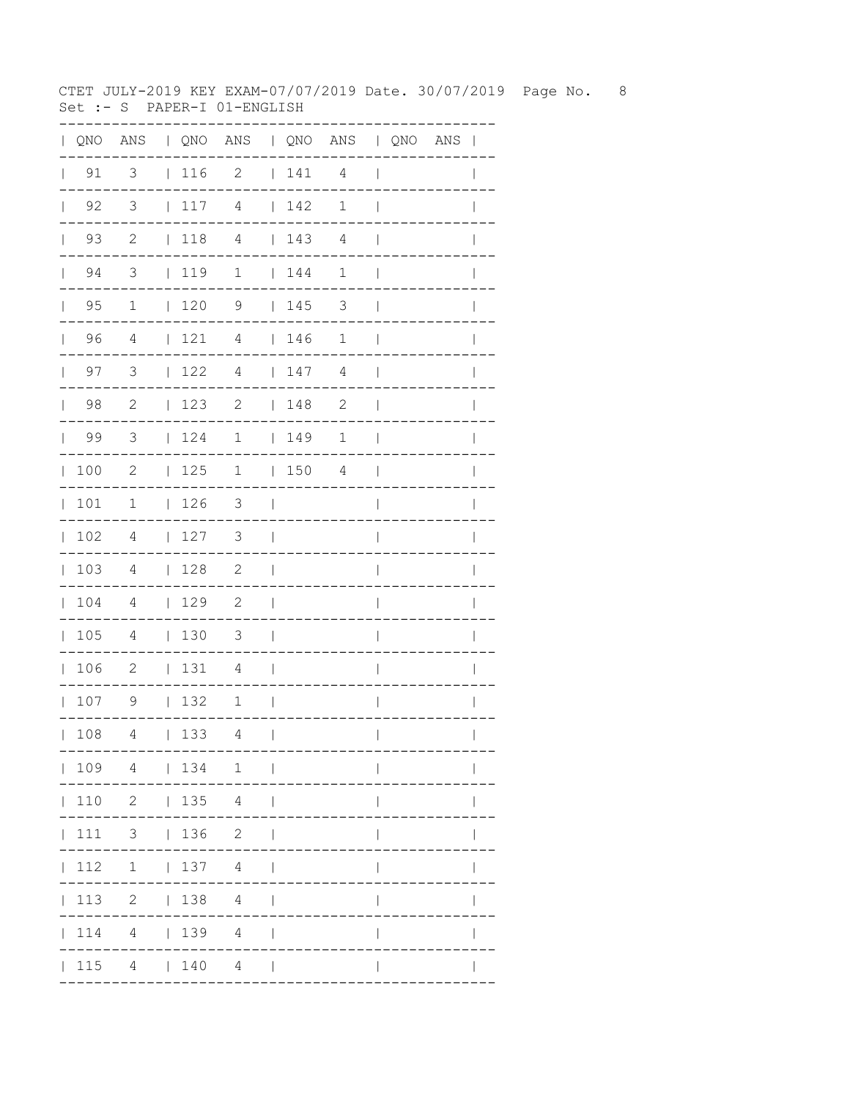CTET JULY-2019 KEY EXAM-07/07/2019 Date. 30/07/2019 Page No. 8 Set :- S PAPER-I 01-ENGLISH

| QNO | ANS                        |              |         | QNO ANS   QNO ANS   QNO ANS |              |     |                |              |                            |  |
|-----|----------------------------|--------------|---------|-----------------------------|--------------|-----|----------------|--------------|----------------------------|--|
| 91  | $\overline{\mathbf{3}}$    |              | 116     | $\overline{\phantom{0}}$    |              | 141 | $\overline{4}$ |              |                            |  |
| 92  | $\overline{\mathbf{3}}$    | $\mathbf{L}$ | 117     | $\overline{4}$              |              | 142 | $1\,$          |              |                            |  |
| 93  | $\overline{\phantom{0}}^2$ | $\mathbf{L}$ | 118     | $\overline{4}$              |              | 143 | $\sqrt{4}$     |              |                            |  |
| 94  | $\overline{\mathbf{3}}$    |              | 119     | $\mathbf 1$                 |              | 144 | 1              |              |                            |  |
| 95  | $\mathbf 1$                | $\mathbf{L}$ | 120     | 9                           | $\mathbf{L}$ | 145 | 3              |              |                            |  |
| 96  | $\sqrt{4}$                 | $\mathbf{L}$ | 121     | 4                           | L            | 146 | 1              |              |                            |  |
| 97  | 3                          | $\mathbf{L}$ | 122     | $\sqrt{4}$                  | $\mathbf{L}$ | 147 | $\sqrt{4}$     |              |                            |  |
| 98  | $\sqrt{2}$                 | L            | 123     | $\mathbf{2}$                | $\mathbf{L}$ | 148 | $\sqrt{2}$     |              |                            |  |
| 99  | 3                          | L            | 124     | $\mathbf 1$                 | $\mathbf{L}$ | 149 | $\mathbf 1$    |              |                            |  |
| 100 | $\mathbf{2}$               | L            | 125     | 1                           | $\mathbf{L}$ | 150 | $\overline{4}$ |              |                            |  |
| 101 | 1                          | L            | 126     | $\mathfrak{Z}$              |              |     |                |              |                            |  |
| 102 | $\overline{4}$             | L            | 127     | 3                           |              |     |                |              |                            |  |
| 103 | 4                          | L            | 128     | $\mathbf{2}$                |              |     |                |              |                            |  |
| 104 | 4                          | L            | 129     | $\mathbf{2}$                |              |     |                |              |                            |  |
| 105 | 4                          | $\mathbf{L}$ | 130     | $\mathfrak{Z}$              |              |     |                |              |                            |  |
| 106 | $\mathbf{2}$               | L            | 131     | $\overline{4}$              |              |     |                |              |                            |  |
| 107 | 9                          | $\mathbf{L}$ | 132     | $\mathbf 1$                 |              |     |                |              |                            |  |
| 108 |                            |              | 4   133 | 4<br>---                    | $\sim$ 1.0   |     | ----------     | $\mathbf{L}$ | $\mathbf{L}$<br>---------- |  |
|     |                            |              |         | 109 4   134 1               |              |     |                |              |                            |  |
|     |                            |              |         | 110 2   135 4               |              |     |                |              |                            |  |
|     |                            |              |         | 111 3   136 2               |              |     |                |              |                            |  |
|     |                            |              |         | $ 112 \t1 \t 137 \t4 \t $   |              |     |                |              |                            |  |
|     |                            |              |         | 113 2   138 4               |              |     |                |              | $\mathsf{I}$               |  |
|     |                            |              |         | $ 114 \t4 \t 139 \t4 \t $   |              |     |                | $\mathbf{I}$ |                            |  |
|     |                            |              |         | $ 115 \t4 \t 140 \t4 \t $   |              |     |                |              |                            |  |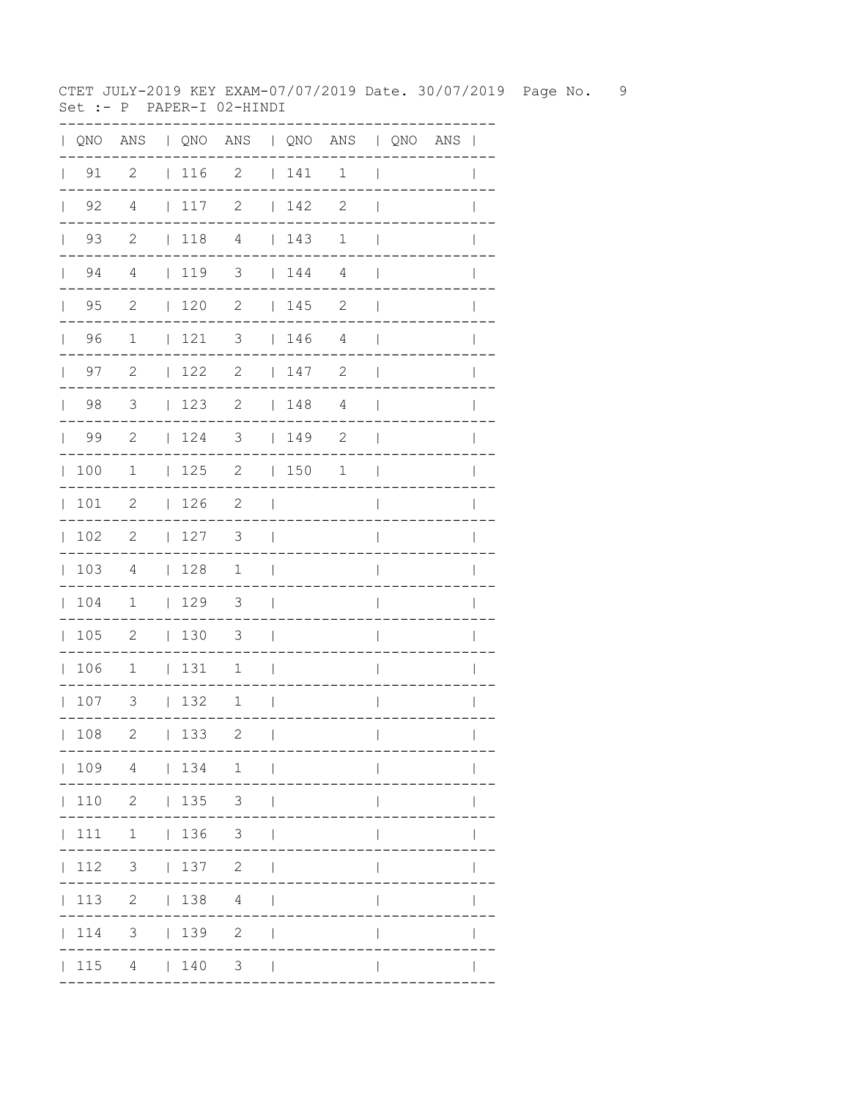CTET JULY-2019 KEY EXAM-07/07/2019 Date. 30/07/2019 Page No. 9 Set :-  $P$  PAPER-I 02-HINDI

|              |                                                             |                                         |                                                             | QNO ANS   QNO ANS   QNO ANS   QNO ANS |                          |                                                             |                |                          |  | $\mathbf{I}$ |
|--------------|-------------------------------------------------------------|-----------------------------------------|-------------------------------------------------------------|---------------------------------------|--------------------------|-------------------------------------------------------------|----------------|--------------------------|--|--------------|
|              | $\vert$ 91                                                  | $\overline{c}$                          | 116                                                         | $\mathbf{2}$                          |                          | 141                                                         | $\mathbf 1$    | $\overline{\phantom{a}}$ |  |              |
| $\mathbf{L}$ | 92                                                          | 4                                       | 117                                                         | $\mathbf{2}$                          |                          | 142                                                         | $\sqrt{2}$     | $\mathbf{I}$             |  |              |
|              | 93<br>$\mathbf{L}$                                          | $\mathbf{2}$                            | $118$ 4                                                     |                                       |                          | 143                                                         | $\mathbf 1$    | $\overline{1}$           |  |              |
|              | 94<br>$\mathbf{L}$                                          | 4                                       | 119                                                         | 3                                     |                          | 144                                                         | 4              | $\overline{\phantom{a}}$ |  |              |
| $\mathbf{L}$ | 95                                                          | $\mathbf{2}$                            | 120                                                         | $\mathbf{2}$                          |                          | 145                                                         | 2              | $\overline{\phantom{a}}$ |  |              |
| $\mathbb{R}$ | 96                                                          | $\mathbf 1$                             | 121                                                         | 3                                     |                          | $\begin{array}{c} \begin{array}{c} \end{array} \end{array}$ | $\overline{4}$ | $\overline{\phantom{a}}$ |  |              |
|              | 97<br>$\mathbf{L}$                                          | $\mathbf{2}$                            | 122                                                         | $\mathbf{2}$                          |                          | 147                                                         | $\mathbf{2}$   | $\overline{\phantom{a}}$ |  |              |
| $\mathbf{L}$ | 98                                                          | 3                                       | 123                                                         | $\mathbf{2}$                          |                          | 148                                                         | 4              | $\overline{\phantom{a}}$ |  | $\mathbf{I}$ |
| $\mathbb{L}$ | 99                                                          | $\overline{c}$                          | 124                                                         | 3                                     |                          | 149                                                         | $\mathbf{2}$   | $\overline{\phantom{a}}$ |  | $\mathbf{I}$ |
| $\mathbb{L}$ | 100                                                         | $\mathbf{1}$                            | 125                                                         | $\overline{\phantom{a}}$              |                          | 150                                                         | 1              | $\overline{\phantom{a}}$ |  |              |
| $\mathbb{L}$ | 101                                                         | $\mathbf{2}$                            | 126                                                         | 2                                     | $\overline{\phantom{a}}$ |                                                             |                | $\overline{\phantom{a}}$ |  |              |
| $\mathbf{L}$ | 102                                                         | $\mathbf{2}$                            | 127                                                         | 3                                     | $\perp$                  |                                                             |                | $\overline{\phantom{a}}$ |  | $\mathbb{I}$ |
| $\mathbb{R}$ | 103                                                         | 4                                       | 128                                                         | $\mathbf{1}$                          | $\Box$                   |                                                             |                | $\overline{\phantom{a}}$ |  | $\mathbf{I}$ |
| $\mathbf{L}$ | 104                                                         | $\overline{1}$                          | $\begin{array}{c} \begin{array}{c} \end{array} \end{array}$ | $\overline{\mathbf{3}}$               | $\mathbf{I}$             |                                                             |                | I                        |  |              |
| $\mathbf{L}$ | 105                                                         | $\overline{\phantom{0}}$                | $\vert$ 130                                                 | $\overline{\mathbf{3}}$               | $\overline{\phantom{a}}$ |                                                             |                | I                        |  |              |
| $\mathbf{L}$ | 106                                                         | $\mathbf 1$                             | 131                                                         | 1                                     | $\overline{\phantom{a}}$ |                                                             |                | $\overline{\phantom{a}}$ |  | I            |
|              | 107                                                         | 3                                       | 132                                                         | $\mathbf 1$                           | - 1                      |                                                             |                | $\overline{\phantom{a}}$ |  | $\mathbf{I}$ |
|              | 108                                                         | 2                                       | 133                                                         | $\overline{c}$                        | $\mathbf{I}$             |                                                             |                |                          |  |              |
|              |                                                             |                                         |                                                             | 109 4   134 1                         |                          |                                                             |                |                          |  |              |
|              |                                                             | $110 \quad 2 \quad   \quad 135 \quad 3$ |                                                             |                                       |                          |                                                             |                |                          |  |              |
|              | 111                                                         | $1 \t 136 \t 3$                         |                                                             |                                       |                          |                                                             |                |                          |  |              |
|              | 112                                                         | $3 \mid$                                |                                                             | 137 2                                 |                          |                                                             |                |                          |  |              |
|              |                                                             | 113 2   138                             |                                                             | $4\overline{ }$                       |                          |                                                             |                |                          |  |              |
|              | $\begin{array}{c} \begin{array}{c} \end{array} \end{array}$ | 3 <sup>7</sup>                          | 139                                                         | $\mathbf{2}$                          |                          |                                                             |                |                          |  |              |
|              | 115                                                         |                                         | 4   140                                                     | 3 <sup>7</sup>                        |                          |                                                             |                |                          |  |              |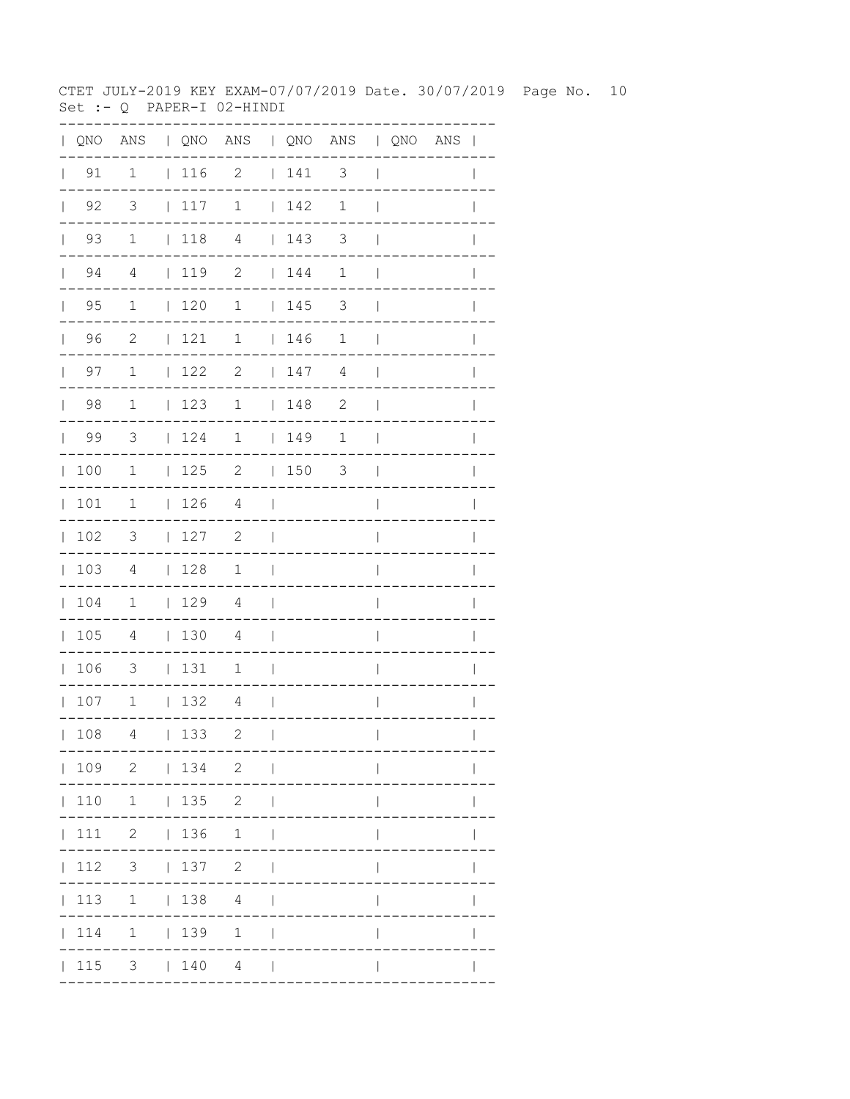CTET JULY-2019 KEY EXAM-07/07/2019 Date. 30/07/2019 Page No. 10 Set :-  $Q$  PAPER-I 02-HINDI

|              |                      |                |             | QNO ANS   QNO ANS   QNO ANS   QNO ANS |                          |                                                             |                |                          |  | $\blacksquare$ |
|--------------|----------------------|----------------|-------------|---------------------------------------|--------------------------|-------------------------------------------------------------|----------------|--------------------------|--|----------------|
|              | $\vert$ 91           | $\mathbf 1$    | 116         | 2                                     |                          | 141                                                         | 3              | $\overline{\phantom{a}}$ |  |                |
| $\mathbf{L}$ | 92                   | $\mathcal{S}$  | 117         | $\mathbf 1$                           |                          | 142                                                         | $\mathbf 1$    | $\mathbf{I}$             |  |                |
|              | 93<br>$\mathbf{L}$   | $\mathbf 1$    | $\vert$ 118 | $\overline{4}$                        |                          | 143                                                         | 3              | $\mathbf{I}$             |  |                |
|              | 94<br>$\mathbf{L}$   | 4              | 1192        |                                       |                          | 144                                                         | $\mathbf 1$    | $\overline{\phantom{a}}$ |  |                |
| $\mathbf{L}$ | 95                   | $\mathbf 1$    | 120         | $\mathbf 1$                           |                          | 145                                                         | 3              | $\mathbf{I}$             |  |                |
|              | 96<br>$\mathbb{R}^n$ | 2              | 121         | $\mathbf 1$                           |                          | $\begin{array}{c} \begin{array}{c} \end{array} \end{array}$ | $\mathbf 1$    | $\overline{\phantom{a}}$ |  |                |
|              | 97<br>$\mathbf{L}$   | $\mathbf 1$    | 122         | $\overline{2}$                        |                          | 147                                                         | $\overline{4}$ | $\overline{\phantom{a}}$ |  |                |
| $\mathbf{L}$ | 98                   | $\mathbf 1$    | 123         | 1                                     |                          | 148                                                         | $\mathbf{2}$   | $\overline{\phantom{a}}$ |  |                |
| $\mathbf{L}$ | 99                   | $\overline{3}$ | 124         | $\mathbf 1$                           |                          | 149                                                         | $\mathbf 1$    | $\overline{\phantom{a}}$ |  |                |
| $\mathbb{L}$ | 100                  | $\mathbf{1}$   | 125         | $\overline{\phantom{a}}$              |                          | $ 150$ 3                                                    |                | $\overline{\phantom{a}}$ |  |                |
| $\mathbb{L}$ | 101                  | $\mathbf 1$    | 126         | 4                                     | $\Box$                   |                                                             |                | I                        |  |                |
| $\mathbf{L}$ | 102                  | 3              | 127         | 2                                     | $\overline{1}$           |                                                             |                | $\overline{1}$           |  | I              |
| $\mathbb{L}$ | 103                  | 4              | 128         | $\mathbf{1}$                          | $\blacksquare$           |                                                             |                | $\overline{\phantom{a}}$ |  | I              |
| $\mathbf{L}$ | 104                  | $\overline{1}$ | 129         | $\overline{4}$                        | $\Box$                   |                                                             |                | I                        |  |                |
| $\mathbf{L}$ | 105                  | $\overline{4}$ | 130         | 4                                     | $\Box$                   |                                                             |                | I                        |  |                |
| $\mathbf{L}$ | 106                  | 3              | 131         | 1                                     | $\overline{\phantom{a}}$ |                                                             |                | $\overline{\phantom{a}}$ |  |                |
|              | 107                  | $\overline{1}$ | $\vert$ 132 | 4                                     | $\mathbf{I}$             |                                                             |                | I                        |  |                |
|              | 108                  | 4              | 133         | 2                                     | $\mathbf{I}$             |                                                             |                | $\overline{\phantom{a}}$ |  |                |
|              |                      |                |             | 109 2   134 2                         |                          |                                                             |                |                          |  |                |
|              |                      | 110 1   135 2  |             |                                       |                          |                                                             |                |                          |  |                |
|              |                      | 111 2   136 1  |             |                                       | $\mathbf{I}$             |                                                             |                |                          |  |                |
|              | 112                  | $3 \t137 \t2$  |             |                                       | $\Box$                   |                                                             |                |                          |  |                |
|              |                      | 113 1   138 4  |             |                                       |                          |                                                             |                |                          |  |                |
|              |                      | 114 1   139    |             | $\mathbf{1}$                          |                          |                                                             |                |                          |  |                |
|              | 115                  |                |             | 3   140 4                             |                          |                                                             |                |                          |  |                |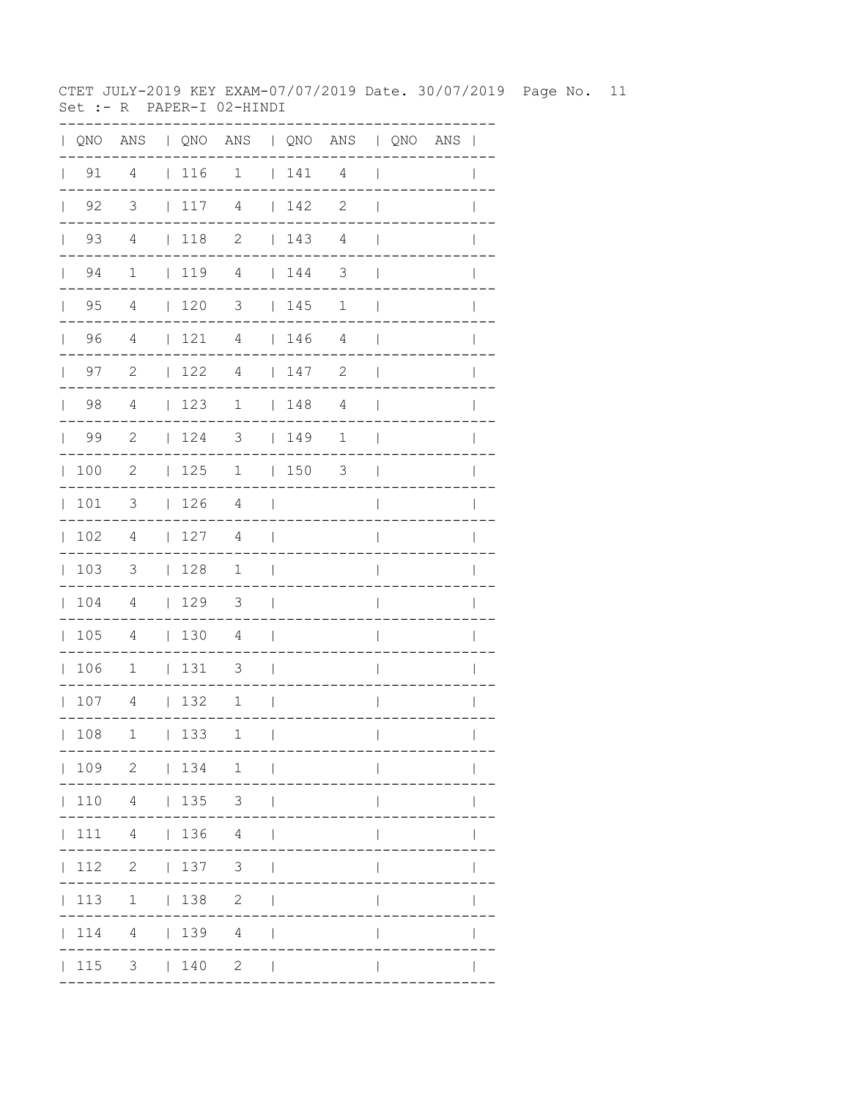CTET JULY-2019 KEY EXAM-07/07/2019 Date. 30/07/2019 Page No. 11 Set :- R PAPER-I 02-HINDI

| QNO | ANS                     |              |            | QNO ANS   QNO ANS   QNO ANS |              |     |                         |              |  |              |
|-----|-------------------------|--------------|------------|-----------------------------|--------------|-----|-------------------------|--------------|--|--------------|
| 91  | 4                       |              | 116        | $\overline{1}$              |              | 141 | 4                       | $\mathbf{I}$ |  |              |
| 92  | $\overline{\mathbf{3}}$ |              | 117        | $\overline{4}$              |              | 142 | $\sqrt{2}$              |              |  |              |
| 93  | $\overline{4}$          |              | 118        | $\mathbf{2}$                |              | 143 | $\sqrt{4}$              |              |  |              |
| 94  | $\mathbf 1$             |              | 119        | 4                           |              | 144 | $\overline{\mathbf{3}}$ |              |  |              |
| 95  | 4                       |              | 120        | 3                           |              | 145 | 1                       |              |  |              |
| 96  | 4                       | $\mathbf{L}$ | 121        | 4                           | $\mathbf{L}$ | 146 | 4                       |              |  |              |
| 97  | $\mathbf{2}$            | $\mathbf{L}$ | 122        | 4                           | $\mathbf{L}$ | 147 | $\mathbf{2}$            |              |  |              |
| 98  | 4                       | $\mathbf{L}$ | 123        | $\mathbf 1$                 | $\mathbf{L}$ | 148 | 4                       |              |  |              |
| 99  | $\mathbf{2}$            | $\mathbf{L}$ | 124        | 3                           | $\mathbf{L}$ | 149 | $\mathbf 1$             |              |  |              |
| 100 | $\mathbf{2}$            | $\mathbf{L}$ | 125        | 1                           | $\mathbf{L}$ | 150 | 3                       |              |  |              |
| 101 | 3                       | $\mathbf{L}$ | 126        | $\overline{4}$              |              |     |                         |              |  |              |
| 102 | 4                       | $\mathbf{L}$ | 127        | 4                           |              |     |                         |              |  |              |
| 103 | 3                       | $\mathbf{L}$ | 128        | $\mathbf 1$                 |              |     |                         |              |  |              |
| 104 | 4                       |              | 129        | 3                           |              |     |                         |              |  |              |
| 105 | 4                       |              | 130        | 4                           |              |     |                         |              |  |              |
| 106 | $\mathbf 1$             | L            | 131        | 3                           |              |     |                         |              |  |              |
| 107 | 4                       | $\mathbf{L}$ | 132        | 1                           |              |     |                         |              |  |              |
| 108 |                         |              | $1 \t 133$ | 1.<br>$-- -$                | $\Box$       |     | . _ _ _ _ _ _ _ _ _ .   | $\mathbf{L}$ |  | $\mathbf{L}$ |
|     |                         |              |            | 109 2   134 1               |              |     | ----------------------- |              |  |              |
|     |                         |              |            | 110 4   135 3               |              |     |                         |              |  |              |
|     |                         |              |            | 111 4   136 4               |              |     |                         | $\mathbf{L}$ |  |              |
|     |                         |              |            | 112    2      137    3      |              |     |                         | $\mathbf{L}$ |  |              |
|     |                         |              |            | 113 1   138 2               |              |     |                         | $\mathbb{L}$ |  | $\mathbf{I}$ |
|     |                         |              |            | 114 4   139 4               |              |     |                         | $\mathbf{I}$ |  | $\mathbf{I}$ |
|     |                         |              |            | $ 115 \t3 \t 140 \t2 \t $   |              |     |                         | $\mathbf{I}$ |  |              |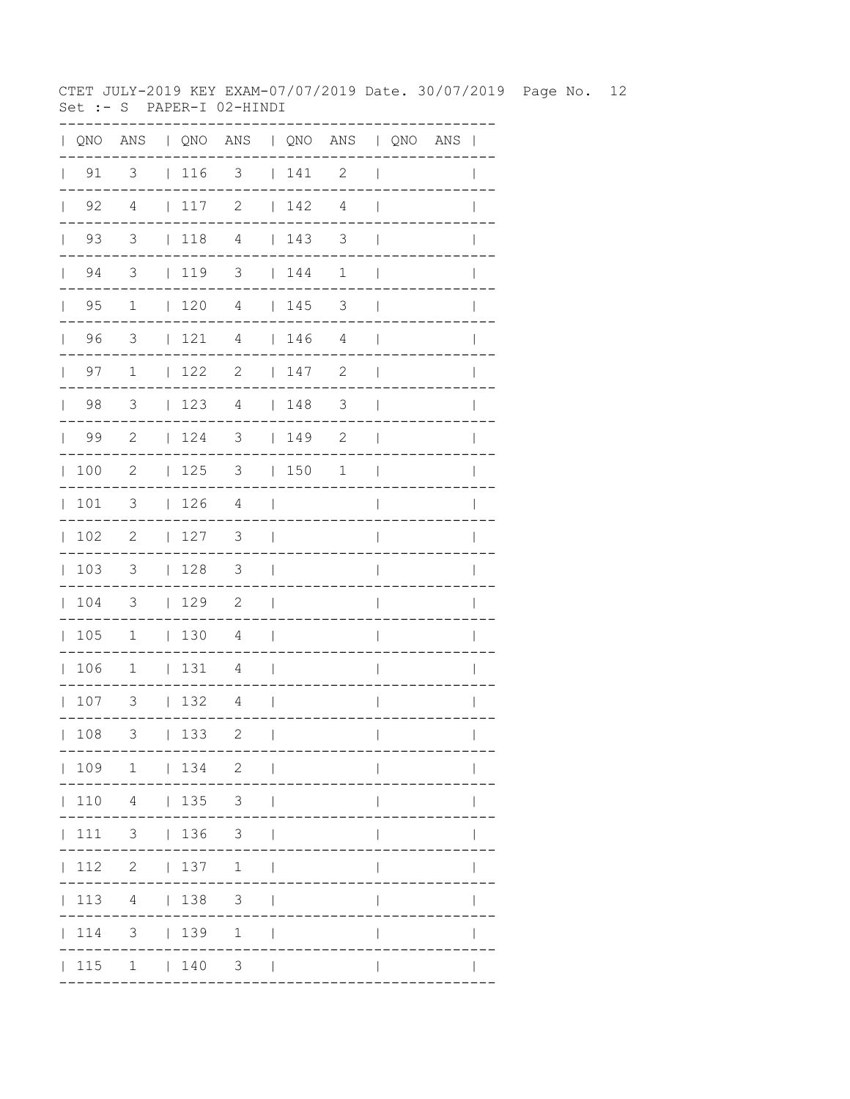CTET JULY-2019 KEY EXAM-07/07/2019 Date. 30/07/2019 Page No. 12 Set :- S PAPER-I 02-HINDI

|              |                    |                                         |             | QNO ANS   QNO ANS   QNO ANS   QNO ANS |                          |                                    |                |                          |  | $\mathbf{I}$ |
|--------------|--------------------|-----------------------------------------|-------------|---------------------------------------|--------------------------|------------------------------------|----------------|--------------------------|--|--------------|
|              | $\vert$ 91         | 3                                       | $\vert$ 116 | 3                                     |                          | 141                                | 2              | $\overline{\phantom{a}}$ |  |              |
| $\mathbf{L}$ | 92                 | $\overline{4}$                          | 117         | $\mathbf{2}$                          |                          | 142                                | $\overline{4}$ | $\mathbf{I}$             |  |              |
|              | 93<br>$\mathbf{L}$ | 3                                       | $\vert$ 118 | $\overline{4}$                        |                          | 143                                | 3              | $\mathbf{I}$             |  |              |
|              | 94<br>$\mathbf{L}$ | 3                                       | 119         | 3                                     |                          | $\begin{array}{c} 144 \end{array}$ | $\mathbf 1$    | $\mathbf{I}$             |  |              |
| $\mathbb{L}$ | 95                 | $\mathbf 1$                             | 120         | 4                                     |                          | 145                                | 3              | $\mathbf{I}$             |  |              |
| $\mathbf{L}$ | 96                 | 3                                       | 121         | 4                                     |                          | 146                                | 4              | $\mathbf{I}$             |  |              |
|              | 97<br>$\mathbf{L}$ | $\mathbf 1$                             | 122         | $\mathbf{2}$                          |                          | 147                                | $\mathbf{2}$   | $\mathbf{I}$             |  |              |
| $\mathbf{L}$ | 98                 | 3                                       | 123         | 4                                     |                          | 148                                | $\mathcal{S}$  | $\overline{\phantom{a}}$ |  | $\mathbb{I}$ |
| $\mathbf{L}$ | 99                 | $\overline{c}$                          | 124         | $\overline{\mathbf{3}}$               |                          | 149                                | $\mathbf{2}$   | $\overline{\phantom{a}}$ |  |              |
| $\mathbb{L}$ | 100                | 2                                       | 125         | 3   150                               |                          |                                    | 1              | $\overline{\phantom{a}}$ |  |              |
| $\mathbf{L}$ | 101                | 3                                       | 126         | 4                                     | $\overline{\phantom{a}}$ |                                    |                | $\overline{\phantom{a}}$ |  |              |
| $\mathbf{L}$ | 102                | $\mathbf{2}$                            | 127         | 3                                     | $\overline{\phantom{a}}$ |                                    |                | $\overline{\phantom{a}}$ |  | $\mathbb{I}$ |
| $\mathbb{L}$ | 103                | $\mathcal{S}$                           | 128         | $\overline{\mathbf{3}}$               | $\Box$                   |                                    |                | $\overline{\phantom{a}}$ |  | $\mathbf{I}$ |
| $\mathbf{L}$ | 104                | $\overline{\phantom{a}}$                | 129         | $\overline{\phantom{0}}^2$            | $\perp$                  |                                    |                | I                        |  |              |
| $\mathbf{L}$ | 105                | $\overline{1}$                          | $\vert$ 130 | 4                                     | $\overline{\phantom{0}}$ |                                    |                | I                        |  |              |
|              | 106                | $\mathbf 1$                             | 131         | 4                                     | $\overline{1}$           |                                    |                | $\overline{\phantom{a}}$ |  |              |
|              | 107                | 3                                       | 132         | 4                                     | $\overline{\phantom{0}}$ |                                    |                | $\overline{\phantom{a}}$ |  | $\mathbf{I}$ |
|              | 108                | 3                                       | 133         | $\mathbf{2}$                          | $\mathbf{I}$             |                                    |                | $\mathbf{I}$             |  |              |
|              |                    | 109 1   134 2                           |             |                                       | $\sim$                   |                                    |                |                          |  |              |
|              |                    | 110 4   135 3                           |             |                                       |                          |                                    |                |                          |  |              |
|              |                    | $111 \quad 3 \quad   \quad 136 \quad 3$ |             |                                       |                          |                                    |                |                          |  |              |
|              |                    | 112 2   137                             |             | $1 \quad  $                           |                          |                                    |                |                          |  |              |
|              | 113                |                                         | 4   138     | $\mathcal{S}$                         |                          |                                    |                |                          |  |              |
|              | 114                |                                         | $3 \t 139$  | $\mathbf{1}$                          |                          |                                    |                |                          |  |              |
|              |                    | 115 1   140                             |             | 3 <sup>7</sup>                        |                          |                                    |                |                          |  |              |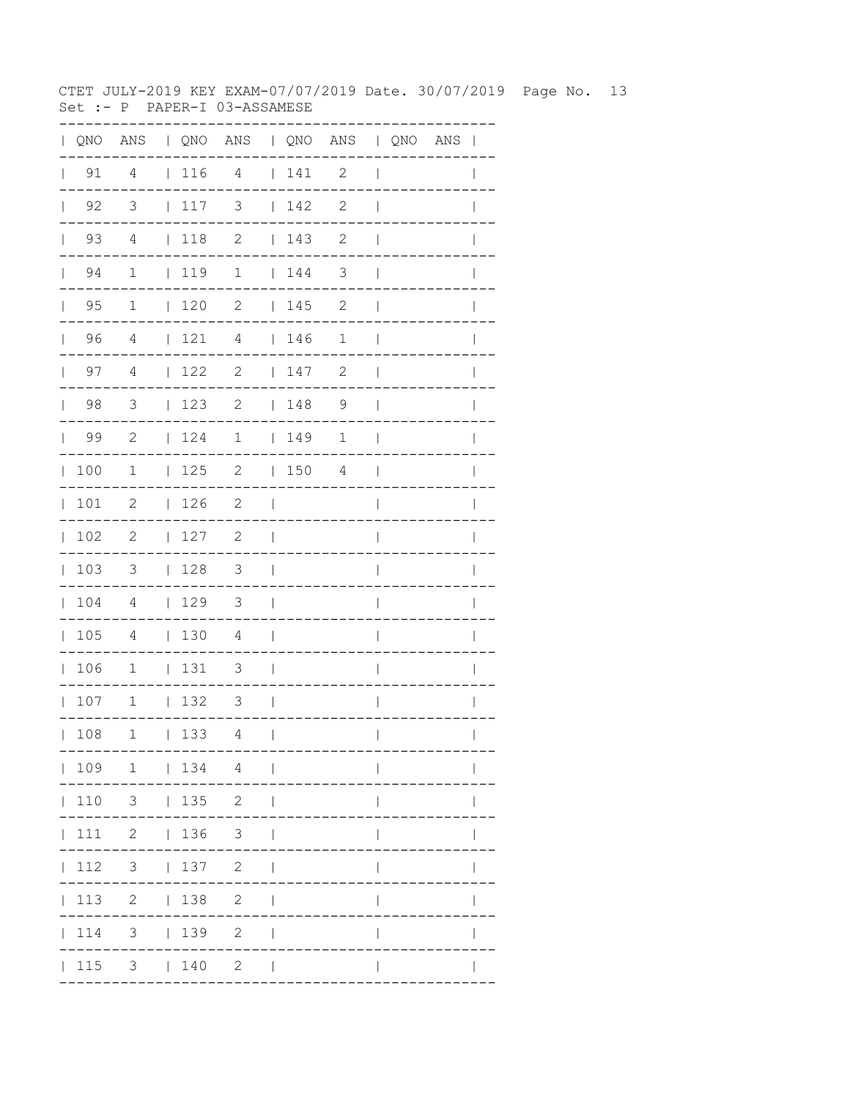CTET JULY-2019 KEY EXAM-07/07/2019 Date. 30/07/2019 Page No. 13 Set :- P PAPER-I 03-ASSAMESE

| $\mathbf{L}$ |                    |                            |              |                   | QNO ANS   QNO ANS   QNO ANS   QNO ANS |                          |     |                |                          |  | $\overline{\phantom{a}}$ |
|--------------|--------------------|----------------------------|--------------|-------------------|---------------------------------------|--------------------------|-----|----------------|--------------------------|--|--------------------------|
| $\mathbf{L}$ | 91                 | 4                          |              |                   | 116 4                                 |                          | 141 | $\mathbf{2}$   | $\overline{\phantom{a}}$ |  |                          |
|              | $\vert$ 92         | 3                          |              | 117               | 3                                     |                          | 142 | $\mathbf{2}$   | $\overline{\phantom{a}}$ |  |                          |
|              | 93<br>$\mathbf{L}$ | 4                          |              | $\vert$ 118       | $\mathbf{2}$                          |                          | 143 | 2              | $\overline{\phantom{a}}$ |  |                          |
|              | 94<br>$\mathbf{L}$ | $\mathbf 1$                |              | 119               | $\mathbf 1$                           |                          | 144 | 3              | $\mathbf{I}$             |  |                          |
|              | $\vert$ 95         | $\mathbf{1}$               |              | 120               | $\mathbf{2}$                          |                          | 145 | $\mathbf{2}$   | $\mathbf{I}$             |  |                          |
|              | 96                 | $\overline{4}$             |              | 121               | $\overline{4}$                        |                          | 146 | $\mathbf 1$    | $\overline{1}$           |  |                          |
|              | $\vert$ 97         | 4                          |              | $\vert$ 122       | 2                                     |                          | 147 | $\mathbf{2}$   | $\overline{\phantom{a}}$ |  | $\mathbf{I}$             |
|              | $\vert$ 98         | $\overline{\mathbf{3}}$    |              | 123               | 2                                     |                          | 148 | $\overline{9}$ | $\overline{1}$           |  |                          |
|              | 99                 | -2                         |              | 124               | $\mathbf 1$                           |                          | 149 | 1              | $\mathbf{I}$             |  |                          |
|              | 100                | $\mathbf 1$                |              | 125               | $\overline{2}$                        |                          | 150 | 4              | $\mathbf{I}$             |  | $\mathbf{I}$             |
|              | 101                | 2                          |              | 126               | 2                                     | $\Box$                   |     |                | $\overline{1}$           |  | $\mathbf{I}$             |
| $\mathbf{L}$ | 102                | $\overline{\phantom{0}}^2$ |              | 127               | $\overline{\phantom{0}}^2$            | $\overline{\phantom{a}}$ |     |                | I                        |  |                          |
|              | 103                | $\overline{\phantom{a}}$   |              | 128               | $\overline{\phantom{a}}$              | $\Box$                   |     |                | $\overline{\phantom{a}}$ |  |                          |
|              | 104                | $\overline{4}$             |              | 129               | 3                                     | $\mathcal{L}$            |     |                | $\overline{\phantom{a}}$ |  | I                        |
|              | 105                | 4                          |              | 130               | 4                                     | $\blacksquare$           |     |                | I                        |  |                          |
|              | 106                | $\overline{1}$             |              | 131               | $\overline{\mathbf{3}}$               | $\Box$                   |     |                | $\overline{\phantom{a}}$ |  |                          |
|              | 107                | $\overline{1}$             |              | 132               | $\overline{\mathbf{3}}$               | $\sim$ 1                 |     |                | $\overline{\phantom{a}}$ |  | I                        |
|              | 108                | 1                          | $\mathbf{L}$ | 133               | 4                                     | $\overline{\phantom{a}}$ |     |                | $\overline{\phantom{a}}$ |  | $\mathbf{I}$             |
|              |                    | 109 1   134 4              |              |                   |                                       | $\sim$ 1                 |     |                |                          |  |                          |
|              | 110                |                            |              | $3 \t   135 \t 2$ |                                       |                          |     |                |                          |  |                          |
|              | 111                |                            |              | 2   136           | 3 <sup>7</sup>                        |                          |     |                |                          |  |                          |
|              | 112                | 3 <sup>7</sup>             |              | 137               | $\mathbf{2}$                          |                          |     |                |                          |  |                          |
|              | 113                |                            |              | $2 \t 138$        | $\mathbf{2}$                          |                          |     |                |                          |  |                          |
|              | 114                | 3                          |              | 139               | $\mathbf{2}$                          |                          |     |                |                          |  |                          |
|              | 115                |                            |              | $3 \t 140$        | $\mathbf{2}$                          | $\Box$                   |     |                |                          |  |                          |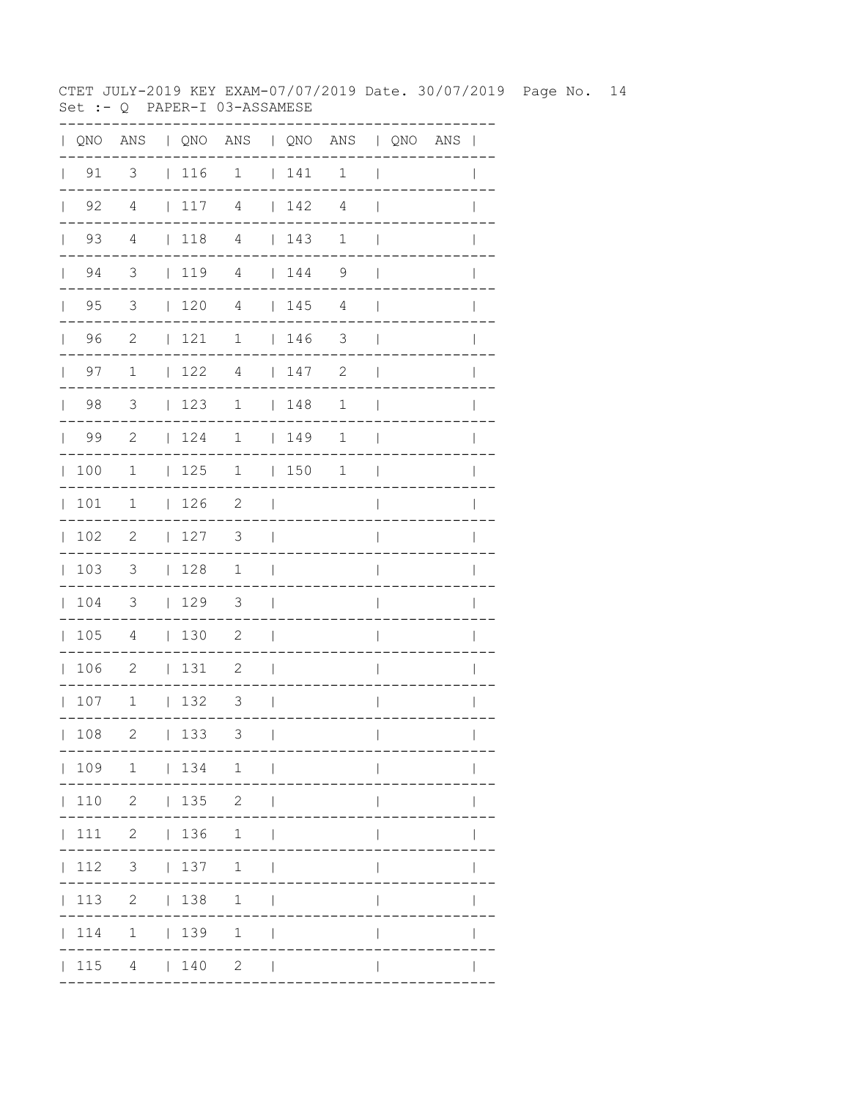CTET JULY-2019 KEY EXAM-07/07/2019 Date. 30/07/2019 Page No. 14 Set :- Q PAPER-I 03-ASSAMESE

| QNO ANS   QNO ANS   QNO ANS   QNO ANS |
|---------------------------------------|
|                                       |
|                                       |
|                                       |
|                                       |
| $\mathbf{I}$                          |
|                                       |
|                                       |
| I                                     |
| $\mathbf{I}$                          |
|                                       |
|                                       |
|                                       |
|                                       |
|                                       |
|                                       |
| $\mathbb{I}$                          |
| $\mathbf{I}$                          |
| $\mathbf{I}$                          |
|                                       |
|                                       |
|                                       |
|                                       |
|                                       |
|                                       |
|                                       |
|                                       |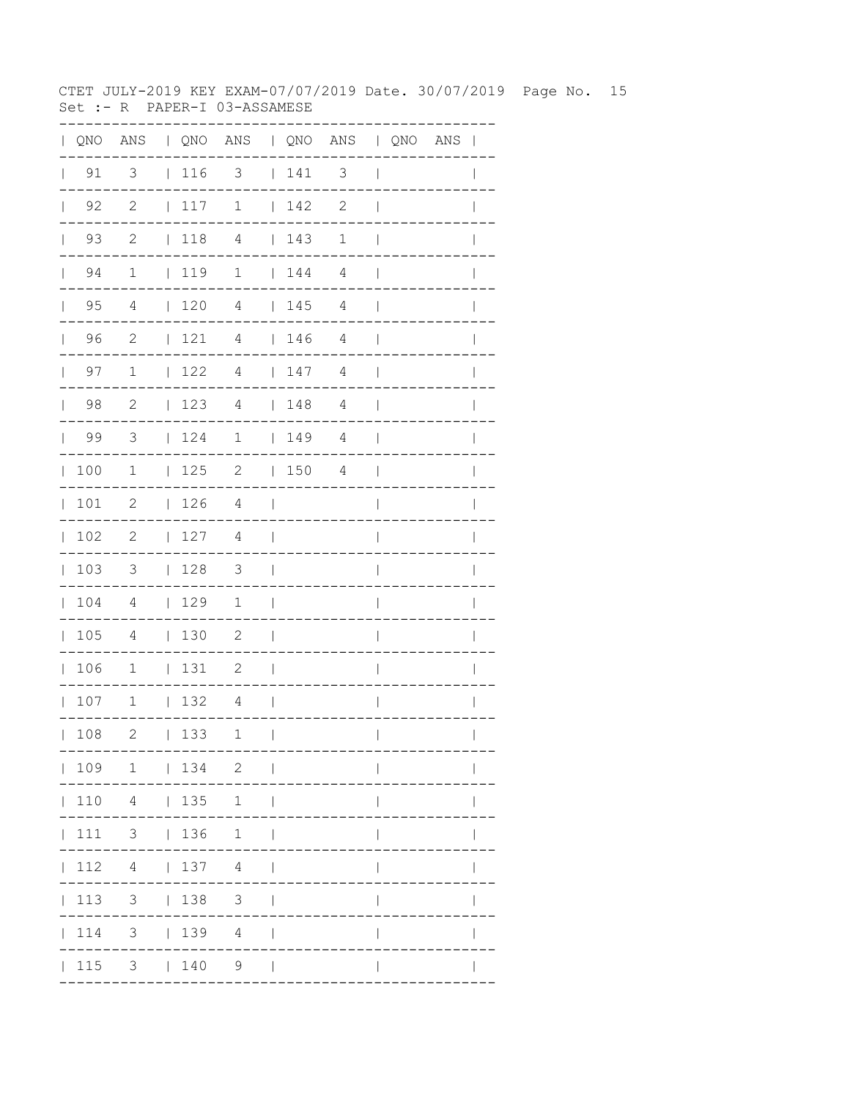CTET JULY-2019 KEY EXAM-07/07/2019 Date. 30/07/2019 Page No. 15 Set :- R PAPER-I 03-ASSAMESE

| QNO | ANS                        |              |     | QNO ANS   QNO ANS   QNO ANS |              |     |                          |                          |                                       |
|-----|----------------------------|--------------|-----|-----------------------------|--------------|-----|--------------------------|--------------------------|---------------------------------------|
| 91  | $\overline{\mathbf{3}}$    |              | 116 | $\overline{\mathbf{3}}$     |              | 141 | $\overline{\phantom{a}}$ | $\overline{\phantom{a}}$ |                                       |
| 92  | $\overline{\phantom{0}}^2$ |              | 117 | $\mathbf 1$                 |              | 142 | $\mathbf{2}$             |                          |                                       |
| 93  | $\overline{\phantom{0}}^2$ |              | 118 | $\overline{4}$              |              | 143 | 1                        |                          |                                       |
| 94  | $\mathbf 1$                |              | 119 | $\mathbf 1$                 |              | 144 | $\overline{4}$           |                          |                                       |
| 95  | 4                          |              | 120 | $\overline{4}$              |              | 145 | 4                        |                          |                                       |
| 96  | 2                          | L            | 121 | $\overline{4}$              | $\mathbf{L}$ | 146 | 4                        |                          |                                       |
| 97  | $\mathbf 1$                | L            | 122 | $\overline{4}$              | $\mathbf{L}$ | 147 | $\overline{4}$           |                          |                                       |
| 98  | 2                          | L            | 123 | 4                           | L            | 148 | $\overline{4}$           |                          |                                       |
| 99  | 3                          | L            | 124 | $\mathbf 1$                 | L            | 149 | $\overline{4}$           |                          |                                       |
| 100 | 1                          |              | 125 | $\mathbf{2}$                | $\mathbf{L}$ | 150 | $\sqrt{4}$               |                          |                                       |
| 101 | $\mathbf{2}$               | L            | 126 | $\overline{4}$              |              |     |                          |                          |                                       |
| 102 | $\mathbf{2}$               | L            | 127 | 4                           |              |     |                          |                          |                                       |
| 103 | 3                          |              | 128 | $\mathfrak{Z}$              |              |     |                          |                          |                                       |
| 104 | 4                          | $\mathbf{L}$ | 129 | $\mathbf 1$                 |              |     |                          |                          |                                       |
| 105 | 4                          | $\mathbf{L}$ | 130 | 2                           |              |     |                          |                          |                                       |
| 106 | $1\,$                      | L            | 131 | 2                           |              |     |                          |                          |                                       |
| 107 | $1\,$                      | $\mathbf{L}$ | 132 | $\overline{4}$              |              |     |                          |                          |                                       |
| 108 | 2                          |              | 133 | 1                           | $\Box$       |     | . _ _ _ _ _ _ _ _ _ .    | $\mathbf{L}$             | $\mathbf{L}$<br>. - - - - - - - - - . |
|     |                            |              |     | 109 1   134 2               |              |     |                          |                          |                                       |
|     |                            |              |     | $110 \t 4 \t 135 \t 1 \t 1$ |              |     |                          |                          |                                       |
|     |                            |              |     | 111 3   136 1               |              |     |                          | $\mathbf{L}$             | $\mathsf{I}$                          |
|     |                            |              |     | $ 112 \t4 \t 137 \t4 \t $   |              |     |                          | $\mathbf{I}$             | $\mathbf{I}$                          |
|     |                            |              |     | 113 3   138 3               |              |     |                          | $\mathsf{I}$             | $\mathsf{I}$                          |
|     |                            |              |     | 114 3   139 4               |              |     |                          | $\mathsf{I}$             |                                       |
|     |                            |              |     | $ 115 \t3 \t  140 \t9 \t $  |              |     |                          | $\mathsf{I}$             |                                       |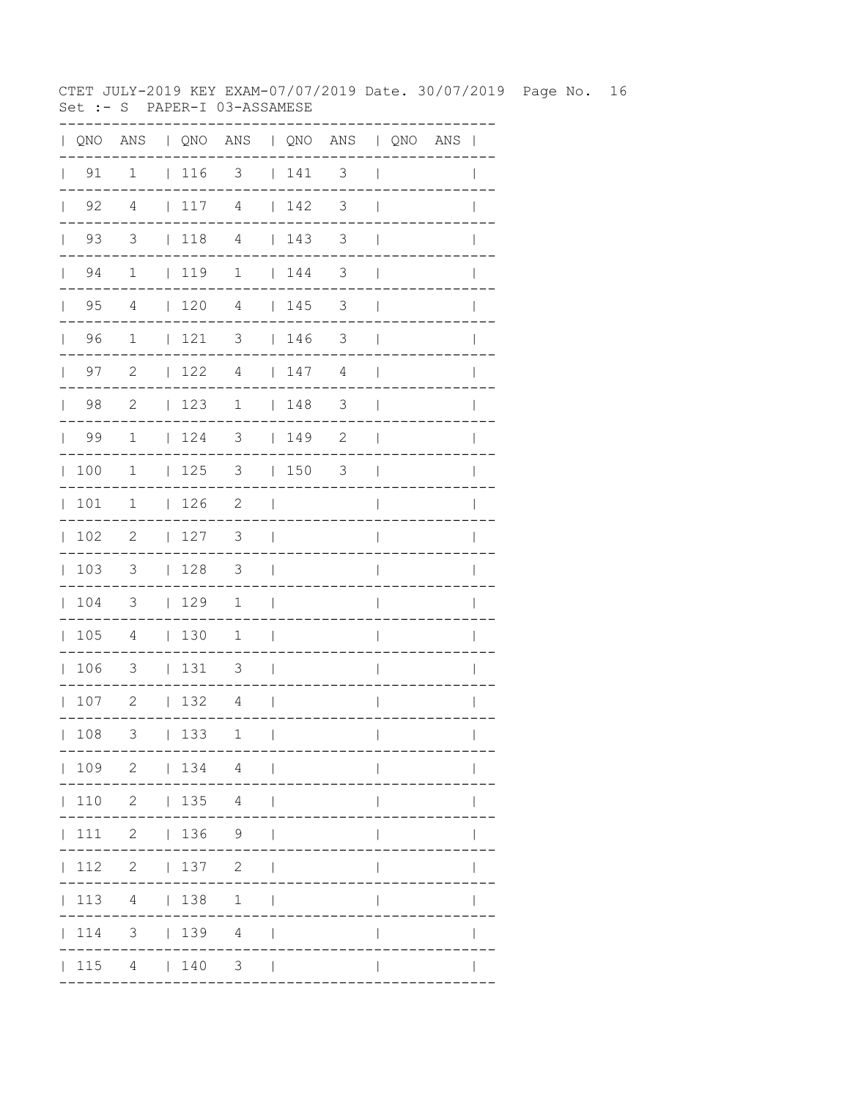CTET JULY-2019 KEY EXAM-07/07/2019 Date. 30/07/2019 Page No. 16 Set :- S PAPER-I 03-ASSAMESE

| QNO | ANS                     |              |     | QNO ANS   QNO ANS   QNO ANS |              |     |                       |                          |                                     |
|-----|-------------------------|--------------|-----|-----------------------------|--------------|-----|-----------------------|--------------------------|-------------------------------------|
| 91  | $\mathbf{1}$            |              | 116 | $\overline{\phantom{a}}$    |              | 141 | 3                     | $\overline{\phantom{a}}$ |                                     |
| 92  | 4                       | $\mathbf{L}$ | 117 | $\overline{4}$              |              | 142 | $\mathfrak{Z}$        |                          |                                     |
| 93  | $\overline{\mathbf{3}}$ |              | 118 | $\overline{4}$              |              | 143 | 3                     |                          |                                     |
| 94  | $\mathbf 1$             |              | 119 | $\mathbf 1$                 |              | 144 | 3                     |                          |                                     |
| 95  | 4                       |              | 120 | $\overline{4}$              |              | 145 | 3                     |                          |                                     |
| 96  | 1                       | $\mathbf{I}$ | 121 | 3                           | L            | 146 | 3                     |                          |                                     |
| 97  | $\mathbf{2}$            | L            | 122 | $\overline{4}$              | $\mathbf{L}$ | 147 | 4                     |                          |                                     |
| 98  | $\mathbf{2}$            | $\mathbf{I}$ | 123 | $\mathbf 1$                 | L            | 148 | 3                     |                          |                                     |
| 99  | $1\,$                   | L            | 124 | 3                           | L            | 149 | $\sqrt{2}$            |                          |                                     |
| 100 | 1                       |              | 125 | 3                           | L            | 150 | 3                     |                          |                                     |
| 101 | 1                       | L            | 126 | $\mathbf{2}$                |              |     |                       |                          |                                     |
| 102 | $\mathbf{2}$            | L            | 127 | 3                           |              |     |                       |                          |                                     |
| 103 | 3                       |              | 128 | 3                           |              |     |                       |                          |                                     |
| 104 | 3                       | $\mathbf{L}$ | 129 | $\mathbf 1$                 |              |     |                       |                          |                                     |
| 105 | 4                       | $\mathbf{L}$ | 130 | $\mathbf 1$                 |              |     |                       |                          |                                     |
| 106 | 3                       | L            | 131 | 3                           |              |     |                       |                          |                                     |
| 107 | $\mathbf{2}$            | L            | 132 | $\overline{4}$              |              |     |                       |                          |                                     |
| 108 | 3                       |              | 133 | 1                           | $\Box$       |     | . _ _ _ _ _ _ _ _ _ . | $\mathbf{L}$             | $\mathbf{L}$<br>. _ _ _ _ _ _ _ _ _ |
|     |                         |              |     | $ 109 \t2 \t 134 \t4 \t $   |              |     |                       |                          |                                     |
|     |                         |              |     | 110 2   135 4               |              |     |                       |                          |                                     |
|     |                         |              |     | 111 2   136 9               |              |     |                       | $\overline{1}$           | $\mathbf{I}$                        |
|     |                         |              |     | 112 2   137 2               |              |     |                       | $\mathbf{I}$             | $\mathsf{I}$                        |
|     |                         |              |     | 113 4   138 1               |              |     |                       | $\mathsf{I}$             | $\mathsf{I}$                        |
|     |                         |              |     | 114 3   139 4               |              |     |                       | $\mathbf{I}$             | $\mathsf{I}$                        |
|     |                         |              |     | $ 115 \t4 \t 140 \t3 \t $   |              |     |                       | $\mathbf{I}$             | $\mathbf{I}$                        |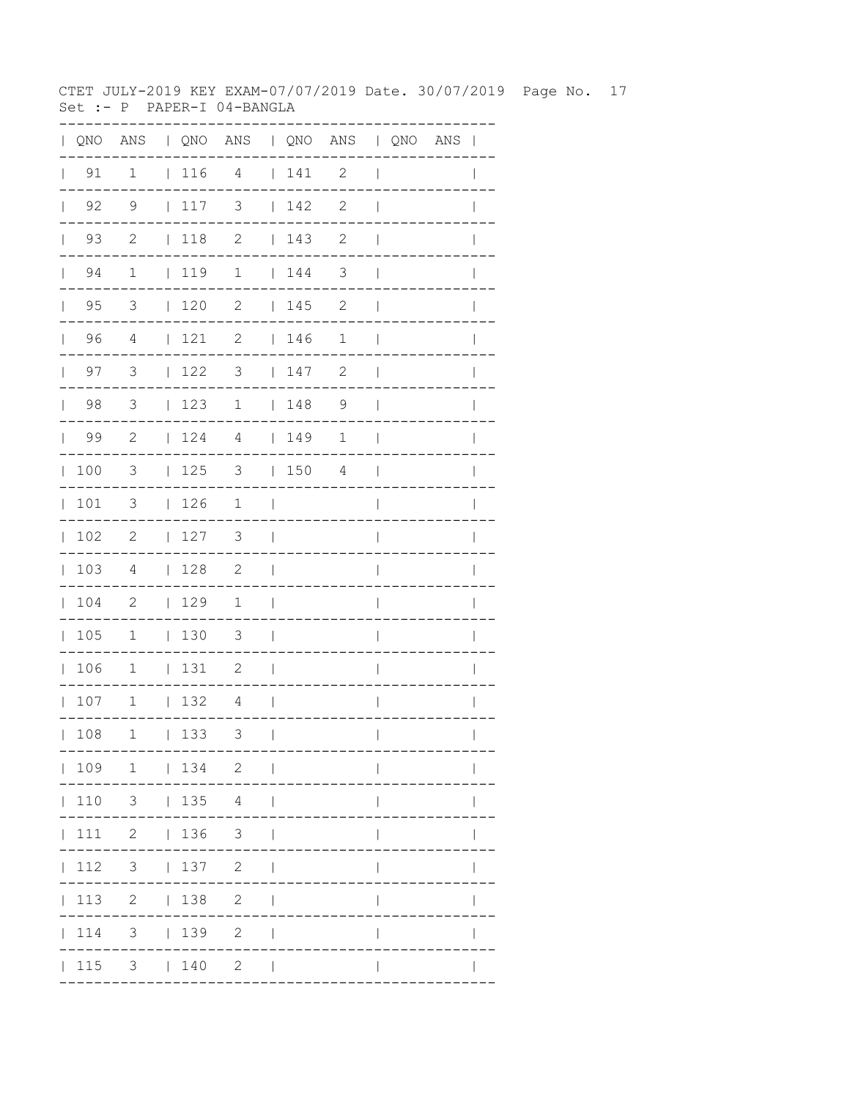CTET JULY-2019 KEY EXAM-07/07/2019 Date. 30/07/2019 Page No. 17 Set :- P PAPER-I 04-BANGLA

| $\mathbf{L}$ | QNO                |                            |              |                                        | ANS   QNO ANS   QNO ANS   QNO ANS |                          |                                        |                |                          |  | $\overline{\phantom{a}}$ |
|--------------|--------------------|----------------------------|--------------|----------------------------------------|-----------------------------------|--------------------------|----------------------------------------|----------------|--------------------------|--|--------------------------|
| $\mathbf{L}$ | 91                 | $\mathbf 1$                |              | 116 4                                  |                                   |                          | 141                                    | $\mathbf{2}$   | $\overline{\phantom{a}}$ |  |                          |
|              | $\vert$ 92         | 9                          |              | $\vert$ 117                            | 3                                 |                          | 142                                    | $\mathbf{2}$   | $\overline{1}$           |  |                          |
|              | 93<br>$\mathbf{L}$ | $\mathbf{2}$               |              | $\vert$ 118                            | $\mathbf{2}$                      |                          | 143                                    | 2              | $\mathbf{I}$             |  |                          |
|              | 94<br>$\mathbf{L}$ | $\mathbf 1$                |              | 119                                    | $\mathbf 1$                       |                          | $\begin{array}{cc} 1 & 44 \end{array}$ | 3              | $\mathbf{I}$             |  |                          |
|              | $\vert$ 95         | $\overline{3}$             |              | $\begin{array}{cc} 1 & 20 \end{array}$ | $\mathbf{2}$                      |                          | 145                                    | $\mathbf{2}$   | $\mathbf{I}$             |  |                          |
|              | 96                 | $\overline{4}$             |              | 121                                    | 2                                 |                          | 146                                    | $\mathbf 1$    | $\overline{\phantom{a}}$ |  |                          |
|              | $\vert$ 97         | $\mathcal{S}$              |              | $\vert$ 122                            | 3                                 |                          | 147                                    | $\mathbf{2}$   | $\overline{\phantom{a}}$ |  | $\mathbf{I}$             |
|              | $\vert$ 98         | $\overline{\mathbf{3}}$    |              | 123                                    | $\mathbf 1$                       |                          | 148                                    | $\overline{9}$ | $\overline{1}$           |  |                          |
|              | 99                 | 2                          |              | 124                                    | 4                                 |                          | 149                                    | 1              | $\mathbf{I}$             |  |                          |
|              | 100                | 3                          |              | 125                                    | 3                                 |                          | 150                                    | 4              | $\mathbf{I}$             |  | $\mathbf{I}$             |
|              | 101                | $\mathcal{S}$              |              | 126                                    | $\mathbf 1$                       | $\Box$                   |                                        |                | $\overline{1}$           |  | $\mathbb{I}$             |
| $\mathbf{L}$ | 102                | $\overline{\phantom{0}}$   |              | 127                                    | 3                                 | $\mathbf{I}$             |                                        |                | I                        |  |                          |
|              | 103                | $\overline{4}$             |              | 128                                    | $\overline{\phantom{0}}^2$        | $\overline{\phantom{a}}$ |                                        |                | $\overline{\phantom{a}}$ |  |                          |
|              | 104                | $\overline{\phantom{0}}^2$ |              | 129                                    | $\mathbf 1$                       | $\overline{\phantom{a}}$ |                                        |                | $\overline{\phantom{a}}$ |  | I                        |
|              | 105                | $\mathbf{1}$               |              | 130                                    | $\overline{\mathbf{3}}$           | $\Box$                   |                                        |                | I                        |  |                          |
|              | 106                | $\overline{1}$             |              | 131                                    | $\overline{\phantom{0}}^2$        | $\overline{\phantom{a}}$ |                                        |                | I                        |  |                          |
|              | 107                | $\overline{\phantom{a}}$   |              | 132                                    | $\overline{4}$                    | $\Box$                   |                                        |                | $\overline{1}$           |  | I                        |
|              | 108                | 1                          | $\mathbf{L}$ | 133                                    | 3                                 | $\overline{\phantom{a}}$ |                                        |                | $\overline{\phantom{a}}$ |  | $\mathbf{I}$             |
|              |                    | 109 1   134 2              |              |                                        |                                   | $\blacksquare$           |                                        |                |                          |  |                          |
|              | 110                |                            |              | $3 \t   135 \t 4$                      |                                   | ı                        |                                        |                |                          |  |                          |
|              | 111                |                            |              | 2   136                                | 3 <sup>7</sup>                    |                          |                                        |                |                          |  |                          |
|              | 112                | 3 <sup>7</sup>             |              | 137                                    | $\overline{2}$                    |                          |                                        |                |                          |  |                          |
|              | 113                |                            |              | 2   138                                | $\mathbf{2}$                      |                          |                                        |                |                          |  |                          |
|              | 114                | 3                          |              | 139                                    | $\mathbf{2}$                      |                          |                                        |                |                          |  |                          |
|              | 115                |                            |              | $3 \t 140$                             | $2 \mid$                          |                          |                                        |                |                          |  |                          |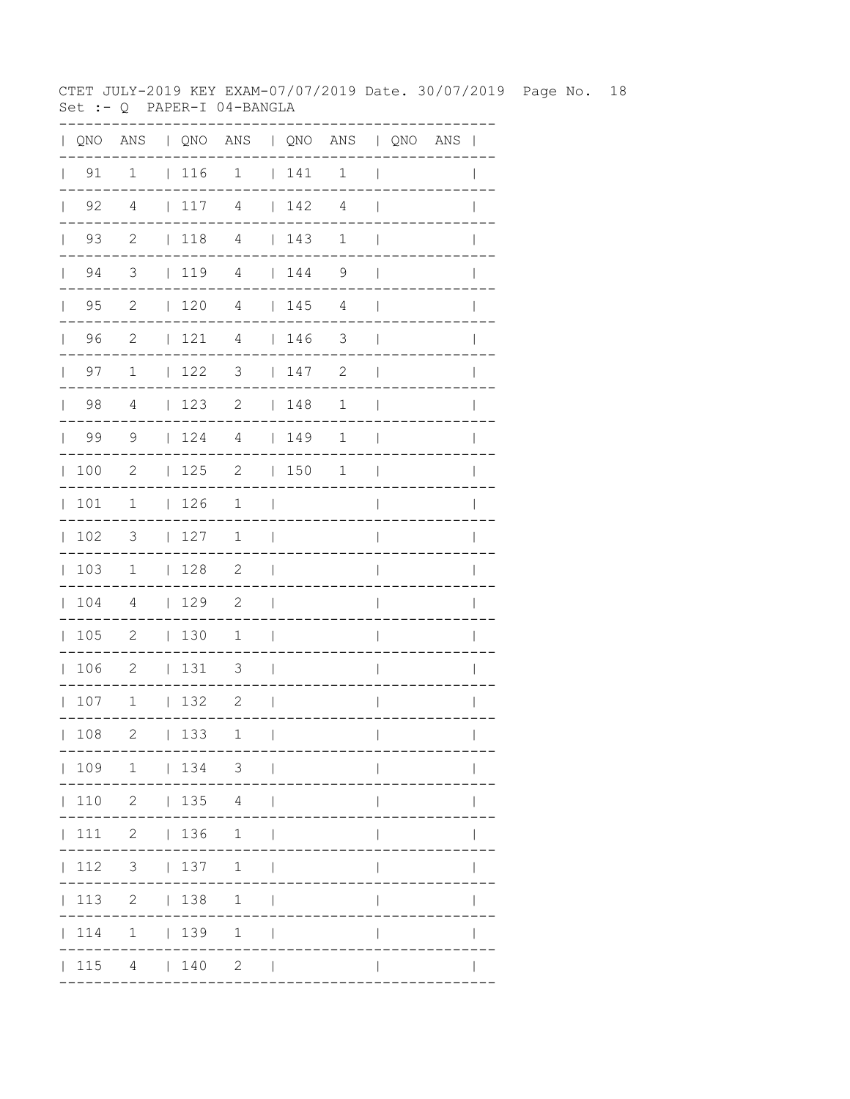CTET JULY-2019 KEY EXAM-07/07/2019 Date. 30/07/2019 Page No. 18 Set :- Q PAPER-I 04-BANGLA

| QNO | ANS                        |              |     | QNO ANS   QNO ANS   QNO ANS |              |     |                |                          |  |              |
|-----|----------------------------|--------------|-----|-----------------------------|--------------|-----|----------------|--------------------------|--|--------------|
| 91  | $\mathbf{1}$               |              | 116 | $\overline{1}$              |              | 141 | $\mathbf{1}$   | $\overline{\phantom{a}}$ |  |              |
| 92  | 4                          |              | 117 | 4                           |              | 142 | $\overline{4}$ |                          |  |              |
| 93  | $\overline{\phantom{0}}^2$ |              | 118 | $\overline{4}$              |              | 143 | $\mathbf 1$    |                          |  |              |
| 94  | $\overline{\mathbf{3}}$    |              | 119 | 4                           |              | 144 | 9              |                          |  |              |
| 95  | 2                          |              | 120 | $\overline{4}$              |              | 145 | 4              |                          |  |              |
| 96  | 2                          | $\mathbf{L}$ | 121 | $\overline{4}$              | $\mathbf{L}$ | 146 | 3              |                          |  |              |
| 97  | $\mathbf 1$                | $\mathbf{L}$ | 122 | 3                           |              | 147 | 2              |                          |  |              |
| 98  | $\overline{4}$             | $\mathbf{L}$ | 123 | $\sqrt{2}$                  | $\mathbb{L}$ | 148 | $\mathbf 1$    |                          |  |              |
| 99  | 9                          | $\mathbf{L}$ | 124 | $\overline{4}$              | $\mathbb{L}$ | 149 | $\mathbf 1$    |                          |  |              |
| 100 | $\mathbf{2}$               | L            | 125 | $\mathbf{2}$                | $\mathbf{L}$ | 150 | $\mathbf 1$    |                          |  |              |
| 101 | $\mathbf 1$                | $\mathbf{L}$ | 126 | 1                           |              |     |                |                          |  |              |
| 102 | 3                          | L            | 127 | 1                           |              |     |                |                          |  |              |
| 103 | 1                          | $\mathbf{L}$ | 128 | 2                           | L            |     |                |                          |  |              |
| 104 | 4                          | $\mathbf{L}$ | 129 | $\mathbf{2}$                |              |     |                |                          |  |              |
| 105 | $\mathbf{2}$               | $\mathbf{L}$ | 130 | 1                           | I            |     |                |                          |  |              |
| 106 | $\mathbf{2}$               | L            | 131 | 3                           | I            |     |                |                          |  |              |
| 107 | $1\,$                      | $\mathbf{L}$ | 132 | 2                           |              |     |                |                          |  |              |
| 108 | 2                          |              | 133 | 1                           | $\sim$ 1.    |     | -----------    | $\mathbf{L}$             |  | $\mathbf{L}$ |
|     |                            |              |     | 109 1   134 3               |              |     | ------------   |                          |  |              |
|     |                            |              |     | 110 2   135 4               |              |     |                |                          |  |              |
|     |                            |              |     | 111 2   136 1               |              |     |                | $\overline{1}$           |  |              |
|     |                            |              |     | 112 3   137 1               |              |     |                | $\mathbf{I}$             |  |              |
|     |                            |              |     | 113 2   138 1               |              |     |                | $\overline{\phantom{a}}$ |  | $\mathbf{I}$ |
|     |                            |              |     | 114 1   139 1               |              |     |                | $\overline{\phantom{a}}$ |  |              |
|     |                            |              |     | $ 115 \t4 \t 140 \t2 \t $   |              |     |                | $\overline{\phantom{a}}$ |  |              |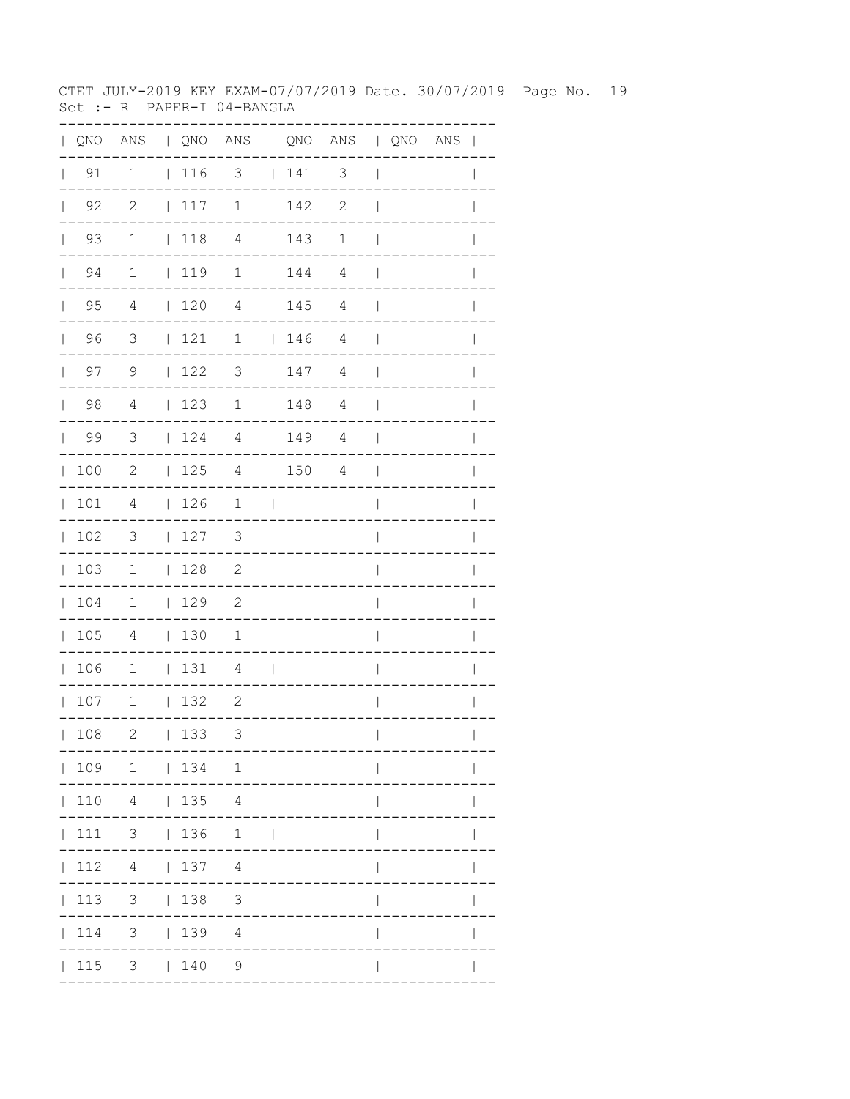CTET JULY-2019 KEY EXAM-07/07/2019 Date. 30/07/2019 Page No. 19 Set :- R PAPER-I 04-BANGLA

| $\mathbf{L}$ | QNO                |                          |             | ANS   QNO ANS   QNO ANS   QNO ANS |                          |                                                             |                |                          |  | $\overline{\phantom{a}}$ |
|--------------|--------------------|--------------------------|-------------|-----------------------------------|--------------------------|-------------------------------------------------------------|----------------|--------------------------|--|--------------------------|
| $\mathbf{L}$ | 91                 | $\mathbf 1$              | $ 116$ 3    |                                   |                          | $\vert$ 141                                                 | $\mathsf 3$    | $\overline{\phantom{a}}$ |  |                          |
|              | $\vert$ 92         | $\mathbf{2}$             | 117         | $\mathbf 1$                       |                          | 142                                                         | $\mathbf{2}$   | $\overline{\phantom{a}}$ |  |                          |
|              | 93<br>$\mathbf{L}$ | $\mathbf 1$              | $\vert$ 118 | $\overline{4}$                    |                          | $\begin{array}{c} \begin{array}{c} \end{array} \end{array}$ | $\mathbf 1$    | $\mathbf{I}$             |  |                          |
|              | 94<br>$\mathbb{R}$ | $\mathbf 1$              | 119         | $\mathbf 1$                       |                          | $\begin{array}{cc} 1 & 144 \end{array}$                     | 4              | $\perp$                  |  |                          |
|              | $\vert$ 95         | 4                        | 120         | $\overline{4}$                    |                          | 145                                                         | $\overline{4}$ | $\mathbf{I}$             |  |                          |
|              | 96                 | $\overline{\mathbf{3}}$  | 121         | $\mathbf 1$                       |                          | 146                                                         | $\overline{4}$ | $\overline{\phantom{a}}$ |  |                          |
|              | $\vert$ 97         | 9                        | 122         | 3                                 |                          | 147                                                         | 4              | $\overline{\phantom{a}}$ |  | $\mathbf{I}$             |
|              | $\vert$ 98         | $\overline{4}$           | 123         | $\mathbf 1$                       |                          | 148                                                         | $\overline{4}$ | $\overline{\phantom{a}}$ |  |                          |
|              | 99                 | $\overline{\mathbf{3}}$  | 124         | 4                                 |                          | 149                                                         | 4              | $\overline{\phantom{a}}$ |  |                          |
| $\mathbb{L}$ | 100                | 2                        | 125         | 4                                 |                          | 150                                                         | 4              | $\mathbf{I}$             |  | $\mathbf{I}$             |
|              | 101                | 4                        | 126         | $\mathbf 1$                       | $\Box$                   |                                                             |                | $\overline{1}$           |  | $\mathbf{I}$             |
| $\mathbf{L}$ | 102                | $\overline{\phantom{a}}$ | 127         | 3                                 | $\overline{\phantom{0}}$ |                                                             |                | I                        |  |                          |
|              | 103                | $\overline{1}$           | 128         | $\overline{\phantom{0}}^2$        | $\overline{\phantom{a}}$ |                                                             |                | I                        |  |                          |
|              | 104                | $\mathbf 1$              | 129         | 2                                 | $\overline{\phantom{a}}$ |                                                             |                | $\overline{\phantom{a}}$ |  | I                        |
|              | 105                | 4                        | 130         | 1                                 | $\overline{\phantom{a}}$ |                                                             |                | I                        |  |                          |
|              | 106                | $\overline{1}$           | 131         | $\overline{4}$                    | $\overline{\phantom{0}}$ |                                                             |                | $\overline{\phantom{a}}$ |  |                          |
|              | 107                | $\overline{1}$           | 132         | $\overline{\phantom{0}}^2$        | $\mathbf{I}$             |                                                             |                | $\overline{1}$           |  | I                        |
|              | 108                | $\mathbf{2}$             | 133         | 3                                 | $\mathbf{I}$             |                                                             |                | $\overline{\phantom{a}}$ |  | $\mathbf{I}$             |
|              |                    | 109 1   134 1            |             |                                   |                          |                                                             |                |                          |  |                          |
|              | 110                |                          | 4   135 4   |                                   |                          |                                                             |                |                          |  |                          |
|              | 111                | $3 \t136$                |             | 1                                 | $\overline{\phantom{a}}$ |                                                             |                |                          |  |                          |
|              | 112                |                          | 4   137 4   |                                   |                          |                                                             |                |                          |  |                          |
|              | 113                |                          | $3 \t 138$  | $\mathcal{S}$                     |                          |                                                             |                |                          |  |                          |
|              | 114                |                          | $3 \t 139$  | 4                                 |                          |                                                             |                |                          |  |                          |
|              | 115                |                          | $3 \t140$   | 9                                 | $\Box$                   |                                                             |                |                          |  |                          |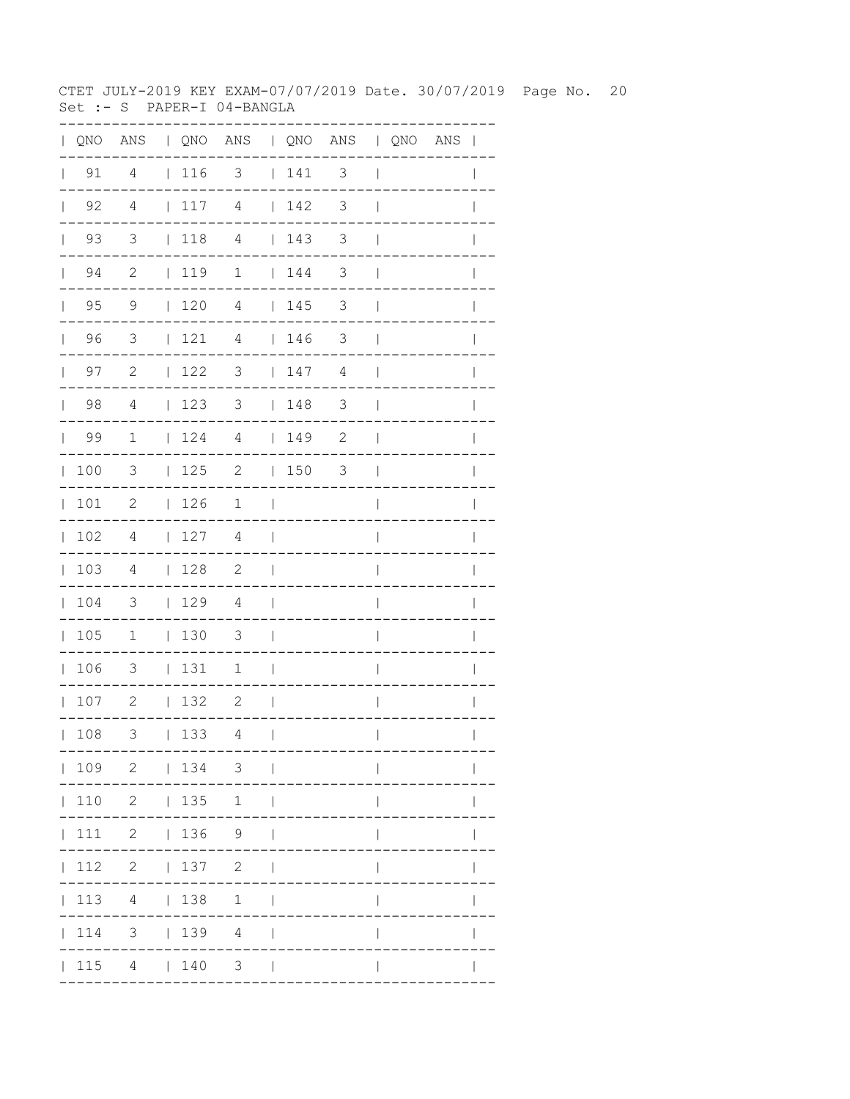CTET JULY-2019 KEY EXAM-07/07/2019 Date. 30/07/2019 Page No. 20 Set :- S PAPER-I 04-BANGLA

|              |                    |                            |             | QNO ANS   QNO ANS   QNO ANS   QNO ANS |                          |                                                             |               |                          |  | $\mathbf{I}$ |
|--------------|--------------------|----------------------------|-------------|---------------------------------------|--------------------------|-------------------------------------------------------------|---------------|--------------------------|--|--------------|
|              | $\vert$ 91         | 4                          | $\vert$ 116 | 3                                     |                          | $\begin{array}{c} \begin{array}{c} \end{array} \end{array}$ | 3             | $\overline{\phantom{a}}$ |  |              |
| $\mathbf{L}$ | 92                 | 4                          | 117         | $\overline{4}$                        |                          | 142                                                         | 3             | $\overline{1}$           |  |              |
| $\mathbf{L}$ | 93                 | 3                          | $\vert$ 118 | $\overline{4}$                        |                          | 143                                                         | 3             | $\mathbf{I}$             |  |              |
|              | 94<br>$\mathbf{L}$ | $\mathbf{2}$               | 119         | $\mathbf 1$                           |                          | 144                                                         | 3             | $\overline{\phantom{a}}$ |  |              |
| $\mathbf{L}$ | 95                 | 9                          | 120         | 4                                     |                          | 145                                                         | 3             | $\mathbf{I}$             |  |              |
| $\mathbb{R}$ | 96                 | 3                          | 121         | 4                                     |                          | 146                                                         | 3             | $\overline{\phantom{a}}$ |  |              |
| $\mathbf{L}$ | 97                 | $\mathbf{2}$               | 122         | 3                                     |                          | 147                                                         | 4             | $\overline{\phantom{a}}$ |  |              |
| $\mathbf{L}$ | 98                 | $\overline{4}$             | 123         | 3                                     |                          | 148                                                         | $\mathcal{S}$ | $\overline{\phantom{a}}$ |  | $\mathbf{I}$ |
| $\mathbf{L}$ | 99                 | 1                          | 124         | $\overline{4}$                        |                          | $\begin{array}{c} 149 \end{array}$                          | $\mathbf{2}$  | $\overline{\phantom{a}}$ |  |              |
| $\mathbb{L}$ | 100                | $\overline{3}$             | 125         | $\overline{2}$                        |                          | $ 150$ 3                                                    |               | $\overline{\phantom{a}}$ |  |              |
| $\mathbf{L}$ | 101                | 2                          | 126         | $\mathbf 1$                           | $\mathbf{I}$             |                                                             |               | $\overline{1}$           |  |              |
| $\mathbf{L}$ | 102                | 4                          | 127         | 4                                     | $\perp$                  |                                                             |               | $\overline{1}$           |  | $\mathbf{I}$ |
| $\mathbb{L}$ | 103                | 4                          | 128         | $\overline{\phantom{a}}^2$            | $\overline{\phantom{0}}$ |                                                             |               | $\overline{1}$           |  | $\mathbf{I}$ |
| $\mathbf{L}$ | 104                | $\overline{\phantom{a}}$   | 129         | $\overline{4}$                        | $\mathbf{I}$             |                                                             |               | I                        |  |              |
| $\mathbf{L}$ | 105                | $\overline{1}$             | 130         | $\overline{\mathbf{3}}$               | $\overline{\phantom{0}}$ |                                                             |               | I                        |  |              |
| $\mathbf{L}$ | 106                | 3                          | 131         | 1                                     | $\overline{\phantom{a}}$ |                                                             |               | $\overline{\phantom{a}}$ |  |              |
|              | 107                | $\overline{\phantom{0}}$ 2 | 132         | $\overline{\phantom{0}}^2$            | - 1                      |                                                             |               | $\overline{\phantom{a}}$ |  | $\mathbf{I}$ |
|              | 108                | 3                          | 133         | 4                                     | $\overline{1}$           |                                                             |               | $\mathbf{I}$             |  |              |
|              |                    |                            |             | 109 2   134 3                         |                          |                                                             |               |                          |  |              |
|              |                    | 110 2   135                |             | 1                                     | $\Box$                   |                                                             |               |                          |  |              |
|              |                    | 11122 1369                 |             |                                       |                          |                                                             |               |                          |  |              |
|              |                    | $112$ 2   137 2            |             |                                       |                          |                                                             |               |                          |  |              |
|              | 113                |                            | 4   138     | 1                                     |                          |                                                             |               |                          |  |              |
|              | 114                |                            |             | 3   139 4                             |                          |                                                             |               |                          |  |              |
|              | 115                | 4   140                    |             | 3 <sup>7</sup>                        |                          |                                                             |               |                          |  |              |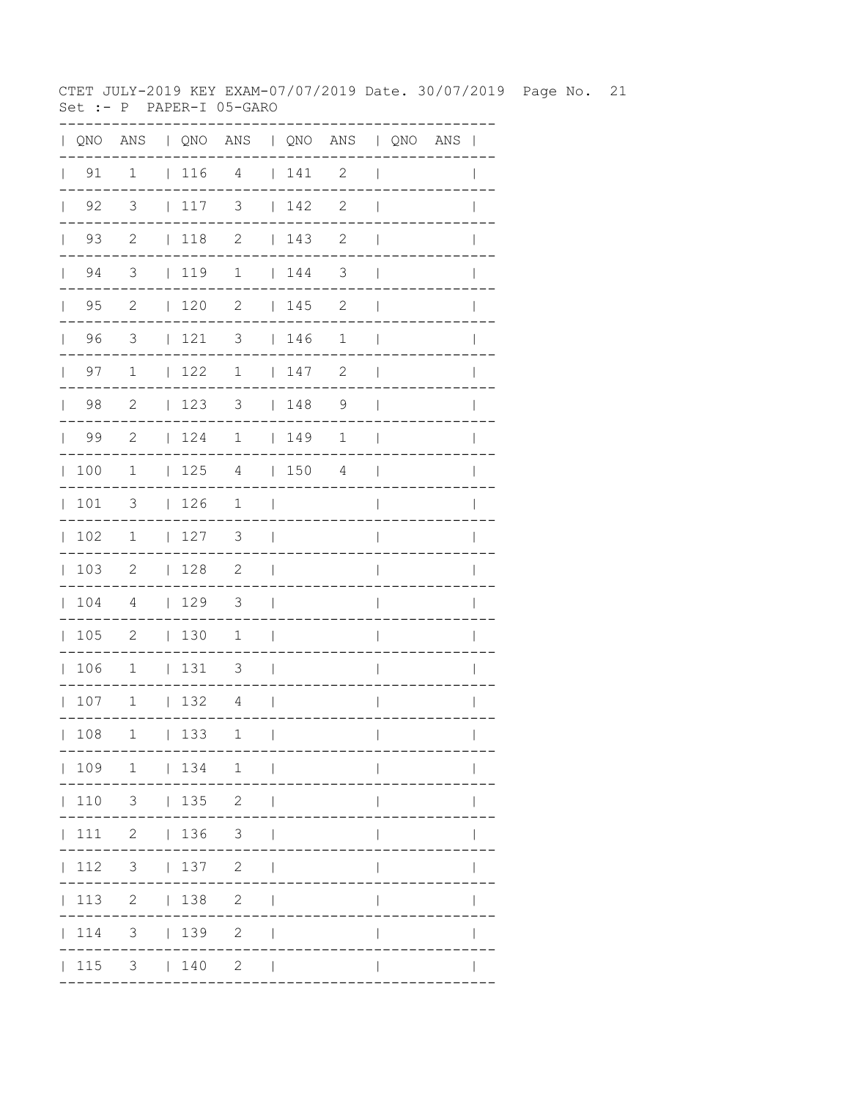CTET JULY-2019 KEY EXAM-07/07/2019 Date. 30/07/2019 Page No. 21  $Set : - P$  PAPER-I 05-GARO

| $\mathbf{L}$ | QNO                  |                            |             | ANS   QNO ANS   QNO ANS   QNO ANS |                |             |                            |                          |  | $\mathbf{I}$ |
|--------------|----------------------|----------------------------|-------------|-----------------------------------|----------------|-------------|----------------------------|--------------------------|--|--------------|
| $\mathbf{L}$ | 91                   | $\mathbf{1}$               | $\vert$ 116 | $\overline{4}$                    |                | 141         | 2                          | $\overline{\phantom{a}}$ |  |              |
|              | $\vert$ 92           | $\overline{\mathbf{3}}$    | 117         | $\overline{\phantom{a}}$          |                | 142         | $\mathbf{2}$               | $\overline{\phantom{a}}$ |  |              |
|              | $\vert$ 93           | $\overline{\phantom{0}}^2$ | $ 118$ 2    |                                   |                | 143         | $\mathbf{2}$               | $\overline{\phantom{a}}$ |  |              |
|              | $\vert$ 94           | $\overline{\mathbf{3}}$    | 119         | $\overline{1}$                    |                | 144         | $\mathcal{S}$              | $\overline{\phantom{a}}$ |  | $\mathbf{I}$ |
|              | $\vert$ 95           | $\overline{2}$             | $120$ 2     |                                   |                | 145         | $\overline{\phantom{a}}$   | $\overline{\phantom{a}}$ |  |              |
|              | 96<br>$\mathbf{L}$   | $\overline{\mathbf{3}}$    | 121         | $\overline{\mathbf{3}}$           |                | $\vert$ 146 | 1                          | $\overline{1}$           |  |              |
|              | 97<br>$\mathbb{R}^n$ | $\mathbf{1}$               | 122         | $\overline{1}$                    |                | 147         | $\overline{\phantom{0}}^2$ | $\mathbb{R}$             |  | $\mathbf{I}$ |
|              | 98                   | $\overline{\phantom{0}}^2$ | 123         | $\overline{\mathbf{3}}$           |                | 148         | $\overline{9}$             | $\overline{\phantom{0}}$ |  |              |
|              | 99                   | $\overline{\phantom{0}}^2$ | 124         | $\overline{1}$                    |                | 149         | $\mathbf 1$                | $\mathbf{I}$             |  |              |
|              | 100                  | $\mathbf{1}$               |             | $125$ 4   150 4                   |                |             |                            | $\Box$                   |  | $\mathbf{I}$ |
|              | 101                  | $\overline{3}$             | 126         | $\mathbf{1}$                      | $\sim$         |             |                            | $\overline{1}$           |  |              |
|              | 102                  | $\overline{1}$             | 127         | $\overline{\phantom{a}}$          | $\sim$         |             |                            | $\overline{\phantom{a}}$ |  |              |
| $\mathbf{L}$ | 103                  | $\overline{\phantom{0}}$   | $\vert$ 128 | $\overline{\phantom{0}}^2$        | $\blacksquare$ |             |                            | I                        |  |              |
|              | 104                  | 4                          | 129         | 3                                 | $\sim$         |             |                            | $\mathsf{I}$             |  |              |
|              | 105                  | $\overline{2}$             | 130         | $\mathbf{1}$                      | $\sim$         |             |                            | $\overline{\phantom{a}}$ |  | $\mathbf{I}$ |
|              | 106                  | $\overline{1}$             | $ 131$ 3    |                                   | $\sim$         |             |                            | $\overline{\phantom{a}}$ |  |              |
|              | 107                  | $\overline{\phantom{a}}$   | $132$ 4     |                                   | $\sim$         |             |                            | $\mathsf{l}$             |  | $\mathbf{I}$ |
|              | 108                  | $\mathbf 1$                | 133         | 1                                 | $\mathbf{I}$   |             |                            | $\overline{\phantom{a}}$ |  | $\mathbf{I}$ |
|              |                      | $ 109 \t1 \t 134 \t1 \t $  |             |                                   |                |             |                            |                          |  |              |
|              |                      | 110 3   135 2              |             |                                   | $\Box$         |             |                            |                          |  |              |
|              |                      | 111 2   136 3              |             |                                   |                |             |                            |                          |  |              |
|              |                      | 112 3   137 2              |             |                                   | $\perp$        |             |                            |                          |  |              |
|              |                      | 113 2   138 2              |             |                                   | $\Box$         |             |                            |                          |  |              |
|              |                      | 114 3   139 2              |             |                                   |                |             |                            |                          |  |              |
|              |                      | 115 3   140 2              |             |                                   | $\blacksquare$ |             |                            |                          |  |              |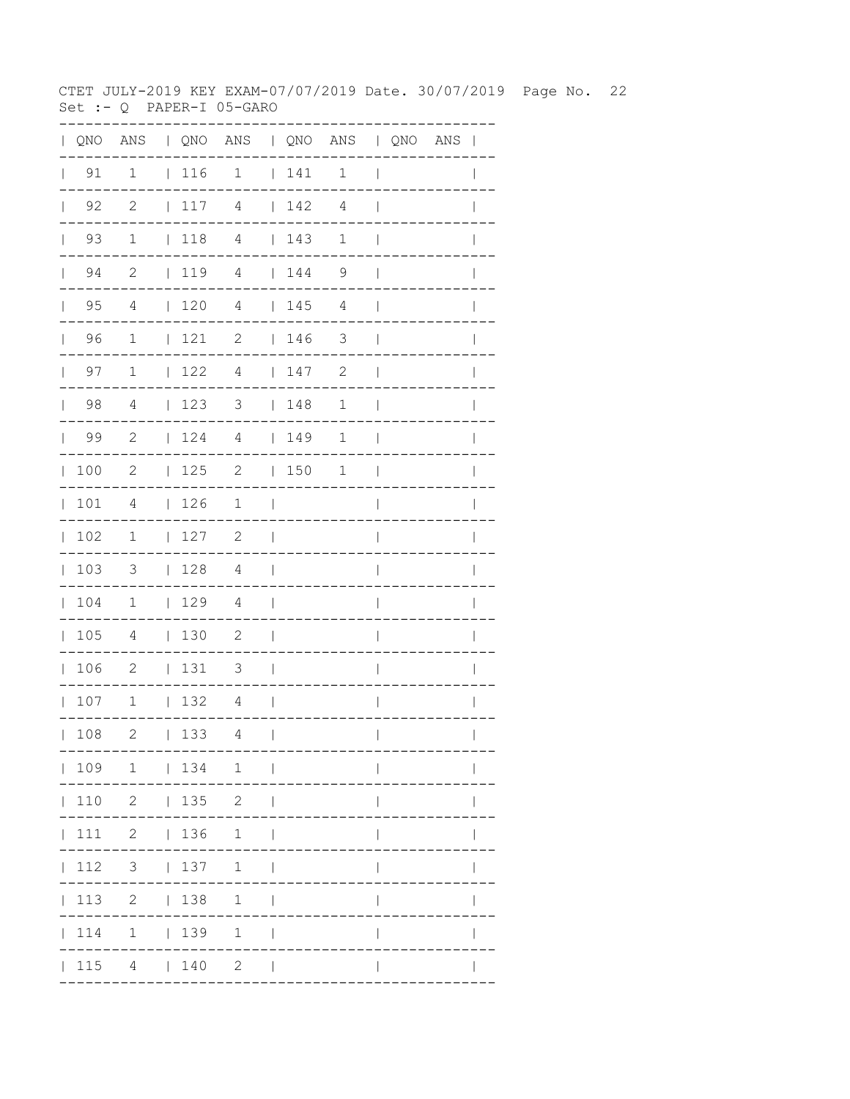CTET JULY-2019 KEY EXAM-07/07/2019 Date. 30/07/2019 Page No. 22 Set :-  $Q$  PAPER-I 05-GARO

| $\mathbf{L}$ |                      |                          |                 | QNO ANS   QNO ANS   QNO ANS   QNO ANS |                          |     |                |                                       |  | $\overline{1}$ |
|--------------|----------------------|--------------------------|-----------------|---------------------------------------|--------------------------|-----|----------------|---------------------------------------|--|----------------|
| $\mathbf{L}$ | 91                   | $\mathbf 1$              | $ 116$ 1        |                                       |                          | 141 | $\mathbf 1$    | $\overline{\phantom{a}}$              |  |                |
|              | $\vert$ 92           | $\overline{2}$           |                 | $117$ 4 $142$                         |                          |     | 4              | $\mathbf{I}$                          |  |                |
|              | 93<br>$\mathbf{L}$   | $\mathbf 1$              | $\vert$ 118     | $\overline{4}$                        |                          | 143 | 1              | $\perp$                               |  |                |
|              | 94<br>$\mathbb{R}^n$ | 2                        |                 | 119 4   144                           |                          |     | 9              | $\mathbf{I}$                          |  | I              |
|              | $\vert$ 95           | $\overline{4}$           | 1204            |                                       |                          | 145 | $\overline{4}$ | $\overline{\phantom{a}}$              |  |                |
|              | 96                   | $\mathbf{1}$             | $121$ 2         |                                       |                          | 146 | $\mathcal{S}$  | $\overline{\phantom{a}}$              |  |                |
|              | $\vert$ 97           | $\mathbf{1}$             | 122             | $\overline{4}$                        |                          | 147 | $\mathbf{2}$   | $\overline{\phantom{a}}$              |  |                |
|              | 98                   | $\overline{4}$           | 123             | 3   148                               |                          |     | 1              | $\overline{\phantom{a}}$              |  |                |
|              | 99                   | $\overline{2}$           | 124             | $\overline{4}$                        |                          | 149 | 1              | $\overline{\phantom{a}}$              |  |                |
|              | 100                  | $\mathbf{2}$             | 125             | $\overline{2}$                        |                          | 150 | 1              | $\begin{array}{c} \hline \end{array}$ |  | $\mathbf{I}$   |
|              | 101                  | 4                        | 126             | $\overline{1}$                        | a sa T                   |     |                | $\overline{\phantom{a}}$              |  | I              |
|              | 102                  | $\overline{1}$           | 127             | $\overline{\phantom{0}}^2$            | $\overline{\phantom{a}}$ |     |                | $\overline{\phantom{a}}$              |  |                |
|              | 103                  | $\overline{\mathbf{3}}$  | 128 4           |                                       | $\Box$                   |     |                | $\overline{1}$                        |  |                |
|              | 104                  | $\mathbf{1}$             | 129             | $\overline{4}$                        | $\Box$                   |     |                | $\overline{\phantom{a}}$              |  |                |
|              | 105                  | $\overline{4}$           | 130             | $\overline{\phantom{0}}^2$            | $\Box$                   |     |                | I                                     |  |                |
|              | 106                  | $\overline{\phantom{0}}$ | 131             | $\overline{\mathbf{3}}$               | $\sim$                   |     |                | $\overline{1}$                        |  |                |
|              | 107                  | $\overline{\phantom{a}}$ | $132 \t 4$      |                                       | $\sim$                   |     |                | $\overline{\phantom{a}}$              |  | $\mathbf{I}$   |
|              | 108                  | $\mathbf{2}$             | 133             | 4                                     | $\perp$                  |     |                | $\overline{\phantom{a}}$              |  | $\mathbf{I}$   |
|              |                      |                          |                 | 109 1   134 1                         |                          |     |                |                                       |  |                |
|              |                      | 110 2   135 2            |                 |                                       |                          |     |                |                                       |  |                |
|              | 111                  |                          | 2   136 1       |                                       |                          |     |                |                                       |  |                |
|              | 112                  |                          | 3   137   1     |                                       |                          |     |                |                                       |  |                |
|              | 113                  |                          | $2 \t 138$      | $\mathbf{1}$                          |                          |     |                |                                       |  |                |
|              | 114                  |                          | $1 \t 139 \t 1$ |                                       |                          |     |                |                                       |  |                |
|              | 115                  |                          | 4   140         | 2                                     |                          |     |                |                                       |  |                |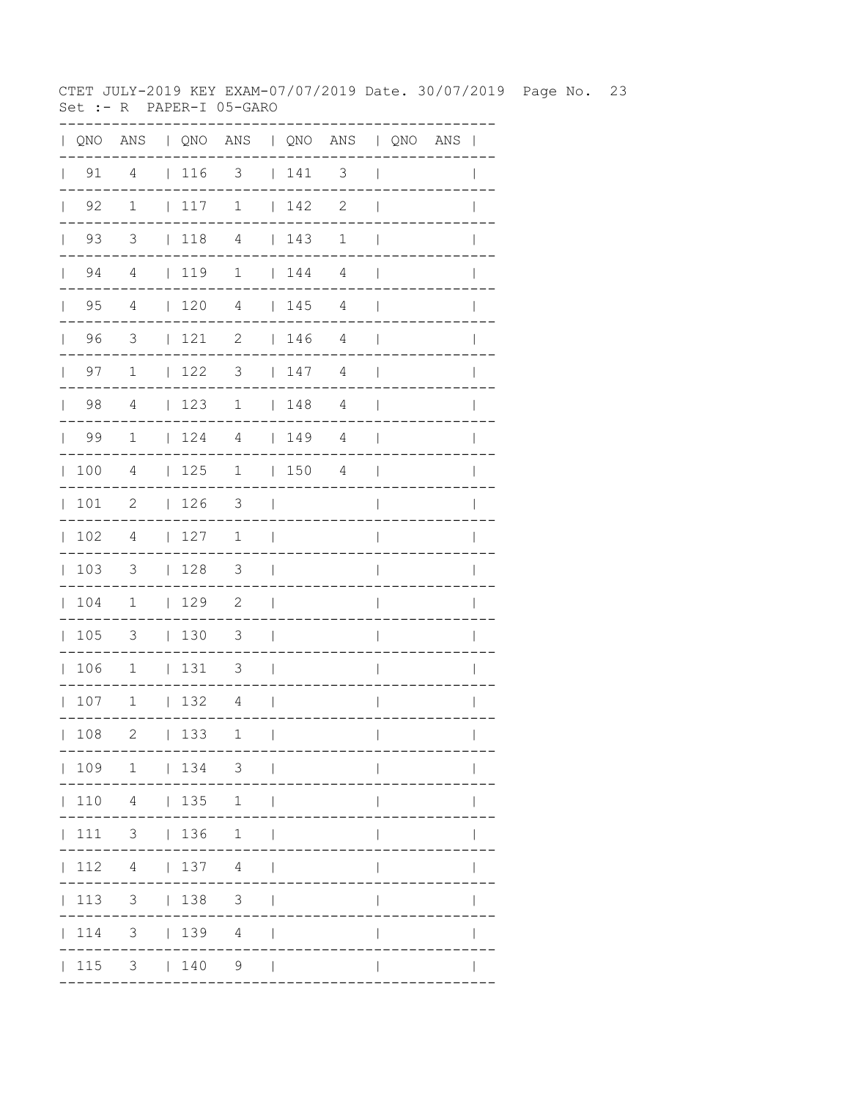CTET JULY-2019 KEY EXAM-07/07/2019 Date. 30/07/2019 Page No. 23  $Set : - R$  PAPER-I 05-GARO

|              | QNO                  |                          |              |             | ANS   QNO ANS   QNO ANS   QNO ANS |                          |     |                |                          |  | $\blacksquare$ |
|--------------|----------------------|--------------------------|--------------|-------------|-----------------------------------|--------------------------|-----|----------------|--------------------------|--|----------------|
|              | 91<br>$\mathbf{L}$   | 4                        |              | 116         | 3                                 |                          | 141 | 3              | $\overline{\phantom{a}}$ |  |                |
|              | 92<br>$\mathbf{L}$   | 1                        | $\mathbb{L}$ | 117         | $\mathbf 1$                       | $\mathbb{R}$             | 142 | 2              | $\overline{\phantom{a}}$ |  |                |
|              | 93<br>$\mathbb{R}^n$ | 3                        |              | 118         | 4                                 |                          | 143 | $\mathbf 1$    | $\mathbf{I}$             |  |                |
|              | $\vert$ 94           | $\overline{4}$           |              | 119         | $\mathbf{1}$                      |                          | 144 | 4              | $\overline{\phantom{a}}$ |  |                |
|              | $\vert$ 95           | $\overline{4}$           |              | $\vert$ 120 | $\overline{4}$                    |                          | 145 | 4              | $\overline{\phantom{a}}$ |  | $\mathbf{I}$   |
|              | 96                   | $\overline{3}$           |              | 121         | $\mathbf{2}$                      |                          | 146 | 4              | $\overline{\phantom{a}}$ |  |                |
| $\mathbf{L}$ | 97                   | $\mathbf 1$              |              | 122         | 3                                 |                          | 147 | 4              | $\overline{\phantom{a}}$ |  |                |
|              | $\vert$ 98           | 4                        |              | 123         | $\mathbf 1$                       |                          | 148 | 4              | $\mathbf{I}$             |  | $\mathbf{I}$   |
|              | 99                   | $\mathbf{1}$             |              | 124         | 4   149                           |                          |     | 4              | $\blacksquare$           |  | $\mathbf{I}$   |
|              | 100                  | $\overline{4}$           |              | 125         | $\overline{1}$                    |                          | 150 | $\overline{4}$ | $\overline{\phantom{a}}$ |  |                |
|              | 101                  | $\overline{\phantom{a}}$ |              | 126         | $\overline{\mathbf{3}}$           | $\sim$ 1                 |     |                | $\overline{\phantom{a}}$ |  |                |
|              | 102                  | 4                        |              | 127         | 1                                 | $\Box$                   |     |                | $\overline{\phantom{a}}$ |  | I              |
|              | 103                  | $\mathcal{S}$            |              | 128         | $\overline{\mathbf{3}}$           | $\Box$                   |     |                | $\overline{\phantom{a}}$ |  |                |
|              | 104                  | $\overline{1}$           |              | 129         | $\overline{\phantom{0}}^2$        | $\Box$                   |     |                | I                        |  |                |
|              | 105                  | $\overline{\mathbf{3}}$  |              | 130         | 3                                 | $\overline{\phantom{0}}$ |     |                | I                        |  |                |
|              | 106                  | 1                        |              | 131         | 3                                 | $\sim$                   |     |                | $\overline{1}$           |  | $\mathbf{I}$   |
|              | 107                  | $\mathbf{1}$             |              | 132         | 4                                 | $\blacksquare$           |     |                | $\overline{\phantom{a}}$ |  | $\mathbf{I}$   |
|              | 108                  | $\mathbf{2}$             |              | 133         | 1                                 | $\mathbf{I}$             |     |                | $\mathbf{I}$             |  | $\mathbf{I}$   |
|              |                      |                          |              |             | 109 1   134 3                     |                          |     |                |                          |  |                |
|              |                      | 110 4   135              |              |             | 1                                 |                          |     |                |                          |  |                |
|              | $\vert$ 111          | $3 \t136$                |              |             | $\mathbf{1}$                      |                          |     |                |                          |  |                |
|              | 112                  |                          |              |             | 4   137 4                         | $\Box$                   |     |                |                          |  |                |
|              | 113                  |                          |              | $3 \t 138$  | 3 <sup>7</sup>                    | $\perp$                  |     |                |                          |  |                |
|              | 114                  |                          |              | 3   139   4 |                                   | $\mathbf{I}$             |     |                |                          |  |                |
|              |                      | 115 3   140              |              |             | $9 \mid$                          |                          |     |                |                          |  |                |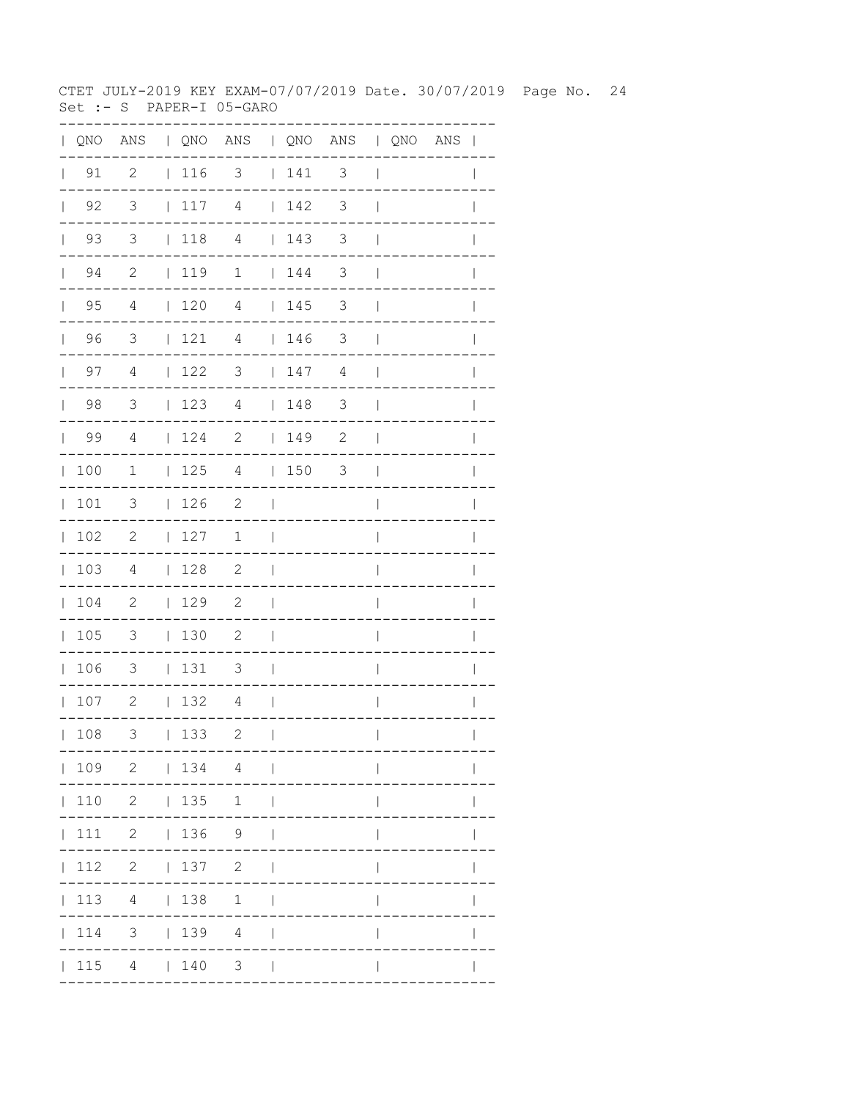CTET JULY-2019 KEY EXAM-07/07/2019 Date. 30/07/2019 Page No. 24  $Set : - S$  PAPER-I 05-GARO

| $\mathbf{L}$ |                    |                            |                                        | QNO ANS   QNO ANS   QNO ANS   QNO ANS |                          |                                         |                          |                          |  | $\overline{\phantom{a}}$ |
|--------------|--------------------|----------------------------|----------------------------------------|---------------------------------------|--------------------------|-----------------------------------------|--------------------------|--------------------------|--|--------------------------|
| $\mathbf{L}$ | 91                 | $\overline{c}$             | $ 116$ 3                               |                                       |                          | 141                                     | $\mathfrak{Z}$           | $\overline{1}$           |  |                          |
|              | $\vert$ 92         | 3                          | 117                                    | 4                                     |                          | 142                                     | 3                        | $\overline{1}$           |  |                          |
|              | 93<br>$\mathbf{L}$ | 3                          | 118                                    | $\overline{4}$                        |                          | $\begin{array}{cc} 1 & 143 \end{array}$ | 3                        | $\overline{1}$           |  |                          |
|              | 94<br>$\mathbb{R}$ | $\mathbf{2}$               | $\vert$ 119                            | $\mathbf 1$                           |                          | 144                                     | 3                        | $\mathbf{I}$             |  |                          |
|              | $\vert$ 95         | $\overline{4}$             | 120                                    | $\overline{4}$                        |                          | 145                                     | $\mathfrak{Z}$           | $\mathbf{I}$             |  |                          |
|              | 96                 | $\overline{\mathbf{3}}$    | 121                                    | $\overline{4}$                        |                          | 146                                     | $\mathcal{S}$            | $\overline{\phantom{a}}$ |  |                          |
|              | $\vert$ 97         | 4                          | $\vert$ 122                            | $\overline{\mathbf{3}}$               |                          | 147                                     | 4                        | $\overline{\phantom{a}}$ |  | $\mathbf{I}$             |
|              | $\vert$ 98         | $\overline{3}$             | 123                                    | $\overline{4}$                        |                          | 148                                     | $\overline{\phantom{a}}$ | $\overline{\phantom{a}}$ |  |                          |
|              | 99                 | $\overline{4}$             | $\begin{array}{cc} 1 & 24 \end{array}$ | 2                                     |                          | 149                                     | $\mathbf{2}$             | $\overline{\phantom{a}}$ |  |                          |
|              | 100                | 1                          | 125                                    | 4                                     |                          | 150                                     | 3                        | $\blacksquare$           |  | $\mathbf{I}$             |
|              | 101                | $\mathcal{S}$              | 126                                    | $\overline{\phantom{0}}^2$            | $\Box$                   |                                         |                          | $\overline{1}$           |  | $\mathbf{I}$             |
|              | 102                | $\overline{\phantom{0}}^2$ | 127                                    | $\mathbf 1$                           | $\overline{\phantom{0}}$ |                                         |                          | I                        |  |                          |
|              | 103                | $\overline{4}$             | 128                                    | $\overline{\phantom{0}}^2$            | $\overline{\phantom{a}}$ |                                         |                          | $\overline{\phantom{a}}$ |  |                          |
|              | 104                | $\overline{\phantom{0}}$   | 129                                    | 2                                     | $\overline{\phantom{a}}$ |                                         |                          | $\overline{\phantom{a}}$ |  | I                        |
|              | 105                | $\overline{\phantom{a}}$   | 130                                    | 2                                     | $\overline{\phantom{a}}$ |                                         |                          | I                        |  |                          |
|              | 106                | $\overline{\mathbf{3}}$    | 131                                    | $\overline{\phantom{a}}$              | $\Box$                   |                                         |                          | $\overline{\phantom{a}}$ |  |                          |
|              | 107                | $\overline{2}$             | 132                                    | 4                                     | $\mathcal{L}$            |                                         |                          | $\overline{1}$           |  | I                        |
|              | 108                | 3                          | 133                                    | 2                                     | $\mathbf{I}$             |                                         |                          | $\overline{\phantom{a}}$ |  | $\mathbf{I}$             |
|              |                    | 109 2   134 4              |                                        |                                       | $\sim$                   |                                         |                          |                          |  |                          |
|              | 110                |                            | 2   135                                | 1                                     | - 1                      |                                         |                          |                          |  |                          |
|              | 111                |                            |                                        | $2 \t 136 \t 9$                       |                          |                                         |                          |                          |  |                          |
|              | 112                |                            | 2   137                                | $\mathbf{2}$                          |                          |                                         |                          |                          |  |                          |
|              | 113                |                            | 4   138                                | $\mathbf{1}$                          |                          |                                         |                          |                          |  |                          |
|              | 114                |                            |                                        | $3 \t   139 \t 4$                     |                          |                                         |                          |                          |  |                          |
|              | 115                |                            | 4   140                                | 3                                     | $\Box$                   |                                         |                          |                          |  |                          |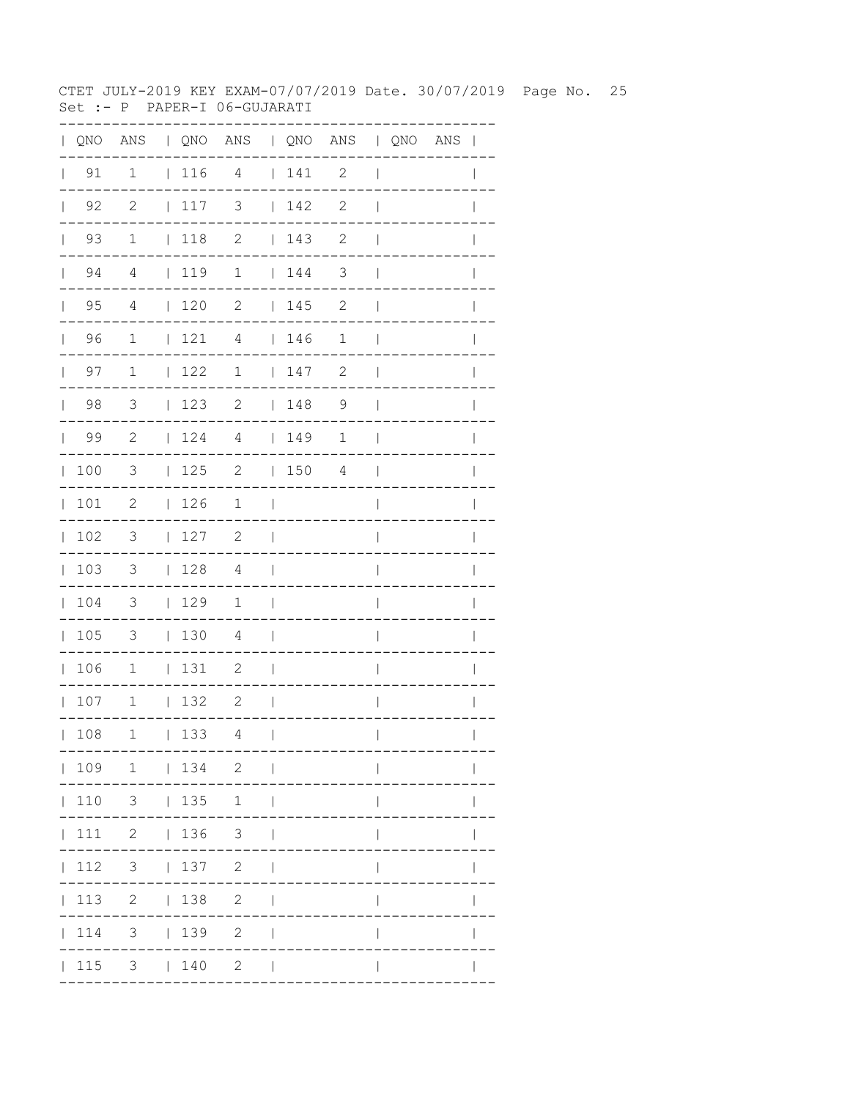CTET JULY-2019 KEY EXAM-07/07/2019 Date. 30/07/2019 Page No. 25 Set :- P PAPER-I 06-GUJARATI

|              |                      | QNO ANS   QNO ANS   QNO ANS   QNO ANS |                                          |                          |                                 |         |                            |                          |  |              |
|--------------|----------------------|---------------------------------------|------------------------------------------|--------------------------|---------------------------------|---------|----------------------------|--------------------------|--|--------------|
| $\mathbb{R}$ | 91                   | 1                                     | $116$ 4                                  |                          |                                 | $141$ 2 |                            | $\overline{\phantom{a}}$ |  |              |
|              | $\vert$ 92           | $\overline{2}$                        | 117                                      | $\overline{\mathbf{3}}$  |                                 | 142     | $\overline{\phantom{0}}^2$ | $\overline{\phantom{a}}$ |  |              |
|              | $\vert$ 93           | $\mathbf{1}$                          | $ 118$ 2                                 |                          |                                 | 143     | $\overline{\phantom{0}}^2$ | $\overline{\phantom{a}}$ |  |              |
|              | $\vert$ 94           | $\overline{4}$                        | $\begin{array}{c} 1 & 1 & 9 \end{array}$ | $\sqrt{1}$               |                                 | 144     | $\overline{\phantom{a}}$   | $\overline{\phantom{a}}$ |  |              |
|              | 95<br>$\mathbf{L}$   | 4                                     | $\begin{array}{cc} 120 \end{array}$      | $\overline{2}$           |                                 | 145     | 2                          | $\mathbf{I}$             |  |              |
|              | 96<br>$\mathbf{L}$   | $\mathbf{1}$                          | 121                                      | $\overline{4}$           |                                 | 146     | $\mathbf 1$                | $\overline{\phantom{a}}$ |  |              |
|              | 97<br>$\mathbb{R}^n$ | $\overline{1}$                        | 122                                      | $\mathbf{1}$             |                                 | 147     | 2                          | $\overline{\phantom{a}}$ |  |              |
|              | 98                   | $\overline{\mathbf{3}}$               | 123                                      | $\overline{\phantom{a}}$ |                                 | 148     | $\overline{9}$             | $\Box$                   |  |              |
|              | $\vert$ 99           | $\overline{2}$                        |                                          | $124$ 4   149            |                                 |         | $\mathbf 1$                | $\blacksquare$           |  | I            |
|              | 100                  | $\overline{\mathbf{3}}$               | 125                                      | 2   150 4                |                                 |         |                            | $\mathcal{L}$            |  |              |
| $\mathbf{L}$ | 101                  | $\overline{\phantom{0}}^2$            | 126                                      | $\mathbf{1}$             | $\sim$ 1                        |         |                            |                          |  |              |
|              | 102                  | 3                                     | 127                                      | 2                        | $\sim$                          |         |                            | $\overline{1}$           |  |              |
|              | 103                  | $\overline{\phantom{a}}$              | 128                                      | $\overline{4}$           | $\sim$                          |         |                            | $\overline{\phantom{a}}$ |  | $\mathbf{I}$ |
|              | 104                  | $\overline{\phantom{a}}$              | 129                                      | $\overline{1}$           | $\sim$                          |         |                            | $\overline{\phantom{a}}$ |  |              |
|              | 105                  | $\overline{\phantom{a}}$              | 1304                                     |                          | $\sim$                          |         |                            | $\overline{\phantom{a}}$ |  |              |
|              | 106                  | $\overline{\phantom{0}}$              | $131$ 2                                  |                          | $\mathcal{L}$                   |         |                            | $\overline{1}$           |  | $\mathbf{I}$ |
|              | 107                  | $\mathbf{1}$                          | 132                                      | $\overline{2}$           | $\sim$ 1                        |         |                            | $\overline{\phantom{a}}$ |  | $\mathbf{I}$ |
|              | 108                  | $\mathbf 1$                           | 133                                      | 4                        | $\overline{\phantom{a}}$        |         |                            | $\overline{1}$           |  | $\mathbf{I}$ |
|              |                      | 109 1   134 2                         |                                          |                          |                                 |         |                            | $\mathsf{I}$             |  |              |
|              |                      | 110 3   135 1                         |                                          |                          | $\perp$                         |         |                            |                          |  |              |
|              |                      | 111 2   136 3                         |                                          |                          |                                 |         |                            |                          |  |              |
|              |                      | $ 112 \t3 \t 137 \t2$                 |                                          |                          | $\mathbb{R}$                    |         |                            | $\mathbf{I}$             |  |              |
|              |                      | 113 2   138 2                         |                                          |                          | $\Box$                          |         |                            | $\mathbf{I}$             |  |              |
|              |                      | $ 114$ 3 $ 139$ 2                     |                                          |                          | $\overline{\phantom{0}}$        |         |                            |                          |  |              |
|              |                      | $ 115 \t3 \t 140 \t2$                 |                                          |                          | <b>Contract Contract Street</b> |         |                            |                          |  |              |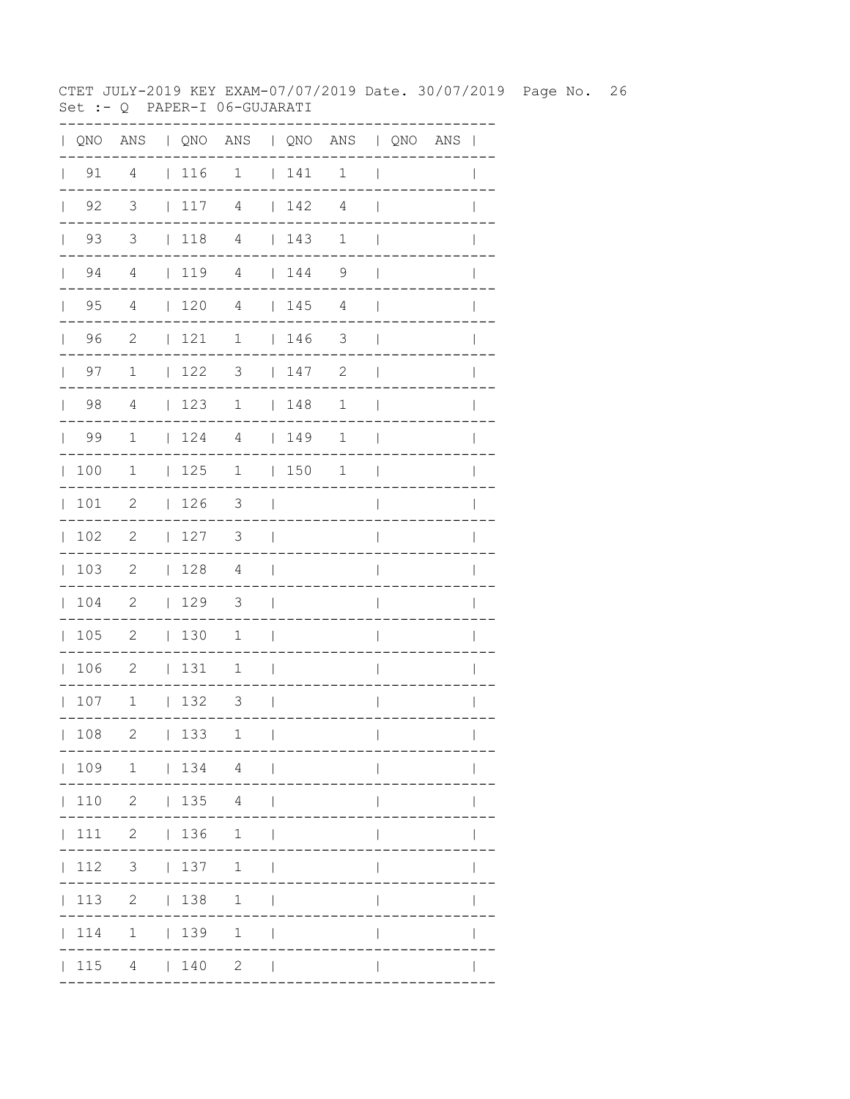CTET JULY-2019 KEY EXAM-07/07/2019 Date. 30/07/2019 Page No. 26 Set :- Q PAPER-I 06-GUJARATI

|              |                    | QNO ANS   QNO ANS   QNO ANS   QNO ANS |                                                             |                          |                          |                                         |                          |                          |  |              |
|--------------|--------------------|---------------------------------------|-------------------------------------------------------------|--------------------------|--------------------------|-----------------------------------------|--------------------------|--------------------------|--|--------------|
|              | $\vert$ 91         | $\overline{4}$                        | 116                                                         | 1   141 1                |                          |                                         |                          | $\perp$                  |  |              |
| $\mathbb{L}$ | 92                 | $\overline{\mathbf{3}}$               | 117                                                         | $\overline{4}$           |                          | 142                                     | 4                        | $\mathbf{I}$             |  |              |
| $\mathbf{L}$ | 93                 | $\overline{3}$                        | $\begin{array}{c} \begin{array}{c} \end{array} \end{array}$ | $\overline{4}$           |                          | 143                                     | 1                        | $\mathbf{I}$             |  |              |
|              | $\vert$ 94         | $\overline{4}$                        |                                                             | 119 4   144 9            |                          |                                         |                          | $\overline{\phantom{0}}$ |  | $\mathbf{I}$ |
|              | $\vert$ 95         | $\overline{4}$                        | 120                                                         | $\overline{4}$           |                          | 145                                     | $\overline{4}$           | $\overline{\phantom{a}}$ |  |              |
|              | 96                 | $\overline{\phantom{0}}^2$            | $\vert$ 121                                                 | $\overline{1}$           |                          | 146                                     | $\overline{\phantom{a}}$ | $\mathbb{R}$             |  |              |
|              | 97<br>$\mathbf{L}$ | $\overline{\mathbf{1}}$               | $122$ 3                                                     |                          |                          | 147                                     | 2                        | $\overline{\phantom{a}}$ |  | I            |
|              | $\vert$ 98         | 4                                     | 123                                                         | $1 \t 148$               |                          |                                         | $\mathbf{1}$             | $\Box$                   |  |              |
|              | 99                 | $\mathbf{1}$                          | 124                                                         | $\overline{4}$           |                          | $\begin{array}{c c} \hline \end{array}$ | 1                        | $\overline{\phantom{a}}$ |  |              |
| $\mathbf{L}$ | 100                | 1                                     | 125                                                         | 1   150                  |                          |                                         | 1                        | $\Box$                   |  |              |
|              | 101                | 2                                     | 126                                                         | $\overline{\mathbf{3}}$  | $\sim$                   |                                         |                          | $\overline{1}$           |  |              |
|              | 102                | $\overline{\phantom{0}}^2$            | 127                                                         | $\overline{\phantom{a}}$ | $\sim$ 1                 |                                         |                          | $\overline{\phantom{a}}$ |  |              |
|              | 103                | $\overline{\phantom{0}}$              | 128                                                         | $\overline{4}$           | $\sim$                   |                                         |                          | $\overline{\phantom{a}}$ |  |              |
|              | 104                | $\overline{\phantom{0}}^2$            | 129                                                         | $\overline{\mathbf{3}}$  | $\sim$                   |                                         |                          | $\overline{\phantom{a}}$ |  |              |
|              | 105                | $\overline{\phantom{0}}$              | 130                                                         | $\mathbf{1}$             | $\mathcal{L}$            |                                         |                          | $\overline{\phantom{a}}$ |  |              |
|              | 106                | $\overline{\phantom{0}}^2$            | 131                                                         | $\mathbf{1}$             | $\sim$                   |                                         |                          | $\overline{1}$           |  |              |
|              | 107                | $\mathbf 1$                           | 132                                                         | 3                        | $\sim$ 1                 |                                         |                          | $\overline{\phantom{a}}$ |  |              |
|              | 108                | 2                                     | 133                                                         | 1                        | $\mathbf{I}$             |                                         |                          | $\overline{1}$           |  | $\mathbf{I}$ |
|              |                    | 109 1   134 4                         |                                                             |                          |                          |                                         |                          |                          |  |              |
|              |                    | 110 2   135 4                         |                                                             |                          |                          |                                         |                          | $\mathsf{I}$             |  |              |
|              |                    | 111 2   136 1                         |                                                             |                          | $\overline{\phantom{0}}$ |                                         |                          | $\mathbf{I}$             |  |              |
|              |                    | $ 112 \t3 \t 137 \t1$                 |                                                             |                          | $\mathbf{I}$             |                                         |                          | $\mathbf{I}$             |  |              |
|              |                    | 113 2   138 1                         |                                                             |                          | $\mathbf{I}$             |                                         |                          |                          |  |              |
|              |                    | 114 1   139 1                         |                                                             |                          | $\overline{\phantom{0}}$ |                                         |                          |                          |  |              |
|              |                    | 115 4   140 2                         |                                                             |                          | $\sim$                   |                                         |                          |                          |  |              |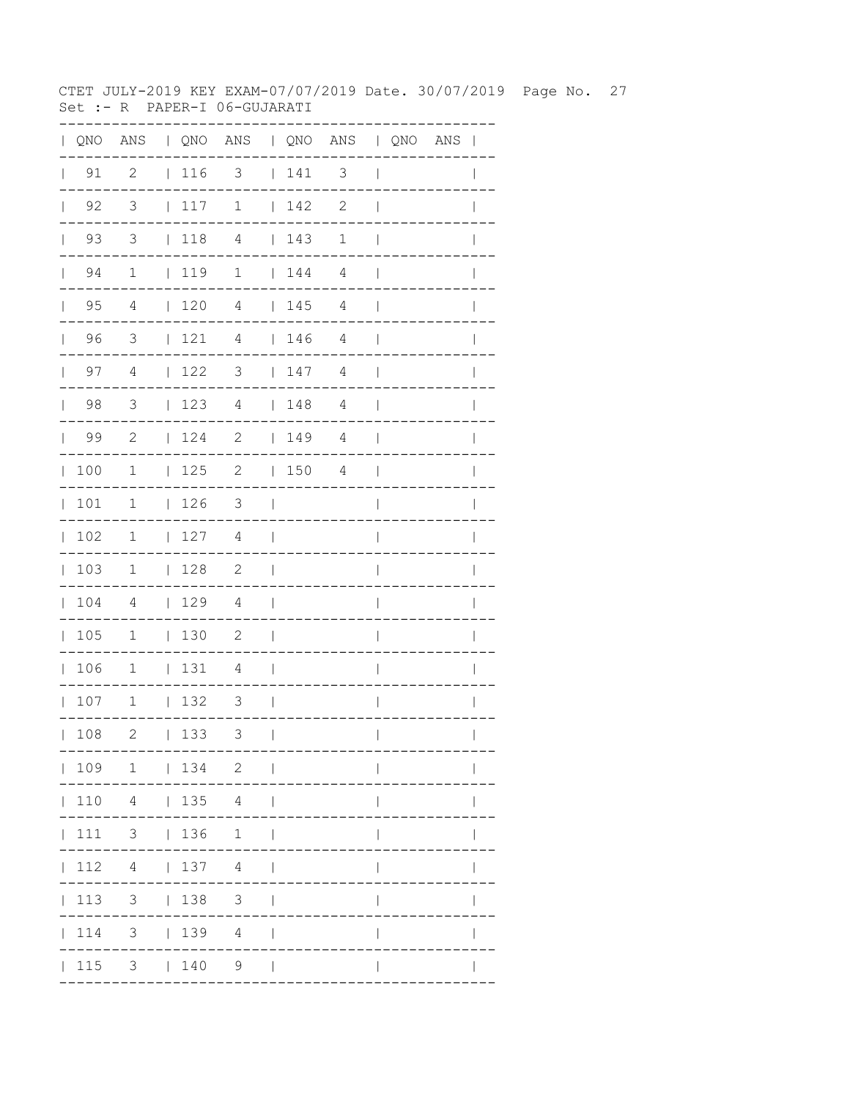CTET JULY-2019 KEY EXAM-07/07/2019 Date. 30/07/2019 Page No. 27 Set :- R PAPER-I 06-GUJARATI

| QNO | ANS                     |              |     | QNO ANS   QNO ANS   QNO ANS |              |     |                          |                          |  |              |
|-----|-------------------------|--------------|-----|-----------------------------|--------------|-----|--------------------------|--------------------------|--|--------------|
| 91  | $\overline{2}$          |              | 116 | $\overline{\mathbf{3}}$     |              | 141 | $\overline{\phantom{a}}$ | $\overline{\phantom{a}}$ |  |              |
| 92  | $\overline{\mathbf{3}}$ |              | 117 | $\mathbf 1$                 |              | 142 | $\mathbf{2}$             |                          |  |              |
| 93  | $\overline{\mathbf{3}}$ |              | 118 | $\overline{4}$              |              | 143 | $\mathbf 1$              |                          |  |              |
| 94  | $\mathbf 1$             |              | 119 | $\mathbf 1$                 |              | 144 | $\overline{4}$           |                          |  |              |
| 95  | 4                       |              | 120 | $\overline{4}$              | $\mathbf{L}$ | 145 | 4                        |                          |  |              |
| 96  | 3                       | $\mathbf{L}$ | 121 | 4                           | $\mathbf{L}$ | 146 | 4                        |                          |  |              |
| 97  | $\overline{4}$          | $\mathbf{L}$ | 122 | 3                           | $\mathbf{L}$ | 147 | 4                        |                          |  |              |
| 98  | 3                       | $\mathbf{L}$ | 123 | 4                           | $\mathbf{L}$ | 148 | 4                        |                          |  |              |
| 99  | $\mathbf{2}$            | $\mathbf{L}$ | 124 | $\mathbf{2}$                | $\mathbf{L}$ | 149 | 4                        |                          |  |              |
| 100 | 1                       | $\mathbf{L}$ | 125 | $\mathbf{2}$                | $\mathbf{L}$ | 150 | 4                        |                          |  |              |
| 101 | 1                       | $\mathbf{L}$ | 126 | 3                           |              |     |                          |                          |  |              |
| 102 | 1                       | L            | 127 | 4                           |              |     |                          |                          |  |              |
| 103 | 1                       | L            | 128 | $\mathbf{2}$                |              |     |                          |                          |  |              |
| 104 | 4                       |              | 129 | 4                           |              |     |                          |                          |  |              |
| 105 | $\mathbf 1$             |              | 130 | $\mathbf{2}$                |              |     |                          |                          |  |              |
| 106 | $1\,$                   | L            | 131 | 4                           |              |     |                          |                          |  |              |
| 107 | $1\,$                   | $\mathbf{L}$ | 132 | 3                           |              |     |                          |                          |  |              |
| 108 | 2                       |              | 133 | 3                           | $\Box$       |     | ----------               | $\mathbf{L}$             |  | $\mathbf{L}$ |
|     |                         |              |     | 109 1   134 2               |              |     |                          |                          |  |              |
|     |                         |              |     | 110  4    135  4            |              |     |                          |                          |  |              |
|     |                         |              |     | 111 3   136 1               |              |     |                          | $\mathbf{L}$             |  |              |
|     |                         |              |     | $ 112 \t4 \t 137 \t4 \t $   |              |     |                          | $\mathbb{L}$             |  |              |
|     |                         |              |     | 113 3   138 3               |              |     |                          | $\mathbf{I}$             |  | $\mathbf{I}$ |
|     |                         |              |     | 114 3   139 4               |              |     |                          | $\mathbb{I}$             |  | $\mathbf{I}$ |
|     |                         |              |     | $ 115 \t3 \t 140 \t9 \t $   |              |     |                          | $\mathbf{I}$             |  |              |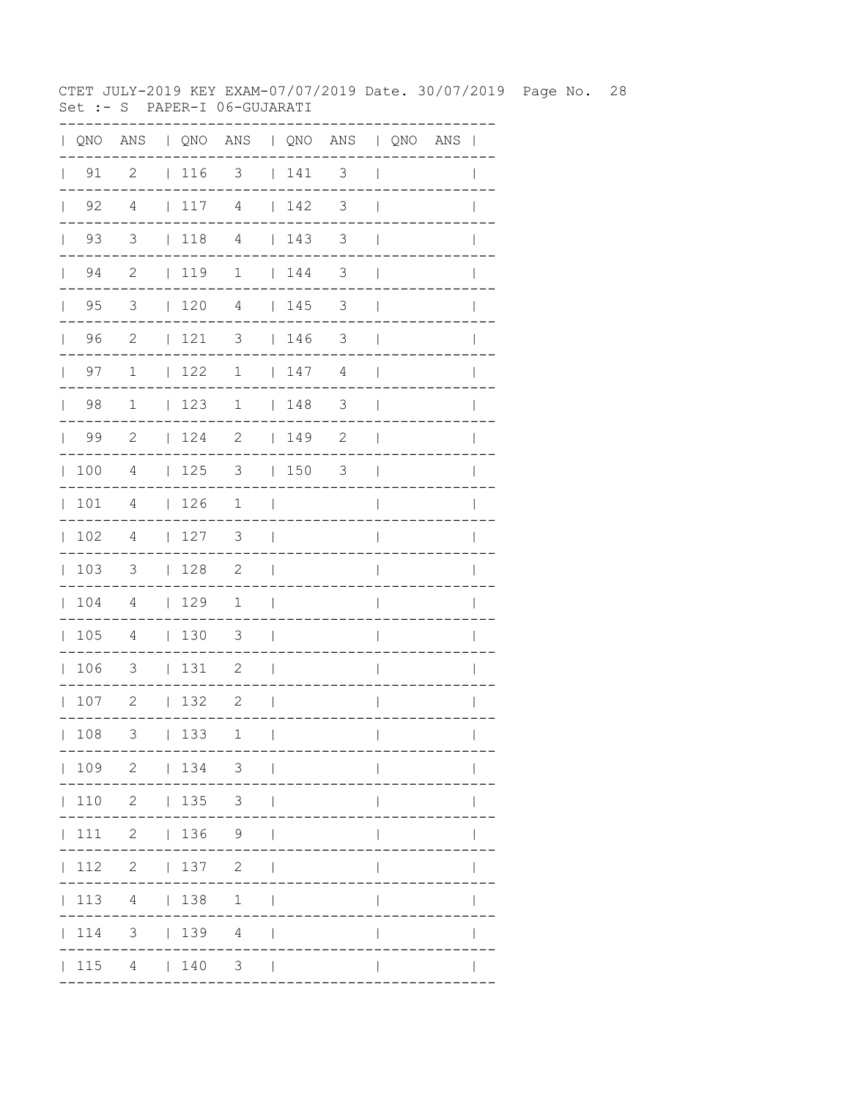CTET JULY-2019 KEY EXAM-07/07/2019 Date. 30/07/2019 Page No. 28 Set :- S PAPER-I 06-GUJARATI

| $\mathbf{L}$ |                    | QNO ANS   QNO ANS   QNO ANS   QNO ANS |                                                             |                            |                |            |                          |                          |  |              |
|--------------|--------------------|---------------------------------------|-------------------------------------------------------------|----------------------------|----------------|------------|--------------------------|--------------------------|--|--------------|
|              | $\vert$ 91         | $\overline{\phantom{0}}^2$            | $\vert$ 116                                                 | $3 \t   141 \t 3$          |                |            |                          | $\perp$                  |  |              |
| $\mathbb{L}$ | 92                 | 4                                     | 117                                                         | 4                          | $\mathbb{R}$   | 142        | $\overline{\phantom{a}}$ | $\overline{\phantom{a}}$ |  |              |
| $\mathbf{L}$ | 93                 | 3                                     | $\begin{array}{c} \begin{array}{c} \end{array} \end{array}$ | $\overline{4}$             |                | 143        | 3                        | $\overline{\phantom{a}}$ |  |              |
|              | $\vert$ 94         | $\overline{\phantom{a}}$              | 119                                                         | $1 \t 144$                 |                |            | $\overline{\phantom{a}}$ | $\overline{\phantom{a}}$ |  | I            |
|              | $\vert$ 95         | $\overline{\mathbf{3}}$               | 120                                                         | $\overline{4}$             |                | 145        | $\overline{\mathbf{3}}$  | $\overline{\phantom{a}}$ |  |              |
|              | 96                 | $\overline{\phantom{0}}$ 2            | $121$ 3                                                     |                            |                | 146        | $\overline{\phantom{a}}$ | $\overline{\phantom{a}}$ |  |              |
|              | 97<br>$\mathbf{L}$ | $\overline{1}$                        | 122                                                         |                            |                | $1 \t 147$ | 4                        | $\blacksquare$           |  |              |
|              | $\vert$ 98         | $\overline{1}$                        | 123                                                         | $1 \t 148$                 |                |            | $\overline{\mathbf{3}}$  | $\Box$                   |  |              |
|              | $\vert$ 99         | $\overline{\phantom{0}}^2$            | 124                                                         | $\overline{\phantom{a}}^2$ |                | 149        | $\mathbf{2}$             | $\blacksquare$           |  |              |
| $\mathbf{L}$ | 100                | 4                                     | 125                                                         | $\overline{\mathbf{3}}$    |                | 150        | 3                        | $\blacksquare$           |  |              |
|              | 101                | $\overline{4}$                        | 126                                                         | $1 \quad  $                |                |            |                          | $\overline{1}$           |  |              |
|              | 102                | $\overline{4}$                        | 127                                                         | $\overline{\phantom{a}}$   | $\sim$ 1       |            |                          | $\overline{\phantom{a}}$ |  |              |
|              | 103                | $\overline{\mathbf{3}}$               | 128                                                         | $\overline{2}$             | $\sim$         |            |                          | $\overline{\phantom{a}}$ |  |              |
|              | 104                | $\overline{4}$                        | 129                                                         | $\mathbf{1}$               | $\sim$ 1       |            |                          | $\overline{\phantom{a}}$ |  |              |
|              | 105                | $\overline{4}$                        | 130                                                         | $\overline{\mathbf{3}}$    | $\Box$         |            |                          | $\overline{\phantom{a}}$ |  |              |
|              | 106                | $\overline{\phantom{a}}$              | 131                                                         | $\overline{\phantom{0}}$   | $\sim$         |            |                          | $\overline{1}$           |  |              |
|              | 107                | 2                                     | 132                                                         | 2                          | $\sim$ 1       |            |                          | $\overline{\phantom{a}}$ |  |              |
|              | 108                | 3                                     | 133                                                         | 1                          | $\mathbf{I}$   |            |                          | $\overline{1}$           |  | $\mathbf{I}$ |
|              |                    | 109 2   134 3                         |                                                             |                            |                |            |                          |                          |  |              |
|              |                    | 110 2   135 3                         |                                                             |                            |                |            |                          | L                        |  |              |
|              |                    | 111 2   136 9                         |                                                             |                            |                |            |                          |                          |  |              |
|              |                    | $ 112 \t2 \t 137 \t2$                 |                                                             |                            | $\perp$        |            |                          | $\mathbf{I}$             |  |              |
|              |                    | 113 4   138 1                         |                                                             |                            | $\overline{1}$ |            |                          |                          |  |              |
|              |                    | 114 3   139 4                         |                                                             |                            | $\sim$         |            |                          |                          |  |              |
|              |                    | 115 4   140 3                         |                                                             |                            | $\sim$         |            |                          |                          |  |              |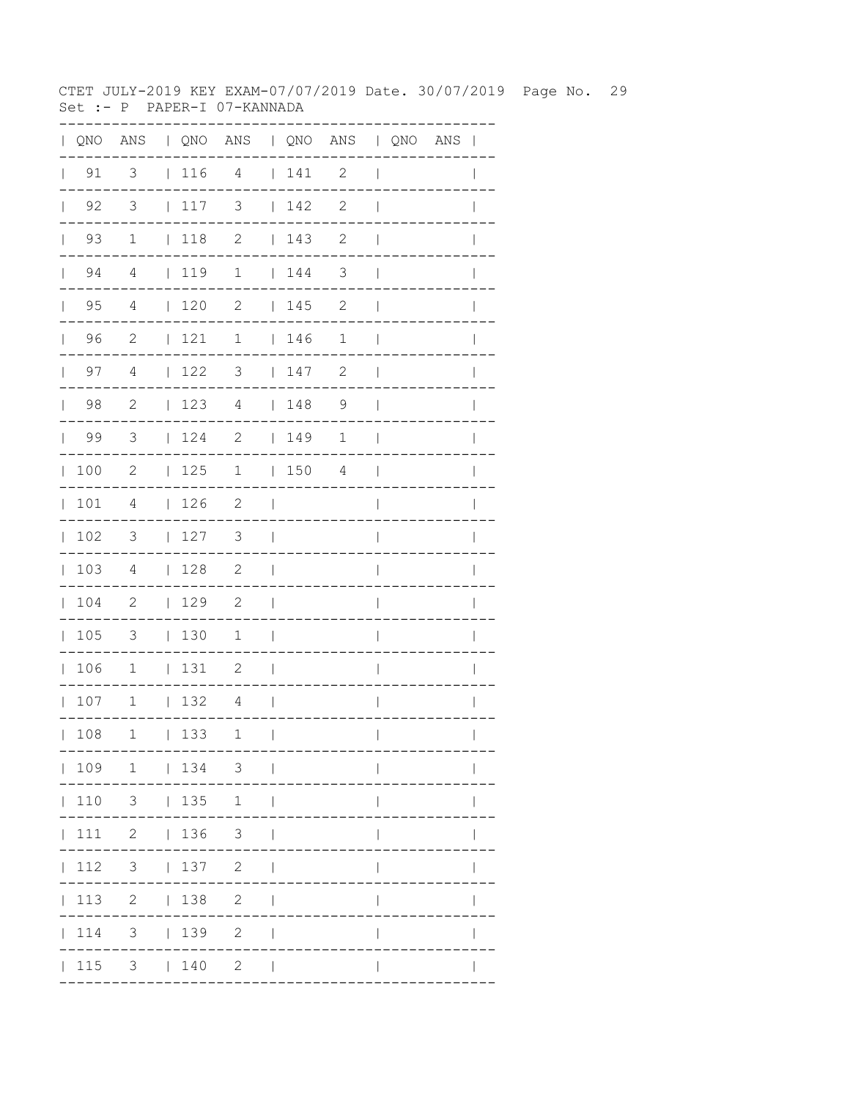CTET JULY-2019 KEY EXAM-07/07/2019 Date. 30/07/2019 Page No. 29 Set :- P PAPER-I 07-KANNADA

| $\mathbf{L}$ |                    |                          |              |                                                             | QNO ANS   QNO ANS   QNO ANS   QNO ANS |                          |                                                             |                |                          |  | $\overline{\phantom{a}}$ |
|--------------|--------------------|--------------------------|--------------|-------------------------------------------------------------|---------------------------------------|--------------------------|-------------------------------------------------------------|----------------|--------------------------|--|--------------------------|
| $\mathbf{L}$ | 91                 | 3                        |              | 116 4                                                       |                                       |                          | 141                                                         | $\mathbf{2}$   | $\overline{\phantom{a}}$ |  |                          |
|              | $\vert$ 92         | $\overline{\mathbf{3}}$  |              | $\begin{array}{c} \begin{array}{c} \end{array} \end{array}$ | 3                                     |                          | 142                                                         | $\mathbf{2}$   | $\overline{1}$           |  |                          |
|              | 93<br>$\mathbf{L}$ | $\mathbf 1$              |              | $\vert$ 118                                                 | $\mathbf{2}$                          |                          | 143                                                         | 2              | $\overline{1}$           |  |                          |
|              | 94<br>$\mathbf{L}$ | 4                        |              | 119                                                         | $\mathbf 1$                           |                          | 144                                                         | 3              | $\mathbf{I}$             |  |                          |
|              | $\vert$ 95         | 4                        |              | $120$ 2                                                     |                                       |                          | 145                                                         | $\mathbf{2}$   | $\mathbf{I}$             |  |                          |
|              | 96                 | $\overline{c}$           |              | 121                                                         | $\mathbf 1$                           |                          | 146                                                         | $\mathbf 1$    | $\overline{\phantom{a}}$ |  |                          |
|              | $\vert$ 97         | 4                        |              | $\vert$ 122                                                 | 3                                     |                          | 147                                                         | $\mathbf{2}$   | $\overline{\phantom{a}}$ |  | $\mathbf{I}$             |
|              | $\vert$ 98         | 2                        |              | 123                                                         | $\overline{4}$                        |                          | $\begin{array}{c} \begin{array}{c} \end{array} \end{array}$ | $\overline{9}$ | $\overline{1}$           |  |                          |
|              | 99                 | $\overline{\mathbf{3}}$  |              | 124                                                         | $\mathbf{2}$                          |                          | 149                                                         | 1              | $\mathbf{I}$             |  |                          |
|              | 100                | 2                        |              | 125                                                         | $\mathbf 1$                           |                          | 150                                                         | 4              | $\mathbf{I}$             |  | $\mathbf{I}$             |
|              | 101                | 4                        |              | 126                                                         | $\overline{\phantom{0}}^2$            | $\blacksquare$           |                                                             |                | $\overline{1}$           |  | $\mathbf{I}$             |
| $\mathbb{R}$ | 102                | $\overline{\phantom{a}}$ |              | 127                                                         | 3                                     | $\overline{\phantom{a}}$ |                                                             |                | I                        |  |                          |
|              | 103                | $\overline{4}$           |              | 128                                                         | $\overline{\phantom{0}}^2$            | $\mathbf{I}$             |                                                             |                | $\overline{\phantom{a}}$ |  |                          |
|              | 104                | $\overline{\phantom{0}}$ |              | 129                                                         | 2                                     | $\overline{\phantom{0}}$ |                                                             |                | $\overline{\phantom{a}}$ |  | I                        |
|              | 105                | $\overline{\mathbf{3}}$  |              | $\vert$ 130                                                 | 1                                     | $\overline{\phantom{a}}$ |                                                             |                | I                        |  |                          |
|              | 106                | $\overline{1}$           |              | 131                                                         | $\overline{\phantom{0}}^2$            | $\overline{\phantom{a}}$ |                                                             |                | $\overline{\phantom{a}}$ |  |                          |
|              | 107                | $\overline{1}$           |              | 132                                                         | $\overline{4}$                        | $\mathcal{L}$            |                                                             |                | $\overline{1}$           |  | $\mathbf{I}$             |
|              | 108                | 1                        | $\mathbf{L}$ | 133                                                         | 1                                     | $\mathbf{I}$             |                                                             |                | $\overline{\phantom{a}}$ |  | $\mathbf{I}$             |
|              |                    |                          |              |                                                             | 109 1   134 3                         |                          |                                                             |                |                          |  |                          |
|              | 110                |                          |              | $3 \t 135$                                                  | $\mathbf{1}$                          | $\overline{\phantom{a}}$ |                                                             |                |                          |  |                          |
|              | 111                |                          |              | 2   136                                                     | 3 <sup>7</sup>                        |                          |                                                             |                |                          |  |                          |
|              | 112                | 3 <sup>7</sup>           |              | 137                                                         | $\overline{2}$                        |                          |                                                             |                |                          |  |                          |
|              | 113                | $\overline{2}$           |              | 138                                                         | $\mathbf{2}$                          |                          |                                                             |                |                          |  |                          |
|              | 114                | 3                        |              | 139                                                         | $\mathbf{2}$                          |                          |                                                             |                |                          |  |                          |
|              | 115                |                          |              | $3 \t 140$                                                  | $\mathbf{2}$                          | $\blacksquare$           |                                                             |                |                          |  |                          |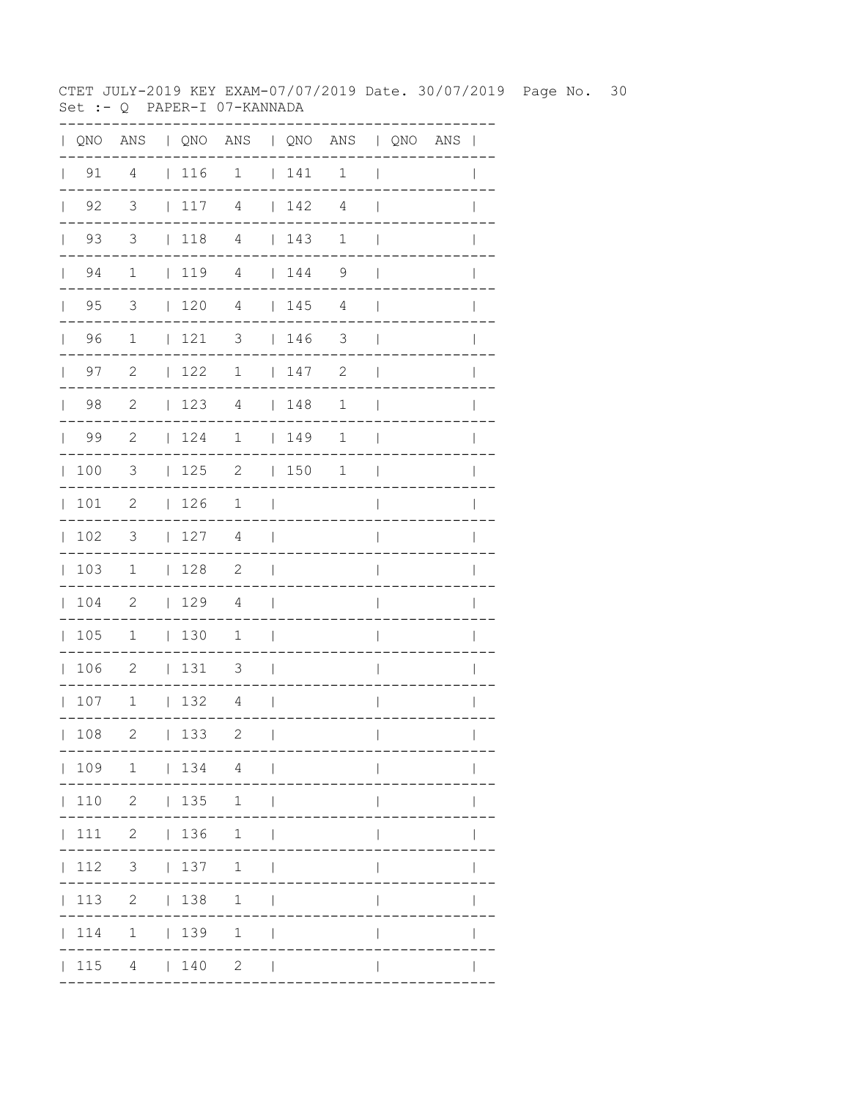CTET JULY-2019 KEY EXAM-07/07/2019 Date. 30/07/2019 Page No. 30 Set :- Q PAPER-I 07-KANNADA

|              |            |                            |                                                             |                                   |                          |                                                             | QNO ANS   QNO ANS   QNO ANS   QNO ANS |                          |  |              |
|--------------|------------|----------------------------|-------------------------------------------------------------|-----------------------------------|--------------------------|-------------------------------------------------------------|---------------------------------------|--------------------------|--|--------------|
|              | $\vert$ 91 | $\overline{4}$             | $\vert$ 116                                                 | $\overline{1}$                    |                          | $141$ 1                                                     |                                       | $\overline{\phantom{a}}$ |  |              |
| $\mathbf{L}$ | 92         | $\overline{\mathbf{3}}$    | 117                                                         | 4                                 |                          | 142                                                         | 4                                     | $\overline{\phantom{a}}$ |  |              |
|              | $\vert$ 93 | $\overline{3}$             | $\begin{array}{c} \begin{array}{c} \end{array} \end{array}$ | $\overline{4}$                    |                          | 143                                                         | $\mathbf{1}$                          | $\mathbf{I}$             |  |              |
|              | $\vert$ 94 | $\overline{1}$             |                                                             | $1194$ $144$                      |                          |                                                             | $\overline{9}$                        | $\mathbb{R}$             |  | I            |
|              | $\vert$ 95 | $\overline{\mathbf{3}}$    | 120                                                         | $\overline{4}$                    |                          | 145                                                         | $\overline{4}$                        | $\overline{\phantom{a}}$ |  |              |
|              | 96         | $\overline{1}$             | 1213                                                        |                                   |                          | 146                                                         | $\overline{\phantom{a}}$              | $\overline{\phantom{a}}$ |  |              |
|              | $\vert$ 97 | $\overline{\phantom{0}}^2$ | $\vert$ 122                                                 | $\overline{1}$                    |                          | $\begin{array}{c} \begin{array}{c} \end{array} \end{array}$ | 2                                     | $\overline{\phantom{a}}$ |  |              |
|              | $\vert$ 98 | $\overline{\phantom{0}}^2$ | 123                                                         | $\overline{4}$                    |                          | 148                                                         | $\mathbf 1$                           | $\blacksquare$           |  |              |
|              | $\vert$ 99 | $\overline{\phantom{0}}^2$ | 124                                                         | $\mathbf 1$                       | <b>Contract Contract</b> | 149                                                         | 1                                     | $\blacksquare$           |  |              |
| $\mathbf{L}$ | 100        | 3                          | 125                                                         |                                   |                          | $2 \t 150$                                                  | 1                                     | $\blacksquare$           |  |              |
|              | 101        | $\overline{\phantom{0}}^2$ | 126                                                         | $1 \quad \vert$                   |                          |                                                             |                                       | $\overline{1}$           |  |              |
|              | 102        | $\overline{\mathbf{3}}$    | 127                                                         | 4                                 | $\sim$                   |                                                             |                                       | $\overline{\phantom{a}}$ |  |              |
|              | 103        | $\overline{1}$             | 128                                                         | $\overline{2}$                    | $\mathcal{L}$            |                                                             |                                       | $\overline{\phantom{a}}$ |  |              |
|              | 104        | $\overline{\phantom{0}}^2$ | 129                                                         | 4                                 | $\sim$ 10 $\pm$          |                                                             |                                       | $\overline{\phantom{a}}$ |  |              |
|              | 105        | $\overline{1}$             | 130                                                         | $\overline{1}$                    | $\sim$ 1                 |                                                             |                                       | $\mathsf{I}$             |  |              |
|              | 106        | $\overline{\phantom{0}}^2$ | 131                                                         | $\overline{\mathbf{3}}$<br>$\sim$ |                          |                                                             |                                       | $\overline{\phantom{a}}$ |  |              |
|              | 107        | $\mathbf 1$                | 132                                                         | $\overline{4}$                    | $\mathcal{L}$            |                                                             |                                       | $\mathbf{I}$             |  |              |
|              | 108        | 2                          | 133                                                         | 2                                 | $\perp$                  |                                                             |                                       | $\mathbf{I}$             |  | $\mathbf{I}$ |
|              |            | 109 1   134 4              |                                                             |                                   |                          |                                                             |                                       |                          |  |              |
|              |            | 110 2   135 1              |                                                             |                                   |                          |                                                             |                                       | $\mathbf{I}$             |  |              |
|              |            | 111 2   136 1              |                                                             |                                   | $\Box$                   |                                                             |                                       | $\mathbf{I}$             |  |              |
|              |            | $ 112 \t3 \t 137 \t1$      |                                                             |                                   | $\perp$                  |                                                             |                                       | $\mathbf{I}$             |  |              |
|              |            | 113 2   138 1              |                                                             |                                   |                          |                                                             |                                       |                          |  |              |
|              |            | 114 1   139 1              |                                                             |                                   | $\overline{1}$           |                                                             |                                       |                          |  |              |
|              |            | 115 4   140 2              |                                                             |                                   | $\Box$                   |                                                             |                                       |                          |  |              |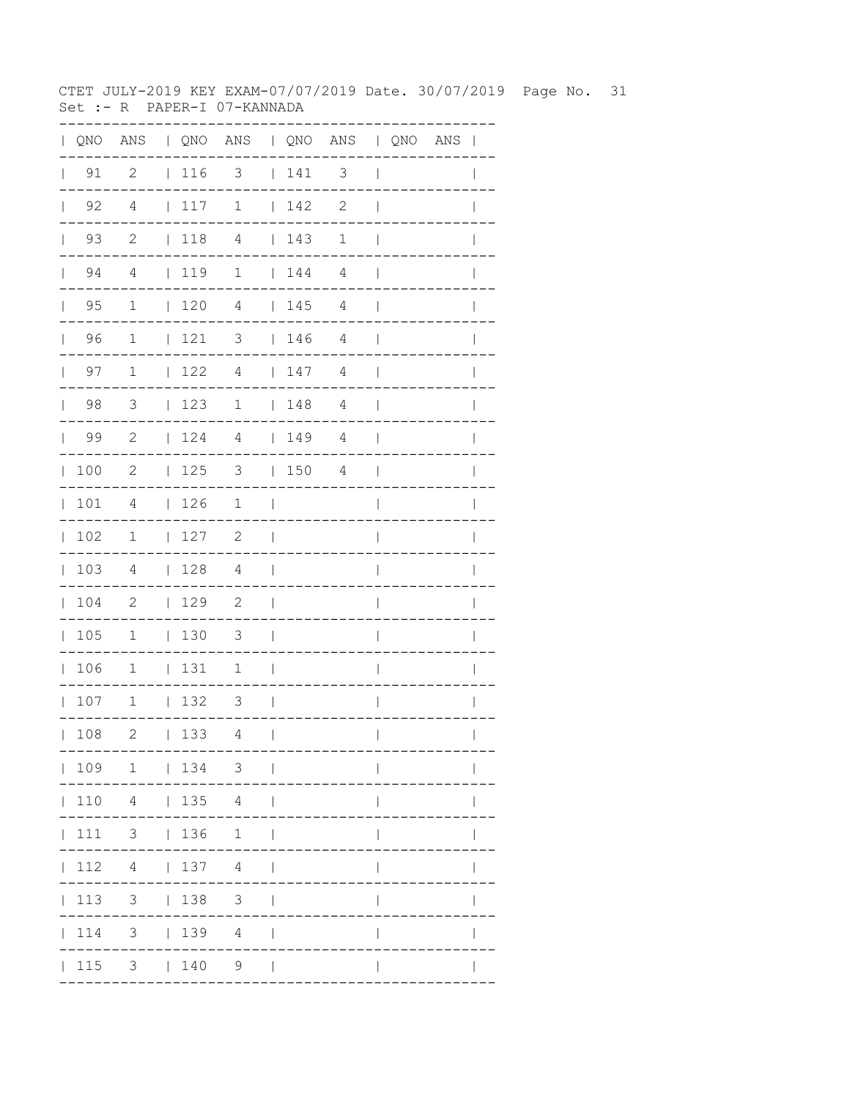CTET JULY-2019 KEY EXAM-07/07/2019 Date. 30/07/2019 Page No. 31 Set :- R PAPER-I 07-KANNADA

|              |            |                            |                                              |                                     |               |                                                             | QNO ANS   QNO ANS   QNO ANS   QNO ANS |                          |  |                |
|--------------|------------|----------------------------|----------------------------------------------|-------------------------------------|---------------|-------------------------------------------------------------|---------------------------------------|--------------------------|--|----------------|
|              | $\vert$ 91 | $\overline{\phantom{0}}^2$ | $\vert$ 116                                  | $3 \t141 \t3$                       |               |                                                             |                                       | $\Box$                   |  |                |
| $\mathbf{L}$ | 92         | 4                          | 117                                          | $\mathbf 1$                         |               | 142                                                         | $\overline{c}$                        | $\overline{\phantom{a}}$ |  |                |
|              | $\vert$ 93 | $\overline{2}$             | 118                                          | $\overline{4}$                      |               | 143                                                         | $\mathbf{1}$                          | $\overline{\phantom{a}}$ |  |                |
|              | $\vert$ 94 | $\overline{4}$             | 119                                          | $1 \t 144 \t 4$                     |               |                                                             |                                       | $\blacksquare$           |  | I              |
|              | $\vert$ 95 | $\overline{1}$             | $\vert$ 120                                  | $\overline{4}$                      |               | 145                                                         | $\overline{4}$                        | $\blacksquare$           |  |                |
|              | 96         | $\overline{1}$             | 1213                                         |                                     |               | 146                                                         | $\overline{4}$                        | $\overline{\phantom{a}}$ |  |                |
|              | $\vert$ 97 | $\overline{1}$             | $\begin{array}{ccc} \vert & 122 \end{array}$ | $\overline{4}$                      |               | $\begin{array}{c} \begin{array}{c} \end{array} \end{array}$ | 4                                     | $\Box$                   |  |                |
|              | $\vert$ 98 | $\overline{\phantom{a}}$   | 123                                          | $1 \t 148$                          |               |                                                             | 4                                     | $\blacksquare$           |  |                |
|              | $\vert$ 99 | $\overline{\phantom{0}}^2$ | 124                                          | $\overline{4}$                      |               | 149                                                         | $\overline{4}$                        | $\mathbf{I}$             |  |                |
| $\mathbb{R}$ | 100        | $\overline{\phantom{0}}^2$ | 125                                          | 3   150                             |               |                                                             | 4                                     | $\blacksquare$           |  |                |
|              | 101        | 4                          | 126                                          | $1 \quad  $                         |               |                                                             |                                       | $\overline{1}$           |  | $\overline{1}$ |
|              | 102        | $\mathbf{1}$               | 127                                          | $\overline{\phantom{0}}^2$          | $\mathcal{L}$ |                                                             |                                       | $\overline{\phantom{a}}$ |  |                |
|              | 103        | $\overline{4}$             | 128                                          | 4                                   | $\sim$        |                                                             |                                       | $\overline{\phantom{a}}$ |  |                |
|              | 104        | $\overline{\phantom{0}}^2$ | 129                                          | $\overline{\phantom{0}}^2$          | $\Box$        |                                                             |                                       | $\overline{\phantom{a}}$ |  | I              |
|              | 105        | $\mathbf{1}$               | 130                                          | $\overline{\mathbf{3}}$             | $\mathcal{L}$ |                                                             |                                       | $\mathsf{I}$             |  |                |
|              | 106        | $\mathbf{1}$               | 131                                          | $\overline{1}$                      | $\sim$        |                                                             |                                       | $\overline{1}$           |  |                |
|              | 107        | $\mathbf 1$                | 132                                          | $\overline{\mathbf{3}}$<br>$\sim$ 1 |               |                                                             |                                       | $\mathbf{I}$             |  |                |
|              | 108        | 2                          | 133                                          | 4                                   | $\Box$        |                                                             |                                       | $\mathbf{I}$             |  | $\mathbf{I}$   |
|              |            | 109 1   134 3              |                                              |                                     |               |                                                             |                                       |                          |  |                |
|              |            | $ 110 \t4 \t 135 \t4 \t $  |                                              |                                     |               |                                                             |                                       | $\mathbf{I}$             |  |                |
|              |            | 111 3   136 1              |                                              |                                     | $\Box$        |                                                             |                                       | $\mathbf{I}$             |  |                |
|              |            | 112    4      137    4     |                                              |                                     | $\perp$       |                                                             |                                       | $\mathbf{I}$             |  |                |
|              |            | 113 3   138 3              |                                              |                                     | $\mathbf{1}$  |                                                             |                                       |                          |  |                |
|              |            | 114 3   139 4              |                                              | <b>Contract</b>                     |               |                                                             |                                       |                          |  |                |
|              |            | $ 115 \t3 \t 140 \t9$      |                                              |                                     | $\sim$        |                                                             |                                       |                          |  |                |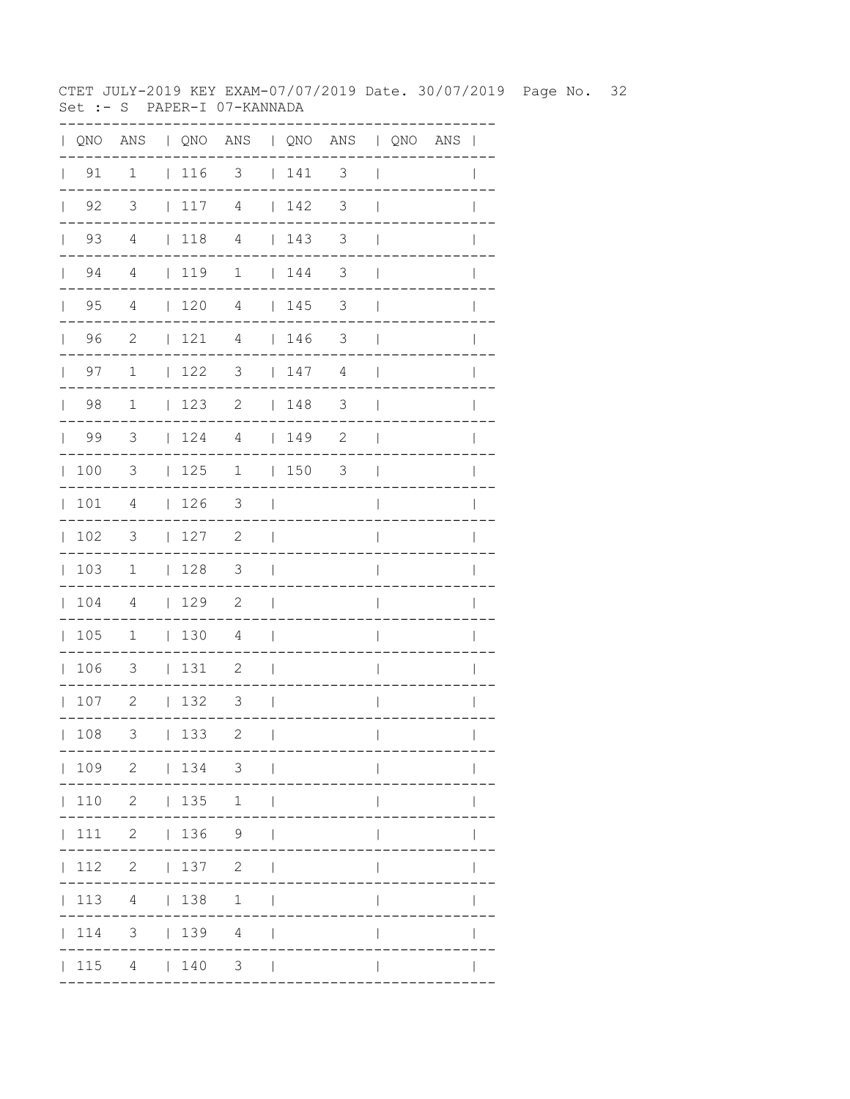CTET JULY-2019 KEY EXAM-07/07/2019 Date. 30/07/2019 Page No. 32 Set :- S PAPER-I 07-KANNADA

|              |            |                            |                                                             |                            |                |                                                             | QNO ANS   QNO ANS   QNO ANS   QNO ANS |                          |  |                |
|--------------|------------|----------------------------|-------------------------------------------------------------|----------------------------|----------------|-------------------------------------------------------------|---------------------------------------|--------------------------|--|----------------|
|              | $\vert$ 91 | $\overline{1}$             |                                                             | $ 116 \t3 \t 141 \t3$      |                |                                                             |                                       | $\Box$                   |  |                |
| $\mathbf{L}$ | 92         | $\overline{\mathbf{3}}$    | 117                                                         | $\overline{4}$             | $\mathbb{R}$   | 142                                                         | $\overline{\phantom{a}}$ 3            | $\mathbf{I}$             |  |                |
|              | $\vert$ 93 | 4                          | $\begin{array}{c} \begin{array}{c} \end{array} \end{array}$ | $\overline{4}$             |                | 143                                                         | $\overline{\phantom{a}}$ 3            | $\mathbf{I}$             |  |                |
|              | $\vert$ 94 | $\overline{4}$             | 119                                                         | $1 \t 144$                 |                |                                                             | $\overline{\phantom{a}}$              | $\blacksquare$           |  | ı              |
|              | $\vert$ 95 | $\overline{4}$             | 120                                                         | 4                          |                | 145                                                         | $\overline{\phantom{a}}$              | $\mathbf{I}$             |  |                |
|              | 96         | $\overline{\phantom{0}}^2$ | 121                                                         | $\overline{4}$             |                | 146                                                         | $\overline{\phantom{a}}$              | $\overline{\phantom{a}}$ |  |                |
|              | $\vert$ 97 | $\overline{1}$             | 122                                                         | $\overline{\mathbf{3}}$    |                | $\begin{array}{c} \begin{array}{c} \end{array} \end{array}$ | 4                                     | $\blacksquare$           |  |                |
|              | $\vert$ 98 | $\overline{\phantom{a}}$   | 123                                                         | $\overline{c}$             |                | 148                                                         | $\overline{\phantom{a}}$              | $\Box$                   |  |                |
|              | $\vert$ 99 | $\overline{\mathbf{3}}$    | 124                                                         | $\overline{4}$             |                | 149                                                         | $\mathbf{2}$                          | - 1                      |  |                |
| $\mathbb{L}$ | 100        | 3                          | 125                                                         |                            |                | 1   150                                                     | 3                                     | $\overline{\phantom{a}}$ |  |                |
|              | 101        | $\overline{4}$             | 126                                                         | $\overline{\mathbf{3}}$    | $\sim$         |                                                             |                                       | $\overline{1}$           |  | $\overline{1}$ |
|              | 102        | $\overline{\mathbf{3}}$    | 127                                                         | $\overline{\phantom{0}}^2$ | $\blacksquare$ |                                                             |                                       | $\overline{\phantom{a}}$ |  |                |
|              | 103        | $\overline{1}$             | 128                                                         | $\overline{\mathbf{3}}$    | $\sim$         |                                                             |                                       | $\overline{\phantom{a}}$ |  |                |
|              | 104        | $\overline{4}$             | 129                                                         | $\overline{\phantom{0}}$   | $\Box$         |                                                             |                                       | $\overline{\phantom{a}}$ |  |                |
|              | 105        | $\overline{1}$             | 130                                                         | $\overline{4}$             | $\Box$         |                                                             |                                       | $\overline{\phantom{a}}$ |  |                |
|              | 106        | $\overline{\phantom{a}}$   | 131                                                         | $\overline{\phantom{0}}^2$ | $\blacksquare$ |                                                             |                                       | $\overline{\phantom{a}}$ |  |                |
|              | 107        | $\overline{\phantom{0}}^2$ | 132                                                         | 3                          | $\mathcal{L}$  |                                                             |                                       | $\mathbf{I}$             |  |                |
|              | 108        | 3                          | 133                                                         | 2                          | $\mathbf{I}$   |                                                             |                                       | $\mathbf{I}$             |  | $\mathbf{I}$   |
|              |            | 109 2   134 3              |                                                             |                            |                |                                                             |                                       |                          |  |                |
|              |            | 110 2   135 1              |                                                             |                            |                |                                                             |                                       | $\mathbf{I}$             |  |                |
|              |            | 111 2   136 9              |                                                             |                            | $\Box$         |                                                             |                                       | $\mathbf{I}$             |  |                |
|              |            | $ 112 \t2 \t 137 \t2$      |                                                             |                            | $\perp$        |                                                             |                                       | $\mathbf{I}$             |  |                |
|              |            | 113 4   138 1              |                                                             |                            | $\perp$        |                                                             |                                       |                          |  |                |
|              |            | 114 3   139 4              |                                                             | $\sim$                     |                |                                                             |                                       |                          |  |                |
|              |            | 115 4   140 3              |                                                             |                            | $\sim$ 1       |                                                             |                                       |                          |  |                |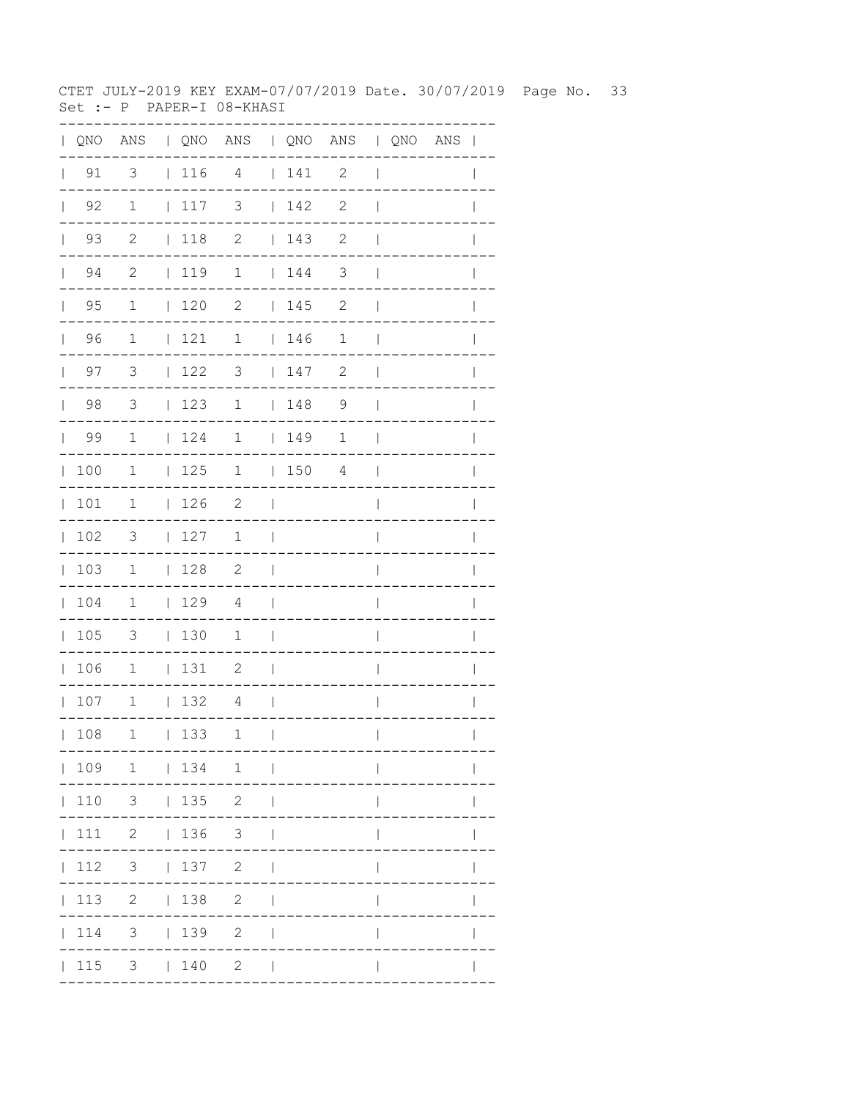CTET JULY-2019 KEY EXAM-07/07/2019 Date. 30/07/2019 Page No. 33 Set :- P PAPER-I 08-KHASI

| $\mathbf{L}$ | QNO                  |                          |              |                 | ANS   QNO ANS   QNO ANS   QNO ANS |                          |                                         |                |                          |  | $\overline{\phantom{a}}$ |
|--------------|----------------------|--------------------------|--------------|-----------------|-----------------------------------|--------------------------|-----------------------------------------|----------------|--------------------------|--|--------------------------|
| $\mathbf{L}$ | 91                   | $\overline{\mathbf{3}}$  |              | $116$ 4         |                                   |                          | 141                                     | $\mathbf{2}$   | $\overline{\phantom{a}}$ |  |                          |
|              | $\vert$ 92           | $\mathbf{1}$             |              | 117             | 3                                 |                          | 142                                     | $\mathbf{2}$   | $\overline{1}$           |  |                          |
|              | 93<br>$\mathbf{L}$   | $\mathbf{2}$             |              | $\vert$ 118     | $\mathbf{2}$                      |                          | 143                                     | 2              | $\mathbf{I}$             |  |                          |
|              | 94<br>$\mathbb{R}^n$ | $\mathbf{2}$             |              | 119             | $\mathbf 1$                       |                          | $\begin{array}{cc} 1 & 144 \end{array}$ | 3              | $\overline{\phantom{a}}$ |  |                          |
|              | $\vert$ 95           | $\mathbf{1}$             |              | 120             | $\mathbf{2}$                      |                          | 145                                     | $\mathbf{2}$   | $\mathbf{I}$             |  |                          |
|              | 96                   | $\mathbf{1}$             |              | 121             | $\mathbf 1$                       |                          | 146                                     | $\mathbf 1$    | $\overline{\phantom{a}}$ |  | $\mathbf{I}$             |
|              | $\vert$ 97           | 3                        |              | $\vert$ 122     | 3                                 |                          | 147                                     | $\mathbf{2}$   | $\overline{\phantom{a}}$ |  | $\mathbf{I}$             |
|              | $\vert$ 98           | $\overline{3}$           |              | 123             | $\mathbf 1$                       |                          | $\begin{array}{c} 1 & 48 \end{array}$   | $\overline{9}$ | $\overline{\phantom{a}}$ |  |                          |
|              | 99                   | $\mathbf{1}$             |              | 124             | $\mathbf 1$                       |                          | 149                                     | 1              | $\overline{\phantom{a}}$ |  |                          |
| $\mathbb{L}$ | 100                  | 1                        |              | 125             | $\mathbf 1$                       |                          | 150                                     | 4              | $\mathbf{I}$             |  | $\mathbf{I}$             |
|              | 101                  | $\mathbf 1$              |              | 126             | $\overline{2}$                    | $\blacksquare$           |                                         |                | $\overline{1}$           |  | $\overline{1}$           |
| $\mathbf{L}$ | 102                  | $\overline{\mathbf{3}}$  |              | 127             | $\mathbf 1$                       | $\overline{\phantom{0}}$ |                                         |                | I                        |  |                          |
|              | 103                  | $\overline{1}$           |              | 128             | $\overline{\phantom{0}}^2$        | $\overline{\phantom{0}}$ |                                         |                | I                        |  |                          |
|              | 104                  | $\mathbf 1$              |              | 129             | 4                                 | $\overline{\phantom{0}}$ |                                         |                | $\overline{\phantom{a}}$ |  | I                        |
|              | 105                  | 3                        |              | 130             | 1                                 | $\overline{\phantom{a}}$ |                                         |                | I                        |  |                          |
|              | 106                  | $\overline{1}$           |              | 131             | $\overline{\phantom{0}}^2$        | $\overline{\phantom{a}}$ |                                         |                | $\overline{\phantom{a}}$ |  |                          |
|              | 107                  | $\overline{\phantom{a}}$ |              | 132             | $\overline{4}$                    | $\Box$                   |                                         |                | $\mathbf{I}$             |  | I                        |
|              | 108                  | 1                        | $\mathbf{L}$ | 133             | 1                                 | $\mathbf{I}$             |                                         |                | $\overline{\phantom{a}}$ |  | $\mathbf{I}$             |
|              |                      |                          |              |                 | 109 1   134 1                     |                          |                                         |                |                          |  |                          |
|              | 110                  |                          |              | $3 \t 135 \t 2$ |                                   |                          |                                         |                |                          |  |                          |
|              | 111                  |                          |              | 2   136         | 3 <sup>7</sup>                    |                          |                                         |                |                          |  |                          |
|              | 112                  | 3 <sup>7</sup>           |              | 137             | $\overline{2}$                    |                          |                                         |                |                          |  |                          |
|              | 113                  | $\overline{2}$           |              | 138             | 2                                 |                          |                                         |                |                          |  |                          |
|              | 114                  | 3                        |              | 139             | $\mathbf{2}$                      |                          |                                         |                |                          |  |                          |
|              | 115                  |                          |              | $3 \t 140$      | $2 \mid$                          |                          |                                         |                |                          |  |                          |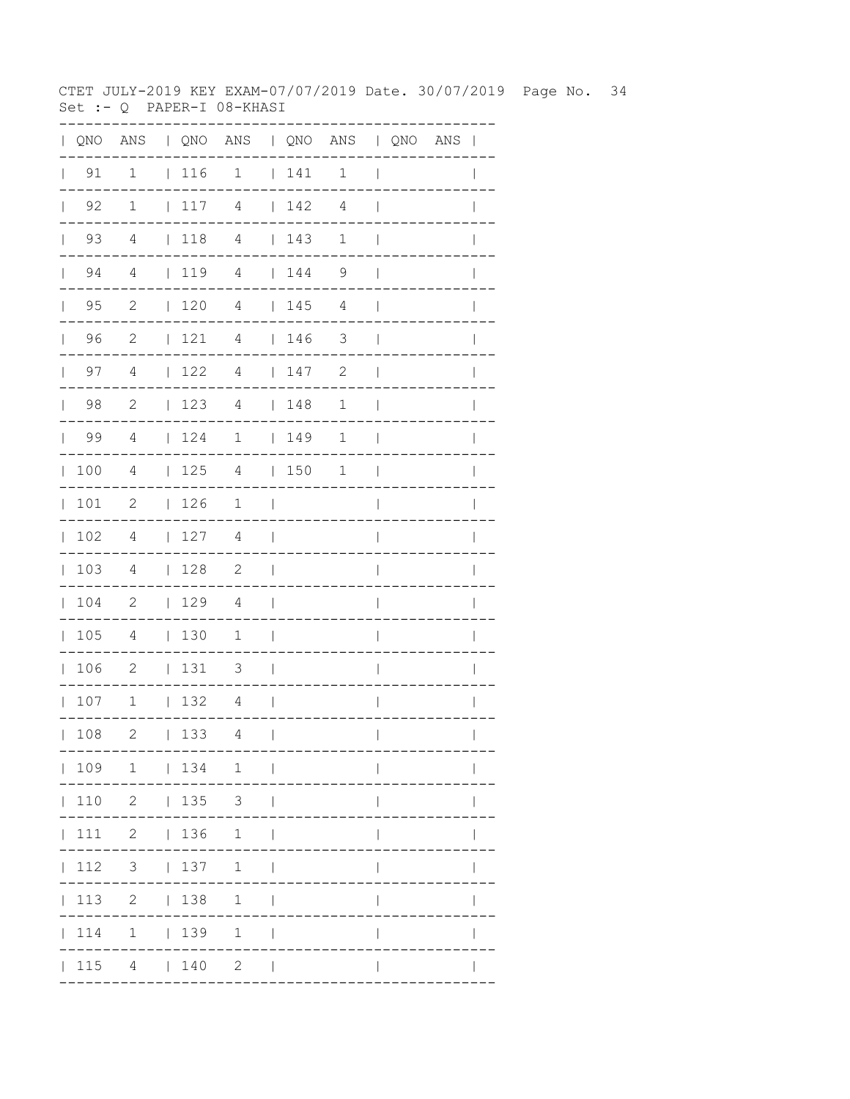CTET JULY-2019 KEY EXAM-07/07/2019 Date. 30/07/2019 Page No. 34 Set :- Q PAPER-I 08-KHASI

|              |                      |                            |                                         | QNO ANS   QNO ANS   QNO ANS   QNO ANS |                          |                                                             |              |                          |  | $\mathbf{I}$   |
|--------------|----------------------|----------------------------|-----------------------------------------|---------------------------------------|--------------------------|-------------------------------------------------------------|--------------|--------------------------|--|----------------|
|              | $\vert$ 91           | $\mathbf 1$                | 116                                     | $\mathbf 1$                           |                          | $\begin{array}{cc} 1 & 141 \end{array}$                     | $\mathbf 1$  | $\overline{1}$           |  |                |
| $\mathbb{L}$ | 92                   | $\mathbf 1$                | 117                                     | 4                                     |                          | 142                                                         | 4            | $\mathbf{I}$             |  |                |
|              | 93<br>$\mathbf{L}$   | 4                          | 118 4                                   |                                       |                          | 143                                                         | $\mathbf{1}$ | $\mathbf{I}$             |  |                |
|              | 94<br>$\mathbf{L}$   | 4                          | 1194                                    |                                       |                          | 144                                                         | 9            | $\overline{\phantom{a}}$ |  |                |
| $\mathbb{R}$ | 95                   | $\mathbf{2}$               | $\begin{array}{cc} 1 & 120 \end{array}$ | 4                                     |                          | 145                                                         | 4            | $\overline{\phantom{a}}$ |  |                |
|              | 96<br>$\mathbb{R}^n$ | 2                          | 121                                     | $\overline{4}$                        |                          | $\begin{array}{c} \begin{array}{c} \end{array} \end{array}$ | 3            | $\overline{\phantom{a}}$ |  | $\mathbf{I}$   |
|              | 97<br>$\mathbf{L}$   | 4                          | 122                                     | $\overline{4}$                        |                          | 147                                                         | 2            | $\overline{\phantom{a}}$ |  |                |
| $\mathbf{L}$ | 98                   | $\mathbf{2}$               | 123                                     | 4                                     |                          | 148                                                         | $\mathbf 1$  | $\overline{\phantom{a}}$ |  | I              |
| $\mathbf{L}$ | 99                   | 4                          | 124                                     | $\overline{1}$                        |                          | $\begin{array}{c} 149 \end{array}$                          | 1            | $\overline{\phantom{a}}$ |  |                |
| $\mathbb{L}$ | 100                  | $\overline{4}$             | 125                                     | $\overline{4}$                        |                          | 150                                                         | 1            | $\overline{\phantom{a}}$ |  |                |
| $\mathbb{L}$ | 101                  | $\mathbf{2}$               | 126                                     | 1                                     | $\perp$                  |                                                             |              | $\overline{\phantom{a}}$ |  |                |
| $\mathbf{L}$ | 102                  | 4                          | 127                                     | 4                                     | $\mathbf{I}$             |                                                             |              | $\overline{1}$           |  | I              |
|              | 103                  | 4                          | 128                                     | $\overline{\phantom{0}}^2$            | $\Box$                   |                                                             |              | $\overline{\phantom{a}}$ |  | I              |
| $\mathbf{L}$ | 104                  | $\overline{\phantom{0}}^2$ | 129                                     | $\overline{4}$                        | $\overline{\phantom{a}}$ |                                                             |              | I                        |  |                |
| $\mathbf{L}$ | 105                  | 4                          | 130                                     | $\mathbf{1}$                          | $\overline{\phantom{a}}$ |                                                             |              | I                        |  |                |
| $\mathbb{L}$ | 106                  | $\overline{\phantom{0}}$   | 131                                     | 3                                     | $\overline{\phantom{0}}$ |                                                             |              | $\overline{\phantom{a}}$ |  | $\overline{1}$ |
|              | 107                  | $\overline{1}$             | 132                                     | 4                                     | $\Box$                   |                                                             |              | $\overline{\phantom{a}}$ |  |                |
|              | 108                  | 2                          | 133                                     | 4                                     | $\perp$                  |                                                             |              | $\mathbf{I}$             |  |                |
|              |                      |                            |                                         | 109 1   134 1                         |                          |                                                             |              |                          |  |                |
|              |                      | 110 2   135 3              |                                         |                                       |                          |                                                             |              |                          |  |                |
|              |                      | 111 2   136 1              |                                         |                                       |                          |                                                             |              |                          |  |                |
|              | 112                  | $3 \t137 \t1$              |                                         |                                       | $\blacksquare$           |                                                             |              |                          |  |                |
|              | 113                  |                            | 2   138                                 | 1                                     |                          |                                                             |              |                          |  |                |
|              | 114                  |                            | $1 \t 139$                              | $\mathbf 1$                           |                          |                                                             |              |                          |  |                |
|              | 115                  |                            | 4   140                                 | $2^{\circ}$                           |                          |                                                             |              |                          |  |                |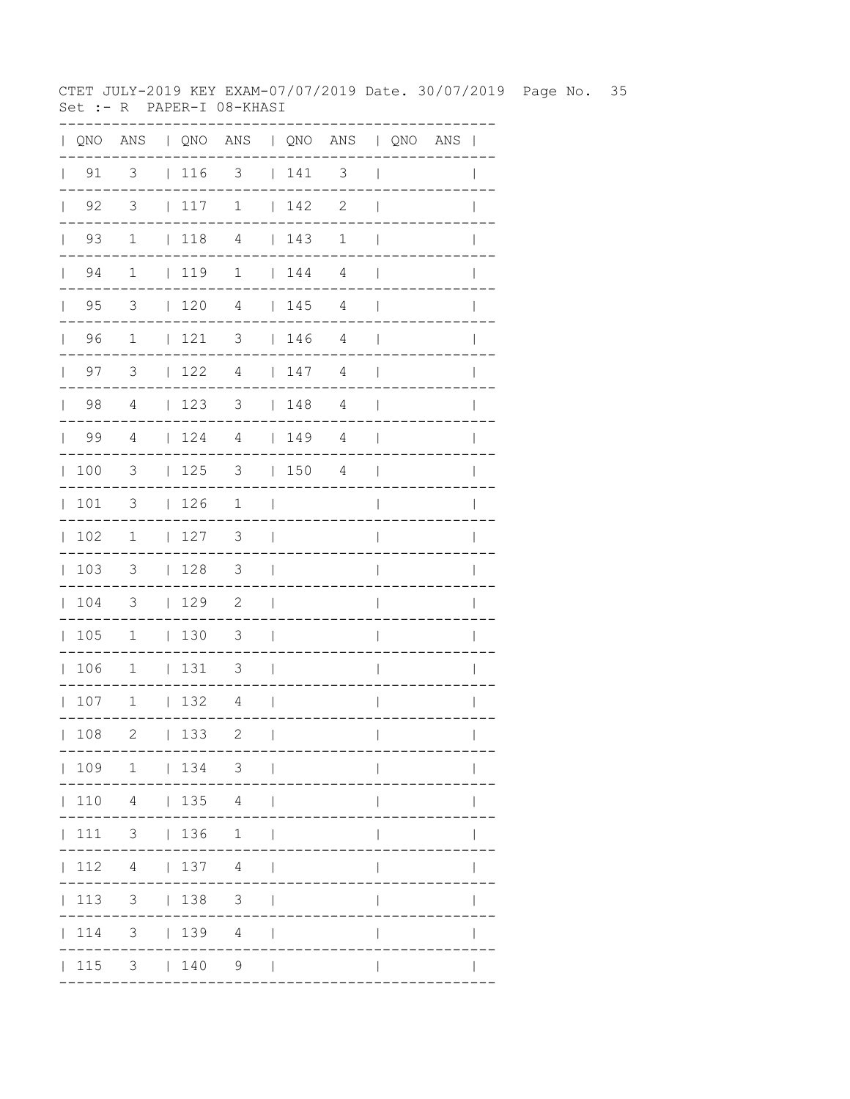CTET JULY-2019 KEY EXAM-07/07/2019 Date. 30/07/2019 Page No. 35 Set :- R PAPER-I 08-KHASI

| $\mathbf{L}$ | QNO                |                         |                                        | ANS   QNO ANS   QNO ANS   QNO ANS |                          |                                                                                              |                |                          |  | $\overline{\phantom{a}}$ |
|--------------|--------------------|-------------------------|----------------------------------------|-----------------------------------|--------------------------|----------------------------------------------------------------------------------------------|----------------|--------------------------|--|--------------------------|
| $\mathbf{L}$ | 91                 | 3                       | $ 116$ 3                               |                                   |                          | 141                                                                                          | 3              | $\overline{\phantom{a}}$ |  |                          |
|              | $\vert$ 92         | $\overline{3}$          | 117                                    | $\mathbf 1$                       |                          | 142                                                                                          | $\mathbf{2}$   | $\overline{1}$           |  |                          |
|              | 93<br>$\mathbf{L}$ | $\mathbf 1$             | $\vert$ 118                            | 4                                 |                          | $\begin{array}{c} \begin{array}{c} \end{array} \end{array} \begin{array}{c} 143 \end{array}$ | $\mathbf 1$    | $\mathbf{I}$             |  |                          |
|              | 94<br>$\mathbf{L}$ | $\mathbf 1$             | 119                                    | $\mathbf 1$                       |                          | $\begin{array}{c} \begin{array}{c} \end{array} \end{array}$                                  | 4              | $\perp$                  |  |                          |
|              | $\vert$ 95         | $\overline{3}$          | $\begin{array}{cc} 1 & 20 \end{array}$ | $\overline{4}$                    |                          | 145                                                                                          | $\overline{4}$ | $\mathbf{I}$             |  |                          |
|              | 96                 | $\mathbf{1}$            | 121                                    | $\overline{\mathbf{3}}$           |                          | $\begin{array}{c} \begin{array}{c} \end{array} \end{array}$                                  | $\overline{4}$ | $\overline{\phantom{a}}$ |  | $\mathbf{I}$             |
|              | $\vert$ 97         | 3                       | $\vert$ 122                            | $\overline{4}$                    |                          | 147                                                                                          | 4              | $\mathbf{I}$             |  | $\mathbf{I}$             |
|              | $\vert$ 98         | $\overline{4}$          | 123                                    | $3 \t148$                         |                          |                                                                                              | $\overline{4}$ | $\overline{\phantom{a}}$ |  |                          |
|              | 99                 | $\overline{4}$          | 124                                    | $\overline{4}$                    |                          | 149                                                                                          | 4              | $\overline{\phantom{a}}$ |  |                          |
| $\mathbb{L}$ | 100                | 3                       | 125                                    | 3                                 |                          | 150                                                                                          | 4              | $\mathbf{I}$             |  | $\mathbf{I}$             |
|              | 101                | 3                       | 126                                    | $\mathbf 1$                       | $\overline{\phantom{0}}$ |                                                                                              |                | $\overline{1}$           |  | $\mathbf{I}$             |
| $\mathbf{L}$ | 102                | $\overline{1}$          | 127                                    | 3                                 | $\overline{\phantom{a}}$ |                                                                                              |                | I                        |  |                          |
|              | 103                | $\overline{\mathbf{3}}$ | 128                                    | $\overline{\mathbf{3}}$           | $\overline{\phantom{0}}$ |                                                                                              |                | I                        |  |                          |
|              | 104                | $\overline{\mathbf{3}}$ | 129                                    | 2                                 | $\overline{\phantom{a}}$ |                                                                                              |                | $\overline{\phantom{a}}$ |  | I                        |
|              | 105                | $\mathbf{1}$            | 130                                    | 3                                 | $\blacksquare$           |                                                                                              |                | I                        |  |                          |
|              | 106                | $\overline{1}$          | 131                                    | $\overline{\phantom{a}}$          | $\overline{\phantom{0}}$ |                                                                                              |                | $\overline{\phantom{a}}$ |  |                          |
|              | 107                | $\overline{1}$          | 132                                    | 4                                 | $\Box$                   |                                                                                              |                | $\overline{1}$           |  | I                        |
|              | 108                | $\mathbf{2}$            | 133                                    | 2                                 | $\overline{\phantom{a}}$ |                                                                                              |                | $\overline{\phantom{a}}$ |  | $\mathbf{I}$             |
|              |                    | 109 1   134 3           |                                        |                                   |                          |                                                                                              |                |                          |  |                          |
|              | 110                |                         | 4   135 4                              |                                   | $\mathbf{I}$             |                                                                                              |                |                          |  |                          |
|              | 111                | $3 \t136$               |                                        | 1                                 | $\overline{\phantom{a}}$ |                                                                                              |                |                          |  |                          |
|              | 112                |                         | 4   137 4                              |                                   |                          |                                                                                              |                |                          |  |                          |
|              | 113                |                         | $3 \t 138$                             | $\mathcal{S}$                     |                          |                                                                                              |                |                          |  |                          |
|              | 114                |                         | $3 \t 139$                             | 4                                 |                          |                                                                                              |                |                          |  |                          |
|              | 115                |                         | $3 \t140$                              | 9                                 | $\Box$                   |                                                                                              |                |                          |  |                          |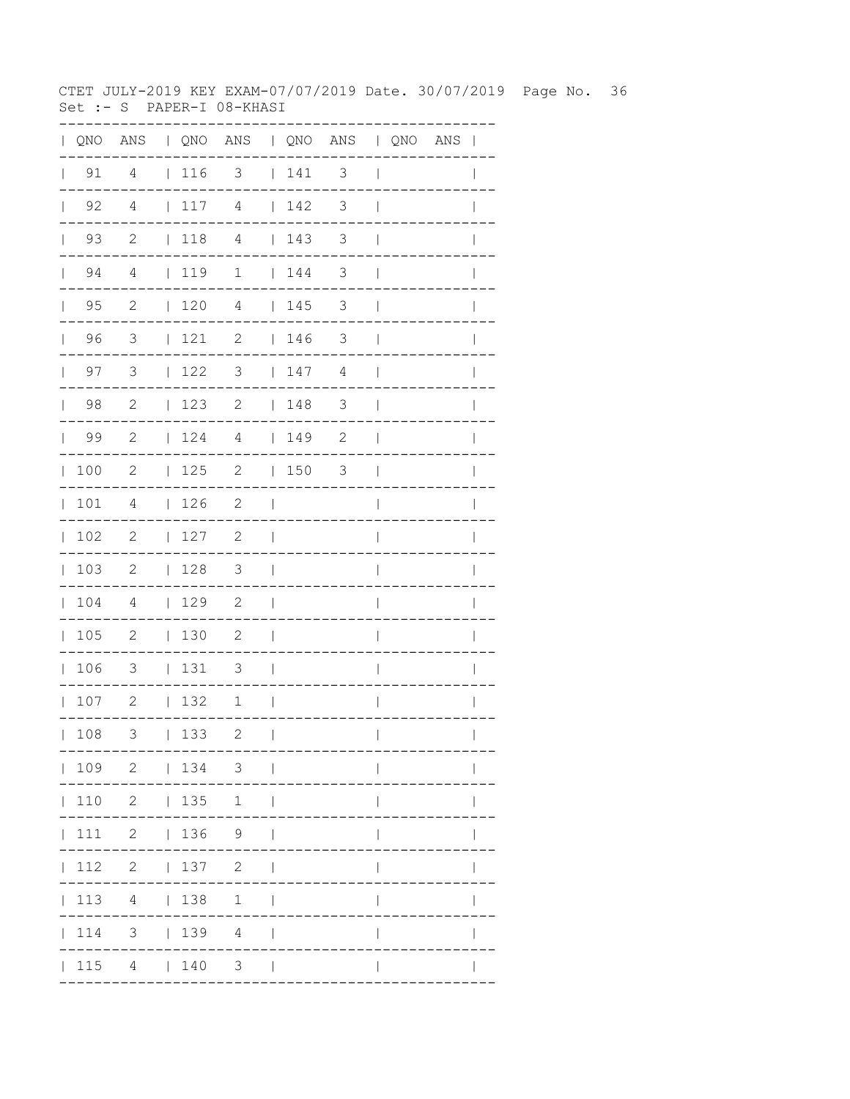CTET JULY-2019 KEY EXAM-07/07/2019 Date. 30/07/2019 Page No. 36 Set :- S PAPER-I 08-KHASI

| $\mathbf{L}$ |                    |                          |             | QNO ANS   QNO ANS   QNO ANS   QNO ANS |                          |                                         |                          |                          |  | $\overline{\phantom{a}}$ |
|--------------|--------------------|--------------------------|-------------|---------------------------------------|--------------------------|-----------------------------------------|--------------------------|--------------------------|--|--------------------------|
| $\mathbf{L}$ | 91                 | 4                        | $ 116$ 3    |                                       |                          | 141                                     | $\mathfrak{Z}$           | $\overline{\phantom{a}}$ |  |                          |
|              | $\vert$ 92         | 4                        | 117         | 4                                     |                          | 142                                     | 3                        | $\overline{1}$           |  |                          |
|              | 93<br>$\mathbf{L}$ | $\mathbf{2}$             | $\vert$ 118 | $\overline{4}$                        |                          | $\begin{array}{cc} 1 & 143 \end{array}$ | 3                        | $\overline{1}$           |  |                          |
|              | 94<br>$\mathbb{R}$ | 4                        | 119         | $\mathbf 1$                           |                          | $\begin{array}{cc} 1 & 144 \end{array}$ | 3                        | $\mathbf{I}$             |  |                          |
|              | $\vert$ 95         | $\overline{c}$           | 120         | $\overline{4}$                        |                          | 145                                     | $\mathfrak{Z}$           | $\mathbf{I}$             |  |                          |
|              | 96                 | $\overline{\mathbf{3}}$  | 121         | $\overline{\phantom{a}}$              |                          | 146                                     | $\mathcal{S}$            | $\overline{\phantom{a}}$ |  | $\mathbf{I}$             |
|              | $\vert$ 97         | $\mathcal{S}$            | 122         | 3                                     |                          | 147                                     | 4                        | $\overline{\phantom{a}}$ |  | $\mathbf{I}$             |
|              | $\vert$ 98         | $\overline{c}$           | $123$ 2     |                                       |                          | 148                                     | $\overline{\phantom{a}}$ | $\overline{\phantom{a}}$ |  |                          |
|              | 99                 | 2                        | 124         | 4                                     |                          | $149$ 2                                 |                          | $\overline{\phantom{a}}$ |  |                          |
|              | 100                | $\mathbf{2}$             | 125         | $\mathbf{2}$                          |                          | 150                                     | 3                        | $\blacksquare$           |  | $\mathbf{I}$             |
|              | 101                | 4                        | 126         | $\overline{\phantom{0}}^2$            | $\Box$                   |                                         |                          | $\overline{1}$           |  | $\mathbf{I}$             |
|              | 102                | $\overline{\phantom{0}}$ | 127         | $\overline{\phantom{0}}^2$            | $\overline{\phantom{a}}$ |                                         |                          | I                        |  |                          |
|              | 103                | $\overline{\phantom{0}}$ | 128         | $\overline{\mathbf{3}}$               | $\Box$                   |                                         |                          | $\overline{\phantom{a}}$ |  |                          |
|              | 104                | 4                        | 129         | $\overline{\phantom{0}}^2$            | $\mathbf{I}$             |                                         |                          | $\overline{\phantom{a}}$ |  |                          |
|              | 105                | $\overline{\phantom{0}}$ | 130         | 2                                     | $\overline{\phantom{a}}$ |                                         |                          | I                        |  |                          |
|              | 106                | $\overline{\mathbf{3}}$  | 131         | $\overline{\phantom{a}}$              | $\overline{\phantom{0}}$ |                                         |                          | I                        |  |                          |
|              | 107                | $\overline{2}$           | 132         | 1                                     | $\overline{\phantom{0}}$ |                                         |                          | $\overline{1}$           |  | I                        |
|              | 108                | 3                        | 133         | 2                                     | $\mathbf{I}$             |                                         |                          | $\overline{\phantom{a}}$ |  | $\mathbf{I}$             |
|              |                    |                          |             | 109 2   134 3                         |                          |                                         |                          |                          |  |                          |
|              | 110                |                          | 2   135     | 1                                     | $\perp$                  |                                         |                          |                          |  |                          |
|              | 111                |                          |             | $2 \t 136 \t 9$                       |                          |                                         |                          |                          |  |                          |
|              | 112                |                          | 2   137     | $\mathbf{2}$                          |                          |                                         |                          |                          |  |                          |
|              | 113                |                          | 4   138     | $\mathbf{1}$                          |                          |                                         |                          |                          |  |                          |
|              | 114                |                          | 3   139     | $4\overline{ }$                       |                          |                                         |                          |                          |  |                          |
|              | 115                |                          | 4   140     | 3 <sup>7</sup>                        | $\Box$                   |                                         |                          |                          |  |                          |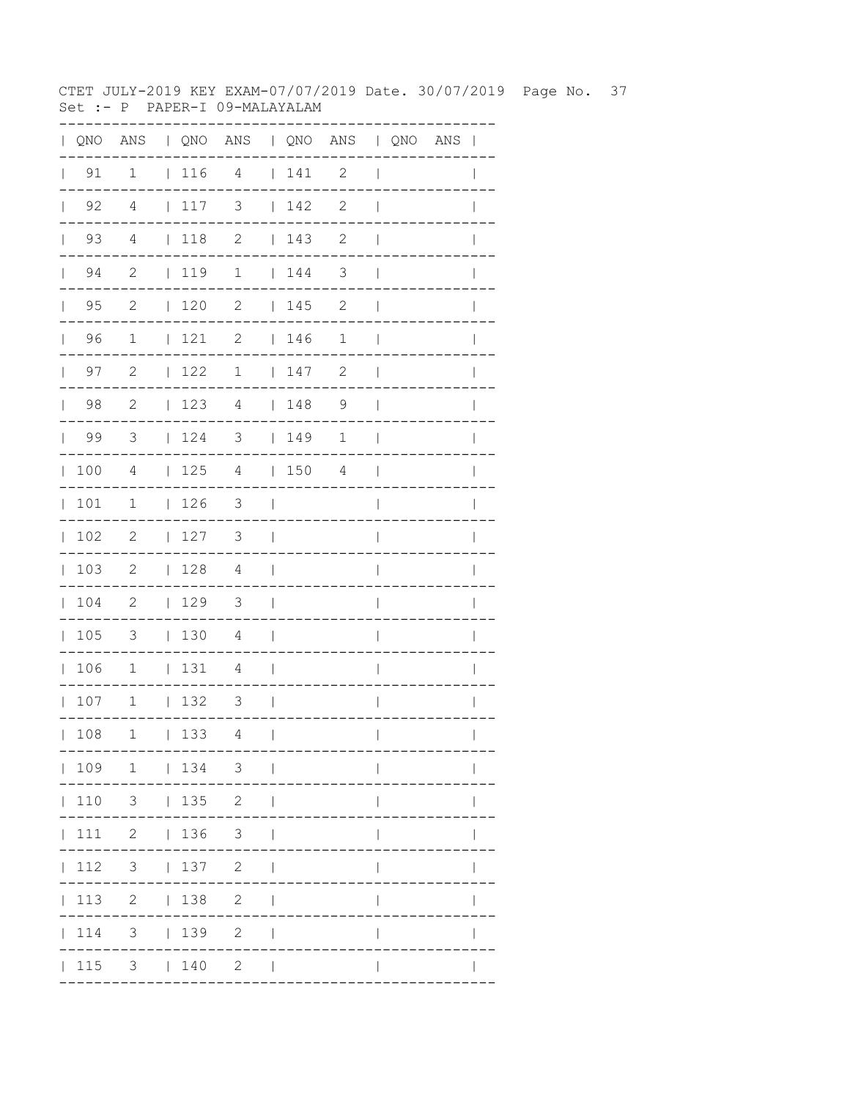CTET JULY-2019 KEY EXAM-07/07/2019 Date. 30/07/2019 Page No. 37 Set :- P PAPER-I 09-MALAYALAM

|              |                    | QNO ANS   QNO ANS   QNO ANS   QNO ANS |             |                          |                                 |         |                            |                          |  |              |
|--------------|--------------------|---------------------------------------|-------------|--------------------------|---------------------------------|---------|----------------------------|--------------------------|--|--------------|
| $\mathbf{L}$ | 91                 | 1                                     |             | $116$ 4                  |                                 | $141$ 2 |                            | $\overline{\phantom{a}}$ |  |              |
|              | $\vert$ 92         | $\overline{4}$                        | 117         | $\overline{\mathbf{3}}$  |                                 | 142     | $\overline{\phantom{0}}^2$ | $\overline{\phantom{a}}$ |  |              |
|              | $\vert$ 93         | $\overline{4}$                        | $118$ 2     |                          |                                 | 143     | $\overline{\phantom{0}}$   | $\overline{\phantom{a}}$ |  |              |
|              | $\vert$ 94         | $\overline{2}$                        | 119         | $\overline{1}$           |                                 | 144     | $\overline{\phantom{a}}$   | $\overline{\phantom{a}}$ |  |              |
|              | 95<br>$\mathbf{L}$ | $\overline{c}$                        | $\vert$ 120 | $\overline{2}$           |                                 | 145     | 2                          | $\mathbf{I}$             |  |              |
|              | $\vert$ 96         | $\overline{1}$                        | 121         | $\overline{\phantom{a}}$ |                                 | 146     | 1                          | $\blacksquare$           |  | $\mathbf{I}$ |
|              | 97<br>$\mathbf{L}$ | $\overline{\phantom{0}}^2$            | 122         | $\mathbf{1}$             |                                 | 147     | 2                          | $\overline{\phantom{a}}$ |  |              |
|              | 98                 | $\overline{\phantom{0}}^2$            | 123         | $\overline{4}$           |                                 | 148     | $\overline{9}$             | $\overline{\phantom{a}}$ |  |              |
|              | $\vert$ 99         | $\overline{\mathbf{3}}$               |             | $124$ 3   149            |                                 |         | $\mathbf 1$                | $\Box$                   |  | I            |
|              | 100                | $\overline{4}$                        |             | $125$ 4   150 4          |                                 |         |                            | $\mathcal{L}$            |  |              |
| $\mathbf{L}$ | 101                | $\mathbf 1$                           | 126         | $\overline{\mathbf{3}}$  | $\sim$                          |         |                            |                          |  |              |
|              | 102                | 2                                     | 127         | $3 \mid$                 |                                 |         |                            | $\overline{1}$           |  |              |
|              | 103                | $\overline{\phantom{a}}^2$            | 128         | 4                        | $\sim$                          |         |                            | $\overline{\phantom{a}}$ |  | $\mathbf{I}$ |
|              | 104                | $\overline{\phantom{0}}^2$            | 129         | $\overline{\phantom{a}}$ | $\sim$ 1                        |         |                            | $\overline{\phantom{a}}$ |  |              |
|              | 105                | $\overline{\phantom{a}}$              | 1304        |                          | $\sim$                          |         |                            | $\overline{\phantom{a}}$ |  |              |
|              | 106                | $\overline{\phantom{0}}$              | 131 4       |                          | $\sim$ 1                        |         |                            | $\overline{1}$           |  | $\mathbf{I}$ |
|              | 107                | $\mathbf{1}$                          | $132$ 3     |                          | $\sim$ 1                        |         |                            | $\overline{\phantom{a}}$ |  | $\mathbf{I}$ |
|              | 108                | $\mathbf 1$                           | 133         | 4                        | $\Box$                          |         |                            | $\overline{1}$           |  | $\mathbf{I}$ |
|              |                    | 109 1   134 3                         |             |                          |                                 |         |                            | $\mathsf{I}$             |  |              |
|              |                    | 110 3   135 2                         |             |                          | $\perp$                         |         |                            |                          |  |              |
|              |                    | 111 2   136 3                         |             |                          |                                 |         |                            |                          |  |              |
|              |                    | $ 112 \t3 \t 137 \t2$                 |             |                          | $\Box$                          |         |                            | $\mathbf{I}$             |  |              |
|              |                    | 113 2   138 2                         |             |                          | $\Box$                          |         |                            | $\mathbf{I}$             |  |              |
|              |                    | $ 114$ 3 $ 139$ 2                     |             |                          | $\overline{1}$                  |         |                            |                          |  |              |
|              |                    | $ 115 \t3 \t 140 \t2$                 |             |                          | <b>Contract Contract Street</b> |         |                            |                          |  |              |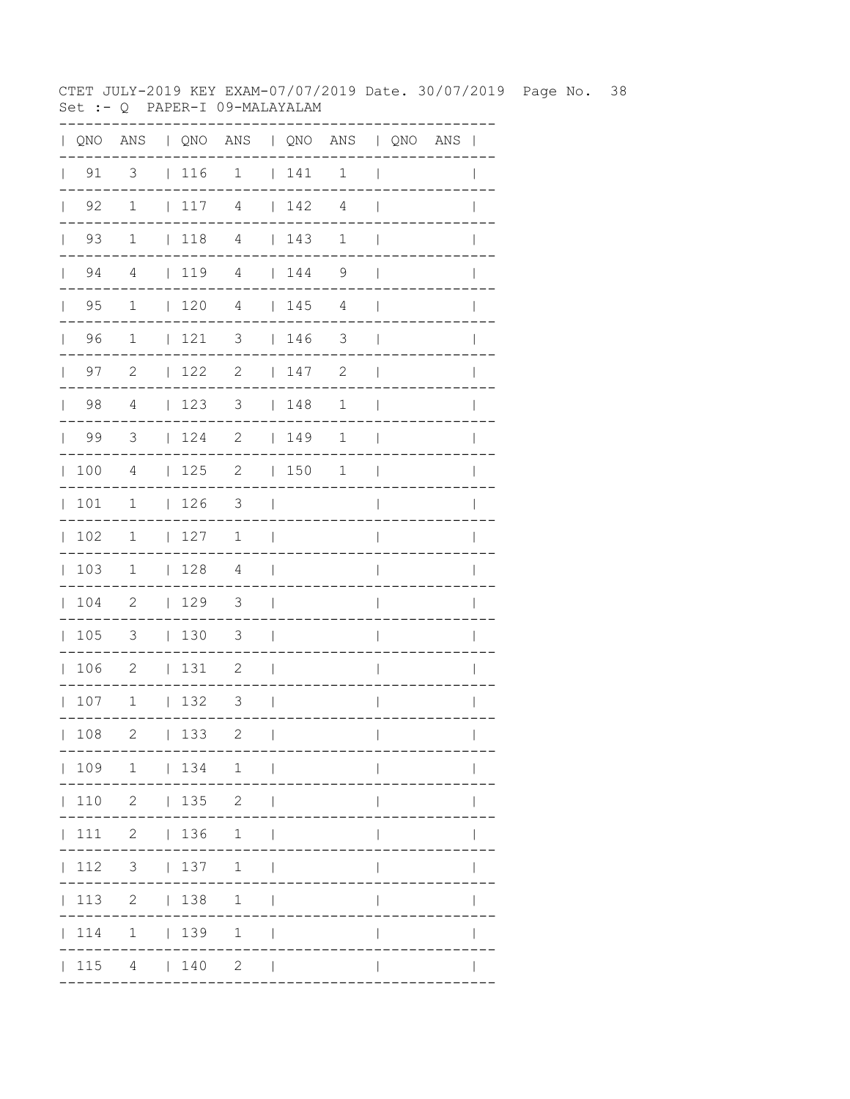CTET JULY-2019 KEY EXAM-07/07/2019 Date. 30/07/2019 Page No. 38 Set :- Q PAPER-I 09-MALAYALAM

|              |                      |                            |            |             | QNO ANS   QNO ANS   QNO ANS   QNO ANS       |                |            |                            |                          |  | $\blacksquare$ |
|--------------|----------------------|----------------------------|------------|-------------|---------------------------------------------|----------------|------------|----------------------------|--------------------------|--|----------------|
| $\mathbb{R}$ | 91                   | 3                          | $\sim$ 1.0 | 116         | $\mathbf{1}$                                | $\mathbb{R}$   | 141        | 1                          | $\overline{\phantom{a}}$ |  |                |
|              | $\vert$ 92           | $\mathbf{1}$               | $\perp$    | 117         | $\overline{4}$                              |                | $142$ 4    |                            | $\mathbf{I}$             |  |                |
|              | $\vert$ 93           | $\mathbf{1}$               | $\Box$     | 118         | $\overline{4}$                              |                | 143        | $\mathbf 1$                | $\mathbf{I}$             |  |                |
|              | $\vert$ 94           | $\overline{4}$             | $\Box$     | 119         | $\overline{4}$                              |                | $144$ 9    |                            | $\mathbf{I}$             |  |                |
|              | 95<br>$\mathbb{R}^n$ | $\mathbf 1$                |            | 120         | 4                                           |                | 145        | 4                          | $\overline{\phantom{a}}$ |  |                |
|              | 96<br>$\mathbf{L}$   | $\overline{1}$             |            | 121         | 3   146                                     |                |            | $\overline{\phantom{a}}$   | $\overline{\phantom{a}}$ |  |                |
|              | 97<br>$\mathbb{R}^n$ | $\overline{c}$             |            | 122         | $\overline{\phantom{a}}$                    |                | 147        | $\overline{\phantom{0}}^2$ | $\mathbf{I}$             |  |                |
|              | 98                   | $\overline{4}$             |            | 123         | $\overline{\mathbf{3}}$                     |                | 148        | 1                          | $\mathbf{I}$             |  |                |
|              | $\vert$ 99           | $\overline{\mathbf{3}}$    |            |             | $124$ 2   149                               |                |            | $\mathbf 1$                | $\blacksquare$           |  |                |
|              | 100                  | $\overline{4}$             |            | 125 2       |                                             |                | $ 150 \t1$ |                            | $\mathcal{L}$            |  |                |
|              | 101                  | $\mathbf 1$                |            | $\vert$ 126 | $\overline{\mathbf{3}}$<br>and the property |                |            |                            |                          |  |                |
|              | 102                  | 1                          |            | 127         | 1                                           | $\sim$ 1       |            |                            | $\overline{\phantom{a}}$ |  |                |
|              | 103                  | $\mathbf 1$                |            | $128$ 4     |                                             | $\sim$         |            |                            | $\mathbf{I}$             |  | I              |
|              | 104                  | $\overline{\phantom{0}}^2$ |            | 129         | $\overline{\mathbf{3}}$                     | $\blacksquare$ |            |                            | I                        |  |                |
|              | 105                  | $\overline{\phantom{a}}$   |            | $ 130 \t3$  |                                             | $\sim$         |            |                            | $\overline{\phantom{a}}$ |  |                |
|              | 106                  | $\overline{\phantom{0}}$   |            | 131         | $\overline{\phantom{a}}$                    | $\blacksquare$ |            |                            | $\overline{1}$           |  | $\mathbf{I}$   |
|              | 107                  | $\overline{1}$             |            | 132         | $\overline{\phantom{a}}$                    | $\blacksquare$ |            |                            | $\overline{\phantom{a}}$ |  | $\mathbf{I}$   |
|              | 108                  | $\mathbf{2}$               |            | 133         | 2                                           | $\perp$        |            |                            | $\overline{1}$           |  | $\mathbf{I}$   |
|              |                      |                            |            |             | $ 109 \t1 \t 134 \t1 \t $                   |                |            |                            | $\mathbf{I}$             |  |                |
|              |                      | $ 110 \t2 \t 135 \t2$      |            |             |                                             | $\Box$         |            |                            |                          |  |                |
|              |                      | 111 2   136 1              |            |             |                                             | $\perp$        |            |                            |                          |  |                |
|              |                      |                            |            |             | 112 3   137 1                               |                |            |                            | $\mathbb{I}$             |  |                |
|              |                      | 113 2   138 1              |            |             |                                             | $\mathbf{I}$   |            |                            | $\mathbf{I}$             |  |                |
|              |                      | 114 1   139 1              |            |             |                                             | $\perp$        |            |                            |                          |  |                |
|              |                      | $ 115 \t4 \t 140 \t2$      |            |             |                                             | $\sim$ 1       |            |                            |                          |  |                |
|              |                      |                            |            |             |                                             |                |            |                            |                          |  |                |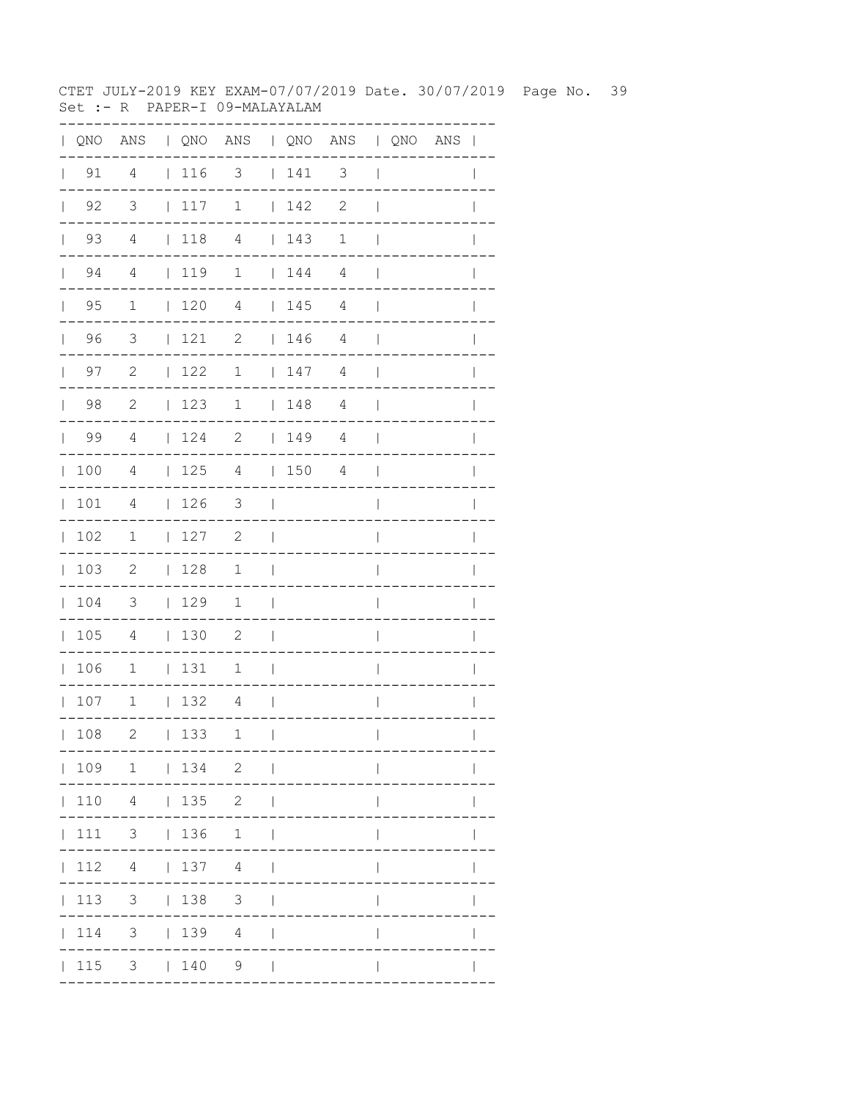CTET JULY-2019 KEY EXAM-07/07/2019 Date. 30/07/2019 Page No. 39 Set :- R PAPER-I 09-MALAYALAM

| QNO | ANS                     |              |     | QNO ANS   QNO ANS   QNO ANS |              |     |                          |                |             |              |
|-----|-------------------------|--------------|-----|-----------------------------|--------------|-----|--------------------------|----------------|-------------|--------------|
| 91  | $\overline{4}$          |              | 116 | $\overline{\mathbf{3}}$     |              | 141 | $\overline{\phantom{a}}$ | $\overline{1}$ |             |              |
| 92  | $\overline{\mathbf{3}}$ | $\mathbf{L}$ | 117 | $\mathbf 1$                 | $\mathbf{L}$ | 142 | $\mathbf{2}$             |                |             |              |
| 93  | $\overline{4}$          | $\mathbf{L}$ | 118 | $\overline{4}$              | $\mathbf{L}$ | 143 | $1\,$                    |                |             |              |
| 94  | $\overline{4}$          |              | 119 | $\overline{1}$              | $\mathbf{L}$ | 144 | $\overline{4}$           |                |             |              |
| 95  | 1                       | $\mathbf{L}$ | 120 | 4                           |              | 145 | 4                        |                |             |              |
| 96  | 3                       | $\mathbf{L}$ | 121 | 2                           |              | 146 | 4                        |                |             |              |
| 97  | $\mathbf{2}$            | $\mathbf{L}$ | 122 | 1                           |              | 147 | $\overline{4}$           |                |             |              |
| 98  | $\mathbf{2}$            | $\mathbf{L}$ | 123 | 1                           | $\mathbf{L}$ | 148 | $\overline{4}$           |                |             |              |
| 99  | $\overline{4}$          | L            | 124 | $\mathbf{2}$                | $\mathbf{L}$ | 149 | $\overline{4}$           |                |             |              |
| 100 | $\overline{4}$          | $\mathbf{L}$ | 125 | 4                           | $\mathbf{L}$ | 150 | 4                        |                |             |              |
| 101 | 4                       | L            | 126 | 3                           |              |     |                          |                |             |              |
| 102 | 1                       | L            | 127 | $\mathbf{2}$                |              |     |                          |                |             |              |
| 103 | $\mathbf{2}$            | L            | 128 | $\mathbf 1$                 |              |     |                          |                |             |              |
| 104 | 3                       | L            | 129 | $\mathbf 1$                 |              |     |                          |                |             |              |
| 105 | 4                       | $\mathbf{L}$ | 130 | 2                           |              |     |                          |                |             |              |
| 106 | $\mathbf 1$             | L            | 131 | $\mathbf 1$                 |              |     |                          |                |             |              |
| 107 | $1\,$                   | L            | 132 | 4                           |              |     |                          |                |             |              |
| 108 | 2                       |              | 133 | 1<br>$-- -$                 | $\Box$       |     |                          | $\mathbf{L}$   | ----------- | $\mathbf{L}$ |
|     |                         |              |     | 109 1   134 2               |              |     |                          |                |             |              |
|     |                         |              |     | 110  4    135  2            |              |     |                          |                |             |              |
|     |                         |              |     | 111 3   136 1               |              |     |                          |                |             |              |
|     |                         |              |     | $ 112 \t4 \t 137 \t4 \t $   |              |     |                          |                |             |              |
|     |                         |              |     | 113 3   138 3               |              |     |                          | L              |             |              |
|     |                         |              |     | 114 3   139 4               |              |     |                          | $\mathbf{I}$   |             |              |
|     |                         |              |     | 115 3   140 9               |              |     |                          |                |             |              |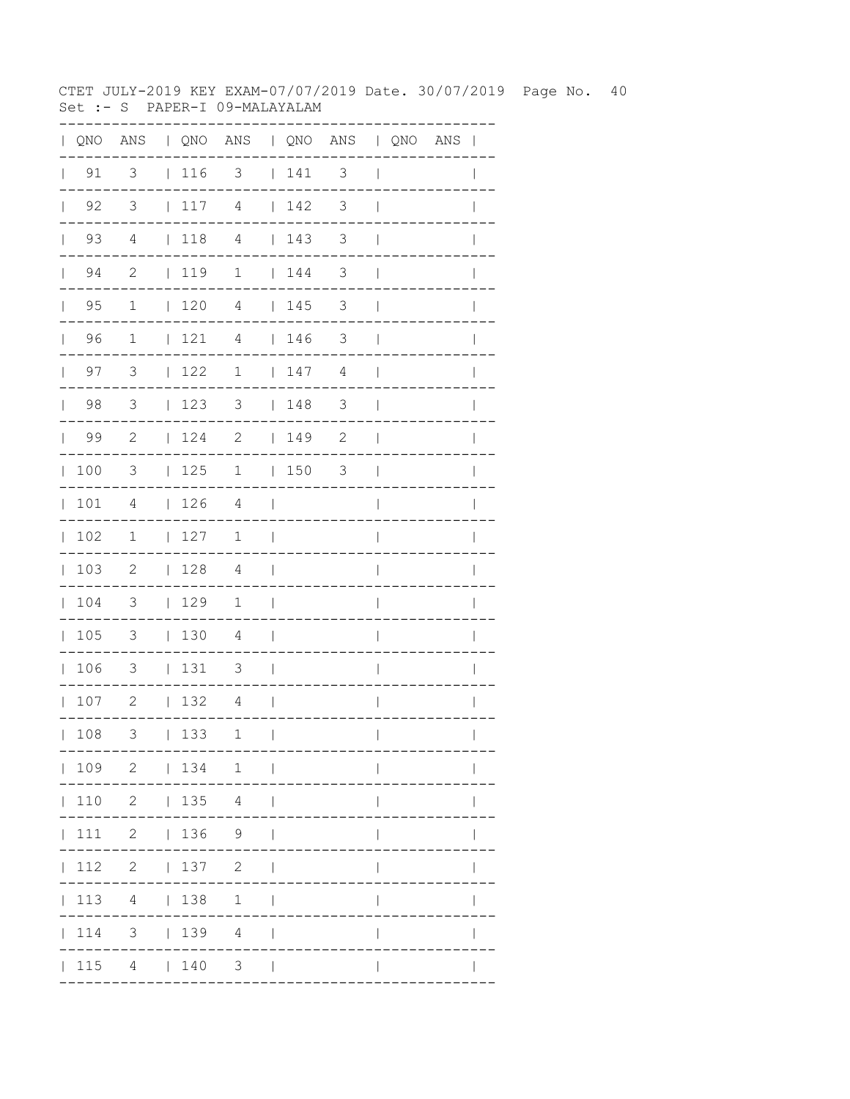CTET JULY-2019 KEY EXAM-07/07/2019 Date. 30/07/2019 Page No. 40 Set :- S PAPER-I 09-MALAYALAM

| QNO | $\mathop{\rm ANS}\nolimits$ |              |     | QNO ANS   QNO ANS   QNO ANS |              |     |                          |              |             |              |
|-----|-----------------------------|--------------|-----|-----------------------------|--------------|-----|--------------------------|--------------|-------------|--------------|
| 91  | $\overline{\mathbf{3}}$     |              | 116 | $\overline{\phantom{a}}$    |              | 141 | $\overline{\phantom{a}}$ |              |             |              |
| 92  | $\overline{\mathbf{3}}$     | $\mathbf{L}$ | 117 | $\overline{4}$              | $\mathbf{L}$ | 142 | 3                        |              |             |              |
| 93  | $\overline{4}$              | $\mathbf{L}$ | 118 | $\overline{4}$              | $\mathbf{L}$ | 143 | 3                        |              |             |              |
| 94  | $\overline{\phantom{0}}^2$  | $\mathbf{L}$ | 119 | $\mathbf{1}$                | $\mathbf{L}$ | 144 | 3                        |              |             |              |
| 95  | 1                           | $\mathbf{L}$ | 120 | 4                           |              | 145 | 3                        |              |             |              |
| 96  | $\mathbf 1$                 | L            | 121 | 4                           |              | 146 | 3                        |              |             |              |
| 97  | 3                           | $\mathbf{L}$ | 122 | 1                           |              | 147 | $\overline{4}$           |              |             |              |
| 98  | 3                           | L            | 123 | 3                           | $\mathbf{L}$ | 148 | $\mathfrak{Z}$           |              |             |              |
| 99  | $\mathbf{2}$                | $\mathbf{L}$ | 124 | $\mathbf{2}$                | $\mathbf{L}$ | 149 | $\mathbf{2}$             |              |             |              |
| 100 | 3                           | $\mathbf{L}$ | 125 | 1                           | $\mathbf{L}$ | 150 | 3                        |              |             |              |
| 101 | 4                           | L            | 126 | 4                           |              |     |                          |              |             |              |
| 102 | 1                           | L            | 127 | 1                           |              |     |                          |              |             |              |
| 103 | $\mathbf{2}$                | L            | 128 | 4                           |              |     |                          |              |             |              |
| 104 | 3                           | $\mathbf{L}$ | 129 | 1                           |              |     |                          |              |             |              |
| 105 | 3                           | $\mathbf{L}$ | 130 | 4                           |              |     |                          |              |             |              |
| 106 | 3                           | L            | 131 | 3                           |              |     |                          |              |             |              |
| 107 | $\mathbf{2}$                | L            | 132 | 4                           |              |     |                          |              |             |              |
| 108 | 3                           |              | 133 | 1<br>---                    | $\mathbf{I}$ |     | . _ _ _ _ _ _ _ _ _ .    | $\mathbf{L}$ | ----------- | $\mathbf{L}$ |
|     |                             |              |     | 109 2   134 1               |              |     | ------------             |              |             |              |
|     |                             |              |     | 110 2   135 4               |              |     |                          |              |             |              |
|     |                             |              |     | 111 2   136 9               |              |     |                          |              |             |              |
|     |                             |              |     | 112 2   137 2               |              |     |                          |              |             |              |
|     |                             |              |     | 113 4   138 1               |              |     |                          | L            |             |              |
|     |                             |              |     | 114 3   139 4               |              |     |                          | L            |             |              |
|     |                             |              |     | $ 115 \t4 \t 140 \t3 \t $   |              |     |                          |              |             |              |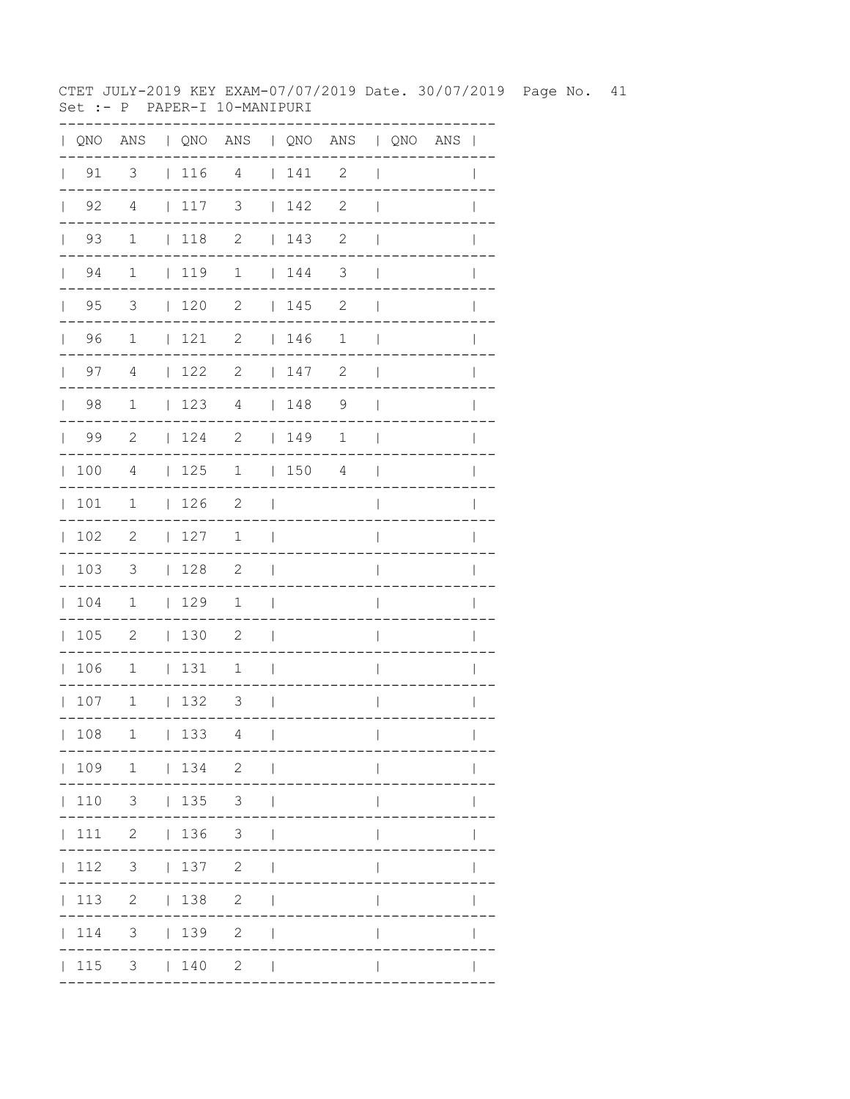CTET JULY-2019 KEY EXAM-07/07/2019 Date. 30/07/2019 Page No. 41 Set :- P PAPER-I 10-MANIPURI

| QNO | ANS                     |              |            | QNO ANS   QNO ANS   QNO ANS |              |     |                            |              |  |              |
|-----|-------------------------|--------------|------------|-----------------------------|--------------|-----|----------------------------|--------------|--|--------------|
| 91  | $\overline{\mathbf{3}}$ |              | 116        | 4                           | $\mathbf{L}$ | 141 | $\overline{\phantom{0}}$ 2 |              |  |              |
| 92  | $\overline{4}$          | $\mathbf{L}$ | 117        | 3                           |              | 142 | 2                          |              |  |              |
| 93  | $\mathbf{1}$            |              | 118        | $\overline{\phantom{0}}$    |              | 143 | 2                          |              |  |              |
| 94  | $\mathbf 1$             |              | 119        | $\overline{1}$              |              | 144 | 3                          |              |  |              |
| 95  | 3                       | $\mathbf{L}$ | 120        | 2                           | $\mathbf{L}$ | 145 | 2                          |              |  |              |
| 96  | 1                       | $\mathbf{L}$ | 121        | 2                           | $\mathbf{L}$ | 146 | $\mathbf 1$                |              |  |              |
| 97  | $\overline{4}$          | $\mathbf{L}$ | 122        | 2                           | $\mathbf{L}$ | 147 | 2                          |              |  |              |
| 98  | $1\,$                   | $\mathbf{L}$ | 123        | 4                           | $\mathbf{L}$ | 148 | $\mathsf 9$                |              |  |              |
| 99  | $\mathbf{2}$            | $\mathbf{L}$ | 124        | $\mathbf{2}$                | $\mathbf{L}$ | 149 | $\mathbf 1$                |              |  |              |
| 100 | 4                       | $\mathbf{L}$ | 125        | $\mathbf 1$                 | $\mathbf{L}$ | 150 | 4                          |              |  |              |
| 101 | 1                       | $\mathbf{L}$ | 126        | $\mathbf{2}$                |              |     |                            |              |  |              |
| 102 | $\mathbf{2}$            | $\mathbf{L}$ | 127        | 1                           |              |     |                            |              |  |              |
| 103 | 3                       | $\mathbf{L}$ | 128        | 2                           | I            |     |                            |              |  |              |
| 104 | 1                       | $\mathbf{L}$ | 129        | 1                           |              |     |                            |              |  |              |
| 105 | $\mathbf{2}$            | $\mathbf{L}$ | 130        | $\overline{c}$              |              |     |                            |              |  |              |
| 106 | $\mathbf 1$             | $\mathbf{L}$ | 131        | 1                           |              |     |                            |              |  |              |
| 107 | $1\,$                   | $\mathbf{L}$ | 132        | 3                           |              |     |                            |              |  |              |
| 108 |                         |              | $1 \t 133$ | $4\overline{ }$             | $\sim$ 1.    |     |                            | L            |  | $\mathbf{L}$ |
|     |                         |              |            | 109 1   134 2               |              |     | . _ _ _ _ _ _ _ _ _ .      |              |  |              |
|     |                         |              |            | 110 3   135 3               |              |     | ----------                 |              |  |              |
|     |                         |              |            | 111 2   136 3               |              |     |                            |              |  |              |
|     |                         |              |            | 112 3   137 2               |              |     |                            | $\mathbf{L}$ |  |              |
|     |                         |              |            | 113 2   138 2               |              |     |                            | L            |  |              |
|     |                         |              |            | 114 3   139 2               |              |     |                            | L            |  |              |
|     |                         |              |            | 115 3   140 2               |              |     |                            | L            |  |              |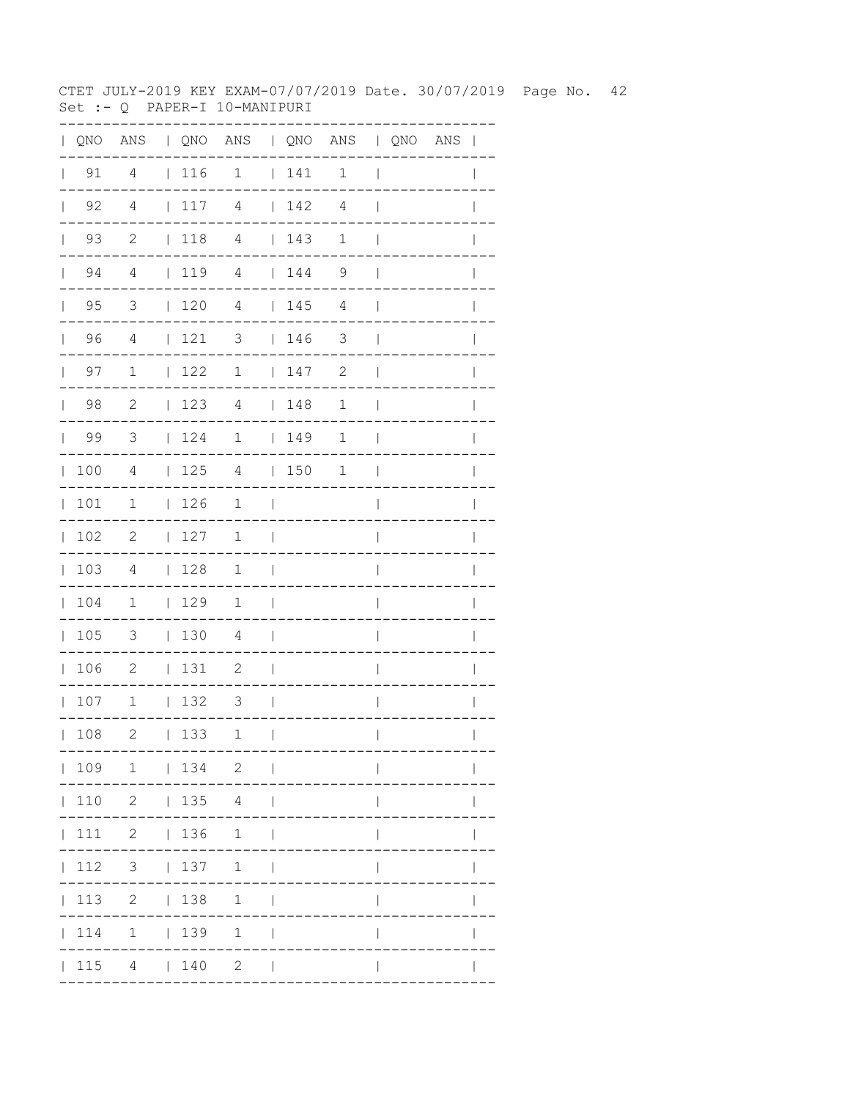CTET JULY-2019 KEY EXAM-07/07/2019 Date. 30/07/2019 Page No. 42 Set :- Q PAPER-I 10-MANIPURI

| QNO | ANS                        |              |      | QNO ANS   QNO ANS   QNO ANS |              |     |                       |                          |             |              |
|-----|----------------------------|--------------|------|-----------------------------|--------------|-----|-----------------------|--------------------------|-------------|--------------|
| 91  | $\overline{4}$             |              | 116  | $\overline{\mathbf{1}}$     | $\mathbf{L}$ | 141 | $\overline{1}$        | $\overline{\phantom{a}}$ |             |              |
| 92  | $\overline{4}$             | $\mathbf{L}$ | 117  | $\overline{4}$              | $\mathbf{L}$ | 142 | 4                     |                          |             |              |
| 93  | $\overline{\phantom{0}}^2$ | $\mathbf{L}$ | 118  | $\overline{4}$              | $\mathbf{L}$ | 143 | $1\,$                 |                          |             |              |
| 94  | $\overline{4}$             |              | 1119 | 4                           | $\mathbf{L}$ | 144 | $\mathcal{G}$         |                          |             |              |
| 95  | 3                          | $\mathbf{L}$ | 120  | 4                           |              | 145 | 4                     |                          |             |              |
| 96  | 4                          | $\mathbf{L}$ | 121  | 3                           |              | 146 | 3                     |                          |             |              |
| 97  | $\mathbf 1$                | $\mathbf{L}$ | 122  | 1                           |              | 147 | $\mathbf{2}$          |                          |             |              |
| 98  | $\sqrt{2}$                 | $\mathbf{L}$ | 123  | 4                           | $\mathbf{L}$ | 148 | $\mathbf 1$           |                          |             |              |
| 99  | $\mathcal{S}$              | L            | 124  | 1                           | $\mathbf{L}$ | 149 | $\mathbf 1$           |                          |             |              |
| 100 | $\overline{4}$             | L            | 125  | 4                           | $\mathbf{L}$ | 150 | $\mathbf 1$           |                          |             |              |
| 101 | 1                          | $\mathbf{L}$ | 126  | 1                           |              |     |                       |                          |             |              |
| 102 | $\mathbf{2}$               | L            | 127  | 1                           |              |     |                       |                          |             |              |
| 103 | 4                          | L            | 128  | $\mathbf 1$                 |              |     |                       |                          |             |              |
| 104 | 1                          | $\mathbf{L}$ | 129  | $\mathbf 1$                 |              |     |                       |                          |             |              |
| 105 | 3                          | $\mathbf{L}$ | 130  | 4                           |              |     |                       |                          |             |              |
| 106 | $\mathbf{2}$               | L            | 131  | 2                           |              |     |                       |                          |             |              |
| 107 | $1\,$                      | L            | 132  | 3                           |              |     |                       |                          |             |              |
| 108 | 2                          |              | 133  | $\mathbf{1}$                | $\Box$       |     |                       | $\mathbf{L}$             |             | $\mathbf{L}$ |
|     |                            |              |      | $-- -$<br>  109 1   134 2   |              |     | . _ _ _ _ _ _ _ _ _ . |                          | ----------- |              |
|     |                            |              |      | 110 2   135 4               |              |     |                       |                          |             |              |
|     |                            |              |      | 111 2   136 1               |              |     |                       |                          |             |              |
|     |                            |              |      | 112 3   137 1               |              |     |                       |                          |             |              |
|     |                            |              |      | 113 2   138 1               |              |     |                       | L                        |             |              |
|     |                            |              |      | 114 1   139 1               |              |     |                       | $\mathbf{I}$             |             |              |
|     |                            |              |      | $ 115 \t4 \t  140 \t2 \t $  |              |     |                       | $\mathbb{L}$             |             |              |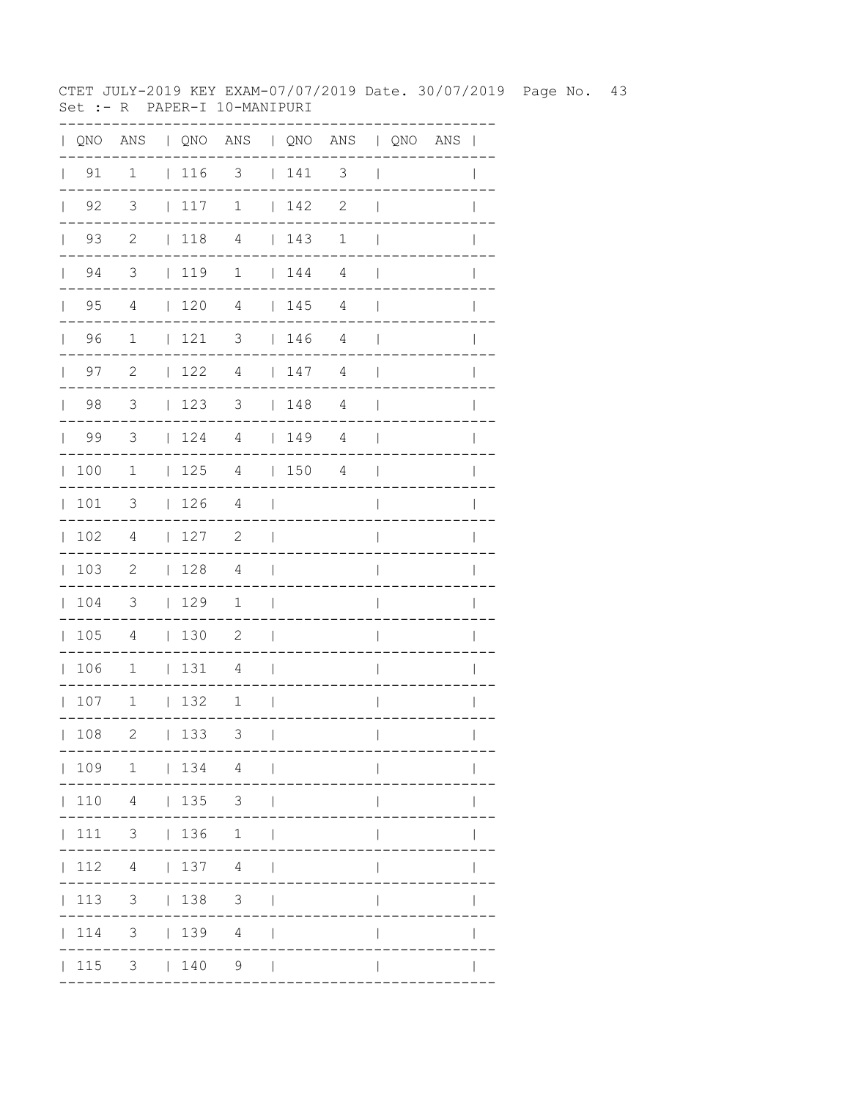CTET JULY-2019 KEY EXAM-07/07/2019 Date. 30/07/2019 Page No. 43 Set :- R PAPER-I 10-MANIPURI

| QNO | ANS                        |              |     | QNO ANS   QNO ANS   QNO ANS |              |     |                          |                |             |              |
|-----|----------------------------|--------------|-----|-----------------------------|--------------|-----|--------------------------|----------------|-------------|--------------|
| 91  | $\mathbf 1$                |              | 116 | $\overline{\phantom{a}}$    |              | 141 | $\overline{\phantom{a}}$ | $\overline{1}$ |             |              |
| 92  | 3                          | $\mathbf{L}$ | 117 | $\mathbf 1$                 | $\mathbf{L}$ | 142 | $\mathbf{2}$             |                |             |              |
| 93  | $\overline{\phantom{0}}^2$ | $\mathbf{L}$ | 118 | $\overline{4}$              | $\mathbf{L}$ | 143 | $1\,$                    |                |             |              |
| 94  | $\mathcal{S}$              | $\mathbf{L}$ | 119 | $\mathbf 1$                 | $\mathbf{L}$ | 144 | $\overline{4}$           |                |             |              |
| 95  | $\overline{4}$             | $\mathbf{L}$ | 120 | 4                           |              | 145 | 4                        |                |             |              |
| 96  | 1                          | L            | 121 | 3                           |              | 146 | 4                        |                |             |              |
| 97  | $\mathbf{2}$               | $\mathbf{L}$ | 122 | 4                           |              | 147 | $\overline{4}$           |                |             |              |
| 98  | 3                          | $\mathbf{L}$ | 123 | 3                           | $\mathbf{L}$ | 148 | $\overline{4}$           |                |             |              |
| 99  | 3                          | L            | 124 | 4                           | $\mathbf{L}$ | 149 | $\overline{4}$           |                |             |              |
| 100 | 1                          | L            | 125 | 4                           | $\mathbf{L}$ | 150 | 4                        |                |             |              |
| 101 | 3                          | L            | 126 | 4                           |              |     |                          |                |             |              |
| 102 | $\overline{4}$             | L            | 127 | $\mathbf{2}$                |              |     |                          |                |             |              |
| 103 | $\mathbf{2}$               | L            | 128 | 4                           |              |     |                          |                |             |              |
| 104 | 3                          | L            | 129 | 1                           |              |     |                          |                |             |              |
| 105 | 4                          | $\mathbf{L}$ | 130 | $\mathbf{2}$                |              |     |                          |                |             |              |
| 106 | $\mathbf 1$                | L            | 131 | 4                           |              |     |                          |                |             |              |
| 107 | $1\,$                      | L            | 132 | 1                           |              |     |                          |                |             |              |
| 108 | 2                          |              | 133 | 3                           | $\mathbf{I}$ |     | . _ _ _ _ _ _ _ _ _ .    | $\mathbf{L}$   | ----------- | $\mathbf{L}$ |
|     |                            |              |     | 109 1   134 4               |              |     |                          |                |             |              |
|     |                            |              |     | 110  4    135  3            |              |     |                          |                |             |              |
|     |                            |              |     | 111 3   136 1               |              |     |                          |                |             |              |
|     |                            |              |     | $ 112 \t4 \t 137 \t4 \t $   |              |     |                          |                |             |              |
|     |                            |              |     | 113 3   138 3               |              |     |                          | L              |             |              |
|     |                            |              |     | 114 3   139 4               |              |     |                          | $\mathbf{I}$   |             |              |
|     |                            |              |     | $ 115 \t3 \t 140 \t9 \t $   |              |     |                          |                |             |              |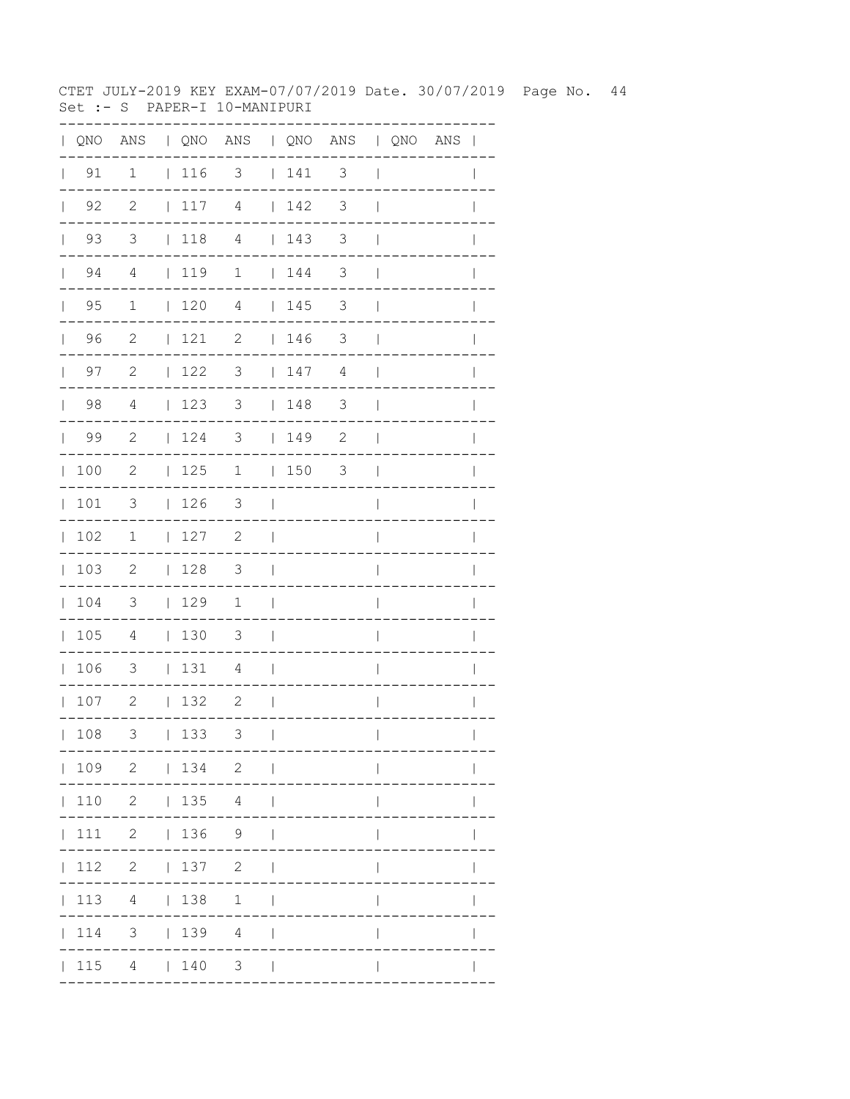CTET JULY-2019 KEY EXAM-07/07/2019 Date. 30/07/2019 Page No. 44 Set :- S PAPER-I 10-MANIPURI

| QNO | ANS                     |              |     | QNO ANS   QNO ANS   QNO ANS |              |             |                          |              |                       |              |
|-----|-------------------------|--------------|-----|-----------------------------|--------------|-------------|--------------------------|--------------|-----------------------|--------------|
| 91  | $\mathbf 1$             |              | 116 | $\overline{\phantom{a}}$    |              | $\vert$ 141 | $\overline{\phantom{a}}$ |              |                       |              |
| 92  | $\overline{c}$          | $\mathbf{L}$ | 117 | $\overline{4}$              | $\mathbf{L}$ | 142         | 3                        |              |                       |              |
| 93  | $\overline{\mathbf{3}}$ | $\mathbf{L}$ | 118 | $\overline{4}$              | $\mathbf{L}$ | 143         | 3                        |              |                       |              |
| 94  | $\overline{4}$          | $\mathbf{L}$ | 119 | 1                           | $\mathbf{L}$ | 144         | 3                        |              |                       |              |
| 95  | 1                       | $\mathbf{L}$ | 120 | 4                           |              | 145         | 3                        |              |                       |              |
| 96  | $\mathbf{2}$            | L            | 121 | 2                           |              | 146         | 3                        |              |                       |              |
| 97  | $\mathbf{2}$            | $\mathbf{L}$ | 122 | 3                           |              | 147         | $\overline{4}$           |              |                       |              |
| 98  | 4                       | L            | 123 | 3                           | $\mathbf{L}$ | 148         | $\mathsf 3$              |              |                       |              |
| 99  | $\mathbf{2}$            | $\mathbf{L}$ | 124 | 3                           | $\mathbf{L}$ | 149         | $\mathbf{2}$             |              |                       |              |
| 100 | $\mathbf{2}$            | L            | 125 | $\mathbf 1$                 | $\mathbf{L}$ | 150         | 3                        |              |                       |              |
| 101 | 3                       | L            | 126 | 3                           |              |             |                          |              |                       |              |
| 102 | 1                       | L            | 127 | $\mathbf{2}$                |              |             |                          |              |                       |              |
| 103 | $\mathbf{2}$            | L            | 128 | 3                           |              |             |                          |              |                       |              |
| 104 | 3                       | $\mathbf{L}$ | 129 | $\mathbf 1$                 |              |             |                          |              |                       |              |
| 105 | 4                       | $\mathbf{L}$ | 130 | 3                           |              |             |                          |              |                       |              |
| 106 | 3                       | L            | 131 | 4                           |              |             |                          |              |                       |              |
| 107 | $\mathbf{2}$            | L            | 132 | 2                           |              |             |                          |              |                       |              |
| 108 | 3                       |              | 133 | 3                           | $\Box$       |             | . _ _ _ _ _ _ _ _ _ .    | $\mathbf{L}$ | . - - - - - - - - - . | $\mathbf{L}$ |
|     |                         |              |     | 109 2   134 2               |              |             |                          |              |                       |              |
|     |                         |              |     | 110 2   135 4               |              |             |                          |              |                       |              |
|     |                         |              |     | 111 2   136 9               |              |             |                          |              |                       |              |
|     |                         |              |     | 112 2   137 2               |              |             |                          |              |                       |              |
|     |                         |              |     | 113 4   138 1               |              |             |                          | L            |                       |              |
|     |                         |              |     | 114 3   139 4               |              |             |                          | L            |                       |              |
|     |                         |              |     | $ 115 \t4 \t 140 \t3 \t $   |              |             |                          |              |                       |              |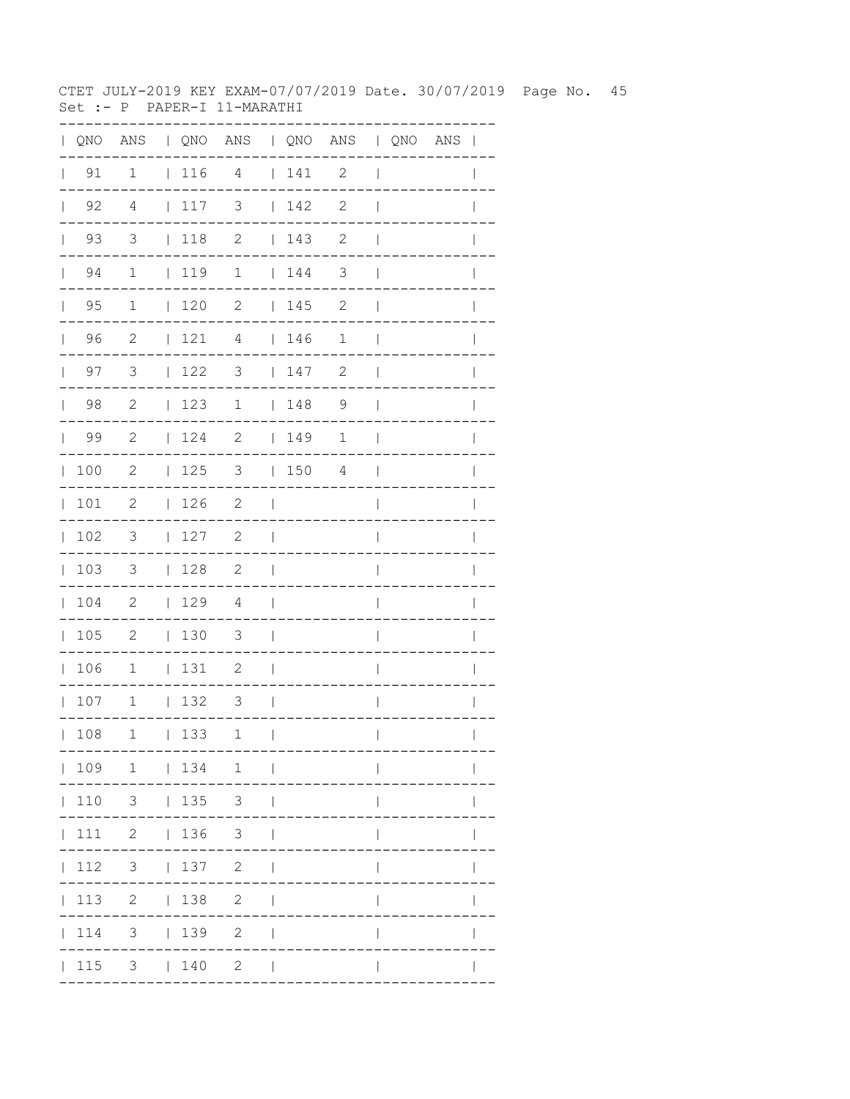CTET JULY-2019 KEY EXAM-07/07/2019 Date. 30/07/2019 Page No. 45 Set :- P PAPER-I 11-MARATHI

| $\mathbf{L}$ |                    |                          |              |             | QNO ANS   QNO ANS   QNO ANS   QNO ANS |                          |                                        |                |                          |  | $\overline{\phantom{a}}$ |
|--------------|--------------------|--------------------------|--------------|-------------|---------------------------------------|--------------------------|----------------------------------------|----------------|--------------------------|--|--------------------------|
| $\mathbf{L}$ | 91                 | $\mathbf 1$              |              | 116 4       |                                       |                          | 141                                    | $\mathbf{2}$   | $\overline{\phantom{a}}$ |  |                          |
|              | $\vert$ 92         | 4                        |              | 117         | 3                                     |                          | 142                                    | $\mathbf{2}$   | $\overline{1}$           |  |                          |
|              | 93<br>$\mathbf{L}$ | 3                        |              | $\vert$ 118 | $\mathbf{2}$                          |                          | 143                                    | 2              | $\mathbf{I}$             |  |                          |
|              | 94<br>$\mathbb{R}$ | $\mathbf 1$              |              | 119         | $\mathbf 1$                           |                          | $\begin{array}{cc} 1 & 44 \end{array}$ | 3              | $\mathbf{I}$             |  |                          |
|              | $\vert$ 95         | $\mathbf{1}$             |              | 120         | $\mathbf{2}$                          |                          | 145                                    | $\mathbf{2}$   | $\mathbf{I}$             |  |                          |
|              | 96                 | $\overline{c}$           |              | 121         | $\overline{4}$                        |                          | 146                                    | $\mathbf 1$    | $\overline{\phantom{a}}$ |  | $\mathbf{I}$             |
|              | $\vert$ 97         | $\mathcal{S}$            |              | 122         | 3                                     |                          | 147                                    | $\mathbf{2}$   | $\overline{\phantom{a}}$ |  | $\mathbf{I}$             |
|              | $\vert$ 98         | $\overline{c}$           |              | 123         | $\mathbf 1$                           |                          | 148                                    | $\overline{9}$ | $\overline{1}$           |  |                          |
|              | 99                 | -2                       |              | 124         | $\mathbf{2}$                          |                          | 149                                    | 1              | $\mathbf{I}$             |  |                          |
|              | 100                | $\mathbf{2}$             |              | 125         | 3                                     |                          | 150                                    | 4              | $\blacksquare$           |  | $\mathbf{I}$             |
|              | 101                | 2                        |              | 126         | $\overline{\phantom{a}}$              | $\Box$                   |                                        |                | $\overline{\phantom{a}}$ |  | $\overline{1}$           |
| $\mathbf{L}$ | 102                | $\overline{\mathbf{3}}$  |              | 127         | 2                                     | $\overline{\phantom{a}}$ |                                        |                | I                        |  |                          |
|              | 103                | $\overline{\mathbf{3}}$  |              | 128         | $\overline{\phantom{0}}^2$            | $\mathbf{I}$             |                                        |                | $\overline{\phantom{a}}$ |  |                          |
|              | 104                | $\overline{\phantom{0}}$ |              | 129         | 4                                     | $\blacksquare$           |                                        |                | $\overline{\phantom{a}}$ |  | I                        |
|              | 105                | $\overline{\phantom{0}}$ |              | $\vert$ 130 | 3                                     | $\Box$                   |                                        |                | I                        |  |                          |
|              | 106                | $\overline{1}$           |              | 131         | $\overline{\phantom{0}}^2$            | $\overline{\phantom{a}}$ |                                        |                | I                        |  |                          |
|              | 107                | $\overline{1}$           |              | 132         | $\overline{\mathbf{3}}$               | $\sim$                   |                                        |                | $\overline{1}$           |  | I                        |
|              | 108                | 1                        | $\mathbf{L}$ | 133         | 1                                     | $\mathbf{I}$             |                                        |                | $\overline{\phantom{a}}$ |  | $\mathbf{I}$             |
|              |                    |                          |              |             | 109 1   134 1                         |                          |                                        |                |                          |  |                          |
|              | 110                |                          |              | $3 \t 135$  | 3 <sup>7</sup>                        |                          |                                        |                |                          |  |                          |
|              | 111                |                          |              | 2   136     | 3 <sup>7</sup>                        |                          |                                        |                |                          |  |                          |
|              | 112                | 3 <sup>7</sup>           |              | 137         | $\mathbf{2}$                          |                          |                                        |                |                          |  |                          |
|              | 113                | $\overline{2}$           |              | 138         | $\mathbf{2}$                          |                          |                                        |                |                          |  |                          |
|              | 114                | 3                        |              | 139         | $\mathbf{2}$                          |                          |                                        |                |                          |  |                          |
|              | 115                |                          |              | $3 \t 140$  | $2 \mid$                              |                          |                                        |                |                          |  |                          |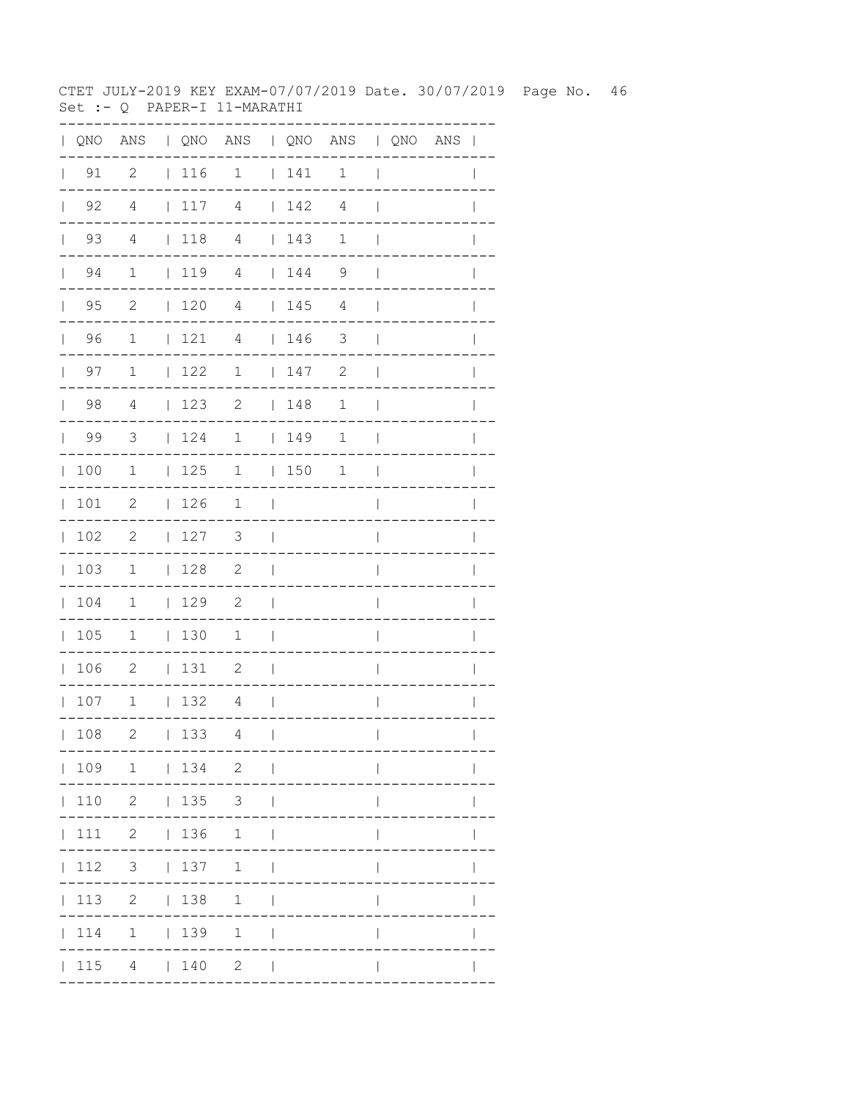CTET JULY-2019 KEY EXAM-07/07/2019 Date. 30/07/2019 Page No. 46 Set :- Q PAPER-I 11-MARATHI

|                    |                            |                          |                 | QNO ANS   QNO ANS   QNO ANS   QNO ANS |                |                                                             |                |                          |  |                |
|--------------------|----------------------------|--------------------------|-----------------|---------------------------------------|----------------|-------------------------------------------------------------|----------------|--------------------------|--|----------------|
| $\vert$ 91         | 2                          |                          | 116             | 1                                     |                | 141                                                         | 1              | $\overline{1}$           |  | $\overline{1}$ |
| $\vert$ 92         | $\overline{4}$             | $\mathcal{L}_{\rm{max}}$ | 117             | $\overline{4}$                        |                | $\vert$ 142                                                 | 4              | $\overline{\phantom{a}}$ |  |                |
| 93<br>$\mathbb{R}$ | $\overline{4}$             |                          | 118             | $\overline{4}$                        |                | 143                                                         | $\mathbf{1}$   | $\overline{\phantom{a}}$ |  |                |
| $\vert$ 94         | $\mathbf{1}$               |                          | $\vert$ 119     | $\overline{4}$                        |                | 144                                                         | 9              | $\mathbf{I}$             |  |                |
| $\vert$ 95         | $\overline{c}$             |                          | 120             | $\overline{4}$                        |                | 145                                                         | $\overline{4}$ | $\overline{\phantom{a}}$ |  | $\mathbf{I}$   |
| 96                 | $\mathbf{1}$               |                          | 121             | $\overline{4}$                        |                | $\begin{array}{c} \begin{array}{c} \end{array} \end{array}$ | 3              | $\mathbf{I}$             |  |                |
| 97<br>$\mathbf{L}$ | $\mathbf 1$                |                          | 122             | 1                                     |                | 147                                                         | $\mathbf{2}$   | $\overline{\phantom{a}}$ |  |                |
| 98                 | 4                          |                          | 123             | 2                                     |                | 148                                                         | 1              | $\overline{\phantom{a}}$ |  | $\mathbf{I}$   |
| $\vert$ 99         | $\overline{\mathbf{3}}$    |                          | 124             | 1   149                               |                |                                                             | $\mathbf{1}$   | $\Box$                   |  | $\mathbf{I}$   |
| 100                | $\overline{1}$             |                          | 125             | $\overline{1}$                        |                | 150                                                         | $\mathbf{1}$   | $\mathbf{I}$             |  |                |
| 101                | $\overline{c}$             |                          | 126             | $\overline{1}$                        | $\sim$         |                                                             |                | $\overline{\phantom{a}}$ |  |                |
| 102                | 2                          |                          | 127             | 3                                     | $\sim$         |                                                             |                | $\overline{\phantom{a}}$ |  | I              |
| 103                | $\mathbf{1}$               |                          | 128             | $\overline{\phantom{0}}$ 2            | $\Box$         |                                                             |                | I                        |  |                |
| 104                | $\overline{1}$             |                          | 129             | $\overline{\phantom{0}}^2$            | $\Box$         |                                                             |                | $\overline{\phantom{a}}$ |  |                |
| 105                | $\mathbf 1$                |                          | $\vert$ 130     | 1                                     | $\Box$         |                                                             |                | I                        |  |                |
| 106                | $\overline{\phantom{0}}^2$ |                          | 131             | 2                                     | $\Box$         |                                                             |                | $\mathbf{I}$             |  | $\overline{1}$ |
| 107                | $\overline{1}$             |                          | 132             | 4                                     | $\blacksquare$ |                                                             |                | $\mathsf{I}$             |  | $\mathbf{I}$   |
| 108                | $\mathbf{2}$               |                          | 133             | 4                                     | $\mathbf{I}$   |                                                             |                | $\overline{\phantom{a}}$ |  | $\mathbf{I}$   |
|                    | $ 109 \t1 \t 134 \t2$      |                          |                 | $\sim$                                |                |                                                             |                |                          |  |                |
|                    | $ 110 \t2 \t 135 \t3$      |                          |                 |                                       |                |                                                             |                |                          |  |                |
| 111                |                            |                          | $2 \t 136 \t 1$ |                                       |                |                                                             |                |                          |  |                |
| $\vert$ 112        |                            |                          |                 | 3   137 1                             | $\Box$         |                                                             |                |                          |  |                |
| $\vert$ 113        |                            |                          |                 | $2 \t 138 \t 1$                       | $\mathbf{I}$   |                                                             |                |                          |  |                |
| 114                |                            |                          | $1 \t 139$      | $\mathbf{1}$                          |                |                                                             |                |                          |  |                |
|                    |                            |                          |                 | 115 4   140 2                         |                |                                                             |                |                          |  |                |
|                    |                            |                          |                 |                                       |                |                                                             |                |                          |  |                |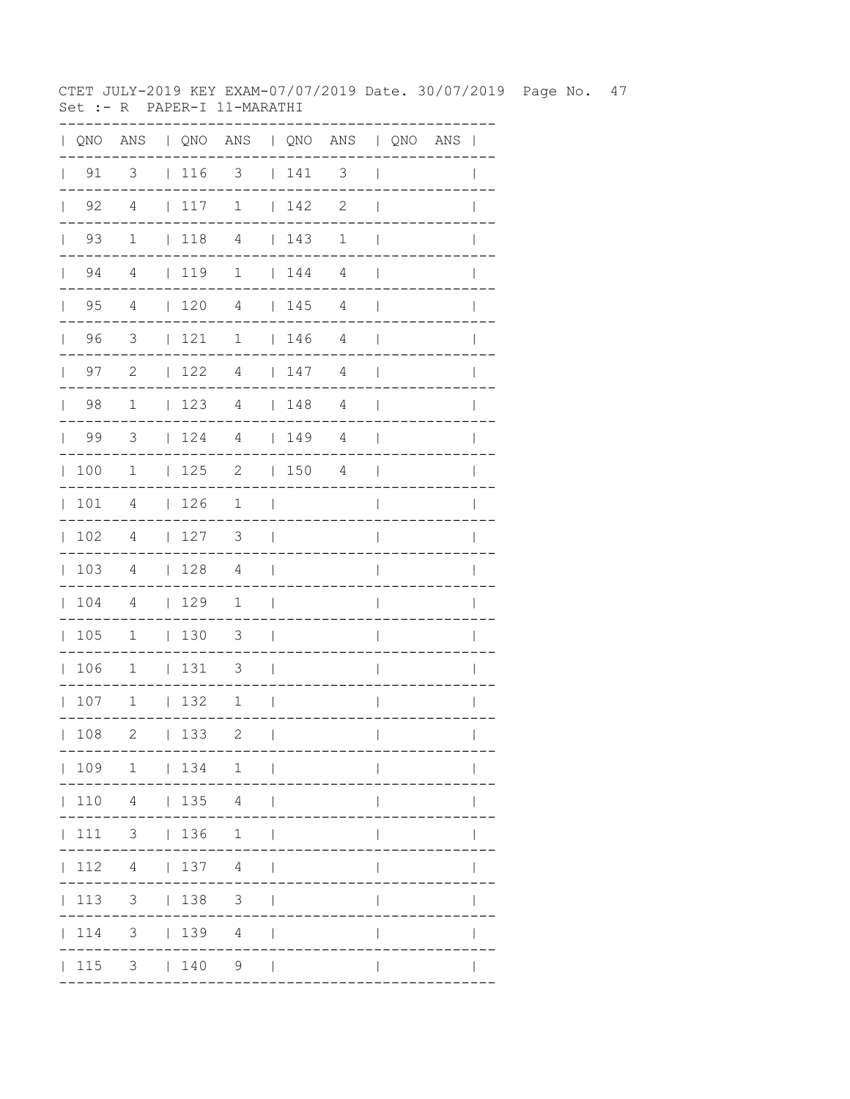CTET JULY-2019 KEY EXAM-07/07/2019 Date. 30/07/2019 Page No. 47 Set :- R PAPER-I 11-MARATHI

| QNO | ANS                     |              |     | QNO ANS   QNO ANS   QNO ANS |              |     |                          |              |             |              |
|-----|-------------------------|--------------|-----|-----------------------------|--------------|-----|--------------------------|--------------|-------------|--------------|
| 91  | $\overline{\mathbf{3}}$ |              | 116 | $\overline{\mathbf{3}}$     |              | 141 | $\overline{\phantom{a}}$ |              |             |              |
| 92  | $\overline{4}$          | $\mathbf{L}$ | 117 | $\mathbf 1$                 | $\mathbf{L}$ | 142 | $\mathbf{2}$             |              |             |              |
| 93  | $\mathbf{1}$            | $\mathbf{L}$ | 118 | $\overline{4}$              | $\mathbf{L}$ | 143 | $1\,$                    |              |             |              |
| 94  | $\overline{4}$          |              | 119 | $\overline{\phantom{a}}$    | $\mathbf{L}$ | 144 | $\overline{4}$           |              |             |              |
| 95  | $\overline{4}$          | $\mathbf{L}$ | 120 | 4                           |              | 145 | 4                        |              |             |              |
| 96  | 3                       | L            | 121 | 1                           |              | 146 | 4                        |              |             |              |
| 97  | $\mathbf{2}$            | $\mathbf{L}$ | 122 | 4                           |              | 147 | $\overline{4}$           |              |             |              |
| 98  | $1\,$                   | $\mathbf{L}$ | 123 | 4                           | $\mathbf{L}$ | 148 | $\overline{4}$           |              |             |              |
| 99  | 3                       | L            | 124 | 4                           | $\mathbf{L}$ | 149 | $\overline{4}$           |              |             |              |
| 100 | 1                       | $\mathbf{L}$ | 125 | $\mathbf{2}$                | $\mathbf{L}$ | 150 | 4                        |              |             |              |
| 101 | 4                       | L            | 126 | 1                           |              |     |                          |              |             |              |
| 102 | $\overline{4}$          | L            | 127 | 3                           |              |     |                          |              |             |              |
| 103 | 4                       | $\mathbf{L}$ | 128 | 4                           |              |     |                          |              |             |              |
| 104 | 4                       | $\mathbf{L}$ | 129 | 1                           |              |     |                          |              |             |              |
| 105 | $\mathbf 1$             | $\mathbf{L}$ | 130 | 3                           |              |     |                          |              |             |              |
| 106 | $\mathbf 1$             | $\mathbf{L}$ | 131 | 3                           |              |     |                          |              |             |              |
| 107 | $1\,$                   | L            | 132 | 1                           |              |     |                          |              |             |              |
| 108 | 2                       |              | 133 | 2.<br>---                   | $\Box$       |     |                          | $\mathbf{L}$ |             | $\mathbf{L}$ |
|     |                         |              |     | 109 1   134 1               |              |     |                          |              | ----------- |              |
|     |                         |              |     | 110  4    135  4            |              |     |                          |              |             |              |
|     |                         |              |     | 111 3   136 1               |              |     |                          |              |             |              |
|     |                         |              |     | $ 112 \t4 \t 137 \t4 \t $   |              |     |                          |              |             |              |
|     |                         |              |     | 113 3   138 3               |              |     |                          |              |             |              |
|     |                         |              |     | 114 3   139 4               |              |     |                          | $\mathbf{I}$ |             |              |
|     |                         |              |     | $ 115 \t3 \t 140 \t9 \t $   |              |     |                          |              |             |              |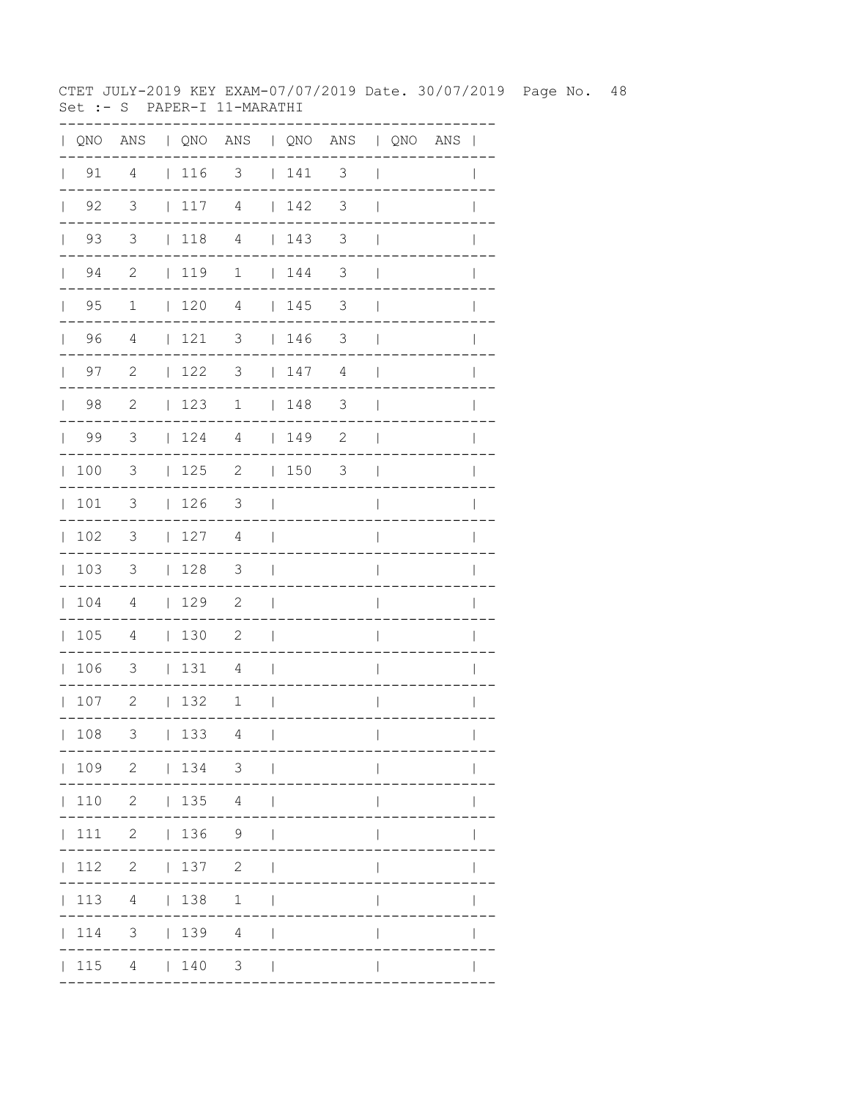CTET JULY-2019 KEY EXAM-07/07/2019 Date. 30/07/2019 Page No. 48 Set :- S PAPER-I 11-MARATHI

| QNO | ANS                        |              |     | QNO ANS   QNO ANS   QNO ANS |              |     |                                                  |              |                       |              |
|-----|----------------------------|--------------|-----|-----------------------------|--------------|-----|--------------------------------------------------|--------------|-----------------------|--------------|
| 91  | $\overline{4}$             |              | 116 | $\overline{\mathbf{3}}$     |              | 141 | $\overline{\phantom{a}}$                         |              |                       |              |
| 92  | $\mathcal{S}$              | $\mathbf{L}$ | 117 | $\overline{4}$              | $\mathbf{L}$ | 142 | 3                                                |              |                       |              |
| 93  | $\overline{\mathbf{3}}$    | $\mathbf{L}$ | 118 | $\overline{4}$              | $\mathbf{L}$ | 143 | 3                                                |              |                       |              |
| 94  | $\overline{\phantom{0}}^2$ | $\mathbf{L}$ | 119 | $\mathbf 1$                 | $\mathbf{L}$ | 144 | 3                                                |              |                       |              |
| 95  | 1                          | $\mathbf{L}$ | 120 | 4                           |              | 145 | 3                                                |              |                       |              |
| 96  | 4                          | L            | 121 | 3                           |              | 146 | 3                                                |              |                       |              |
| 97  | $\mathbf{2}$               | $\mathbf{L}$ | 122 | 3                           |              | 147 | $\overline{4}$                                   |              |                       |              |
| 98  | $\sqrt{2}$                 | L            | 123 | 1                           | $\mathbf{L}$ | 148 | $\mathfrak{Z}$                                   |              |                       |              |
| 99  | 3                          | L            | 124 | 4                           | $\mathbf{L}$ | 149 | $\mathbf{2}$                                     |              |                       |              |
| 100 | 3                          | L            | 125 | $\mathbf{2}$                | $\mathbf{L}$ | 150 | 3                                                |              |                       |              |
| 101 | 3                          | L            | 126 | 3                           |              |     |                                                  |              |                       |              |
| 102 | 3                          | L            | 127 | 4                           |              |     |                                                  |              |                       |              |
| 103 | 3                          | L            | 128 | 3                           |              |     |                                                  |              |                       |              |
| 104 | 4                          | $\mathbf{L}$ | 129 | $\mathbf{2}$                |              |     |                                                  |              |                       |              |
| 105 | 4                          | $\mathbf{L}$ | 130 | $\mathbf{2}$                |              |     |                                                  |              |                       |              |
| 106 | 3                          | L            | 131 | 4                           |              |     |                                                  |              |                       |              |
| 107 | $\mathbf{2}$               | L            | 132 | 1                           |              |     |                                                  |              |                       |              |
| 108 | 3                          |              | 133 | 4                           | $\Box$       |     |                                                  | $\mathbf{L}$ |                       | $\mathbf{L}$ |
|     |                            |              |     | 109 2   134 3               |              |     | . _ _ _ _ _ _ _ _ _ .<br>- - - - - - - - - - - - |              | . - - - - - - - - - . |              |
|     |                            |              |     | 110 2   135 4               |              |     |                                                  |              |                       |              |
|     |                            |              |     | 111 2   136 9               |              |     |                                                  |              |                       |              |
|     |                            |              |     | 112 2   137 2               |              |     |                                                  |              |                       |              |
|     |                            |              |     | 113 4   138 1               |              |     |                                                  | L            |                       |              |
|     |                            |              |     | 114 3   139 4               |              |     |                                                  | L            |                       |              |
|     |                            |              |     | $ 115 \t4 \t 140 \t3 \t $   |              |     |                                                  |              |                       |              |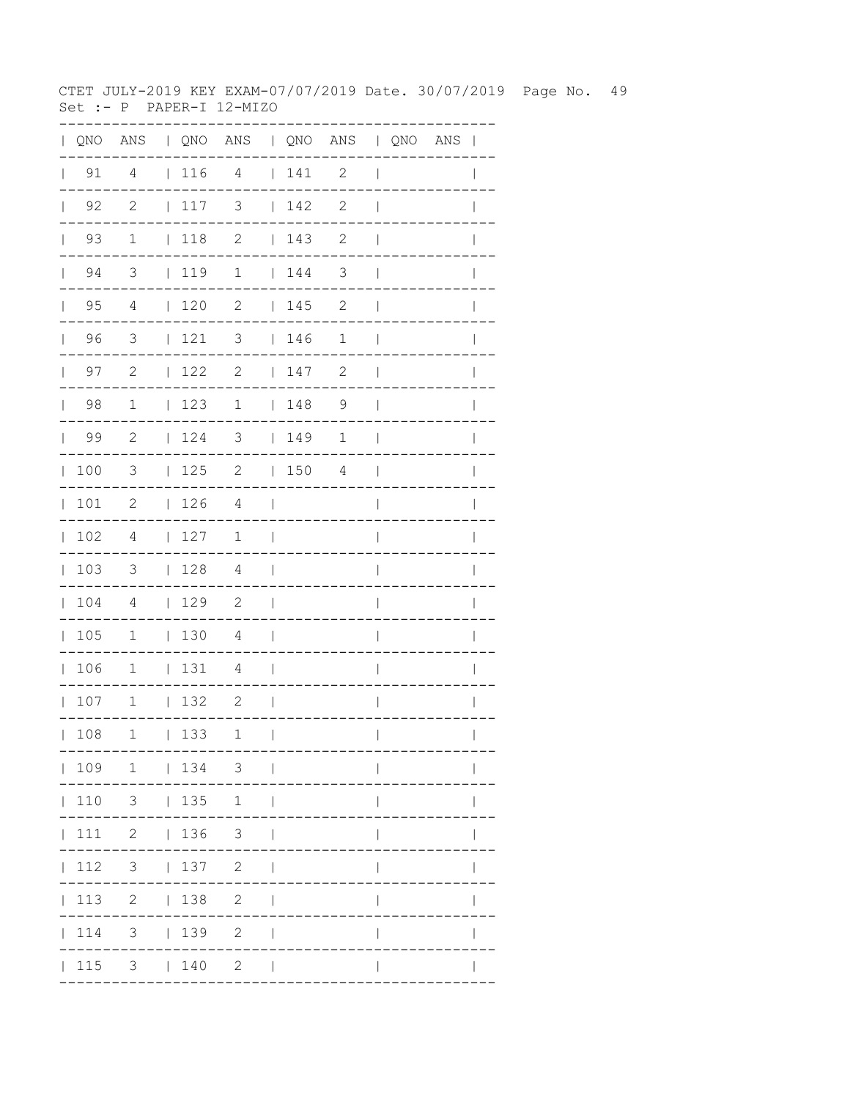CTET JULY-2019 KEY EXAM-07/07/2019 Date. 30/07/2019 Page No. 49 Set :-  $P$  PAPER-I 12-MIZO

|              |                      |                          |                                                             | QNO ANS   QNO ANS   QNO ANS   QNO ANS |                          |      |              |                          |  |              |
|--------------|----------------------|--------------------------|-------------------------------------------------------------|---------------------------------------|--------------------------|------|--------------|--------------------------|--|--------------|
|              | $\vert$ 91           | 4                        | 116                                                         | $\overline{4}$                        |                          | 141  | 2            | $\overline{\phantom{a}}$ |  | $\mathbf{I}$ |
| $\mathbf{L}$ | 92                   | $\mathbf{2}$             | 117                                                         | 3                                     |                          | 142  | $\mathbf{2}$ | $\overline{\phantom{a}}$ |  |              |
|              | 93<br>$\mathbb{R}^n$ | $\mathbf 1$              | $ 118$ 2                                                    |                                       |                          | 143  | $\mathbf{2}$ | $\overline{\phantom{a}}$ |  |              |
|              | 94<br>$\mathbf{L}$   | 3                        | $1119$ 1                                                    |                                       |                          | 144  | 3            | $\overline{\phantom{a}}$ |  |              |
| $\mathbf{L}$ | 95                   | 4                        | $\begin{array}{c} \begin{array}{c} \end{array} \end{array}$ | $\mathbf{2}$                          |                          | 145  | 2            | $\overline{\phantom{a}}$ |  |              |
| $\mathbb{R}$ | 96                   | 3                        | 121                                                         | 3                                     |                          | 146  | $\mathbf 1$  | $\overline{\phantom{a}}$ |  |              |
|              | 97<br>$\mathbf{L}$   | $\overline{c}$           | 122                                                         | 2                                     |                          | 147  | 2            | $\overline{\phantom{a}}$ |  |              |
| $\mathbf{L}$ | 98                   | $\mathbf{1}$             | 123                                                         | $\mathbf 1$                           |                          | 148  | 9            | $\overline{\phantom{a}}$ |  | $\mathbb{I}$ |
|              | 99                   | 2                        | 124                                                         | 3   149                               |                          |      | 1            | $\overline{\phantom{a}}$ |  | $\mathbb{I}$ |
| $\mathbb{L}$ | 100                  | $\overline{3}$           | 125                                                         | $\overline{\phantom{a}}$              |                          | 1504 |              | $\mathbf{I}$             |  |              |
| $\mathbb{L}$ | 101                  | $\mathbf{2}$             | 126                                                         | 4                                     | $\overline{\phantom{0}}$ |      |              | $\overline{\phantom{a}}$ |  |              |
|              | 102                  | 4                        | 127                                                         | 1                                     | $\overline{\phantom{a}}$ |      |              | $\overline{\phantom{a}}$ |  | $\mathbb{I}$ |
|              | 103                  | $\mathcal{S}$            | $\vert$ 128                                                 | 4                                     | $\Box$                   |      |              | $\overline{\phantom{a}}$ |  | $\mathbf{I}$ |
|              | 104                  | 4                        | 129                                                         | $\overline{\phantom{0}}^2$            | $\overline{\phantom{a}}$ |      |              | $\overline{1}$           |  |              |
|              | 105                  | $\mathbf{1}$             | 130                                                         | $\overline{4}$                        | $\overline{\phantom{0}}$ |      |              | $\overline{\phantom{a}}$ |  |              |
|              | 106                  | $\mathbf 1$              | 131                                                         | 4                                     | $\overline{\phantom{a}}$ |      |              | $\overline{\phantom{a}}$ |  | $\mathbf{I}$ |
|              | 107                  | $\mathbf{1}$             | 132                                                         | $\overline{\phantom{a}}$              | $\overline{\phantom{a}}$ |      |              | $\overline{\phantom{a}}$ |  | $\mathbf{I}$ |
|              | 108                  | $\mathbf 1$              | 133                                                         | 1                                     | $\overline{1}$           |      |              | $\overline{\phantom{a}}$ |  |              |
|              |                      |                          |                                                             | 109 1   134 3                         |                          |      |              |                          |  |              |
|              |                      | $110 \t 3 \t   135 \t 1$ |                                                             |                                       | $\Box$                   |      |              |                          |  |              |
|              |                      | 111 2   136 3            |                                                             |                                       |                          |      |              |                          |  |              |
|              | 112                  |                          | $3 \t 137 \t 2$                                             |                                       | $\overline{\phantom{a}}$ |      |              |                          |  |              |
|              |                      | 113 2   138              |                                                             | $\overline{2}$                        |                          |      |              |                          |  |              |
|              | 114                  |                          | 3   139                                                     | 2                                     |                          |      |              |                          |  |              |
|              | 115                  |                          | 3   140                                                     | $\mathbf{2}$                          |                          |      |              |                          |  |              |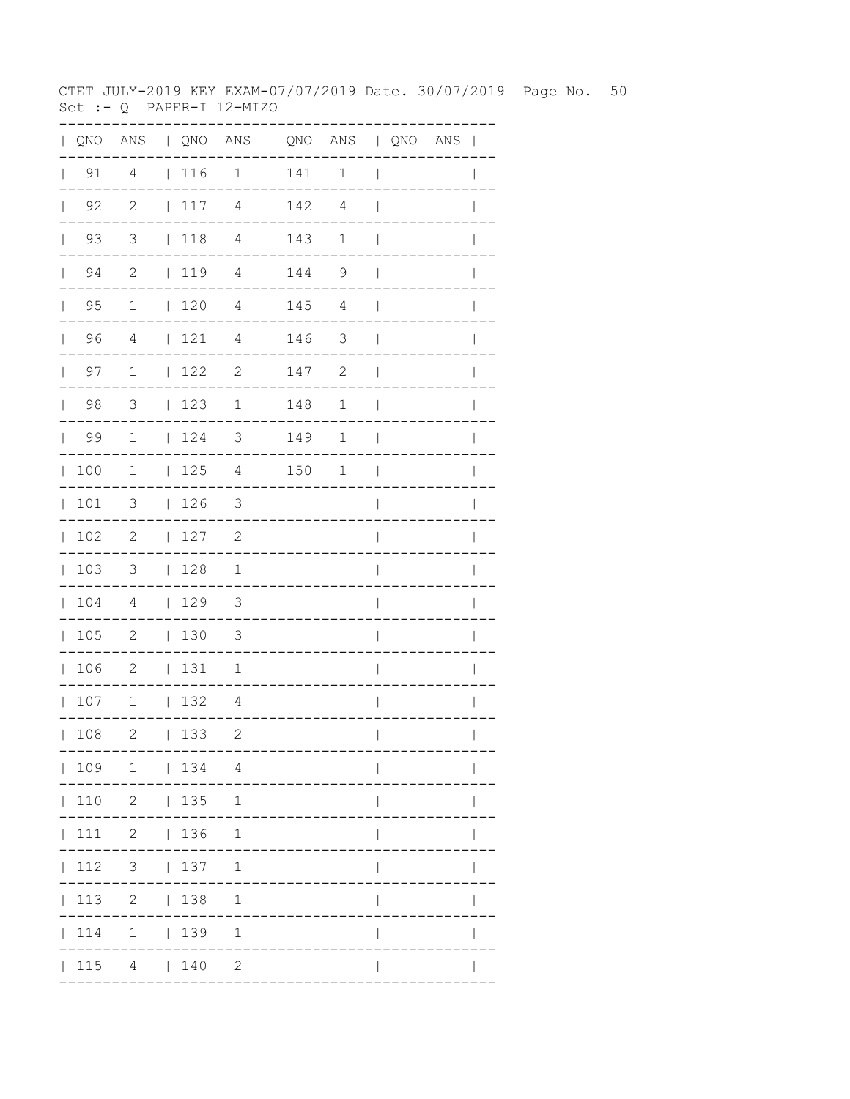CTET JULY-2019 KEY EXAM-07/07/2019 Date. 30/07/2019 Page No. 50 Set :-  $Q$  PAPER-I 12-MIZO

| $\mathbf{L}$ |                     |                            |             | QNO ANS   QNO ANS   QNO ANS   QNO ANS |                          |                                                             |                |                          |  | $\overline{\phantom{a}}$ |
|--------------|---------------------|----------------------------|-------------|---------------------------------------|--------------------------|-------------------------------------------------------------|----------------|--------------------------|--|--------------------------|
| $\mathbf{L}$ | 91                  | $\overline{4}$             | $\vert$ 116 | $\mathbf{1}$                          |                          | 141                                                         | $\mathbf 1$    | $\overline{\phantom{a}}$ |  |                          |
|              | $\vert$ 92          | $\overline{c}$             | 117         | $\overline{4}$                        |                          | 142                                                         | 4              | $\overline{1}$           |  |                          |
|              | 93<br>$\mathbf{L}$  | 3                          | 118         | $\overline{4}$                        |                          | 143                                                         | 1              | $\overline{1}$           |  |                          |
|              | 94<br>$\  \cdot \ $ | $\mathbf{2}$               | 119         | $\overline{4}$                        |                          | 144                                                         | 9              | $\overline{\phantom{a}}$ |  |                          |
|              | $\vert$ 95          | $\mathbf{1}$               | 120         | $\overline{4}$                        |                          | 145                                                         | $\overline{4}$ | $\overline{1}$           |  |                          |
|              | 96                  | $\overline{4}$             | 121         | $\overline{4}$                        |                          | $\begin{array}{c} \begin{array}{c} \end{array} \end{array}$ | $\mathcal{S}$  | $\overline{\phantom{a}}$ |  | $\mathbf{I}$             |
|              | $\vert$ 97          | $\mathbf 1$                | 122         | $\overline{\phantom{a}}$              |                          | 147                                                         | $\mathbf{2}$   | $\overline{\phantom{a}}$ |  | $\mathbf{I}$             |
|              | $\vert$ 98          | $\overline{3}$             | 123         | $\mathbf 1$                           |                          | 148                                                         | $\mathbf 1$    | $\overline{\phantom{a}}$ |  |                          |
|              | 99                  | 1                          | 124         | $\mathcal{S}$                         |                          | 149                                                         | 1              | $\overline{\phantom{a}}$ |  |                          |
|              | 100                 | $\mathbf 1$                | 125         | 4                                     |                          | 150                                                         | 1              | $\overline{\phantom{a}}$ |  | $\mathbf{I}$             |
|              | 101                 | $\mathcal{S}$              | 126         | 3                                     | $\Box$                   |                                                             |                | $\overline{\phantom{a}}$ |  | $\overline{1}$           |
| $\mathbf{L}$ | 102                 | $\overline{\phantom{0}}^2$ | 127         | 2                                     | $\perp$                  |                                                             |                | I                        |  |                          |
|              | 103                 | $\overline{\mathbf{3}}$    | 128         | 1                                     | $\mathbf{I}$             |                                                             |                | $\overline{1}$           |  |                          |
|              | 104                 | $\overline{4}$             | 129         | 3                                     | $\Box$                   |                                                             |                | $\overline{1}$           |  | I                        |
|              | 105                 | $\overline{\phantom{0}}$   | 130         | $\overline{\mathbf{3}}$               | $\mathcal{L}$            |                                                             |                | I                        |  |                          |
|              | 106                 | $\overline{\phantom{0}}$   | 131         | 1                                     | $\overline{\phantom{a}}$ |                                                             |                | I                        |  |                          |
|              | 107                 | 1   132                    |             | $\overline{4}$                        | $\Box$                   |                                                             |                | $\overline{1}$           |  | I                        |
|              | 108                 | $\mathbf{2}$               | 133         | 2                                     | $\mathbf{I}$             |                                                             |                | $\overline{\phantom{a}}$ |  | $\mathbf{I}$             |
|              |                     | 109 1   134 4              |             |                                       | $\sim$ 1                 |                                                             |                |                          |  |                          |
|              | 110                 |                            | 2   135     | 1                                     | - 1                      |                                                             |                |                          |  |                          |
|              | 111                 |                            | 2   136     | 1                                     | $\overline{\phantom{0}}$ |                                                             |                |                          |  |                          |
|              | 112                 |                            | $3 \t 137$  | $\mathbf{1}$                          |                          |                                                             |                |                          |  |                          |
|              | 113                 | $2 \mid$                   | 138         | $\mathbf{1}$                          |                          |                                                             |                |                          |  |                          |
|              | 114                 |                            | $1 \t 139$  | $\mathbf{1}$                          |                          |                                                             |                |                          |  |                          |
|              | 115                 |                            | 4   140     | $\mathbf{2}$                          | $\blacksquare$           |                                                             |                |                          |  |                          |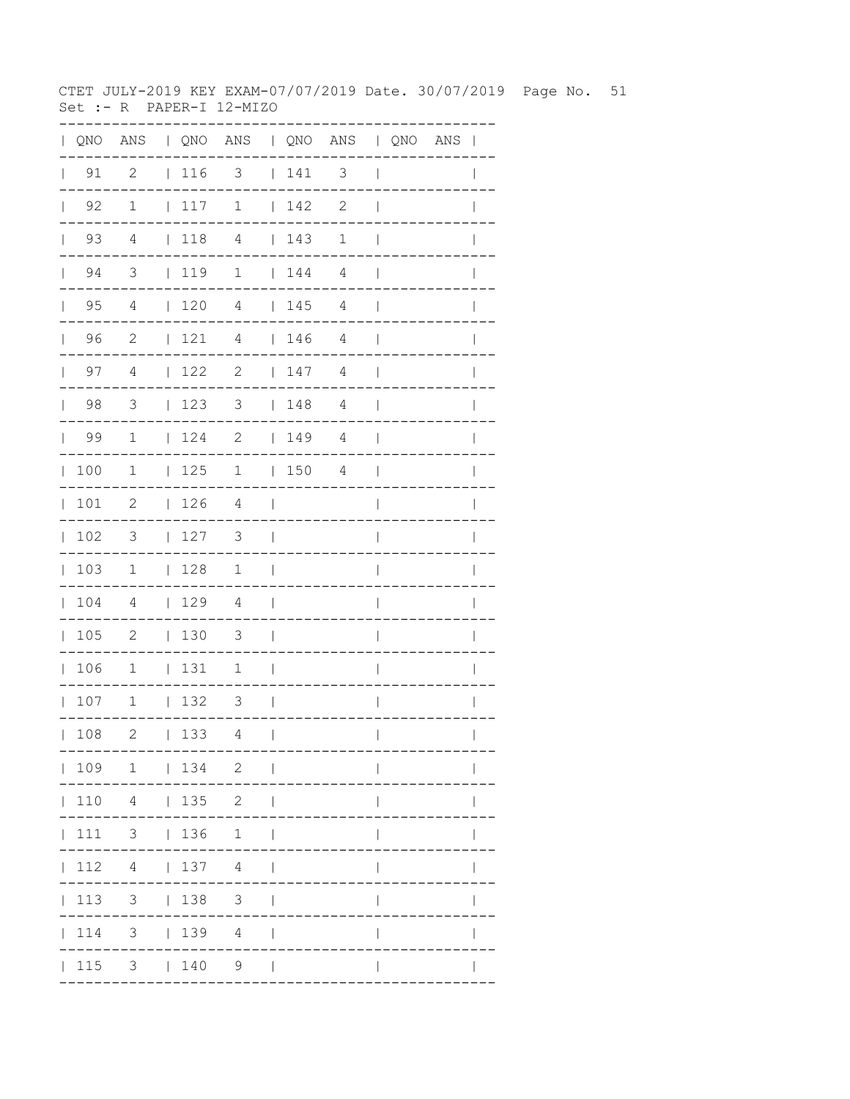CTET JULY-2019 KEY EXAM-07/07/2019 Date. 30/07/2019 Page No. 51 Set :- R PAPER-I 12-MIZO

|              |                    |                            |                                                             | QNO ANS   QNO ANS   QNO ANS   QNO ANS |                          |                                                             |              |                          |  | $\mathbf{I}$ |
|--------------|--------------------|----------------------------|-------------------------------------------------------------|---------------------------------------|--------------------------|-------------------------------------------------------------|--------------|--------------------------|--|--------------|
|              | $\vert$ 91         | $\overline{c}$             | $\begin{array}{c} \begin{array}{c} \end{array} \end{array}$ | 3                                     |                          | 141                                                         | 3            | $\overline{\phantom{a}}$ |  | $\mathbf{I}$ |
| $\mathbf{L}$ | 92                 | $\mathbf 1$                | 117                                                         | $\mathbf 1$                           |                          | 142                                                         | $\mathbf{2}$ | $\mathbf{I}$             |  |              |
| $\mathbf{L}$ | 93                 | 4                          | $\vert$ 118                                                 | $\overline{4}$                        |                          | 143                                                         | $\mathbf 1$  | $\mathbf{I}$             |  |              |
|              | 94<br>$\mathbf{L}$ | 3                          | 119                                                         | $\mathbf 1$                           |                          | $\begin{array}{cc} 1 & 44 \end{array}$                      | 4            | $\mathbf{I}$             |  |              |
| $\mathbb{L}$ | 95                 | 4                          | 120                                                         | 4                                     |                          | 145                                                         | 4            | $\mathbf{I}$             |  |              |
| $\mathbf{L}$ | 96                 | $\overline{c}$             | 121                                                         | 4                                     |                          | $\begin{array}{c} \begin{array}{c} \end{array} \end{array}$ | 4            | $\overline{\phantom{a}}$ |  |              |
| $\mathbf{L}$ | 97                 | 4                          | 122                                                         | $\mathbf{2}$                          |                          | 147                                                         | 4            | $\overline{\phantom{a}}$ |  |              |
| $\mathbf{L}$ | 98                 | 3                          | 123                                                         | 3                                     |                          | 148                                                         | 4            | $\overline{\phantom{a}}$ |  | $\mathbb{I}$ |
| $\mathbf{L}$ | 99                 | $\mathbf{1}$               | 124                                                         | $\overline{\phantom{a}}$              |                          | 149                                                         | 4            | $\overline{\phantom{a}}$ |  | I            |
| $\mathbb{L}$ | 100                | $\mathbf{1}$               | 125                                                         | $\mathbf{1}$                          |                          | 1504                                                        |              | $\overline{\phantom{a}}$ |  |              |
| $\mathbf{L}$ | 101                | $\mathbf{2}$               | 126                                                         | 4                                     | $\overline{\phantom{0}}$ |                                                             |              | $\overline{1}$           |  |              |
| $\mathbf{L}$ | 102                | 3                          | 127                                                         | 3                                     | $\overline{\phantom{a}}$ |                                                             |              | $\overline{1}$           |  | $\mathbb{I}$ |
| $\mathbf{L}$ | 103                | $\mathbf{1}$               | $\begin{array}{c} 128 \end{array}$                          | $\mathbf{1}$                          | $\Box$                   |                                                             |              | $\overline{\phantom{a}}$ |  | $\mathbf{I}$ |
| $\mathbf{L}$ | 104                | $\overline{4}$             | 129                                                         | $\overline{4}$                        | $\overline{\phantom{a}}$ |                                                             |              | I                        |  |              |
| $\mathbf{L}$ | 105                | $\overline{\phantom{0}}^2$ | $\vert$ 130                                                 | 3                                     | $\overline{\phantom{0}}$ |                                                             |              | I                        |  |              |
| $\mathbb{L}$ | 106                | $\mathbf 1$                | 131                                                         | 1                                     | $\overline{\phantom{a}}$ |                                                             |              | $\overline{1}$           |  | $\mathbf{I}$ |
|              | 107                | $\mathbf{1}$               | 132                                                         | 3                                     | - 1                      |                                                             |              | $\overline{1}$           |  | $\mathbf{I}$ |
|              | 108                | 2                          | 133                                                         | 4                                     | $\overline{1}$           |                                                             |              |                          |  |              |
|              |                    | 109 1   134 2              |                                                             |                                       | $\sim$                   |                                                             |              |                          |  |              |
|              |                    | 110 4   135 2              |                                                             |                                       | $\Box$                   |                                                             |              |                          |  |              |
|              |                    |                            |                                                             | 111 3   136 1                         | $\blacksquare$           |                                                             |              |                          |  |              |
|              | 112                | 4   137 4                  |                                                             |                                       | $\Box$                   |                                                             |              |                          |  |              |
|              | 113                | 3 <sup>7</sup>             | 138                                                         | $\mathcal{S}$                         |                          |                                                             |              |                          |  |              |
|              | 114                | 3 <sup>7</sup>             |                                                             | 1394                                  |                          |                                                             |              |                          |  |              |
|              | 115                |                            | 3   140                                                     | 9                                     |                          |                                                             |              |                          |  |              |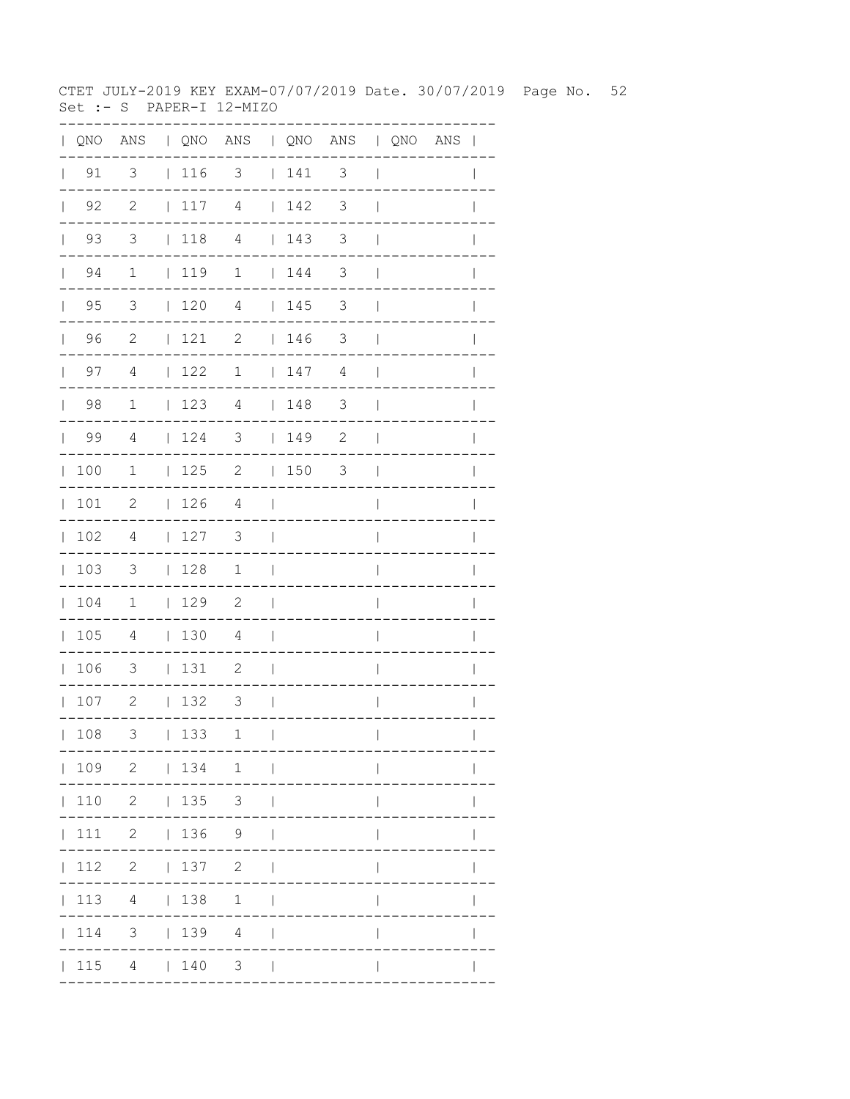CTET JULY-2019 KEY EXAM-07/07/2019 Date. 30/07/2019 Page No. 52 Set :- S PAPER-I 12-MIZO

|              |                    |                            |                                                             | QNO ANS   QNO ANS   QNO ANS   QNO ANS |                          |          |               |                          |  | $\mathbf{I}$ |
|--------------|--------------------|----------------------------|-------------------------------------------------------------|---------------------------------------|--------------------------|----------|---------------|--------------------------|--|--------------|
|              | $\vert$ 91         | 3                          | $\vert$ 116                                                 | 3                                     |                          | 141      | 3             | $\overline{\phantom{a}}$ |  | $\mathbf{I}$ |
| $\mathbf{L}$ | 92                 | $\mathbf{2}$               | 117                                                         | $\overline{4}$                        |                          | 142      | 3             | $\overline{1}$           |  |              |
| $\mathbf{L}$ | 93                 | 3                          | $\vert$ 118                                                 | $\overline{4}$                        |                          | 143      | 3             | $\mathbf{I}$             |  |              |
|              | 94<br>$\mathbf{L}$ | $\mathbf{1}$               | 119                                                         | $\mathbf 1$                           |                          | 144      | 3             | $\overline{\phantom{a}}$ |  |              |
| $\mathbf{L}$ | 95                 | 3                          | 120                                                         | 4                                     |                          | 145      | 3             | $\mathbf{I}$             |  |              |
| $\mathbf{L}$ | 96                 | $\overline{c}$             | 121                                                         | $\mathbf{2}$                          |                          | 146      | 3             | $\mathbf{I}$             |  |              |
|              | 97<br>$\mathbf{L}$ | 4                          | 122                                                         | $\mathbf 1$                           |                          | 147      | 4             | $\overline{\phantom{a}}$ |  |              |
| $\mathbf{L}$ | 98                 | $\mathbf 1$                | 123                                                         | 4                                     |                          | 148      | $\mathcal{S}$ | $\overline{\phantom{a}}$ |  | $\mathbb{I}$ |
| $\mathbf{L}$ | 99                 | 4                          | 124                                                         | $\overline{\mathbf{3}}$               |                          | 149      | $\mathbf{2}$  | $\overline{\phantom{a}}$ |  |              |
| $\mathbb{L}$ | 100                | $\mathbf{1}$               | 125                                                         | $\overline{\phantom{a}}$              |                          | $ 150$ 3 |               | $\overline{\phantom{a}}$ |  |              |
| $\mathbf{L}$ | 101                | $\mathbf{2}$               | 126                                                         | 4                                     | $\overline{\phantom{0}}$ |          |               | $\overline{1}$           |  |              |
| $\mathbf{L}$ | 102                | 4                          | 127                                                         | 3                                     | $\perp$                  |          |               | $\overline{1}$           |  | $\mathbb{I}$ |
| $\mathbf{L}$ | 103                | $\mathcal{S}$              | 128                                                         | $\mathbf{1}$                          | $\Box$                   |          |               | $\overline{\phantom{a}}$ |  | $\mathbf{I}$ |
| $\mathbf{L}$ | 104                | $\overline{1}$             | $\begin{array}{c} \begin{array}{c} \end{array} \end{array}$ | $\overline{\phantom{0}}^2$            | $\overline{\phantom{0}}$ |          |               | I                        |  |              |
| $\mathbf{L}$ | 105                | 4                          | 130                                                         | 4                                     | $\blacksquare$           |          |               | I                        |  |              |
| $\mathbb{L}$ | 106                | 3                          | 131                                                         | 2                                     | $\overline{\phantom{a}}$ |          |               | $\overline{1}$           |  |              |
|              | 107                | $\overline{\phantom{0}}$ 2 | 132                                                         | 3                                     | - 1                      |          |               | $\overline{1}$           |  | $\mathbf{I}$ |
|              | 108                | 3                          | 133                                                         | 1                                     | $\mathbf{I}$             |          |               | $\mathbf{I}$             |  |              |
|              |                    |                            |                                                             | 109 2   134 1                         |                          |          |               |                          |  |              |
|              |                    | $110 \t2 \t135 \t3$        |                                                             |                                       |                          |          |               |                          |  |              |
|              |                    | 111 2   136 9              |                                                             |                                       |                          |          |               |                          |  |              |
|              |                    | 112 2   137 2              |                                                             |                                       |                          |          |               |                          |  |              |
|              | 113                |                            | 4   138                                                     | 1                                     |                          |          |               |                          |  |              |
|              | 114                |                            |                                                             | 3   139 4                             |                          |          |               |                          |  |              |
|              |                    | 115 4   140                |                                                             | 3 <sup>7</sup>                        |                          |          |               |                          |  |              |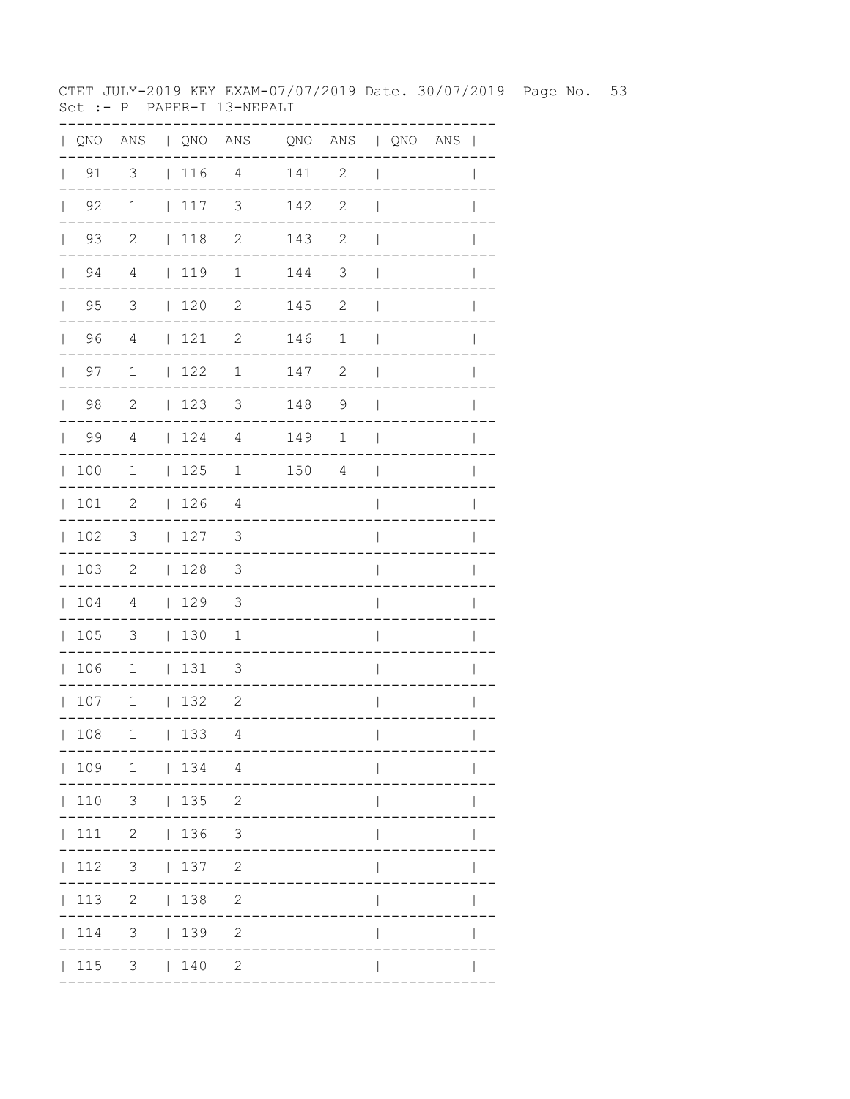CTET JULY-2019 KEY EXAM-07/07/2019 Date. 30/07/2019 Page No. 53 Set :- P PAPER-I 13-NEPALI

| $\mathbf{L}$ |                    |                            |              |                                                             | QNO ANS   QNO ANS   QNO ANS   QNO ANS |                          |                                         |                |                          |  | $\overline{\phantom{a}}$ |
|--------------|--------------------|----------------------------|--------------|-------------------------------------------------------------|---------------------------------------|--------------------------|-----------------------------------------|----------------|--------------------------|--|--------------------------|
| $\mathbf{L}$ | 91                 | 3                          |              | 116 4                                                       |                                       |                          | 141                                     | $\mathbf{2}$   | $\overline{\phantom{a}}$ |  |                          |
|              | $\vert$ 92         | $\mathbf{1}$               |              | 117                                                         | 3                                     |                          | 142                                     | $\mathbf{2}$   | $\overline{1}$           |  |                          |
|              | 93<br>$\mathbf{L}$ | $\overline{c}$             |              | $\vert$ 118                                                 | $\mathbf{2}$                          |                          | 143                                     | 2              | $\mathbf{I}$             |  |                          |
|              | 94<br>$\mathbf{L}$ | 4                          |              | $\vert$ 119                                                 | $\mathbf 1$                           |                          | $\begin{array}{cc} 1 & 144 \end{array}$ | 3              | $\mathbf{I}$             |  |                          |
|              | $\vert$ 95         | $\overline{3}$             |              | $\begin{array}{cc} 1 & 20 \end{array}$                      | $\mathbf{2}$                          |                          | 145                                     | $\mathbf{2}$   | $\mathbf{I}$             |  |                          |
|              | 96                 | $\overline{4}$             |              | 121                                                         | 2                                     |                          | 146                                     | $\mathbf 1$    | $\mathbf{I}$             |  | $\mathbf{I}$             |
|              | $\vert$ 97         | $\mathbf{1}$               |              | 122                                                         | $\mathbf 1$                           |                          | 147                                     | $\mathbf{2}$   | $\overline{\phantom{a}}$ |  | $\mathbf{I}$             |
|              | $\vert$ 98         | 2                          |              | 123                                                         | 3   148                               |                          |                                         | $\overline{9}$ | $\overline{\phantom{a}}$ |  |                          |
|              | 99                 | $\overline{4}$             |              | $\begin{array}{c} \begin{array}{c} \end{array} \end{array}$ | $\overline{4}$                        |                          | 149                                     | 1              | $\overline{\phantom{a}}$ |  |                          |
|              | 100                | 1                          |              | 125                                                         | $\mathbf 1$                           |                          | 150                                     | 4              | $\overline{\phantom{a}}$ |  | $\mathbf{I}$             |
|              | 101                | 2                          |              | 126                                                         | 4                                     | $\Box$                   |                                         |                | $\overline{1}$           |  | $\overline{1}$           |
| $\mathbf{L}$ | 102                | $\overline{\phantom{a}}$   |              | 127                                                         | 3                                     | $\overline{\phantom{a}}$ |                                         |                | I                        |  |                          |
|              | 103                | $\overline{\phantom{0}}^2$ |              | 128                                                         | $\overline{\mathbf{3}}$               | $\overline{\phantom{0}}$ |                                         |                | $\overline{1}$           |  |                          |
|              | 104                | $\overline{4}$             |              | 129                                                         | 3                                     | $\Box$                   |                                         |                | $\overline{1}$           |  |                          |
|              | 105                | $\overline{\mathbf{3}}$    |              | 130                                                         | 1                                     | $\Box$                   |                                         |                | I                        |  |                          |
|              | 106                | $\overline{1}$             |              | 131                                                         | $\overline{\phantom{a}}$              | $\Box$                   |                                         |                | I                        |  |                          |
|              | 107                | $\overline{1}$             |              | 132                                                         | $\overline{\phantom{0}}^2$            | $\overline{\phantom{a}}$ |                                         |                | $\overline{1}$           |  | I                        |
|              | 108                | 1                          | $\mathbf{L}$ | 133                                                         | 4                                     | $\mathcal I$             |                                         |                | $\overline{\phantom{a}}$ |  | $\mathbf{I}$             |
|              |                    | 109 1   134 4              |              |                                                             |                                       | $\sim$                   |                                         |                |                          |  |                          |
|              | 110                |                            |              | $3 \t 135 \t 2$                                             |                                       |                          |                                         |                |                          |  |                          |
|              | 111                |                            |              | 2   136                                                     | 3 <sup>7</sup>                        |                          |                                         |                |                          |  |                          |
|              | 112                | 3 <sup>7</sup>             |              | 137                                                         | $\overline{2}$                        |                          |                                         |                |                          |  |                          |
|              | 113                |                            |              | 2   138                                                     | $\mathbf{2}$                          |                          |                                         |                |                          |  |                          |
|              | 114                | 3                          |              | 139                                                         | $\mathbf{2}$                          |                          |                                         |                |                          |  |                          |
|              | 115                |                            |              | $3 \t140$                                                   | $\mathbf{2}$                          | $\blacksquare$           |                                         |                |                          |  |                          |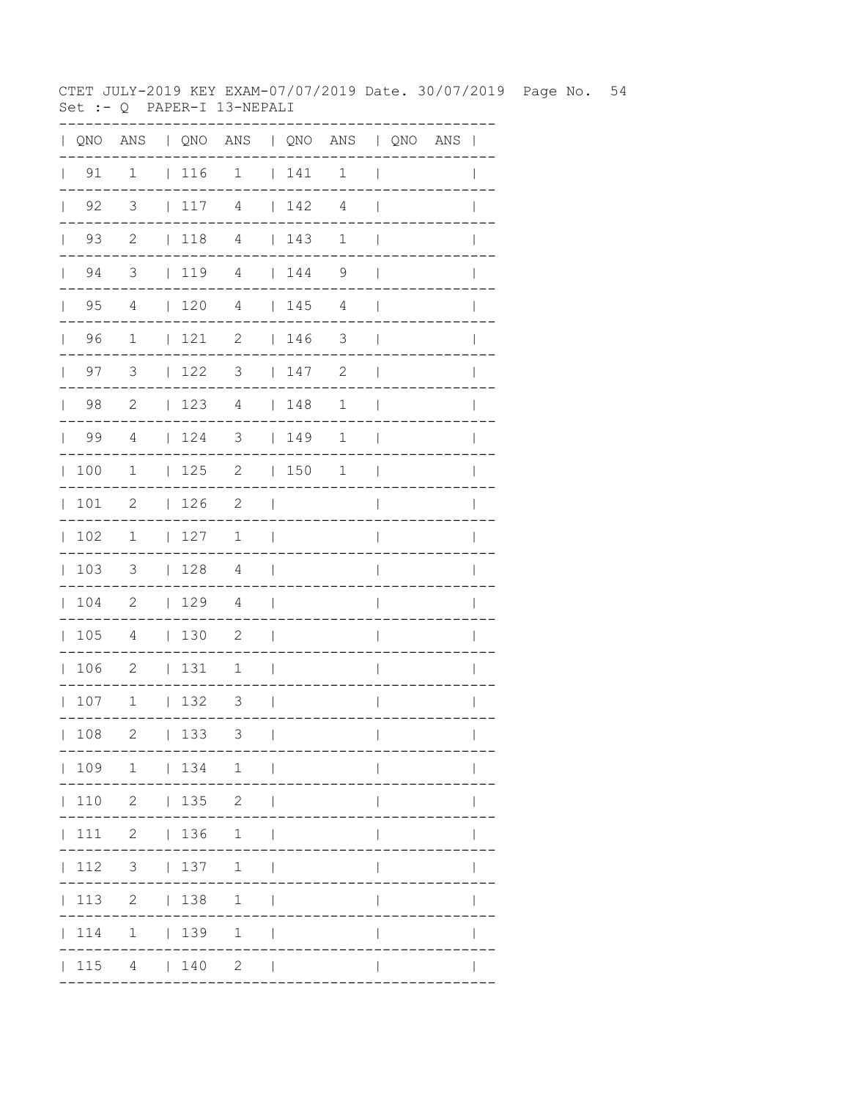CTET JULY-2019 KEY EXAM-07/07/2019 Date. 30/07/2019 Page No. 54 Set :- Q PAPER-I 13-NEPALI

|              |                    |                            |             | QNO ANS   QNO ANS   QNO ANS   QNO ANS |                          |                                    |                |                          |  | $\mathbf{I}$ |
|--------------|--------------------|----------------------------|-------------|---------------------------------------|--------------------------|------------------------------------|----------------|--------------------------|--|--------------|
|              | $\vert$ 91         | $\mathbf 1$                | $\vert$ 116 | $\mathbf 1$                           |                          | 141                                | $\mathbf 1$    | $\overline{\phantom{a}}$ |  | $\mathbf{I}$ |
| $\mathbf{L}$ | 92                 | 3                          | 117         | $\overline{4}$                        |                          | 142                                | $\overline{4}$ | $\mathbf{I}$             |  |              |
|              | 93<br>$\mathbf{L}$ | $\mathbf{2}$               | $\vert$ 118 | $\overline{4}$                        |                          | 143                                | $\mathbf 1$    | $\overline{\phantom{a}}$ |  |              |
|              | 94<br>$\mathbf{L}$ | 3                          | 1194        |                                       |                          | 144                                | 9              | $\mathbf{I}$             |  |              |
| $\mathbf{L}$ | 95                 | 4                          | 120         | 4                                     |                          | 145                                | 4              | $\overline{\phantom{a}}$ |  |              |
| $\mathbf{L}$ | 96                 | $\mathbf 1$                | 121         | 2                                     |                          | 146                                | 3              | $\overline{\phantom{a}}$ |  |              |
|              | 97<br>$\mathbf{L}$ | 3                          | 122         | 3                                     |                          | 147                                | $\mathbf{2}$   | $\mathbf{I}$             |  |              |
| $\mathbf{L}$ | 98                 | $\mathbf{2}$               | 123         | 4                                     |                          | 148                                | $\mathbf 1$    | $\overline{\phantom{a}}$ |  | $\mathbb{I}$ |
| $\mathbf{L}$ | 99                 | $\overline{4}$             | 124         | $\overline{\mathbf{3}}$               |                          | $\begin{array}{c} 149 \end{array}$ | 1              | $\overline{\phantom{a}}$ |  | $\mathbb{I}$ |
| $\mathbb{L}$ | 100                | $\mathbf{1}$               | 125         | $\overline{\phantom{a}}$              |                          | 150                                | 1              | $\overline{\phantom{a}}$ |  |              |
| $\mathbb{L}$ | 101                | $\mathbf{2}$               | 126         | $\overline{c}$                        | $\mathbf{I}$             |                                    |                | $\overline{1}$           |  |              |
| $\mathbf{L}$ | 102                | 1                          | 127         | $\mathbf 1$                           | $\overline{\phantom{a}}$ |                                    |                | $\overline{\phantom{a}}$ |  | $\mathbb{I}$ |
| $\mathbb{L}$ | 103                | $\mathcal{S}$              | 128         | 4                                     | $\Box$                   |                                    |                | $\overline{\phantom{a}}$ |  | $\mathbf{I}$ |
| $\mathbf{L}$ | 104                | $\overline{\phantom{0}}^2$ | 129         | $\overline{4}$                        | $\overline{\phantom{a}}$ |                                    |                | I                        |  |              |
| $\mathbf{L}$ | 105                | $\overline{4}$             | 130         | $\overline{c}$                        | $\overline{\phantom{a}}$ |                                    |                | I                        |  |              |
| $\mathbf{L}$ | 106                | $\overline{\phantom{0}}^2$ | 131         | 1                                     | $\overline{\phantom{a}}$ |                                    |                | $\overline{1}$           |  | I            |
|              | 107                | $\overline{1}$             | 132         | 3                                     | - 1                      |                                    |                | $\overline{\phantom{a}}$ |  | $\mathbf{I}$ |
|              | 108                | 2                          | 133         | 3                                     | $\mathbf{I}$             |                                    |                | $\mathbf{I}$             |  |              |
|              |                    |                            |             | 109 1   134 1                         |                          |                                    |                |                          |  |              |
|              |                    | $110 \t2 \t135 \t2$        |             |                                       | $\Box$                   |                                    |                |                          |  |              |
|              |                    |                            |             | 111 2   136 1                         | $\blacksquare$           |                                    |                |                          |  |              |
|              | 112                | 3   137                    |             | $1 \quad  $                           |                          |                                    |                |                          |  |              |
|              | 113                |                            | 2   138     | 1                                     |                          |                                    |                |                          |  |              |
|              | 114                |                            | $1 \t 139$  | $\mathbf{1}$                          |                          |                                    |                |                          |  |              |
|              | 115                |                            | 4   140     | $\mathbf{2}$                          |                          |                                    |                |                          |  |              |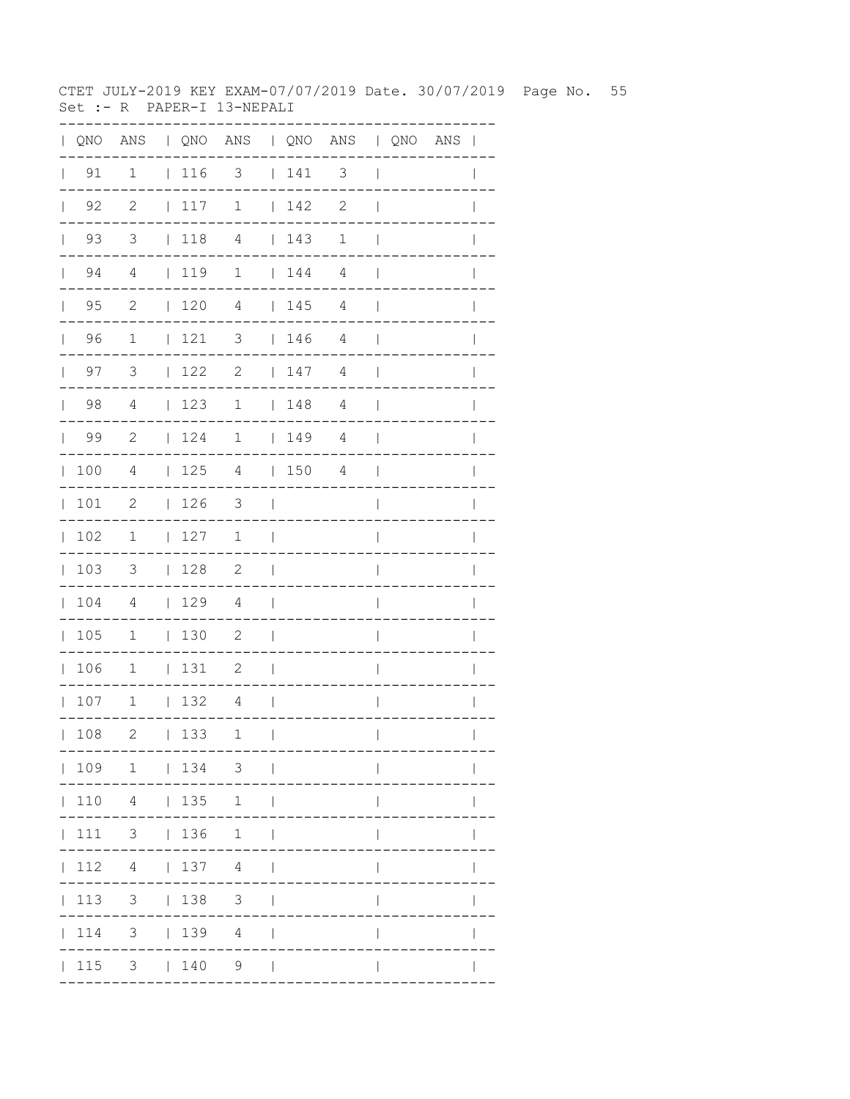CTET JULY-2019 KEY EXAM-07/07/2019 Date. 30/07/2019 Page No. 55 Set :- R PAPER-I 13-NEPALI

|              |                    |                |                                                             | QNO ANS   QNO ANS   QNO ANS   QNO ANS |                          |                                                             |              |                          |  | $\mathbf{I}$ |
|--------------|--------------------|----------------|-------------------------------------------------------------|---------------------------------------|--------------------------|-------------------------------------------------------------|--------------|--------------------------|--|--------------|
|              | $\vert$ 91         | $\mathbf 1$    | $\begin{array}{c} \begin{array}{c} \end{array} \end{array}$ | 3                                     |                          | 141                                                         | 3            | $\overline{\phantom{a}}$ |  | $\mathbf{I}$ |
| $\mathbf{L}$ | 92                 | $\mathbf{2}$   | 117                                                         | $1\,$                                 |                          | 142                                                         | $\mathbf{2}$ | $\mathbf{I}$             |  |              |
| $\mathbf{L}$ | 93                 | 3              | $\vert$ 118                                                 | $\overline{4}$                        |                          | 143                                                         | $\mathbf 1$  | $\mathbf{I}$             |  |              |
|              | 94<br>$\mathbf{L}$ | 4              | 119                                                         | $\mathbf 1$                           |                          | 144                                                         | 4            | $\mathbf{I}$             |  |              |
| $\mathbf{L}$ | 95                 | $\mathbf{2}$   | 120                                                         | 4                                     |                          | 145                                                         | 4            | $\mathbf{I}$             |  |              |
| $\mathbf{L}$ | 96                 | $\mathbf 1$    | 121                                                         | 3                                     |                          | $\begin{array}{c} \begin{array}{c} \end{array} \end{array}$ | 4            | $\overline{\phantom{a}}$ |  |              |
| $\mathbf{L}$ | 97                 | 3              | 122                                                         | $\mathbf{2}$                          |                          | 147                                                         | 4            | $\overline{\phantom{a}}$ |  |              |
| $\mathbf{L}$ | 98                 | $\overline{4}$ | 123                                                         | $\mathbf 1$                           |                          | 148                                                         | 4            | $\overline{\phantom{a}}$ |  | $\mathbb{I}$ |
| $\mathbf{L}$ | 99                 | $\overline{c}$ | 124                                                         | $\mathbf 1$                           |                          | 149                                                         | 4            | $\overline{\phantom{a}}$ |  |              |
| $\mathbb{L}$ | 100                | $\overline{4}$ | 125                                                         | $\overline{4}$                        |                          | 1504                                                        |              | $\overline{\phantom{a}}$ |  |              |
| $\mathbf{L}$ | 101                | $\mathbf{2}$   | 126                                                         | 3                                     | $\perp$                  |                                                             |              | $\overline{1}$           |  |              |
| $\mathbf{L}$ | 102                | 1              | 127                                                         | $\mathbf 1$                           | $\overline{\phantom{a}}$ |                                                             |              | $\overline{\phantom{a}}$ |  | $\mathbb{I}$ |
| $\mathbf{L}$ | 103                | 3              | 128                                                         | $\overline{\phantom{0}}^2$            | $\Box$                   |                                                             |              | $\overline{\phantom{a}}$ |  | $\mathbf{I}$ |
| $\mathbf{L}$ | 104                | $\overline{4}$ | 129                                                         | $\overline{4}$                        | $\overline{\phantom{a}}$ |                                                             |              | I                        |  |              |
| $\mathbf{L}$ | 105                | $\mathbf{1}$   | $\vert$ 130                                                 | $\mathbf{2}$                          | $\overline{\phantom{a}}$ |                                                             |              | I                        |  |              |
| $\mathbf{L}$ | 106                | $\mathbf{1}$   | 131                                                         | 2                                     | $\overline{\phantom{a}}$ |                                                             |              | $\overline{1}$           |  | I            |
|              | 107                | $\mathbf{1}$   | 132                                                         | 4                                     | $\Box$                   |                                                             |              | $\overline{\phantom{a}}$ |  | $\mathbf{I}$ |
|              | 108                | 2              | 133                                                         | 1                                     | $\mathbf{I}$             |                                                             |              | $\mathbf{I}$             |  |              |
|              |                    |                |                                                             | 109 1   134 3                         |                          |                                                             |              |                          |  |              |
|              |                    | 110 4   135    |                                                             | 1                                     | $\Box$                   |                                                             |              |                          |  |              |
|              |                    | 111 3   136 1  |                                                             |                                       | $\Box$                   |                                                             |              |                          |  |              |
|              | 112                | $4 \mid$       |                                                             | 137 4                                 | $\Box$                   |                                                             |              |                          |  |              |
|              | 113                | 3 <sup>7</sup> | 138                                                         | $\mathcal{S}$                         |                          |                                                             |              |                          |  |              |
|              | 114                | 3 <sup>7</sup> |                                                             | 1394                                  |                          |                                                             |              |                          |  |              |
|              | 115                |                | 3   140                                                     | 9                                     |                          |                                                             |              |                          |  |              |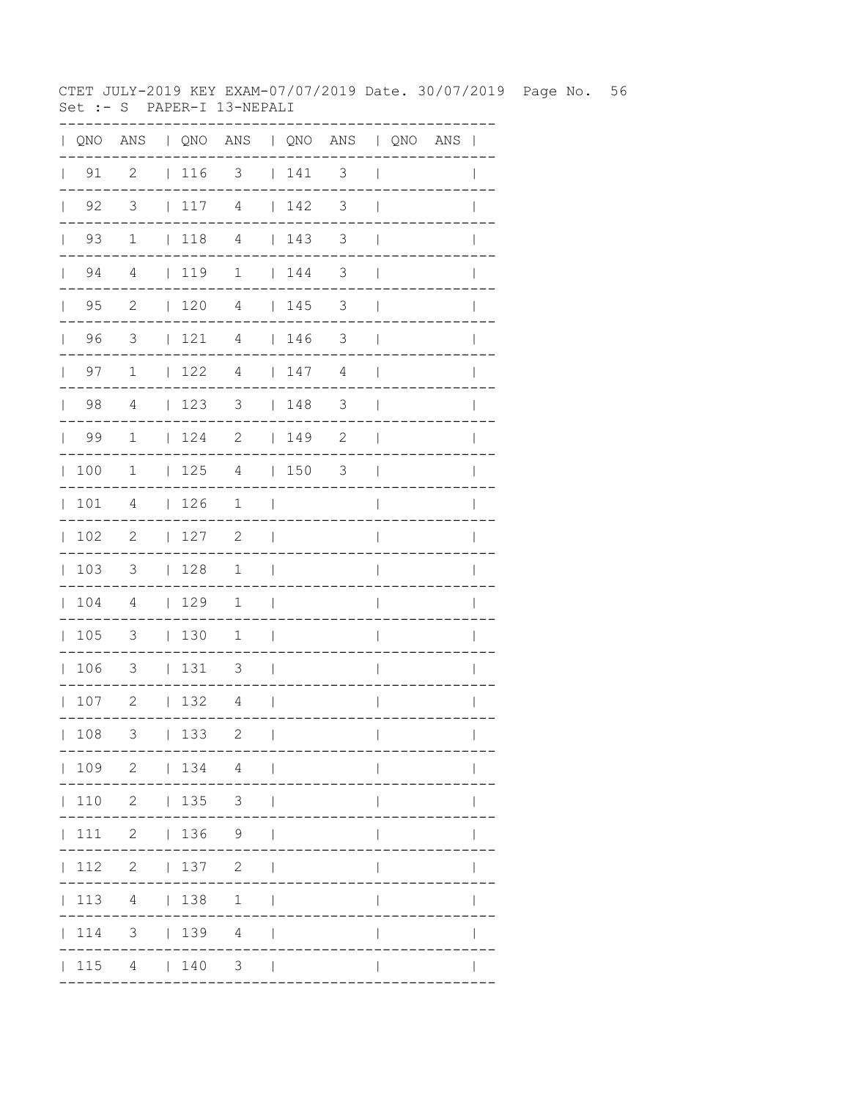CTET JULY-2019 KEY EXAM-07/07/2019 Date. 30/07/2019 Page No. 56 Set :- S PAPER-I 13-NEPALI

|              |                    |                            |                                                             | QNO ANS   QNO ANS   QNO ANS   QNO ANS |                          |                                         |               |                          |  | $\mathbf{I}$ |
|--------------|--------------------|----------------------------|-------------------------------------------------------------|---------------------------------------|--------------------------|-----------------------------------------|---------------|--------------------------|--|--------------|
|              | $\vert$ 91         | $\overline{c}$             | $\begin{array}{c} \begin{array}{c} \end{array} \end{array}$ | 3                                     |                          | 141                                     | 3             | $\overline{\phantom{a}}$ |  | $\mathbf{I}$ |
| $\mathbf{L}$ | 92                 | 3                          | 117                                                         | $\overline{4}$                        |                          | 142                                     | 3             | $\overline{\phantom{a}}$ |  |              |
| $\mathbf{L}$ | 93                 | $\mathbf 1$                | $\vert$ 118                                                 | $\overline{4}$                        |                          | 143                                     | 3             | $\mathbf{I}$             |  |              |
|              | 94<br>$\mathbf{L}$ | 4                          | 119                                                         | $\mathbf 1$                           |                          | $\begin{array}{cc} 1 & 144 \end{array}$ | 3             | $\overline{\phantom{a}}$ |  |              |
| $\mathbf{L}$ | 95                 | $\mathbf{2}$               | 120                                                         | 4                                     |                          | 145                                     | 3             | $\mathbf{I}$             |  |              |
| $\mathbf{L}$ | 96                 | 3                          | 121                                                         | 4                                     |                          | 146                                     | 3             | $\mathbf{I}$             |  |              |
| $\mathbf{L}$ | 97                 | $\mathbf 1$                | 122                                                         | 4                                     |                          | 147                                     | 4             | $\overline{\phantom{a}}$ |  |              |
| $\mathbf{L}$ | 98                 | 4                          | 123                                                         | 3                                     |                          | 148                                     | $\mathcal{S}$ | $\overline{\phantom{a}}$ |  | $\mathbf{I}$ |
| $\mathbf{L}$ | 99                 | $\mathbf{1}$               | 124                                                         | $\overline{\phantom{0}}$              |                          | 149                                     | $\mathbf{2}$  | $\overline{\phantom{a}}$ |  |              |
| $\mathbb{L}$ | 100                | $\mathbf{1}$               | 125                                                         | $\overline{4}$                        |                          | 1503                                    |               | $\overline{\phantom{a}}$ |  |              |
| $\mathbf{L}$ | 101                | 4                          | 126                                                         | $\mathbf 1$                           | $\overline{\phantom{a}}$ |                                         |               | $\overline{1}$           |  |              |
| $\mathbf{L}$ | 102                | $\mathbf{2}$               | 127                                                         | 2                                     | $\mathbf{I}$             |                                         |               | $\overline{1}$           |  | $\mathbf{I}$ |
| $\mathbf{L}$ | 103                | $\mathcal{S}$              | 128                                                         | $\mathbf 1$                           | $\Box$                   |                                         |               | $\overline{1}$           |  | $\mathbf{I}$ |
| $\mathbf{L}$ | 104                | $\overline{4}$             | 129                                                         | $\mathbf 1$                           | $\perp$                  |                                         |               | I                        |  |              |
| $\mathbf{L}$ | 105                | $\overline{\phantom{a}}$   | 130                                                         | $\mathbf 1$                           | $\overline{\phantom{0}}$ |                                         |               | I                        |  |              |
| $\mathbf{L}$ | 106                | $\overline{\mathbf{3}}$    | 131                                                         | 3                                     | $\mathbf{I}$             |                                         |               | $\overline{1}$           |  |              |
|              | 107                | $\overline{\phantom{0}}$ 2 | 132                                                         | 4                                     | $\Box$                   |                                         |               | $\overline{\phantom{a}}$ |  | $\mathbf{I}$ |
|              | 108                | 3                          | 133                                                         | $\mathbf{2}$                          | $\mathbf{I}$             |                                         |               | $\mathbf{I}$             |  |              |
|              |                    | 109 2   134 4              |                                                             | $\sim$ $\sim$ $\sim$                  |                          |                                         |               |                          |  |              |
|              |                    | 110 2   135 3              |                                                             |                                       |                          |                                         |               |                          |  |              |
|              |                    | 111 2   136 9              |                                                             |                                       |                          |                                         |               |                          |  |              |
|              |                    | 112 2   137 2              |                                                             |                                       |                          |                                         |               |                          |  |              |
|              | 113                |                            | 4   138                                                     | 1                                     |                          |                                         |               |                          |  |              |
|              | 114                |                            |                                                             | 3   139 4                             |                          |                                         |               |                          |  |              |
|              |                    | 115 4   140                |                                                             | 3 <sup>7</sup>                        |                          |                                         |               |                          |  |              |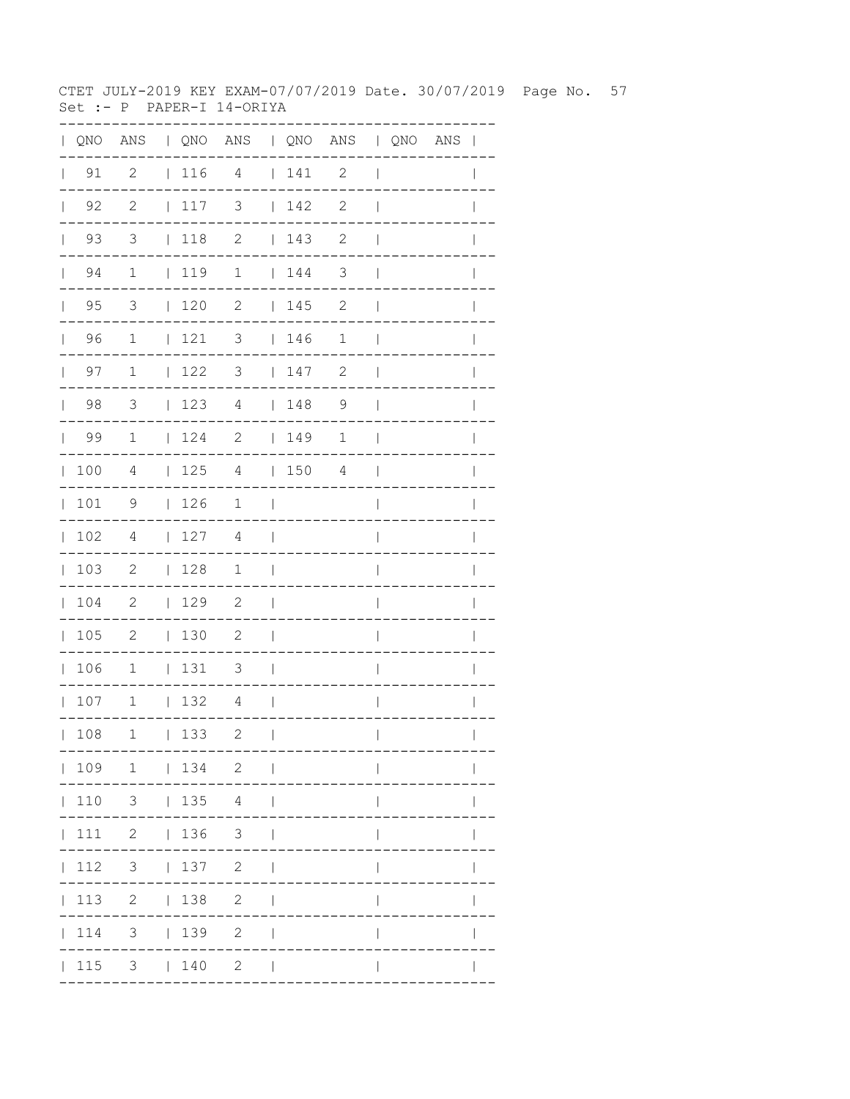CTET JULY-2019 KEY EXAM-07/07/2019 Date. 30/07/2019 Page No. 57 Set :- P PAPER-I 14-ORIYA

|              |                    |                            |                                                             | QNO ANS   QNO ANS   QNO ANS   QNO ANS |                          |                                                             |              |                          |  | $\mathbf{I}$ |
|--------------|--------------------|----------------------------|-------------------------------------------------------------|---------------------------------------|--------------------------|-------------------------------------------------------------|--------------|--------------------------|--|--------------|
|              | $\vert$ 91         | $\overline{c}$             | $\begin{array}{c} \begin{array}{c} \end{array} \end{array}$ | $\overline{4}$                        |                          | 141                                                         | 2            | $\overline{\phantom{a}}$ |  | $\mathbf{I}$ |
| $\mathbf{L}$ | 92                 | $\mathbf{2}$               | 117                                                         | 3                                     |                          | 142                                                         | $\mathbf{2}$ | $\overline{\phantom{a}}$ |  |              |
| $\mathbb{R}$ | 93                 | 3                          | $ 118$ 2                                                    |                                       |                          | 143                                                         | $\mathbf{2}$ | $\mathbf{I}$             |  |              |
|              | 94<br>$\mathbf{L}$ | $\mathbf{1}$               | 119                                                         | $\mathbf{1}$                          |                          | $\begin{array}{cc} 1 & 144 \end{array}$                     | 3            | $\mathbf{I}$             |  |              |
| $\mathbf{L}$ | 95                 | 3                          | 120                                                         | $\mathbf{2}$                          |                          | 145                                                         | 2            | $\mathbf{I}$             |  |              |
| $\mathbf{L}$ | 96                 | $\mathbf 1$                | 121                                                         | 3                                     |                          | $\begin{array}{c} \begin{array}{c} \end{array} \end{array}$ | $\mathbf 1$  | $\mathbf{I}$             |  |              |
|              | 97<br>$\mathbf{L}$ | $\mathbf 1$                | 122                                                         | 3                                     |                          | 147                                                         | $\mathbf{2}$ | $\mathbf{I}$             |  |              |
| $\mathbf{L}$ | 98                 | 3                          | 123                                                         | $\overline{4}$                        |                          | 148                                                         | 9            | $\overline{\phantom{a}}$ |  | $\mathbf{I}$ |
| $\mathbf{L}$ | 99                 | $\mathbf{1}$               | 124                                                         | $\overline{\phantom{0}}$              |                          | 149                                                         | 1            | $\overline{\phantom{a}}$ |  |              |
| $\mathbb{L}$ | 100                | 4                          | 125                                                         | $\overline{4}$                        |                          | 1504                                                        |              | $\overline{\phantom{a}}$ |  |              |
| $\mathbb{L}$ | 101                | 9                          | 126                                                         | $\mathbf 1$                           | $\overline{\phantom{a}}$ |                                                             |              | $\overline{\phantom{a}}$ |  |              |
| $\mathbf{L}$ | 102                | 4                          | 127                                                         | 4                                     | $\overline{\phantom{a}}$ |                                                             |              | $\overline{1}$           |  | $\mathbf{I}$ |
| $\mathbb{L}$ | 103                | -2                         | 128                                                         | $\mathbf{1}$                          | $\Box$                   |                                                             |              | $\overline{1}$           |  | $\mathbf{I}$ |
| $\mathbf{L}$ | 104                | $\overline{\phantom{0}}^2$ | 129                                                         | $\overline{\phantom{a}}^2$            | $\overline{\phantom{0}}$ |                                                             |              | I                        |  |              |
| $\mathbf{L}$ | 105                | $\overline{\phantom{0}}^2$ | 130                                                         | $\mathbf{2}$                          | $\overline{\phantom{a}}$ |                                                             |              | I                        |  |              |
|              | 106                | $\mathbf 1$                | 131                                                         | 3                                     | $\overline{\phantom{a}}$ |                                                             |              | $\overline{1}$           |  | I            |
|              | 107                | 1                          | 132                                                         | 4                                     | $\Box$                   |                                                             |              | $\overline{1}$           |  | $\mathbf{I}$ |
|              | 108                | $\mathbf 1$                | 133                                                         | $\mathbf{2}$                          | $\mathbf{I}$             |                                                             |              | $\mathbf{I}$             |  |              |
|              |                    | 109 1   134 2              |                                                             |                                       | $\sim$                   |                                                             |              |                          |  |              |
|              |                    | 110 3   135 4              |                                                             |                                       |                          |                                                             |              |                          |  |              |
|              |                    | $ 111 \t2 \t 136 \t3$      |                                                             |                                       |                          |                                                             |              |                          |  |              |
|              | 112                | $3 \t137 \t2$              |                                                             |                                       |                          |                                                             |              |                          |  |              |
|              |                    | 113 2   138                |                                                             | $\overline{2}$                        |                          |                                                             |              |                          |  |              |
|              | 114                | 3 <sup>7</sup>             | 139                                                         | $\mathbf{2}$                          |                          |                                                             |              |                          |  |              |
|              | 115                |                            | 3   140                                                     | $\mathbf{2}$                          |                          |                                                             |              |                          |  |              |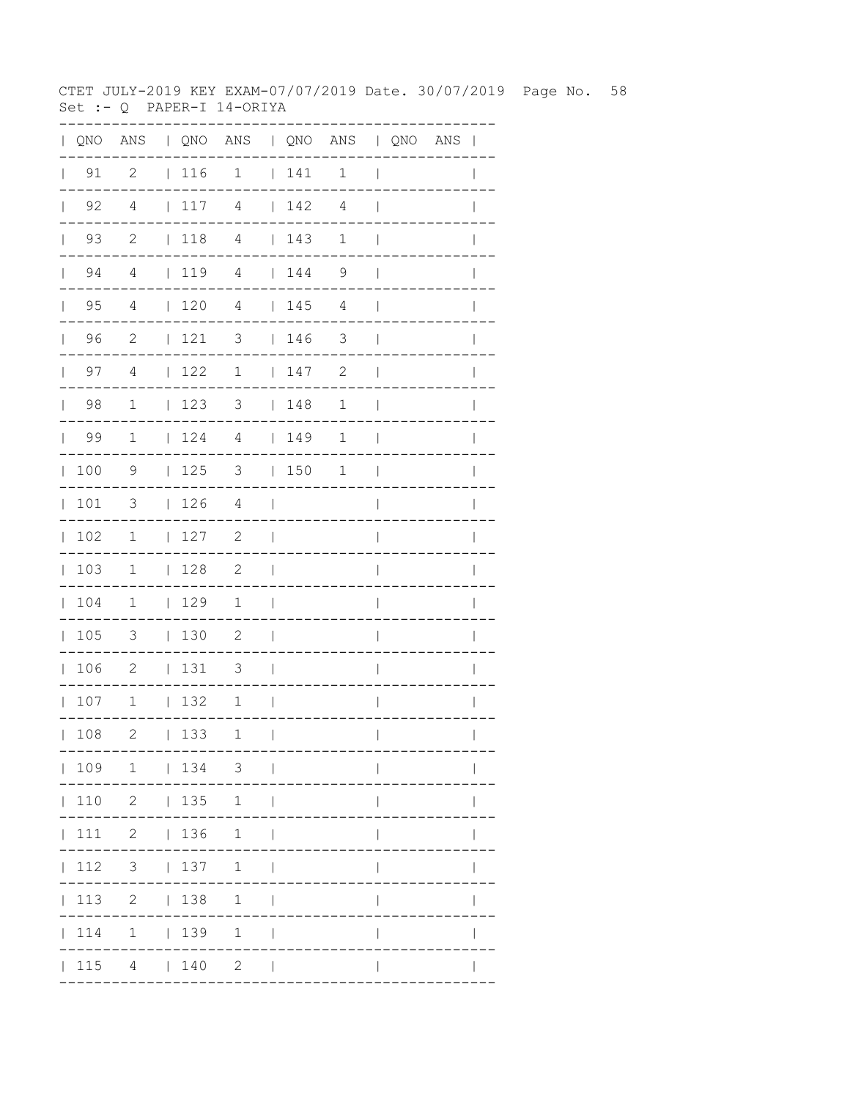CTET JULY-2019 KEY EXAM-07/07/2019 Date. 30/07/2019 Page No. 58 Set :- Q PAPER-I 14-ORIYA

| $\mathbf{L}$ |                    |                          |            | QNO ANS   QNO ANS   QNO ANS   QNO ANS |                          |             |                |                          |  | $\perp$      |
|--------------|--------------------|--------------------------|------------|---------------------------------------|--------------------------|-------------|----------------|--------------------------|--|--------------|
| $\mathbf{L}$ | 91                 | $\overline{2}$           | $ 116$ 1   |                                       |                          | 141         | $\mathbf 1$    | $\overline{\phantom{a}}$ |  |              |
|              | $\vert$ 92         | $\overline{4}$           | 117        | $\overline{4}$                        |                          | 142         | 4              | $\overline{\phantom{a}}$ |  |              |
|              | 93<br>$\mathbf{L}$ | $\mathbf{2}$             | 118        | 4                                     |                          | $\vert$ 143 | 1              | $\mathbf{I}$             |  |              |
|              | 94<br>$\mathbb{R}$ | 4                        | 119        | $\overline{4}$                        |                          | 144         | 9              | $\overline{\phantom{a}}$ |  |              |
|              | $\vert$ 95         | $\overline{4}$           | 1204       |                                       |                          | 145         | $\overline{4}$ | $\overline{\phantom{a}}$ |  |              |
|              | 96                 | $\overline{c}$           | $121$ 3    |                                       |                          | 146         | 3              | $\mathbf{I}$             |  |              |
|              | $\vert$ 97         | $\overline{4}$           | 122        | $\overline{1}$                        |                          | 147         | $\mathbf{2}$   | $\overline{\phantom{a}}$ |  | $\mathbb{I}$ |
|              | $\vert$ 98         | $\mathbf{1}$             | 123        | $3 \t 148$                            |                          |             | 1              | $\overline{\phantom{a}}$ |  |              |
|              | 99                 | $\mathbf{1}$             | 124        | $\overline{4}$                        |                          | 149         | 1              | $\overline{\phantom{a}}$ |  |              |
|              | 100                | 9                        | 125        | 3                                     |                          | 150         | 1              | $\mathbf{I}$             |  | $\mathbf{I}$ |
|              | 101                | 3                        | 126        | $\overline{4}$                        | $\blacksquare$           |             |                | $\overline{1}$           |  | I            |
| $\mathbb{R}$ | 102                | $\overline{1}$           | 127        | $\overline{\phantom{0}}^2$            | $\mathbf{I}$             |             |                | I                        |  |              |
|              | 103                | $\overline{1}$           | 128        | $\overline{\phantom{0}}^2$            | $\overline{\phantom{a}}$ |             |                | I                        |  |              |
|              | 104                | 1                        | 129        | 1                                     | $\overline{\phantom{a}}$ |             |                | $\overline{1}$           |  |              |
|              | 105                | $\overline{\mathbf{3}}$  | 130        | $\overline{\phantom{0}}^2$            | $\Box$                   |             |                | $\overline{\phantom{a}}$ |  |              |
|              | 106                | $\overline{\phantom{0}}$ | 131        | $\overline{\phantom{a}}$              | $\mathcal{L}$            |             |                | $\overline{\phantom{a}}$ |  |              |
|              | 107                | $\overline{\phantom{0}}$ | 132        | $\mathbf 1$                           | $\Box$                   |             |                | $\overline{\phantom{a}}$ |  | $\mathbb{I}$ |
|              | 108                | $\mathbf{2}$             | 133        | 1                                     | $\overline{\phantom{a}}$ |             |                | $\overline{\phantom{a}}$ |  | $\mathbf{I}$ |
|              |                    |                          |            | 109 1   134 3                         |                          |             |                |                          |  |              |
|              | 110                | 2                        | $ 135 \t1$ |                                       |                          |             |                |                          |  |              |
|              | 111                |                          | 2   136    | $\mathbf{1}$                          |                          |             |                |                          |  |              |
|              | 112                | 3 <sup>7</sup>           | 137        | $\mathbf{1}$                          |                          |             |                |                          |  |              |
|              | 113                |                          | 2   138    | $\mathbf{1}$                          |                          |             |                |                          |  |              |
|              | 114                | $\mathbf{1}$             | 139        | $\mathbf{1}$                          |                          |             |                |                          |  |              |
|              | $\vert$ 115        |                          | 4   140    | 2                                     | $\sim$ 1                 |             |                |                          |  |              |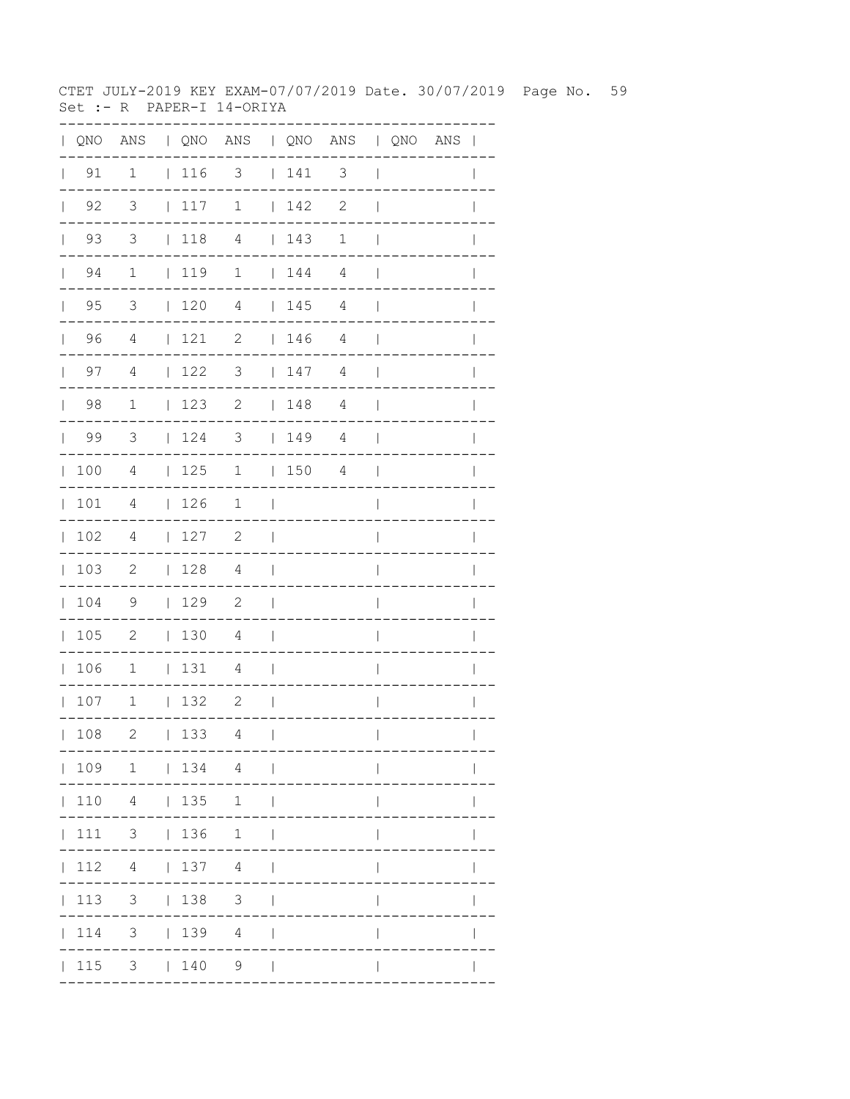CTET JULY-2019 KEY EXAM-07/07/2019 Date. 30/07/2019 Page No. 59 Set :- R PAPER-I 14-ORIYA

|              |                    |                            |                                                             | QNO ANS   QNO ANS   QNO ANS   QNO ANS |                          |      |              |                          |  | $\mathbf{I}$ |
|--------------|--------------------|----------------------------|-------------------------------------------------------------|---------------------------------------|--------------------------|------|--------------|--------------------------|--|--------------|
|              | $\vert$ 91         | $\mathbf 1$                | $\begin{array}{c} \begin{array}{c} \end{array} \end{array}$ | 3                                     |                          | 141  | 3            | $\overline{\phantom{a}}$ |  |              |
| $\mathbf{L}$ | 92                 | 3                          | 117                                                         | $\mathbf 1$                           |                          | 142  | $\mathbf{2}$ | $\mathbf{I}$             |  |              |
| $\mathbf{L}$ | 93                 | 3                          | $\vert$ 118                                                 | $\overline{4}$                        |                          | 143  | $\mathbf 1$  | $\mathbf{I}$             |  |              |
|              | 94<br>$\mathbf{L}$ | $\mathbf{1}$               | 119                                                         | $\mathbf{1}$                          |                          | 144  | 4            | $\mathbf{I}$             |  |              |
| $\mathbf{L}$ | 95                 | 3                          | 120                                                         | 4                                     |                          | 145  | 4            | $\overline{\phantom{a}}$ |  |              |
| $\mathbf{L}$ | 96                 | 4                          | 121                                                         | 2                                     |                          | 146  | 4            | $\overline{\phantom{a}}$ |  |              |
| $\mathbf{L}$ | 97                 | 4                          | 122                                                         | 3                                     |                          | 147  | 4            | $\overline{\phantom{a}}$ |  |              |
| $\mathbf{L}$ | 98                 | $\mathbf 1$                | 123                                                         | $\mathbf{2}$                          |                          | 148  | 4            | $\overline{\phantom{a}}$ |  | $\mathbb{I}$ |
| $\mathbf{L}$ | 99                 | $\overline{\mathbf{3}}$    | 124                                                         | 3                                     |                          | 149  | 4            | $\overline{\phantom{a}}$ |  | I            |
| $\mathbb{L}$ | 100                | $\overline{4}$             | 125                                                         | $\overline{1}$                        |                          | 1504 |              | $\overline{\phantom{a}}$ |  |              |
| $\mathbf{L}$ | 101                | 4                          | $\begin{array}{c} \begin{array}{c} \end{array} \end{array}$ | 1                                     | $\perp$                  |      |              | $\overline{\phantom{a}}$ |  |              |
| $\mathbf{L}$ | 102                | 4                          | 127                                                         | 2                                     | $\mathbf{I}$             |      |              | $\overline{1}$           |  | $\mathbb{I}$ |
| $\mathbb{L}$ | 103                | $\overline{\phantom{a}}$   | 128                                                         | 4                                     | $\Box$                   |      |              | $\overline{\phantom{a}}$ |  | $\mathbf{I}$ |
| $\mathbf{L}$ | 104                | 9                          | 129                                                         | $\overline{\phantom{0}}^2$            | $\overline{\phantom{a}}$ |      |              | I                        |  |              |
| $\mathbf{L}$ | 105                | $\overline{\phantom{0}}^2$ | 130                                                         | 4                                     | $\overline{\phantom{0}}$ |      |              | I                        |  |              |
| $\mathbf{L}$ | 106                | $\mathbf 1$                | 131                                                         | 4                                     | $\overline{\phantom{a}}$ |      |              | $\overline{1}$           |  | I            |
|              | 107                | $\mathbf{1}$               | 132                                                         | 2                                     | $\overline{\phantom{a}}$ |      |              | $\overline{1}$           |  | $\mathbf{I}$ |
|              | 108                | 2                          | 133                                                         | 4                                     | $\overline{1}$           |      |              | $\mathbf{I}$             |  |              |
|              |                    |                            |                                                             | 109 1   134 4                         |                          |      |              |                          |  |              |
|              |                    | 110 4   135                |                                                             | 1                                     | $\Box$                   |      |              |                          |  |              |
|              |                    | 111 3   136 1              |                                                             |                                       | $\Box$                   |      |              |                          |  |              |
|              | 112                | $4 \mid$                   |                                                             | 137 4                                 | $\Box$                   |      |              |                          |  |              |
|              | 113                | 3 <sup>7</sup>             | 138                                                         | $\mathcal{S}$                         |                          |      |              |                          |  |              |
|              | 114                | 3 <sup>7</sup>             |                                                             | 1394                                  |                          |      |              |                          |  |              |
|              | 115                |                            | 3   140                                                     | 9                                     |                          |      |              |                          |  |              |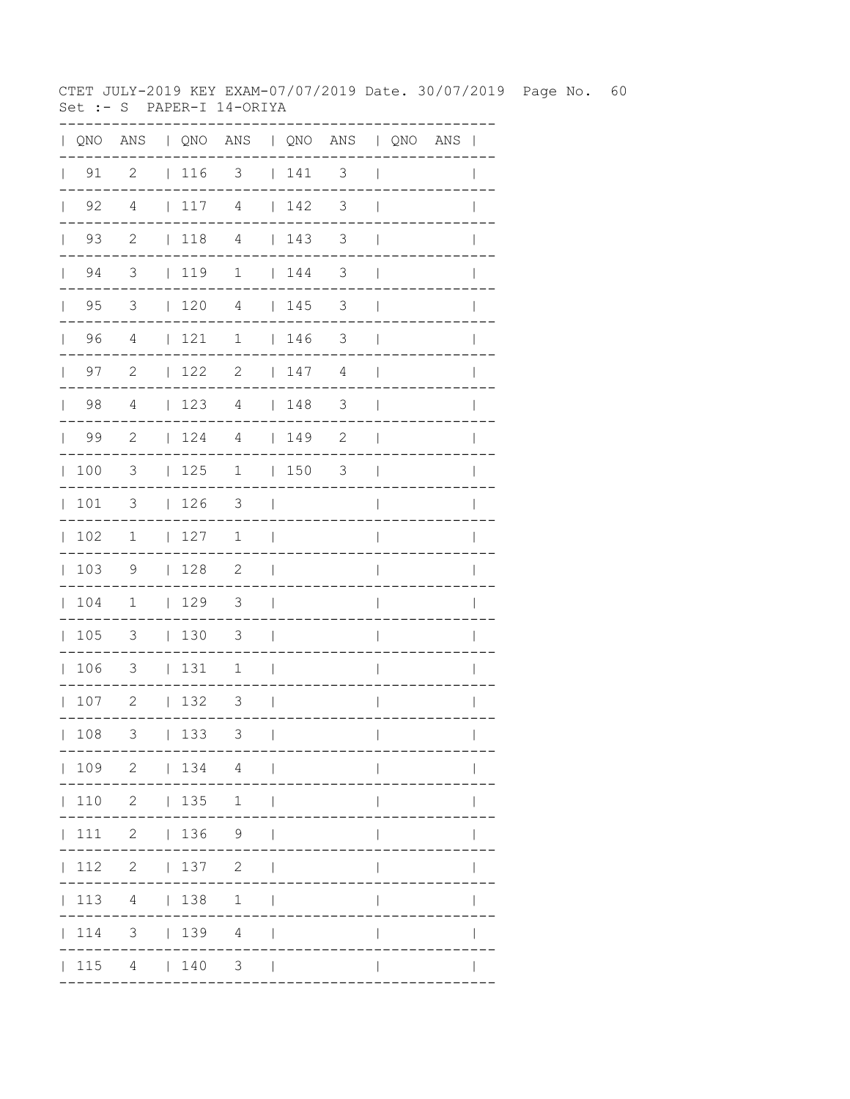CTET JULY-2019 KEY EXAM-07/07/2019 Date. 30/07/2019 Page No. 60 Set :- S PAPER-I 14-ORIYA

| $\mathbf{L}$ |                    |                          |                                        | QNO ANS   QNO ANS   QNO ANS   QNO ANS |                          |                                         |                          |                          |  | $\overline{\phantom{a}}$ |
|--------------|--------------------|--------------------------|----------------------------------------|---------------------------------------|--------------------------|-----------------------------------------|--------------------------|--------------------------|--|--------------------------|
| $\mathbf{L}$ | 91                 | $\overline{c}$           | $ 116$ 3                               |                                       |                          | 141                                     | $\mathfrak{Z}$           | $\overline{\phantom{a}}$ |  |                          |
|              | $\vert$ 92         | $\overline{4}$           | 117                                    | 4                                     |                          | 142                                     | 3                        | $\overline{\phantom{a}}$ |  |                          |
|              | 93<br>$\mathbf{L}$ | $\mathbf{2}$             | 118                                    | $\overline{4}$                        |                          | $\begin{array}{cc} 1 & 143 \end{array}$ | 3                        | $\overline{\phantom{a}}$ |  |                          |
|              | 94<br>$\mathbf{L}$ | 3                        | $\vert$ 119                            | $\mathbf 1$                           |                          | 144                                     | 3                        | $\mathbf{I}$             |  |                          |
|              | $\vert$ 95         | $\overline{\mathbf{3}}$  | $\begin{array}{cc} 1 & 20 \end{array}$ | $\overline{4}$                        |                          | 145                                     | $\mathfrak{Z}$           | $\overline{\phantom{a}}$ |  |                          |
|              | 96                 | $\overline{4}$           | 121                                    | $\mathbf 1$                           |                          | 146                                     | $\mathcal{S}$            | $\overline{\phantom{a}}$ |  |                          |
|              | $\vert$ 97         | 2                        | 122                                    | 2                                     |                          | 147                                     | 4                        | $\overline{\phantom{a}}$ |  | $\mathbf{I}$             |
|              | $\vert$ 98         | $\overline{4}$           | 123                                    | $\overline{4}$                        |                          | 148                                     | $\overline{\phantom{a}}$ | $\overline{\phantom{a}}$ |  |                          |
|              | 99                 | -2                       | 124                                    | 4                                     |                          | 149                                     | $\mathbf{2}$             | $\overline{\phantom{a}}$ |  |                          |
|              | 100                | 3                        | 125                                    | $\mathbf 1$                           |                          | 150                                     | 3                        | $\blacksquare$           |  | $\mathbf{I}$             |
|              | 101                | $\mathcal{S}$            | 126                                    | $\overline{\mathbf{3}}$               | $\blacksquare$           |                                         |                          | $\overline{1}$           |  | $\mathbb{I}$             |
|              | 102                | $\overline{\phantom{a}}$ | 127                                    | $\mathbf 1$                           | $\overline{\phantom{a}}$ |                                         |                          | I                        |  |                          |
|              | 103                | $\overline{9}$           | 128                                    | $\overline{\phantom{0}}^2$            | $\overline{\phantom{a}}$ |                                         |                          | $\overline{\phantom{a}}$ |  |                          |
|              | 104                | $\mathbf{1}$             | $\vert$ 129                            | $\overline{\mathbf{3}}$               | $\Box$                   |                                         |                          | $\overline{1}$           |  |                          |
|              | 105                | $\overline{\mathbf{3}}$  | 130                                    | 3                                     | $\Box$                   |                                         |                          | I                        |  |                          |
|              | 106                | $\overline{\mathbf{3}}$  | 131                                    | 1                                     | $\overline{\phantom{a}}$ |                                         |                          | I                        |  |                          |
|              | 107                | $\overline{\phantom{a}}$ | 132                                    | $\overline{\mathbf{3}}$               | $\mathcal{L}$            |                                         |                          | $\overline{\phantom{a}}$ |  | I                        |
|              | 108                | 3                        | 133                                    | 3                                     | $\overline{\phantom{a}}$ |                                         |                          | $\overline{\phantom{a}}$ |  | $\mathbf{I}$             |
|              |                    | 109 2   134 4            |                                        |                                       | $\sim$ 1                 |                                         |                          |                          |  |                          |
|              | 110                |                          | 2   135                                | 1                                     | - 1                      |                                         |                          |                          |  |                          |
|              | 111                |                          |                                        | $2 \t 136 \t 9$                       |                          |                                         |                          |                          |  |                          |
|              | 112                |                          | 2   137                                | $\mathbf{2}$                          |                          |                                         |                          |                          |  |                          |
|              | 113                |                          | 4   138                                | $\mathbf{1}$                          |                          |                                         |                          |                          |  |                          |
|              | 114                |                          |                                        | $3 \t   139 \t 4$                     |                          |                                         |                          |                          |  |                          |
|              | 115                |                          | 4   140                                | $\mathcal{S}$                         | $\Box$                   |                                         |                          |                          |  |                          |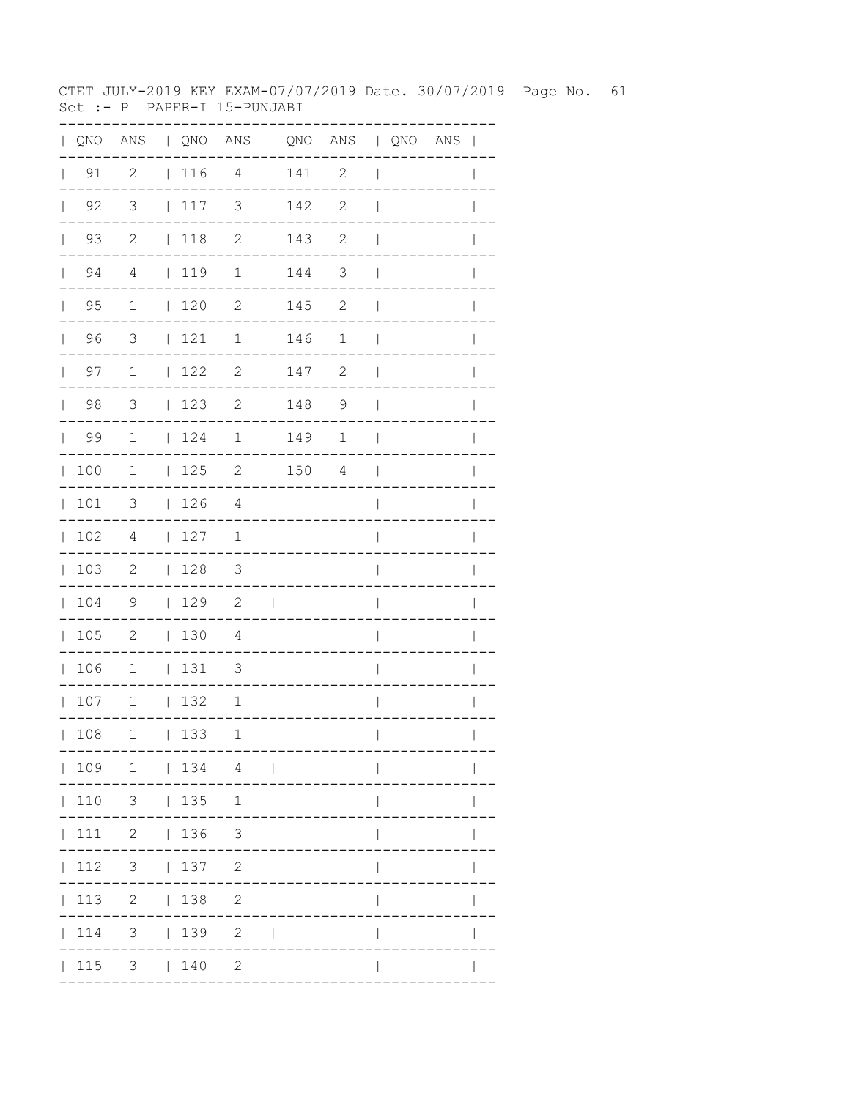CTET JULY-2019 KEY EXAM-07/07/2019 Date. 30/07/2019 Page No. 61 Set :- P PAPER-I 15-PUNJABI

|              |                      | QNO ANS   QNO ANS   QNO ANS   QNO ANS |             |                          |                                 |         |                            |                          |  |              |
|--------------|----------------------|---------------------------------------|-------------|--------------------------|---------------------------------|---------|----------------------------|--------------------------|--|--------------|
| $\mathbf{L}$ | 91                   | $\overline{c}$                        | 116         | $\overline{4}$           |                                 | $141$ 2 |                            | $\overline{\phantom{a}}$ |  |              |
|              | $\vert$ 92           | $\overline{\mathbf{3}}$               | 117         | $\overline{\mathbf{3}}$  |                                 | 142     | $\overline{\phantom{0}}^2$ | $\overline{\phantom{a}}$ |  |              |
|              | $\vert$ 93           | $\overline{c}$                        | $\vert$ 118 | $\overline{\phantom{a}}$ |                                 | 143     | $\overline{\phantom{0}}^2$ | $\overline{\phantom{a}}$ |  |              |
|              | $\vert$ 94           | $\overline{4}$                        | 119         | $\mathbf 1$              |                                 | 144     | $\overline{\phantom{a}}$   | $\overline{\phantom{a}}$ |  |              |
|              | 95<br>$\mathbf{L}$   | 1                                     | 120         | $\overline{2}$           |                                 | 145     | 2                          | $\mathbf{I}$             |  |              |
|              | $\vert$ 96           | $\overline{\mathbf{3}}$               | 121         | $\mathbf{1}$             |                                 | 146     | $\mathbf 1$                | $\Box$                   |  |              |
|              | 97<br>$\mathbb{R}^n$ | $\overline{1}$                        | 122         | $\overline{2}$           |                                 | 147     | 2                          | $\overline{\phantom{a}}$ |  |              |
|              | 98                   | $\overline{\mathbf{3}}$               | 123         | $\overline{\phantom{a}}$ |                                 | 148     | $\overline{9}$             | $\overline{\phantom{a}}$ |  |              |
|              | $\vert$ 99           | $\overline{1}$                        | 124         | $1 \t 149$               |                                 |         | $\mathbf 1$                | $\blacksquare$           |  |              |
|              | 100                  | $\mathbf{1}$                          |             | $125$ 2 $150$ 4          |                                 |         |                            | $\mathcal{L}$            |  |              |
| $\mathbb{L}$ | 101                  | 3                                     | 126         | $\overline{4}$           | $\sim$                          |         |                            | $\overline{1}$           |  |              |
|              | 102                  | 4                                     | 127         | $\mathbf 1$              | $\sim$                          |         |                            | $\overline{1}$           |  |              |
|              | 103                  | $\overline{c}$                        | 128         | $\overline{\mathbf{3}}$  | $\sim$                          |         |                            | $\overline{\phantom{a}}$ |  | $\mathbf{I}$ |
|              | 104                  | - 9                                   | 129         | $\overline{2}$           | $\sim$ 1                        |         |                            | $\overline{1}$           |  |              |
|              | 105                  | $\overline{\phantom{0}}$              | 1304        |                          | $\sim$                          |         |                            | $\overline{\phantom{a}}$ |  |              |
|              | 106                  | $\overline{\phantom{0}}$              | $ 131 \t3$  |                          | $\sim$                          |         |                            | $\overline{\phantom{a}}$ |  | $\mathbb{I}$ |
|              | 107                  | $\mathbf{1}$                          | 132         | $\mathbf{1}$             | $\sim$ 1                        |         |                            | $\overline{\phantom{a}}$ |  | $\mathbf{I}$ |
|              | 108                  | 1                                     | 133         | 1                        | $\perp$                         |         |                            | $\overline{1}$           |  | $\mathbf{I}$ |
|              |                      | $ 109 \t1 \t 134 \t4 \t $             |             |                          |                                 |         |                            |                          |  |              |
|              |                      | $ 110 \t3 \t 135 \t1$                 |             |                          | $\perp$                         |         |                            |                          |  |              |
|              |                      | 111 2   136 3                         |             |                          |                                 |         |                            |                          |  |              |
|              |                      | $ 112 \t3 \t 137 \t2$                 |             |                          | $\mathbb{R}$                    |         |                            | $\mathbf{I}$             |  |              |
|              |                      | 113 2   138 2                         |             |                          | $\mathbb{R}$                    |         |                            | $\mathbf{I}$             |  |              |
|              |                      | $ 114$ 3 $ 139$ 2                     |             |                          | $\overline{\phantom{0}}$        |         |                            |                          |  |              |
|              |                      | $ 115 \t3 \t 140 \t2$                 |             |                          | <b>Contract Contract Street</b> |         |                            |                          |  |              |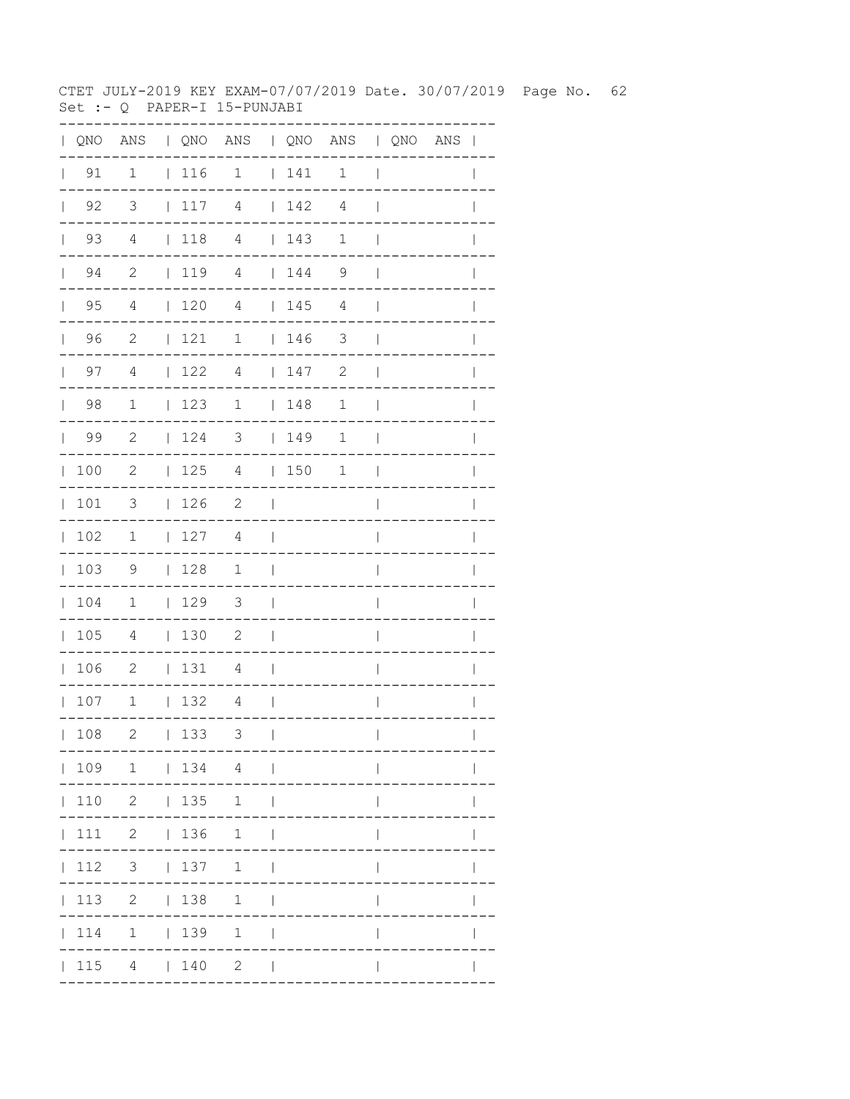CTET JULY-2019 KEY EXAM-07/07/2019 Date. 30/07/2019 Page No. 62 Set :- Q PAPER-I 15-PUNJABI

| QNO | $\mathbb{A}\mathbb{N}\mathbb{S}$ |              |     | QNO ANS   QNO ANS   QNO ANS |                |     |                |                          |                       |              |
|-----|----------------------------------|--------------|-----|-----------------------------|----------------|-----|----------------|--------------------------|-----------------------|--------------|
| 91  | $\mathbf{1}$                     |              | 116 | $\overline{1}$              |                | 141 | $\mathbf{1}$   | $\overline{1}$           |                       |              |
| 92  | $\overline{\mathbf{3}}$          | $\mathbf{L}$ | 117 | 4                           |                | 142 | $\overline{4}$ |                          |                       |              |
| 93  | $\overline{4}$                   |              | 118 | $\overline{4}$              |                | 143 | $\mathbf 1$    |                          |                       |              |
| 94  | 2                                |              | 119 | $\sqrt{4}$                  |                | 144 | 9              |                          |                       |              |
| 95  | 4                                |              | 120 | $\overline{4}$              |                | 145 | 4              |                          |                       |              |
| 96  | 2                                | $\mathbf{L}$ | 121 | $\mathbf 1$                 | $\mathbf{L}$   | 146 | 3              |                          |                       |              |
| 97  | 4                                | $\mathbf{L}$ | 122 | $\overline{4}$              | $\mathbf{L}$   | 147 | 2              |                          |                       |              |
| 98  | $\mathbf 1$                      | $\mathbf{I}$ | 123 | $\mathbf 1$                 | $\mathbf{L}$   | 148 | $\mathbf 1$    |                          |                       |              |
| 99  | $\mathbf{2}$                     | L            | 124 | 3                           | $\mathbf{L}$   | 149 | $\mathbf 1$    |                          |                       |              |
| 100 | $\mathbf{2}$                     | $\mathbf{L}$ | 125 | 4                           | $\mathbf{L}$   | 150 | $\mathbf 1$    |                          |                       |              |
| 101 | 3                                | $\mathbf{L}$ | 126 | $\mathbf{2}$                |                |     |                |                          |                       |              |
| 102 | 1                                | L            | 127 | 4                           |                |     |                |                          |                       |              |
| 103 | 9                                | L            | 128 | $\mathbf 1$                 | L              |     |                |                          |                       |              |
| 104 | $\mathbf 1$                      | $\mathbf{L}$ | 129 | $\mathfrak{Z}$              |                |     |                |                          |                       |              |
| 105 | 4                                | $\mathbf{L}$ | 130 | 2                           | I              |     |                |                          |                       |              |
| 106 | $\mathbf{2}$                     | L            | 131 | 4                           | I              |     |                |                          |                       |              |
| 107 | $1\,$                            | $\mathbf{L}$ | 132 | $\overline{4}$              |                |     |                |                          |                       |              |
| 108 | 2                                |              | 133 | 3                           | $\blacksquare$ |     | -----------    | $\mathbf{L}$             | . _ _ _ _ _ _ _ _ _ . | $\mathbf{L}$ |
|     |                                  |              |     | $ 109 \t1 \t 134 \t4 \t $   |                |     |                |                          |                       |              |
|     |                                  |              |     | 110 2   135 1               |                |     |                |                          |                       |              |
|     |                                  |              |     | 111 2   136 1               |                |     |                |                          |                       |              |
|     |                                  |              |     | 112 3   137 1               |                |     |                | $\mathbf{I}$             |                       |              |
|     |                                  |              |     | 113 2   138 1               |                |     |                | $\overline{\phantom{a}}$ |                       | $\mathbf{I}$ |
|     |                                  |              |     | 114 1   139 1               |                |     |                | $\overline{1}$           |                       |              |
|     |                                  |              |     | $ 115 \t4 \t 140 \t2 \t $   |                |     |                | $\mathbf{I}$             |                       |              |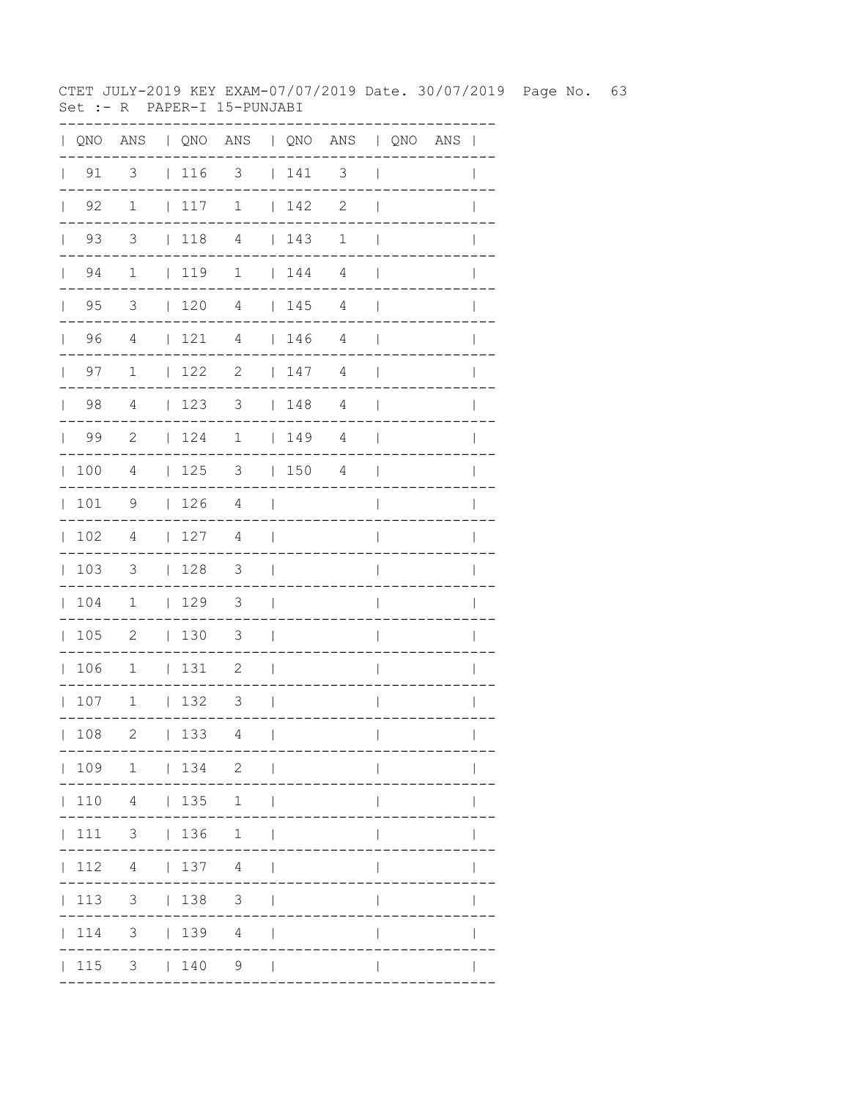CTET JULY-2019 KEY EXAM-07/07/2019 Date. 30/07/2019 Page No. 63 Set :- R PAPER-I 15-PUNJABI

| $\mathbf{L}$ | QNO                |                          |             | ANS   QNO ANS   QNO ANS   QNO ANS |                          |                                                             |                |                          |  | $\overline{\phantom{a}}$ |
|--------------|--------------------|--------------------------|-------------|-----------------------------------|--------------------------|-------------------------------------------------------------|----------------|--------------------------|--|--------------------------|
| $\mathbf{L}$ | 91                 | 3                        | $ 116$ 3    |                                   |                          | $\begin{array}{c} \begin{array}{c} \end{array} \end{array}$ | 3              | $\overline{\phantom{a}}$ |  |                          |
|              | $\vert$ 92         | $\mathbf 1$              | 117         | $\mathbf 1$                       |                          | 142                                                         | $\mathbf{2}$   | $\overline{\phantom{a}}$ |  |                          |
|              | 93<br>$\mathbf{L}$ | 3                        | $\vert$ 118 | $\overline{4}$                    |                          | $\begin{array}{c} \begin{array}{c} \end{array} \end{array}$ | $\mathbf 1$    | $\mathbf{I}$             |  |                          |
|              | 94<br>$\mathbf{L}$ | $\mathbf 1$              | $\vert$ 119 | $\mathbf 1$                       |                          | $\begin{array}{cc} 1 & 44 \end{array}$                      | 4              | $\perp$                  |  |                          |
|              | $\vert$ 95         | 3                        | 120         | $\overline{4}$                    |                          | 145                                                         | $\overline{4}$ | $\mathbf{I}$             |  |                          |
|              | 96                 | $\overline{4}$           | 121         | $\overline{4}$                    |                          | 146                                                         | $\overline{4}$ | $\overline{\phantom{a}}$ |  |                          |
|              | $\vert$ 97         | $\mathbf 1$              | 122         | 2                                 |                          | 147                                                         | 4              | $\mathbf{I}$             |  | $\mathbf{I}$             |
|              | $\vert$ 98         | $\overline{4}$           | 123         | $\mathcal{S}$                     |                          | 148                                                         | $\overline{4}$ | $\mathbf{I}$             |  |                          |
|              | 99                 | 2                        | 124         | $\mathbf 1$                       |                          | 149                                                         | 4              | $\overline{\phantom{a}}$ |  |                          |
|              | 100                | 4                        | 125         | 3                                 |                          | 150                                                         | 4              | $\mathbf{I}$             |  | $\mathbf{I}$             |
|              | 101                | 9                        | 126         | 4                                 | $\blacksquare$           |                                                             |                | $\overline{1}$           |  | $\mathbf{I}$             |
| $\mathbf{L}$ | 102                | $\overline{4}$           | 127         | $\overline{4}$                    | $\overline{\phantom{a}}$ |                                                             |                | I                        |  |                          |
|              | 103                | $\overline{\phantom{a}}$ | 128         | $\overline{\mathbf{3}}$           | $\mathbf{I}$             |                                                             |                | I                        |  |                          |
|              | 104                | $\mathbf 1$              | $\vert$ 129 | 3                                 | $\mathcal{L}$            |                                                             |                | $\overline{\phantom{a}}$ |  |                          |
|              | 105                | $\overline{\phantom{0}}$ | 130         | 3                                 | $\Box$                   |                                                             |                | I                        |  |                          |
|              | 106                | $\overline{1}$           | 131         | $\overline{\phantom{0}}^2$        | $\overline{\phantom{0}}$ |                                                             |                | I                        |  |                          |
|              | 107                | $\overline{1}$           | 132         | $\overline{\phantom{a}}$          | $\mathcal{L}$            |                                                             |                | $\mathbf{I}$             |  | I                        |
|              | 108                | $\mathbf{2}$             | 133         | 4                                 | $\overline{1}$           |                                                             |                | $\overline{\phantom{a}}$ |  | $\mathbf{I}$             |
|              |                    | 109 1   134 2            |             |                                   | $\sim$ 1                 |                                                             |                |                          |  |                          |
|              | 110                |                          | 4   135     | 1                                 | $\perp$                  |                                                             |                |                          |  |                          |
|              | 111                | $3 \t136$                |             | 1                                 | $\overline{\phantom{0}}$ |                                                             |                |                          |  |                          |
|              | 112                |                          | 4   137 4   |                                   |                          |                                                             |                |                          |  |                          |
|              | 113                |                          | $3 \t 138$  | $\mathcal{S}$                     |                          |                                                             |                |                          |  |                          |
|              | 114                |                          | $3 \t 139$  | 4                                 |                          |                                                             |                |                          |  |                          |
|              | 115                |                          | $3 \t140$   | 9                                 | $\Box$                   |                                                             |                |                          |  |                          |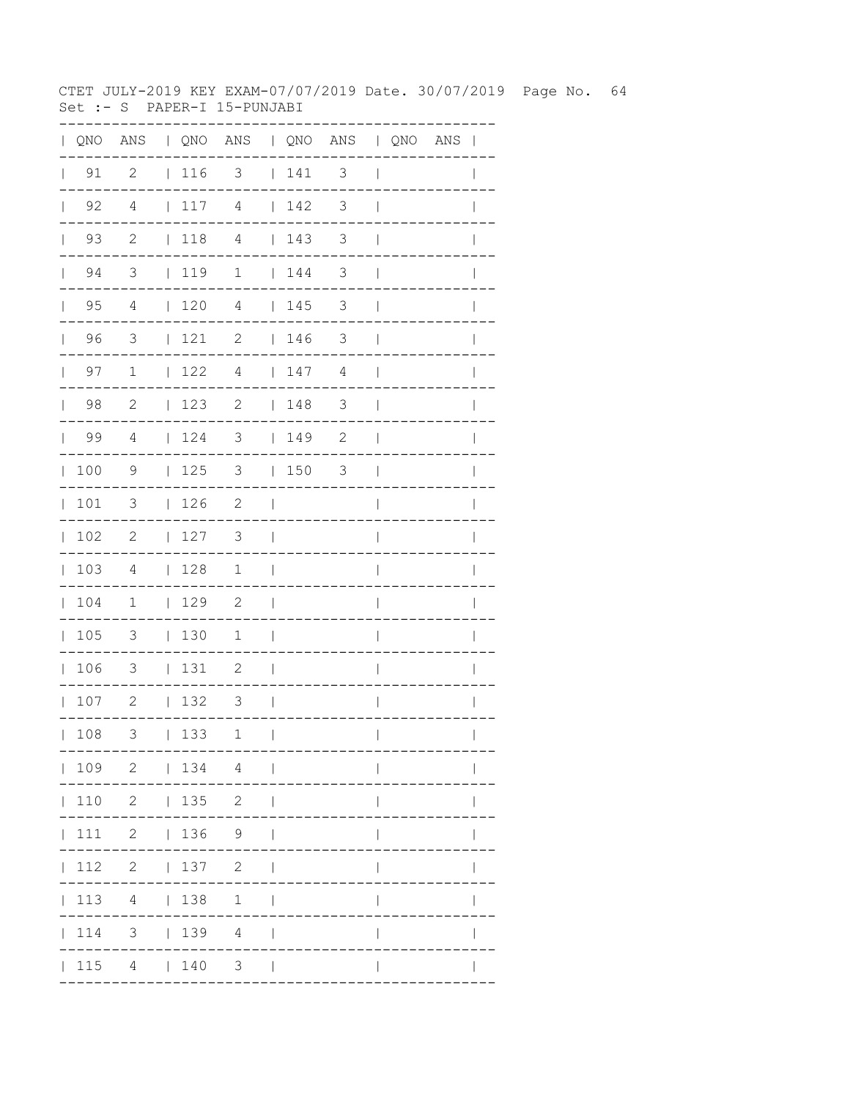CTET JULY-2019 KEY EXAM-07/07/2019 Date. 30/07/2019 Page No. 64 Set :- S PAPER-I 15-PUNJABI

| QNO | $\mathbb{A}\mathbb{N}\mathbb{S}$ |              |     | QNO ANS   QNO ANS   QNO ANS |                |     |                       |              |                                     |
|-----|----------------------------------|--------------|-----|-----------------------------|----------------|-----|-----------------------|--------------|-------------------------------------|
| 91  | $\overline{2}$                   |              | 116 | $\overline{\phantom{a}}$    |                | 141 | 3                     | I            |                                     |
| 92  | 4                                | $\mathbf{L}$ | 117 | $\overline{4}$              |                | 142 | 3                     |              |                                     |
| 93  | $\overline{\phantom{0}}^2$       |              | 118 | $\overline{4}$              |                | 143 | 3                     |              |                                     |
| 94  | $\overline{\mathbf{3}}$          |              | 119 | $\mathbf 1$                 |                | 144 | 3                     |              |                                     |
| 95  | 4                                |              | 120 | $\overline{4}$              |                | 145 | 3                     |              |                                     |
| 96  | 3                                |              | 121 | $\mathbf{2}$                | L              | 146 | 3                     |              |                                     |
| 97  | $\mathbf 1$                      | L            | 122 | $\overline{4}$              | $\mathbf{L}$   | 147 | 4                     |              |                                     |
| 98  | $\mathbf{2}$                     | L            | 123 | $\sqrt{2}$                  | L              | 148 | 3                     |              |                                     |
| 99  | $\overline{4}$                   | L            | 124 | 3                           | L              | 149 | $\sqrt{2}$            |              |                                     |
| 100 | 9                                | L            | 125 | 3                           | L              | 150 | 3                     |              |                                     |
| 101 | 3                                | L            | 126 | $\mathbf{2}$                |                |     |                       |              |                                     |
| 102 | $\mathbf{2}$                     | L            | 127 | 3                           |                |     |                       |              |                                     |
| 103 | 4                                | L            | 128 | $\mathbf 1$                 |                |     |                       |              |                                     |
| 104 | 1                                | L            | 129 | $\mathbf{2}$                |                |     |                       |              |                                     |
| 105 | 3                                | $\mathbf{L}$ | 130 | $\mathbf 1$                 |                |     |                       |              |                                     |
| 106 | 3                                | L            | 131 | 2                           |                |     |                       |              |                                     |
| 107 | $\mathbf{2}$                     | $\mathbf{L}$ | 132 | 3                           |                |     |                       |              |                                     |
| 108 | 3                                |              | 133 | $\mathbf{1}$                | $\blacksquare$ |     | . _ _ _ _ _ _ _ _ _ . | $\mathbf{L}$ | $\mathbf{L}$<br>. _ _ _ _ _ _ _ _ _ |
|     |                                  |              |     | $ 109 \t2 \t 134 \t4 \t $   |                |     |                       |              |                                     |
|     |                                  |              |     | 110 2   135 2               |                |     |                       |              |                                     |
|     |                                  |              |     | 111 2   136 9               |                |     |                       | $\mathbf{I}$ | $\mathbf{I}$                        |
|     |                                  |              |     | 112 2   137 2               |                |     |                       | $\mathbf{I}$ | $\mathsf{I}$                        |
|     |                                  |              |     | 113 4   138 1               |                |     |                       | $\mathsf{I}$ | $\mathsf{I}$                        |
|     |                                  |              |     | 114 3   139 4               |                |     |                       | $\mathbf{I}$ | $\mathsf{I}$                        |
|     |                                  |              |     | $ 115 \t4 \t 140 \t3 \t $   |                |     |                       | $\mathbf{I}$ | $\mathbf{I}$                        |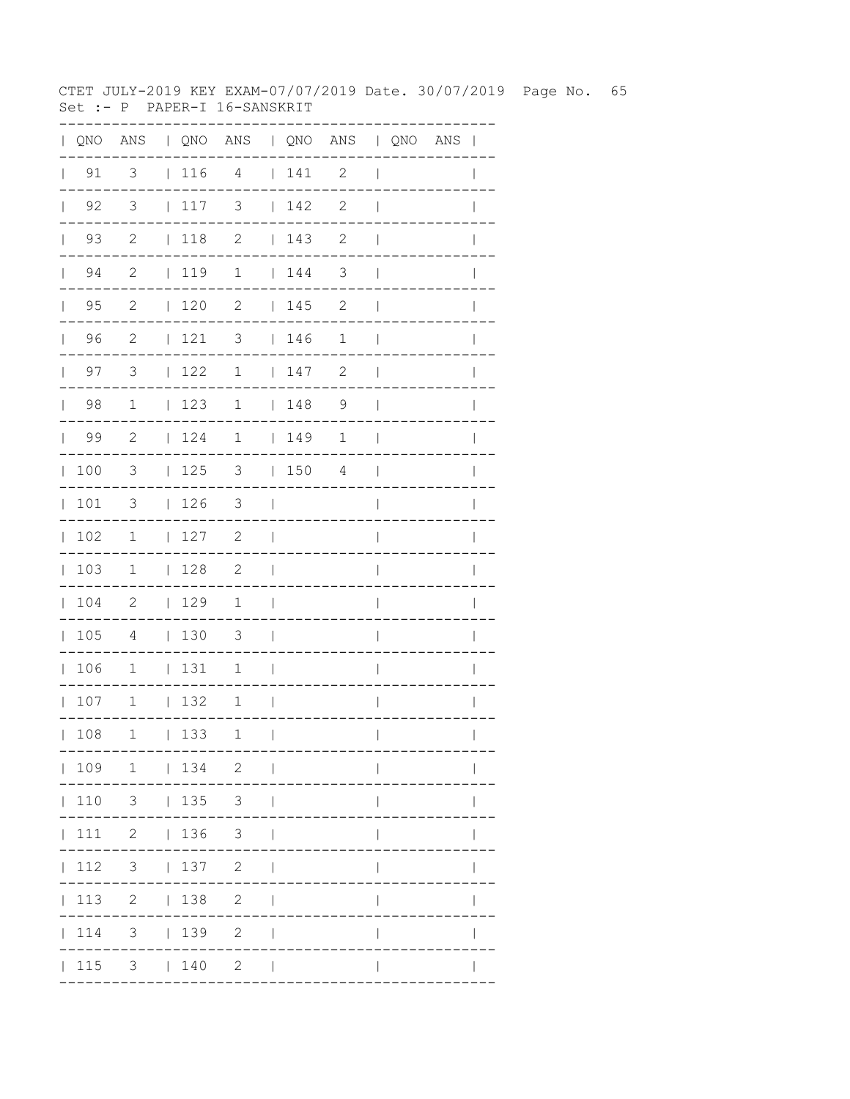CTET JULY-2019 KEY EXAM-07/07/2019 Date. 30/07/2019 Page No. 65 Set :- P PAPER-I 16-SANSKRIT

|              |                      | QNO ANS   QNO ANS   QNO ANS   QNO ANS |                                                             |                            |              |            |                            |                          |  |              |
|--------------|----------------------|---------------------------------------|-------------------------------------------------------------|----------------------------|--------------|------------|----------------------------|--------------------------|--|--------------|
|              | $\vert$ 91           | $\overline{\mathbf{3}}$               |                                                             | $116$ 4 $141$ 2            |              |            |                            | $\overline{\phantom{a}}$ |  |              |
| $\mathbb{L}$ | 92                   | $\overline{\mathbf{3}}$               | 117                                                         | $\overline{\mathbf{3}}$    | $\mathbb{R}$ | 142        | 2                          | $\overline{\phantom{a}}$ |  |              |
|              | 93<br>$\mathbb{R}^n$ | $\overline{\phantom{0}}^2$            | $\begin{array}{c} \begin{array}{c} \end{array} \end{array}$ | $\overline{\phantom{a}}$   |              | 143        | 2                          | $\overline{\phantom{a}}$ |  |              |
|              | $\vert$ 94           | $\overline{\phantom{0}}^2$            |                                                             | 119 1   144                |              |            | $\overline{\phantom{a}}$   | $\perp$                  |  | I            |
|              | $\vert$ 95           | $\overline{\phantom{0}}^2$            | $\vert$ 120                                                 | $\overline{2}$             |              | 145        | $\overline{\phantom{0}}^2$ | $\perp$                  |  |              |
|              | 96                   | $\overline{\phantom{0}}^2$            | $ 121$ 3                                                    |                            |              | 146        | $\mathbf 1$                | $\overline{\phantom{a}}$ |  |              |
|              | 97<br>$\mathbf{L}$   | $\overline{\mathbf{3}}$               | 122                                                         |                            |              | $1 \t 147$ | $\overline{\phantom{0}}^2$ | $\mathbf{I}$             |  | I            |
|              | $\vert$ 98           | $\overline{1}$                        | 123                                                         |                            |              | $1 \t 148$ | $\overline{9}$             | $\mathbf{I}$             |  |              |
|              | $\vert$ 99           | $\overline{\phantom{0}}^2$            | 124                                                         | $\overline{1}$             |              | 149        | $\mathbf 1$                | $\overline{\phantom{a}}$ |  |              |
| $\mathbb{R}$ | 100                  | 3                                     | 125                                                         | 3   150                    |              |            | 4                          | $\blacksquare$           |  |              |
|              | 101                  | 3                                     | 126                                                         | $\overline{\mathbf{3}}$    |              |            |                            | $\mathsf{I}$             |  |              |
|              | 102                  | $\mathbf 1$                           | 127                                                         | $\overline{\phantom{0}}^2$ | $\sim$ 1     |            |                            | $\overline{\phantom{a}}$ |  |              |
|              | 103                  | $\overline{1}$                        | 128                                                         | $\overline{2}$             | $\sim$       |            |                            | $\overline{\phantom{a}}$ |  |              |
|              | 104                  | $\overline{\phantom{0}}$              | 129                                                         | $\mathbf{1}$               | $\sim$       |            |                            | $\overline{1}$           |  |              |
|              | 105                  | $\overline{4}$                        | 130                                                         | $\overline{\mathbf{3}}$    | $\sim$       |            |                            | $\overline{\phantom{a}}$ |  |              |
|              | 106                  | $\overline{1}$                        | 131                                                         | $\mathbf{1}$               | $\sim$       |            |                            | $\overline{\phantom{a}}$ |  |              |
|              | 107                  | $\mathbf 1$                           | 132                                                         | $\mathbf{1}$               | $\sim$ 1     |            |                            | $\overline{\phantom{a}}$ |  |              |
|              | 108                  | 1                                     | 133                                                         | 1                          | $\Box$       |            |                            | $\overline{1}$           |  | $\mathbf{I}$ |
|              |                      | 109 1   134 2                         |                                                             |                            |              |            |                            |                          |  |              |
|              |                      | 110 3   135 3                         |                                                             |                            |              |            |                            | $\mathbf{I}$             |  |              |
|              |                      | 111 2   136 3                         |                                                             |                            |              |            |                            | $\mathsf{I}$             |  |              |
|              | 112                  | $3 \t   137 \t 2$                     |                                                             |                            | $\perp$      |            |                            | $\mathbf{I}$             |  |              |
|              |                      | 113 2   138 2                         |                                                             |                            | $\mathbf{I}$ |            |                            |                          |  |              |
|              |                      | 114 3   139 2                         |                                                             |                            |              |            |                            |                          |  |              |
|              |                      | $ 115 \t3 \t  140 \t2$                |                                                             |                            | $\Box$       |            |                            |                          |  |              |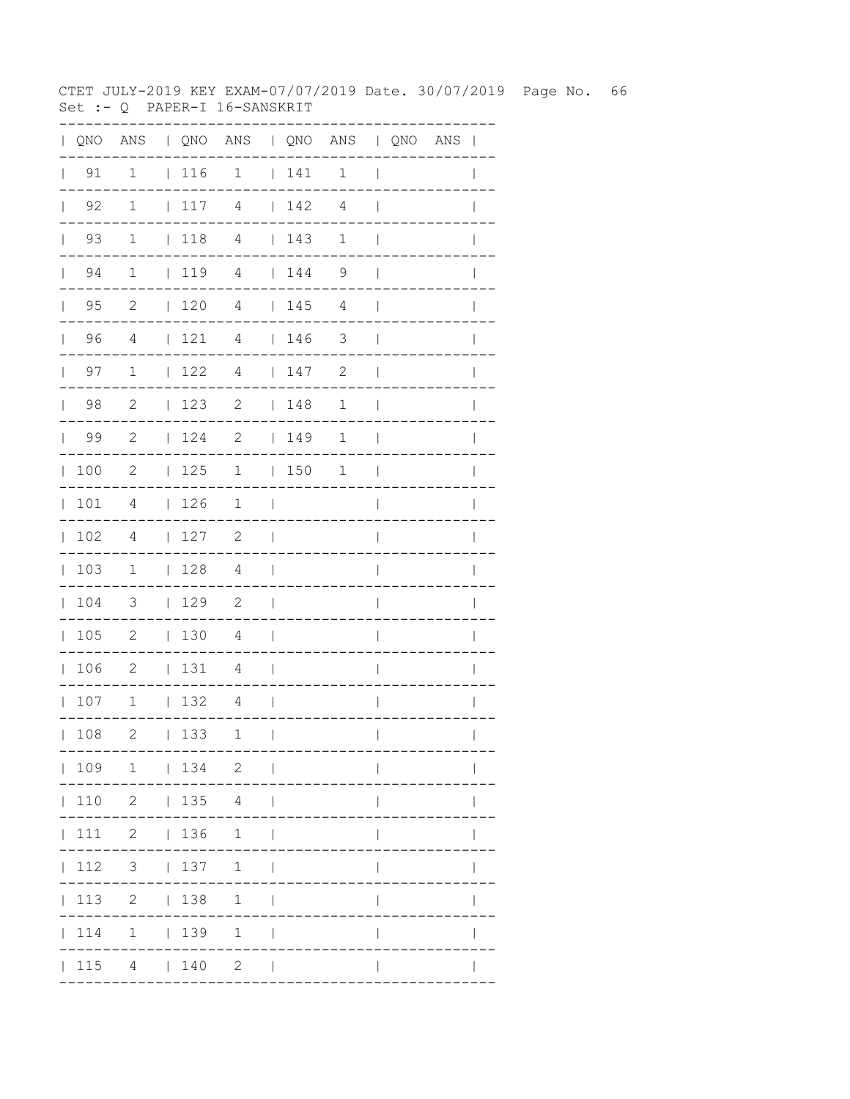CTET JULY-2019 KEY EXAM-07/07/2019 Date. 30/07/2019 Page No. 66 Set :- Q PAPER-I 16-SANSKRIT

| QNO | ANS          |              |     | QNO ANS   QNO ANS   QNO ANS |              |     |                |                          |                       |              |
|-----|--------------|--------------|-----|-----------------------------|--------------|-----|----------------|--------------------------|-----------------------|--------------|
| 91  | $\mathbf{1}$ |              | 116 | $\overline{1}$              |              | 141 | $\mathbf{1}$   | $\overline{1}$           |                       |              |
| 92  | $\mathbf{1}$ | $\mathbf{L}$ | 117 | 4                           |              | 142 | $\overline{4}$ |                          |                       |              |
| 93  | $\mathbf{1}$ |              | 118 | $\overline{4}$              |              | 143 | $\mathbf 1$    |                          |                       |              |
| 94  | $\mathbf 1$  |              | 119 | $\sqrt{4}$                  |              | 144 | 9              |                          |                       |              |
| 95  | 2            |              | 120 | $\overline{4}$              |              | 145 | 4              |                          |                       |              |
| 96  | 4            | $\mathbf{L}$ | 121 | $\overline{4}$              | $\mathbf{L}$ | 146 | 3              |                          |                       |              |
| 97  | $\mathbf 1$  | $\mathbf{L}$ | 122 | $\overline{4}$              | $\mathbf{L}$ | 147 | 2              |                          |                       |              |
| 98  | $\mathbf{2}$ | $\mathbf{L}$ | 123 | $\sqrt{2}$                  | $\mathbf{L}$ | 148 | $\mathbf 1$    |                          |                       |              |
| 99  | $\mathbf{2}$ | L            | 124 | $\sqrt{2}$                  | $\mathbf{L}$ | 149 | $\mathbf 1$    |                          |                       |              |
| 100 | $\mathbf{2}$ | $\mathbf{L}$ | 125 | $1\,$                       | $\mathbf{L}$ | 150 | $\mathbf 1$    |                          |                       |              |
| 101 | 4            | $\mathbf{L}$ | 126 | 1                           |              |     |                |                          |                       |              |
| 102 | 4            | L            | 127 | $\mathbf{2}$                |              |     |                |                          |                       |              |
| 103 | 1            | L            | 128 | 4                           | L            |     |                |                          |                       |              |
| 104 | 3            | $\mathbf{L}$ | 129 | $\mathbf{2}$                |              |     |                |                          |                       |              |
| 105 | $\mathbf{2}$ | $\mathbf{L}$ | 130 | 4                           | I            |     |                |                          |                       |              |
| 106 | $\mathbf{2}$ | L            | 131 | 4                           | I            |     |                |                          |                       |              |
| 107 | $1\,$        | L            | 132 | $\overline{4}$              |              |     |                |                          |                       |              |
| 108 | 2            |              | 133 | $\mathbf{1}$<br>---         | $\sim$ 1.1   |     | -----------    | $\mathbf{L}$             | . _ _ _ _ _ _ _ _ _ . | $\mathbf{L}$ |
|     |              |              |     | 109 1   134 2               |              |     |                |                          |                       |              |
|     |              |              |     | 110 2   135 4               |              |     |                |                          |                       |              |
|     |              |              |     | 111 2   136 1               |              |     |                |                          |                       |              |
|     |              |              |     | 112 3   137 1               |              |     |                | $\mathbf{I}$             |                       |              |
|     |              |              |     | 113 2   138 1               |              |     |                | $\overline{\phantom{a}}$ |                       | $\mathbf{I}$ |
|     |              |              |     | 114 1   139 1               |              |     |                | $\overline{1}$           |                       |              |
|     |              |              |     | $ 115 \t4 \t 140 \t2 \t $   |              |     |                | $\mathbf{I}$             |                       |              |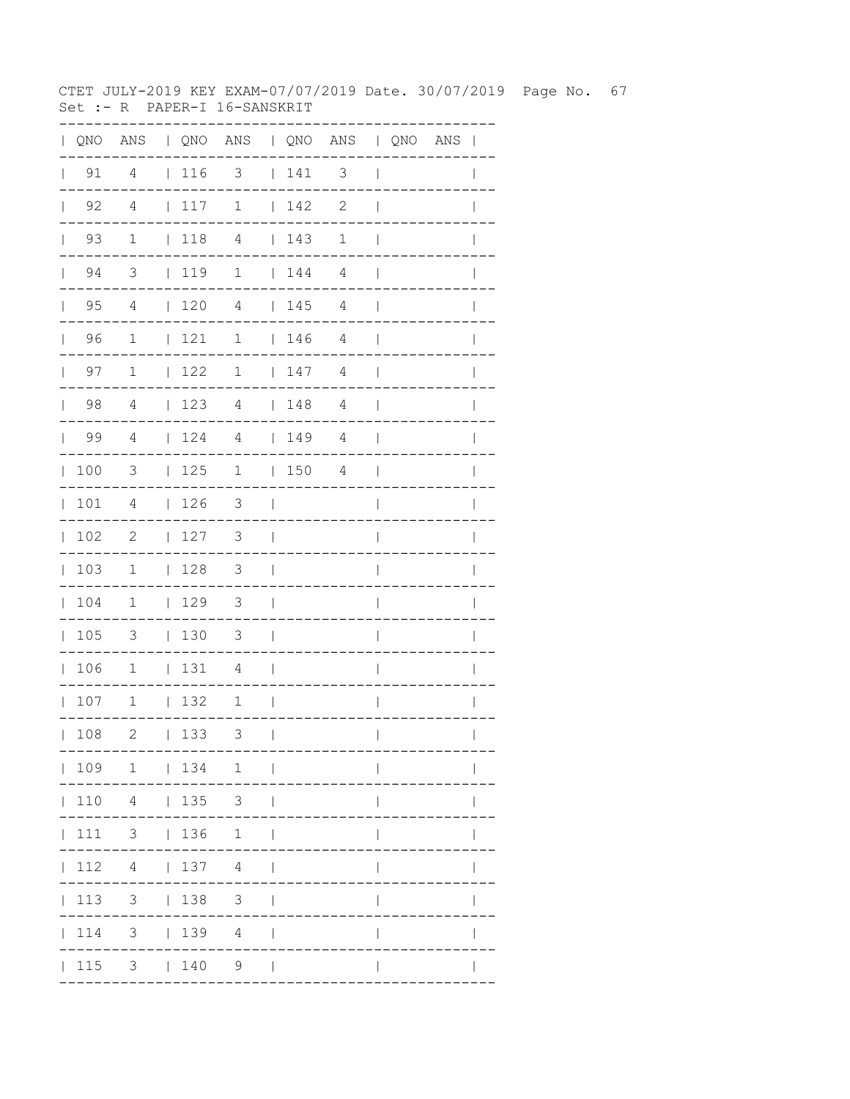CTET JULY-2019 KEY EXAM-07/07/2019 Date. 30/07/2019 Page No. 67 Set :- R PAPER-I 16-SANSKRIT

| QNO | ANS                     |              |     | QNO ANS   QNO ANS   QNO ANS |              |     |                          |                |                                     |
|-----|-------------------------|--------------|-----|-----------------------------|--------------|-----|--------------------------|----------------|-------------------------------------|
| 91  | 4                       |              | 116 | $\overline{\mathbf{3}}$     |              | 141 | $\overline{\phantom{a}}$ | $\overline{1}$ |                                     |
| 92  | $\overline{4}$          |              | 117 | $\mathbf 1$                 |              | 142 | $\mathbf{2}$             |                |                                     |
| 93  | $\mathbf{1}$            |              | 118 | $\overline{4}$              |              | 143 | 1                        |                |                                     |
| 94  | $\overline{\mathbf{3}}$ |              | 119 | $\mathbf 1$                 |              | 144 | $\overline{4}$           |                |                                     |
| 95  | 4                       |              | 120 | $\overline{4}$              |              | 145 | 4                        |                |                                     |
| 96  | 1                       | L            | 121 | $\mathbf 1$                 | L            | 146 | 4                        |                |                                     |
| 97  | $\mathbf 1$             | L            | 122 | $\mathbf 1$                 | L            | 147 | $\sqrt{4}$               |                |                                     |
| 98  | $\overline{4}$          | L            | 123 | $\overline{4}$              | L            | 148 | $\overline{4}$           |                |                                     |
| 99  | $\overline{4}$          | L            | 124 | $\overline{4}$              | $\mathbf{L}$ | 149 | $\overline{4}$           |                |                                     |
| 100 | 3                       | $\mathbf{I}$ | 125 | 1                           | L            | 150 | $\sqrt{4}$               |                |                                     |
| 101 | 4                       | L            | 126 | 3                           |              |     |                          |                |                                     |
| 102 | $\mathbf{2}$            | L            | 127 | 3                           |              |     |                          |                |                                     |
| 103 | $\mathbf 1$             |              | 128 | 3                           |              |     |                          |                |                                     |
| 104 | 1                       | L            | 129 | $\mathfrak{Z}$              |              |     |                          |                |                                     |
| 105 | 3                       | $\mathbf{L}$ | 130 | $\mathfrak{Z}$              |              |     |                          |                |                                     |
| 106 | $1\,$                   | L            | 131 | 4                           |              |     |                          |                |                                     |
| 107 | $1\,$                   | $\mathbf{L}$ | 132 | $\mathbf 1$                 |              |     |                          |                |                                     |
| 108 | 2                       |              | 133 | 3                           | $\Box$       |     | . _ _ _ _ _ _ _ _ _ .    | $\mathbf{L}$   | $\mathbf{L}$<br>. _ _ _ _ _ _ _ _ _ |
|     |                         |              |     | 109 1   134 1               |              |     |                          |                |                                     |
|     |                         |              |     | 110  4    135  3            |              |     |                          |                |                                     |
|     |                         |              |     | 111 3   136 1               |              |     |                          |                | $\mathsf{I}$                        |
|     |                         |              |     | $ 112 \t4 \t 137 \t4 \t $   |              |     |                          | $\mathbf{I}$   | $\mathbf{I}$                        |
|     |                         |              |     | 113 3   138 3               |              |     |                          | $\mathsf{I}$   | $\mathbf{I}$                        |
|     |                         |              |     | 114 3   139 4               |              |     |                          | $\overline{1}$ |                                     |
|     |                         |              |     | 115 3   140 9               |              |     |                          | $\mathsf{I}$   |                                     |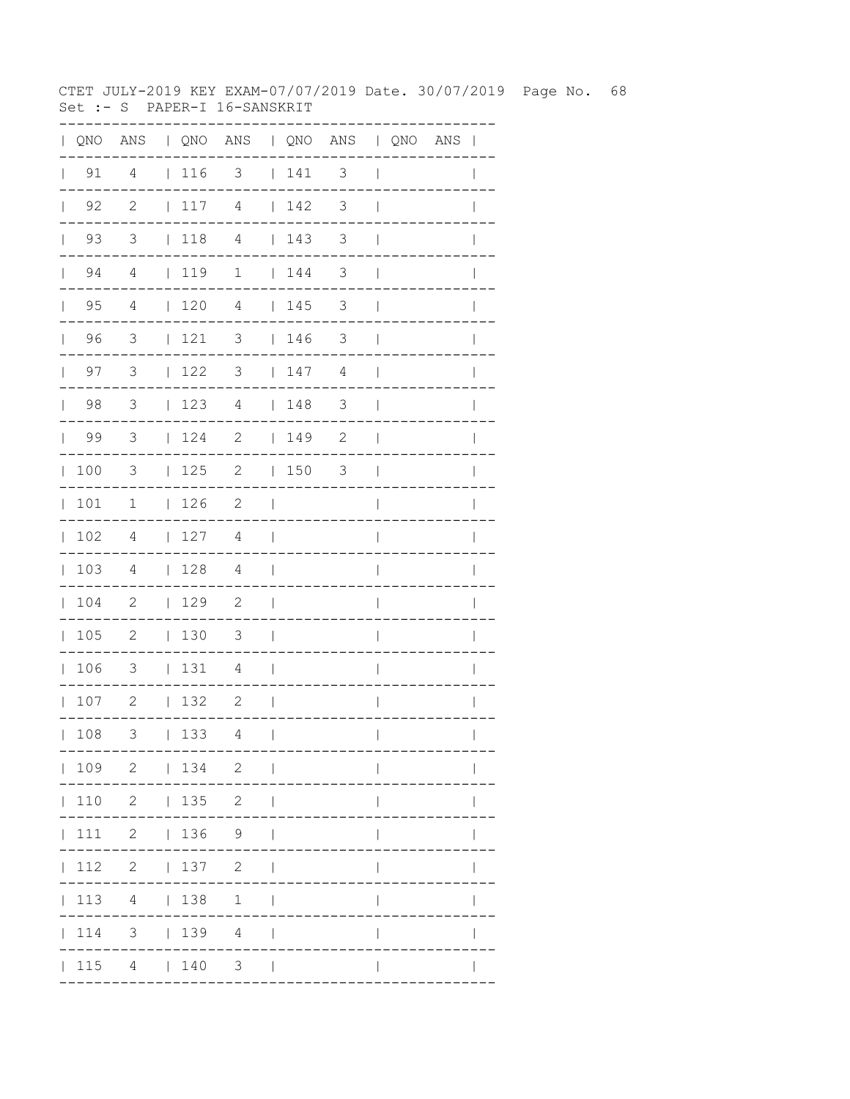CTET JULY-2019 KEY EXAM-07/07/2019 Date. 30/07/2019 Page No. 68 Set :- S PAPER-I 16-SANSKRIT

| QNO | ANS                        |              |      | QNO ANS   QNO ANS   QNO ANS |                |     |                       |                |                            |
|-----|----------------------------|--------------|------|-----------------------------|----------------|-----|-----------------------|----------------|----------------------------|
| 91  | 4                          |              | 116  | $\overline{\phantom{a}}$    |                | 141 | 3                     | $\overline{1}$ |                            |
| 92  | $\overline{\phantom{0}}^2$ | $\mathbf{L}$ | 117  | $\overline{4}$              |                | 142 | 3                     |                |                            |
| 93  | $\overline{\mathbf{3}}$    |              | 118  | $\overline{4}$              |                | 143 | 3                     |                |                            |
| 94  | $\overline{4}$             |              | 1119 | $\mathbf 1$                 |                | 144 | 3                     |                |                            |
| 95  | $\overline{4}$             |              | 120  | $\overline{4}$              |                | 145 | 3                     |                |                            |
| 96  | 3                          |              | 121  | 3                           | $\mathbf{L}$   | 146 | 3                     |                |                            |
| 97  | 3                          | L            | 122  | 3                           |                | 147 | 4                     |                |                            |
| 98  | 3                          | L            | 123  | $\overline{4}$              | $\mathbf{L}$   | 148 | 3                     |                |                            |
| 99  | 3                          | L            | 124  | $\sqrt{2}$                  | L              | 149 | $\sqrt{2}$            |                |                            |
| 100 | 3                          | $\mathbf{I}$ | 125  | $\mathbf{2}$                | L              | 150 | 3                     |                |                            |
| 101 | 1                          | L            | 126  | $\mathbf{2}$                |                |     |                       |                |                            |
| 102 | 4                          | L            | 127  | 4                           |                |     |                       |                |                            |
| 103 | 4                          | L            | 128  | 4                           |                |     |                       |                |                            |
| 104 | 2                          | L            | 129  | $\mathbf{2}$                |                |     |                       |                |                            |
| 105 | $\mathbf{2}$               | $\mathbf{L}$ | 130  | $\mathfrak{Z}$              |                |     |                       |                |                            |
| 106 | 3                          | $\mathbf{L}$ | 131  | 4                           |                |     |                       |                |                            |
| 107 | $\mathbf{2}$               | $\mathbf{L}$ | 132  | $\mathbf{2}$                |                |     |                       |                |                            |
| 108 | 3                          |              | 133  | 4                           | $\blacksquare$ |     | . _ _ _ _ _ _ _ _ _ . | $\mathbf{L}$   | $\mathbf{L}$<br>---------- |
|     |                            |              |      | 109 2   134 2               |                |     |                       |                |                            |
|     |                            |              |      | 110 2   135 2               |                |     |                       |                |                            |
|     |                            |              |      | 111 2   136 9               |                |     |                       | $\mathbf{I}$   | $\mathbf{I}$               |
|     |                            |              |      | 112 2   137 2               |                |     |                       | $\mathbf{I}$   | $\mathsf{I}$               |
|     |                            |              |      | 113 4   138 1               |                |     |                       | $\mathsf{I}$   | $\mathsf{I}$               |
|     |                            |              |      | 114 3   139 4               |                |     |                       | $\mathbf{I}$   |                            |
|     |                            |              |      | $ 115 \t4 \t 140 \t3 \t $   |                |     |                       | $\mathbf{I}$   | $\mathbf{I}$               |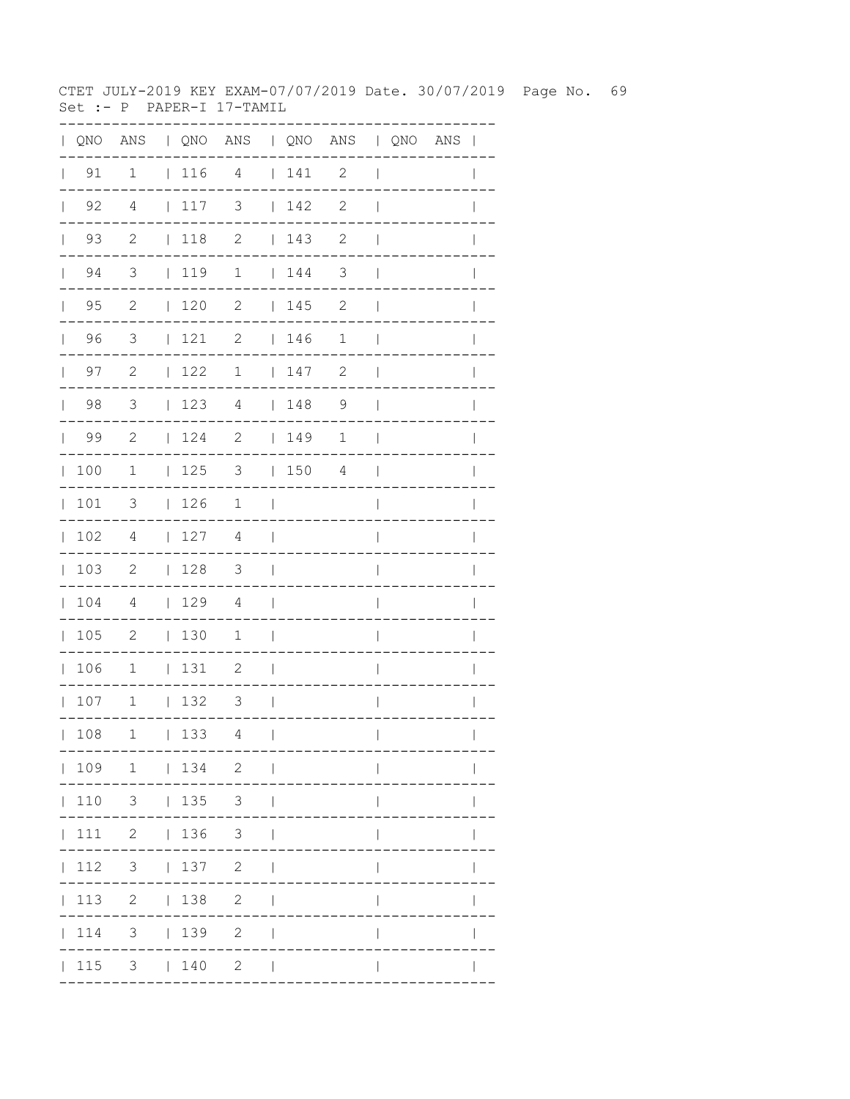CTET JULY-2019 KEY EXAM-07/07/2019 Date. 30/07/2019 Page No. 69 Set :-  $P$  PAPER-I 17-TAMIL

|              |                    |                            |                                                             | QNO ANS   QNO ANS   QNO ANS   QNO ANS |                          |                                    |              |                          |  | $\mathbf{I}$ |
|--------------|--------------------|----------------------------|-------------------------------------------------------------|---------------------------------------|--------------------------|------------------------------------|--------------|--------------------------|--|--------------|
|              | $\vert$ 91         | $\mathbf 1$                | $\begin{array}{c} \begin{array}{c} \end{array} \end{array}$ | $\overline{4}$                        |                          | 141                                | 2            | $\overline{\phantom{a}}$ |  |              |
| $\mathbf{L}$ | 92                 | 4                          | 117                                                         | 3                                     |                          | 142                                | $\mathbf{2}$ | $\overline{\phantom{a}}$ |  |              |
| $\mathbb{R}$ | 93                 | $\overline{c}$             | $ 118$ 2                                                    |                                       |                          | 143                                | $\mathbf{2}$ | $\mathbf{I}$             |  |              |
|              | 94<br>$\mathbf{L}$ | 3                          | 119                                                         | $\mathbf 1$                           |                          | 144                                | 3            | $\overline{1}$           |  |              |
| $\mathbf{L}$ | 95                 | $\mathbf{2}$               | 120                                                         | $\mathbf{2}$                          |                          | 145                                | 2            | $\mathbf{I}$             |  |              |
| $\mathbf{L}$ | 96                 | 3                          | 121                                                         | $\overline{c}$                        |                          | 146                                | $\mathbf 1$  | $\mathbf{I}$             |  |              |
|              | 97<br>$\mathbf{L}$ | $\mathbf{2}$               | 122                                                         | $\mathbf 1$                           |                          | 147                                | 2            | $\mathbf{I}$             |  |              |
| $\mathbf{L}$ | 98                 | 3                          | 123                                                         | $\overline{4}$                        |                          | 148                                | 9            | $\overline{\phantom{a}}$ |  | $\mathbb{I}$ |
| $\mathbb{L}$ | 99                 | $\overline{c}$             | 124                                                         | $\overline{\phantom{0}}$              |                          | $\begin{array}{c} 149 \end{array}$ | 1            | $\overline{1}$           |  |              |
| $\mathbb{L}$ | 100                | $\mathbf{1}$               | 125                                                         | $\overline{\mathbf{3}}$               |                          | 1504                               |              | $\overline{\phantom{a}}$ |  |              |
| $\mathbf{L}$ | 101                | 3                          | 126                                                         | $\mathbf 1$                           | $\overline{1}$           |                                    |              | $\overline{\phantom{a}}$ |  |              |
| $\mathbf{L}$ | 102                | 4                          | 127                                                         | 4                                     | $\overline{1}$           |                                    |              | $\overline{\phantom{a}}$ |  | $\mathbb{I}$ |
| $\mathbf{L}$ | 103                | 2                          | 128                                                         | $\overline{\mathbf{3}}$               | $\Box$                   |                                    |              | $\overline{\phantom{a}}$ |  | $\mathbf{I}$ |
| $\mathbf{L}$ | 104                | $\overline{4}$             | 129                                                         | $\overline{4}$                        | $\mathbf{I}$             |                                    |              | $\overline{\phantom{a}}$ |  |              |
| $\mathbf{L}$ | 105                | $\overline{\phantom{0}}^2$ | $\vert$ 130                                                 | $\mathbf 1$                           | $\overline{\phantom{a}}$ |                                    |              | I                        |  |              |
|              | 106                | $\mathbf 1$                | 131                                                         | 2                                     | $\overline{\phantom{a}}$ |                                    |              | $\overline{1}$           |  | I            |
|              | 107                | $\mathbf{1}$               | 132                                                         | 3                                     | - 1                      |                                    |              | $\overline{\phantom{a}}$ |  | $\mathbf{I}$ |
|              | 108                | $\mathbf 1$                | 133                                                         | 4                                     | $\overline{1}$           |                                    |              | $\mathbf{I}$             |  |              |
|              |                    | 109 1   134 2              |                                                             |                                       | $\sim$                   |                                    |              |                          |  |              |
|              |                    | $110 \t 3 \t   135 \t 3$   |                                                             |                                       |                          |                                    |              |                          |  |              |
|              |                    | $111 \t2 \t  136 \t3$      |                                                             |                                       |                          |                                    |              |                          |  |              |
|              | 112                | $3 \t137 \t2$              |                                                             |                                       |                          |                                    |              |                          |  |              |
|              |                    | 113 2   138                |                                                             | $2\overline{ }$                       |                          |                                    |              |                          |  |              |
|              | 114                | 3 <sup>7</sup>             | 139                                                         | $\mathbf{2}$                          |                          |                                    |              |                          |  |              |
|              | 115                |                            | 3   140                                                     | $\mathbf{2}$                          |                          |                                    |              |                          |  |              |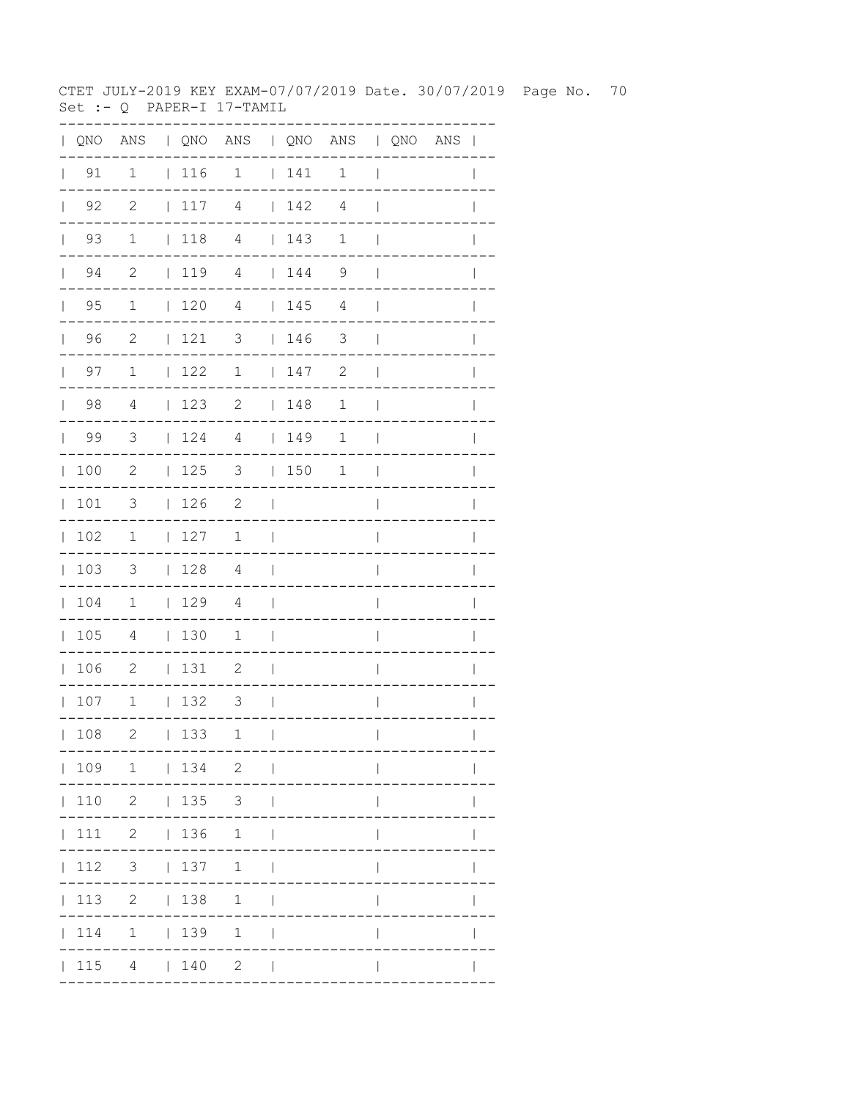CTET JULY-2019 KEY EXAM-07/07/2019 Date. 30/07/2019 Page No. 70 Set :-  $Q$  PAPER-I 17-TAMIL

|              |                    |                          |            | QNO ANS   QNO ANS   QNO ANS   QNO ANS |                          |             |              |                          |  | $\mathbf{I}$ |
|--------------|--------------------|--------------------------|------------|---------------------------------------|--------------------------|-------------|--------------|--------------------------|--|--------------|
|              | $\vert$ 91         | $\mathbf 1$              | 116        | $\mathbf 1$                           |                          | 141         | $\mathbf 1$  | $\mathbf{I}$             |  |              |
| $\mathbf{L}$ | 92                 | $\mathbf{2}$             | 117        | 4                                     |                          | 142         | 4            | $\mathbf{I}$             |  |              |
|              | 93<br>$\mathbf{L}$ | $\mathbf 1$              | 1184       |                                       |                          | 143         | $\mathbf{1}$ | $\mathbf{I}$             |  |              |
|              | 94<br>$\mathbf{L}$ | $\mathbf{2}$             |            | 1194                                  |                          | 144         | 9            | $\overline{\phantom{a}}$ |  |              |
| $\mathbb{R}$ | 95                 | $\mathbf 1$              | 120        | $\overline{4}$                        |                          | 145         | 4            | $\mathbf{I}$             |  |              |
| $\mathbf{L}$ | 96                 | 2                        | 121        | 3                                     |                          | 146         | 3            | $\overline{\phantom{a}}$ |  |              |
|              | 97<br>$\mathbf{L}$ | $\mathbf 1$              | 122        | $\mathbf 1$                           |                          | 147         | 2            | $\overline{\phantom{a}}$ |  |              |
| $\mathbf{L}$ | 98                 | 4                        | 123        | 2                                     |                          | 148         | $\mathbf 1$  | $\overline{\phantom{a}}$ |  |              |
| $\mathbf{L}$ | 99                 | $\overline{3}$           | 124        | $\overline{4}$                        |                          | $\vert$ 149 | 1            | $\overline{\phantom{a}}$ |  |              |
| $\mathbb{L}$ | 100                | 2                        | 125        | $3 \t 150$                            |                          |             | $\mathbf{1}$ | $\overline{\phantom{a}}$ |  |              |
| $\mathbb{L}$ | 101                | $\mathcal{S}$            | 126        | 2                                     | $\Box$                   |             |              | I                        |  |              |
| $\mathbf{L}$ | 102                | 1                        | 127        | 1                                     | $\overline{\phantom{a}}$ |             |              | $\overline{1}$           |  | I            |
| $\mathbb{L}$ | 103                | $\mathcal{S}$            | 128        | $\overline{4}$                        | $\blacksquare$           |             |              | $\overline{1}$           |  | I            |
|              | 104                | $\overline{1}$           | 129        | $\overline{4}$                        | $\overline{\phantom{a}}$ |             |              | $\overline{\phantom{a}}$ |  |              |
| $\mathbf{L}$ | 105                | 4                        | 130        | $\mathbf{1}$                          | $\overline{\phantom{0}}$ |             |              | I                        |  |              |
| $\mathbb{L}$ | 106                | $\overline{\phantom{0}}$ | 131        | 2                                     | $\overline{\phantom{a}}$ |             |              | $\overline{\phantom{a}}$ |  |              |
|              | 107                | $\overline{1}$           | 132        | $\overline{\mathbf{3}}$               | $\Box$                   |             |              | I                        |  |              |
|              | 108                | 2                        | 133        | 1                                     | $\mathbf{I}$             |             |              | $\mathbf{I}$             |  |              |
|              |                    | 109 1   134 2            |            |                                       | $\sim$                   |             |              |                          |  |              |
|              |                    | 110 2   135 3            |            |                                       |                          |             |              |                          |  |              |
|              |                    | 111 2   136 1            |            |                                       |                          |             |              |                          |  |              |
|              | 112                |                          |            | 3   137 1                             |                          |             |              |                          |  |              |
|              | 113                |                          | 2   138    | 1                                     |                          |             |              |                          |  |              |
|              | 114                |                          | $1 \t 139$ | $\mathbf{1}$                          |                          |             |              |                          |  |              |
|              | 115                |                          | 4   140    | $2^{\circ}$                           |                          |             |              |                          |  |              |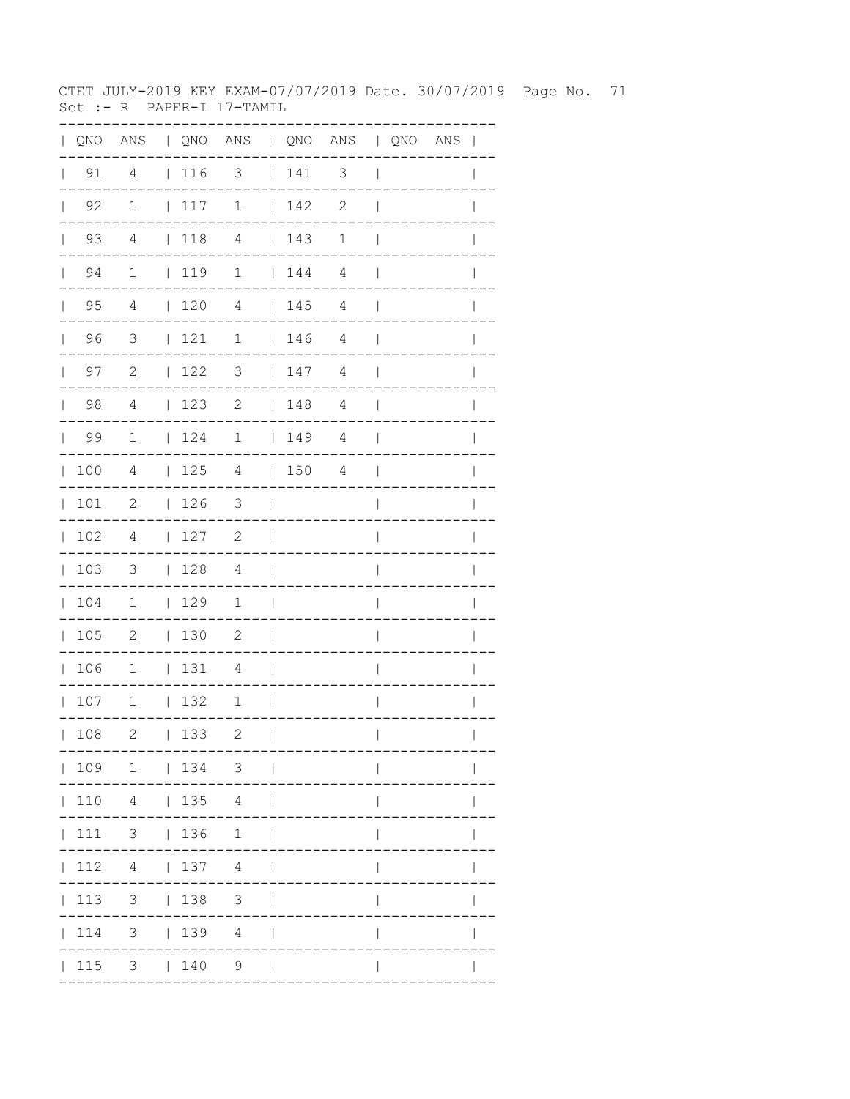CTET JULY-2019 KEY EXAM-07/07/2019 Date. 30/07/2019 Page No. 71 Set :- R PAPER-I 17-TAMIL

| QNO |                |              |     | ANS   QNO ANS   QNO ANS   QNO ANS |                |     |                          |              |                       |              |
|-----|----------------|--------------|-----|-----------------------------------|----------------|-----|--------------------------|--------------|-----------------------|--------------|
| 91  | 4              |              | 116 | $\overline{\mathbf{3}}$           |                | 141 | $\overline{\phantom{a}}$ | $\mathbf{I}$ |                       |              |
| 92  | $1\,$          |              | 117 | $\mathbf 1$                       |                | 142 | $\mathbf{2}$             |              |                       |              |
| 93  | $\overline{4}$ |              | 118 | $\overline{4}$                    |                | 143 | $\mathbf 1$              |              |                       |              |
| 94  | $\mathbf 1$    |              | 119 | $\mathbf 1$                       |                | 144 | $\overline{4}$           |              |                       |              |
| 95  | 4              |              | 120 | $\overline{4}$                    | $\mathbf{L}$   | 145 | 4                        |              |                       |              |
| 96  | 3              | $\mathbf{L}$ | 121 | 1                                 | $\mathbf{L}$   | 146 | 4                        |              |                       |              |
| 97  | 2              | $\mathbf{L}$ | 122 | 3                                 | $\mathbf{L}$   | 147 | $\overline{4}$           |              |                       |              |
| 98  | 4              | $\mathbf{L}$ | 123 | $\mathbf{2}$                      | $\mathbf{L}$   | 148 | 4                        |              |                       |              |
| 99  | $\mathbf 1$    | $\mathbf{L}$ | 124 | $\mathbf 1$                       | $\mathbf{L}$   | 149 | 4                        |              |                       |              |
| 100 | 4              | $\mathbf{L}$ | 125 | 4                                 | $\mathbf{L}$   | 150 | 4                        |              |                       |              |
| 101 | $\mathbf{2}$   | $\mathbf{L}$ | 126 | 3                                 |                |     |                          |              |                       |              |
| 102 | 4              | L            | 127 | $\mathbf{2}$                      |                |     |                          |              |                       |              |
| 103 | 3              | $\mathbf{L}$ | 128 | 4                                 |                |     |                          |              |                       |              |
| 104 | $\mathbf 1$    |              | 129 | $\mathbf 1$                       |                |     |                          |              |                       |              |
| 105 | $\mathbf{2}$   |              | 130 | $\mathbf{2}$                      |                |     |                          |              |                       |              |
| 106 | $\mathbf 1$    | $\mathbf{L}$ | 131 | 4                                 |                |     |                          |              |                       |              |
| 107 | $1\,$          | $\mathbf{L}$ | 132 | $\mathbf 1$                       |                |     |                          |              |                       |              |
| 108 | 2              |              | 133 | 2                                 | $\blacksquare$ |     |                          | $\mathbf{L}$ |                       | $\mathbf{L}$ |
|     |                |              |     | 109 1   134 3                     |                |     | . _ _ _ _ _ _ _ _ _ .    |              | . _ _ _ _ _ _ _ _ _ . |              |
|     |                |              |     | 110  4    135  4                  |                |     |                          |              |                       |              |
|     |                |              |     | 111 3   136 1                     |                |     |                          |              |                       |              |
|     |                |              |     | $ 112 \t4 \t 137 \t4 \t $         |                |     |                          | $\mathbf{L}$ |                       |              |
|     |                |              |     | 113 3   138 3                     |                |     |                          | $\mathbf{I}$ |                       | $\mathbf{I}$ |
|     |                |              |     | 114 3   139 4                     |                |     |                          | $\mathbf{I}$ |                       | $\mathbf{I}$ |
|     |                |              |     | $ 115 \t3 \t 140 \t9 \t $         |                |     |                          | $\mathbf{I}$ |                       |              |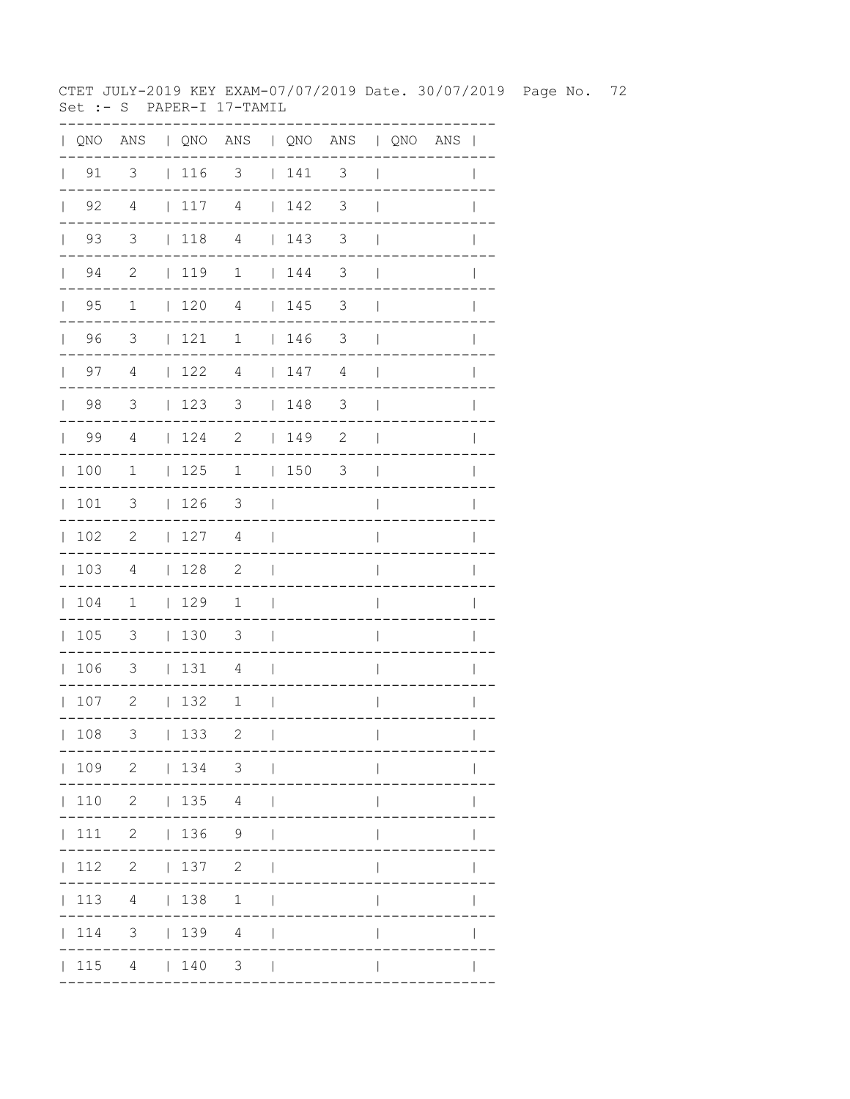CTET JULY-2019 KEY EXAM-07/07/2019 Date. 30/07/2019 Page No. 72 Set :- S PAPER-I 17-TAMIL

|              |                    |                          |                                         | QNO ANS   QNO ANS   QNO ANS   QNO ANS |                          |                                        |               |                          |  | $\mathbf{I}$ |
|--------------|--------------------|--------------------------|-----------------------------------------|---------------------------------------|--------------------------|----------------------------------------|---------------|--------------------------|--|--------------|
|              | $\vert$ 91         | 3                        | $\vert$ 116                             | 3                                     |                          | 141                                    | 3             | $\overline{\phantom{a}}$ |  |              |
| $\mathbf{L}$ | 92                 | $\overline{4}$           | 117                                     | $\overline{4}$                        |                          | 142                                    | 3             | $\overline{\phantom{a}}$ |  |              |
|              | 93<br>$\mathbf{L}$ | 3                        | $\vert$ 118                             | $\overline{4}$                        |                          | 143                                    | 3             | $\mathbf{I}$             |  |              |
|              | 94<br>$\mathbf{L}$ | $\mathbf{2}$             | 119                                     | $\mathbf 1$                           |                          | $\begin{array}{cc} 1 & 44 \end{array}$ | 3             | $\overline{1}$           |  |              |
| $\mathbb{L}$ | 95                 | $\mathbf 1$              | 120                                     | 4                                     |                          | 145                                    | 3             | $\mathbf{I}$             |  |              |
| $\mathbf{L}$ | 96                 | 3                        | $\begin{array}{cc} 1 & 121 \end{array}$ | 1                                     |                          | 146                                    | 3             | $\overline{\phantom{a}}$ |  |              |
|              | 97<br>$\mathbf{L}$ | 4                        | 122                                     | 4                                     |                          | 147                                    | 4             | $\overline{\phantom{a}}$ |  |              |
| $\mathbf{L}$ | 98                 | 3                        | 123                                     | 3                                     |                          | 148                                    | $\mathcal{S}$ | $\overline{\phantom{a}}$ |  | $\mathbb{I}$ |
| $\mathbf{L}$ | 99                 | 4                        | 124                                     | $\overline{\phantom{a}}$              |                          | 149                                    | $\mathbf{2}$  | $\overline{1}$           |  |              |
| $\mathbb{L}$ | 100                | $\mathbf{1}$             | 125                                     | $\mathbf{1}$                          |                          | 1503                                   |               | $\overline{\phantom{a}}$ |  |              |
| $\mathbf{L}$ | 101                | 3                        | 126                                     | 3                                     | $\Box$                   |                                        |               | $\overline{1}$           |  |              |
| $\mathbf{L}$ | 102                | $\mathbf{2}$             | 127                                     | 4                                     | $\perp$                  |                                        |               | $\overline{1}$           |  | $\mathbb{I}$ |
| $\mathbb{R}$ | 103                | 4                        | 128                                     | $\overline{\phantom{0}}^2$            | $\overline{\phantom{a}}$ |                                        |               | $\overline{\phantom{a}}$ |  | $\mathbf{I}$ |
| $\mathbf{L}$ | 104                | $\overline{1}$           | $\vert$ 129                             | $\overline{1}$                        | $\mathbf{I}$             |                                        |               | $\overline{\phantom{a}}$ |  |              |
| $\mathbf{L}$ | 105                | $\overline{\mathbf{3}}$  | 130                                     | $\overline{\mathbf{3}}$               | $\overline{\phantom{0}}$ |                                        |               | I                        |  |              |
| $\mathbf{L}$ | 106                | $\overline{\mathbf{3}}$  | 131                                     | 4                                     | $\overline{\phantom{a}}$ |                                        |               | $\overline{1}$           |  |              |
|              | 107                | $\overline{\phantom{a}}$ | 132                                     | $\mathbf 1$                           | $\mathbf{I}$             |                                        |               | $\overline{1}$           |  | $\mathbf{I}$ |
|              | 108                | 3                        | 133                                     | $\overline{c}$                        | $\overline{1}$           |                                        |               | $\mathbf{I}$             |  |              |
|              |                    |                          |                                         | 109 2   134 3                         |                          |                                        |               |                          |  |              |
|              |                    | 110 2   135 4            |                                         |                                       |                          |                                        |               |                          |  |              |
|              |                    | $ 111 \t2 \t 136 \t9$    |                                         |                                       |                          |                                        |               |                          |  |              |
|              |                    | 112 2   137 2            |                                         |                                       |                          |                                        |               |                          |  |              |
|              | 113                |                          | 4   138                                 | 1                                     |                          |                                        |               |                          |  |              |
|              | 114                |                          |                                         | $3 \t139 \t4$                         |                          |                                        |               |                          |  |              |
|              |                    | 115 4   140              |                                         | 3 <sup>7</sup>                        |                          |                                        |               |                          |  |              |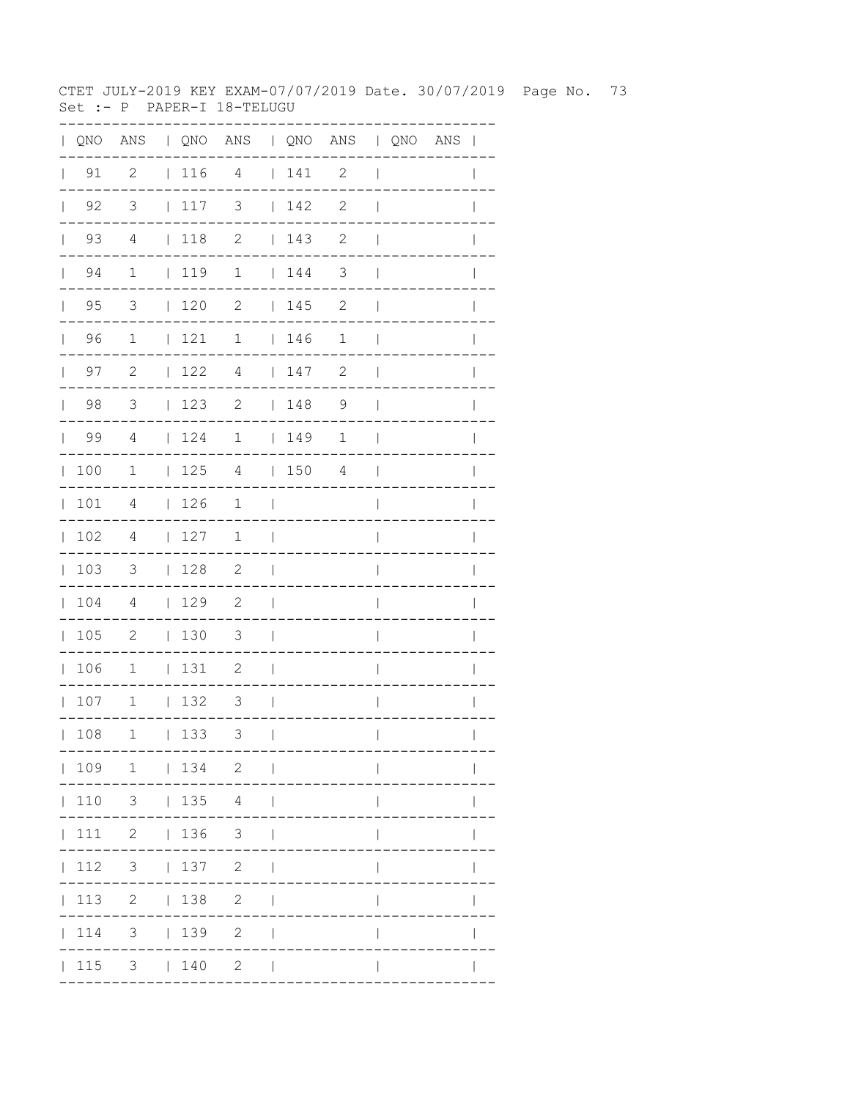CTET JULY-2019 KEY EXAM-07/07/2019 Date. 30/07/2019 Page No. 73 Set :- P PAPER-I 18-TELUGU

|              |                    |                            |          | QNO ANS   QNO ANS   QNO ANS   QNO ANS |                          |                                         |              |                          |  | $\mathbf{I}$ |
|--------------|--------------------|----------------------------|----------|---------------------------------------|--------------------------|-----------------------------------------|--------------|--------------------------|--|--------------|
|              | $\vert$ 91         | $\overline{c}$             | 116      | $\overline{4}$                        |                          | 141                                     | 2            | $\overline{\phantom{a}}$ |  |              |
| $\mathbf{L}$ | 92                 | 3                          | 117      | 3                                     |                          | 142                                     | $\mathbf{2}$ | $\overline{1}$           |  |              |
|              | 93<br>$\mathbf{L}$ | $\overline{4}$             | $ 118$ 2 |                                       |                          | 143                                     | $\mathbf{2}$ | $\mathbf{I}$             |  |              |
|              | 94<br>$\mathbf{L}$ | $\mathbf 1$                | 119      | $\mathbf{1}$                          |                          | $\begin{array}{cc} 1 & 144 \end{array}$ | 3            | $\overline{1}$           |  |              |
| $\mathbf{L}$ | 95                 | 3                          | 120      | $\mathbf{2}$                          |                          | 145                                     | 2            | $\mathbf{I}$             |  |              |
| $\mathbf{L}$ | 96                 | $\mathbf 1$                | 121      | 1                                     |                          | 146                                     | $\mathbf 1$  | $\mathbf{I}$             |  |              |
|              | 97<br>$\mathbf{L}$ | $\mathbf{2}$               | 122      | $\overline{4}$                        |                          | 147                                     | 2            | $\mathbf{I}$             |  |              |
| $\mathbf{L}$ | 98                 | $\mathsf 3$                | 123      | 2                                     |                          | 148                                     | 9            | $\overline{\phantom{a}}$ |  | $\mathbb{I}$ |
| $\mathbf{L}$ | 99                 | 4                          | 124      | $\mathbf 1$                           |                          | 149                                     | 1            | $\overline{1}$           |  |              |
| $\mathbb{L}$ | 100                | $\mathbf{1}$               | 125      | 4                                     |                          | 1504                                    |              | $\overline{\phantom{a}}$ |  |              |
| $\mathbf{L}$ | 101                | 4                          | 126      | $\mathbf 1$                           | $\overline{\phantom{a}}$ |                                         |              | $\overline{1}$           |  |              |
| $\mathbf{L}$ | 102                | 4                          | 127      | $\mathbf 1$                           | $\mathbf{I}$             |                                         |              | $\overline{1}$           |  | $\mathbb{I}$ |
| $\mathbf{L}$ | 103                | $\mathcal{S}$              | 128      | $\overline{\phantom{a}}$              | $\Box$                   |                                         |              | $\overline{\phantom{a}}$ |  | $\mathbf{I}$ |
| $\mathbf{L}$ | 104                | $\overline{4}$             | 129      | $\overline{\phantom{0}}^2$            | $\overline{\phantom{a}}$ |                                         |              | $\overline{\phantom{a}}$ |  |              |
| $\mathbf{L}$ | 105                | $\overline{\phantom{0}}^2$ | 130      | $\overline{\mathbf{3}}$               | $\overline{\phantom{0}}$ |                                         |              | I                        |  |              |
| $\mathbf{L}$ | 106                | $\mathbf 1$                | 131      | 2                                     | $\overline{\phantom{a}}$ |                                         |              | $\overline{1}$           |  | I            |
|              | 107                | $\mathbf{1}$               | 132      | 3                                     | - 1                      |                                         |              | $\overline{1}$           |  | $\mathbf{I}$ |
|              | 108                | $\mathbf 1$                | 133      | 3                                     | $\mathbf{I}$             |                                         |              | $\mathbf{I}$             |  |              |
|              |                    | 109 1   134 2              |          |                                       | $\sim$                   |                                         |              |                          |  |              |
|              |                    | 110 3   135 4              |          |                                       |                          |                                         |              |                          |  |              |
|              |                    | $ 111 \t2 \t 136 \t3$      |          |                                       |                          |                                         |              |                          |  |              |
|              | 112                | $3 \t137 \t2$              |          |                                       |                          |                                         |              |                          |  |              |
|              |                    | 113 2   138                |          | $\overline{2}$                        |                          |                                         |              |                          |  |              |
|              | 114                | 3 <sup>7</sup>             | 139      | $\mathbf{2}$                          |                          |                                         |              |                          |  |              |
|              | 115                |                            | 3   140  | $\mathbf{2}$                          |                          |                                         |              |                          |  |              |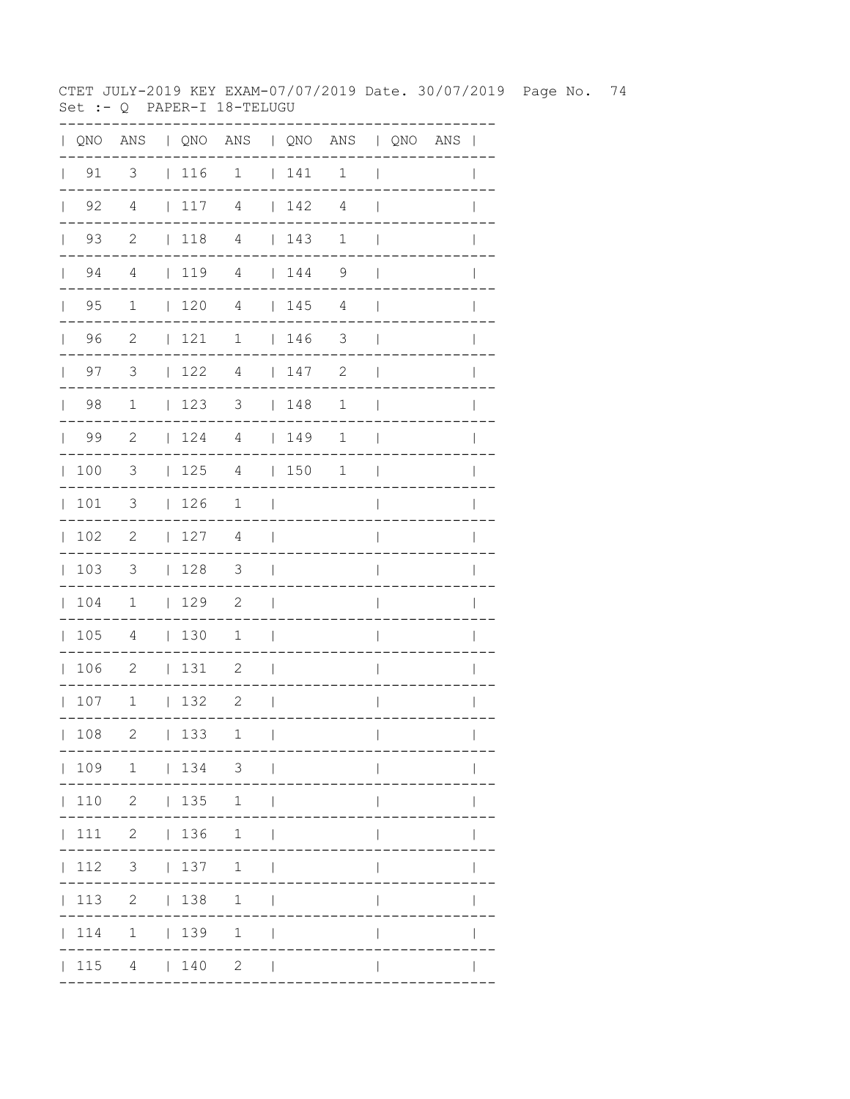CTET JULY-2019 KEY EXAM-07/07/2019 Date. 30/07/2019 Page No. 74 Set :- Q PAPER-I 18-TELUGU

| QNO | ANS                        |              |     | QNO ANS   QNO ANS   QNO ANS |              |     |                       |                |                            |  |
|-----|----------------------------|--------------|-----|-----------------------------|--------------|-----|-----------------------|----------------|----------------------------|--|
| 91  | $\overline{\mathbf{3}}$    |              | 116 | $\overline{\phantom{a}}$    |              | 141 | $\mathbf{1}$          | ı              |                            |  |
| 92  | $\overline{4}$             | $\mathbf{L}$ | 117 | 4                           |              | 142 | $\overline{4}$        |                |                            |  |
| 93  | $\overline{\phantom{0}}^2$ |              | 118 | $\overline{4}$              |              | 143 | 1                     |                |                            |  |
| 94  | $\overline{4}$             |              | 119 | $\sqrt{4}$                  |              | 144 | 9                     |                |                            |  |
| 95  | $\mathbf 1$                |              | 120 | $\overline{4}$              |              | 145 | 4                     |                |                            |  |
| 96  | 2                          | L            | 121 | $\mathbf 1$                 | L            | 146 | 3                     |                |                            |  |
| 97  | 3                          | L            | 122 | $\overline{4}$              | $\mathbf{L}$ | 147 | $\mathbf{2}$          |                |                            |  |
| 98  | $\mathbf 1$                | L            | 123 | 3                           | L            | 148 | $\mathbf 1$           |                |                            |  |
| 99  | 2                          | L            | 124 | $\overline{4}$              | $\mathbf{L}$ | 149 | $\mathbf 1$           |                |                            |  |
| 100 | 3                          | L            | 125 | $\overline{4}$              | L            | 150 | $\mathbf 1$           |                |                            |  |
| 101 | 3                          | L            | 126 | 1                           |              |     |                       |                |                            |  |
| 102 | $\mathbf{2}$               | L            | 127 | 4                           |              |     |                       |                |                            |  |
| 103 | 3                          |              | 128 | $\mathfrak{Z}$              |              |     |                       |                |                            |  |
| 104 | 1                          | $\mathbf{L}$ | 129 | $\mathbf{2}$                |              |     |                       |                |                            |  |
| 105 | 4                          | $\mathbf{L}$ | 130 | 1                           |              |     |                       |                |                            |  |
| 106 | $\mathbf{2}$               | L            | 131 | 2                           |              |     |                       |                |                            |  |
| 107 | $\mathbf 1$                | $\mathbf{L}$ | 132 | $\mathbf{2}$                |              |     |                       |                |                            |  |
| 108 | 2                          |              | 133 | 1                           | $\Box$       |     | . - - - - - - - - - . | $\mathbf{I}$   | $\mathbf{L}$<br>---------- |  |
|     |                            |              |     | 109 1   134 3               |              |     |                       |                |                            |  |
|     |                            |              |     | 110 2   135 1               |              |     |                       |                |                            |  |
|     |                            |              |     | 111 2   136 1               |              |     |                       |                |                            |  |
|     |                            |              |     | 112 3   137 1               |              |     |                       | $\mathbf{I}$   |                            |  |
|     |                            |              |     | 113 2   138 1               |              |     |                       | $\mathsf{I}$   | $\mathbf{I}$               |  |
|     |                            |              |     | 114 1   139 1               |              |     |                       | $\overline{1}$ |                            |  |
|     |                            |              |     | $ 115 \t4 \t 140 \t2 \t $   |              |     |                       | $\mathsf{I}$   |                            |  |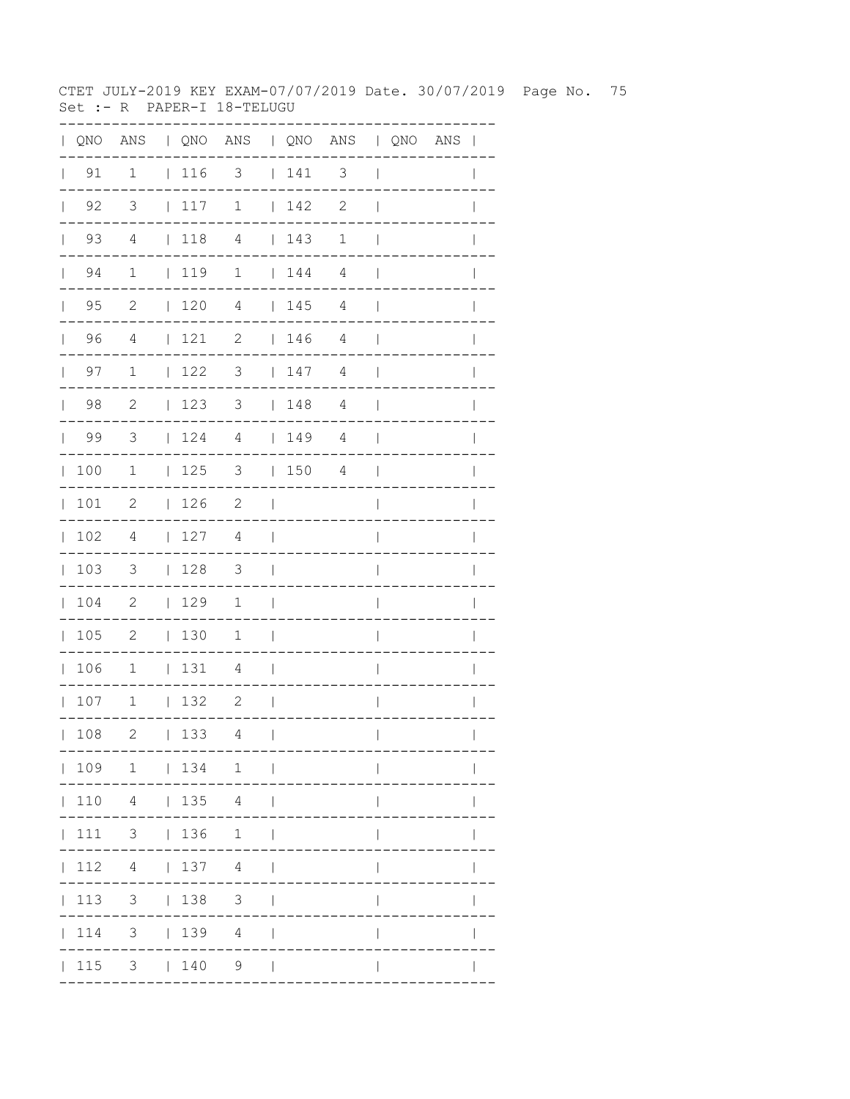CTET JULY-2019 KEY EXAM-07/07/2019 Date. 30/07/2019 Page No. 75 Set :- R PAPER-I 18-TELUGU

| $\mathbf{L}$ | QNO                |                          |                                                             | ANS   QNO ANS   QNO ANS   QNO ANS |                          |                                                                                              |                |                          |  | $\overline{\phantom{a}}$ |
|--------------|--------------------|--------------------------|-------------------------------------------------------------|-----------------------------------|--------------------------|----------------------------------------------------------------------------------------------|----------------|--------------------------|--|--------------------------|
| $\mathbf{L}$ | 91                 | $\mathbf 1$              | $ 116$ 3                                                    |                                   |                          | 141                                                                                          | 3              | $\overline{\phantom{a}}$ |  |                          |
|              | $\vert$ 92         | 3                        | 117                                                         | $\mathbf 1$                       |                          | 142                                                                                          | $\mathbf{2}$   | $\overline{\phantom{a}}$ |  |                          |
|              | 93<br>$\mathbf{L}$ | 4                        | $\vert$ 118                                                 | $\overline{4}$                    |                          | $\begin{array}{c} \begin{array}{c} \end{array} \end{array} \begin{array}{c} 143 \end{array}$ | $\mathbf 1$    | $\mathbf{I}$             |  |                          |
|              | 94<br>$\mathbf{L}$ | $\mathbf 1$              | 119                                                         | $\mathbf 1$                       |                          | $\begin{array}{c} \begin{array}{c} \end{array} \end{array}$                                  | 4              | $\overline{\phantom{a}}$ |  |                          |
|              | $\vert$ 95         | $\overline{c}$           | 120                                                         | $\overline{4}$                    |                          | 145                                                                                          | $\overline{4}$ | $\mathbf{I}$             |  |                          |
|              | 96                 | $\overline{4}$           | 121                                                         | 2                                 |                          | $\begin{array}{c} \begin{array}{c} \end{array} \end{array}$                                  | 4              | $\overline{\phantom{a}}$ |  |                          |
|              | $\vert$ 97         | $\mathbf 1$              | 122                                                         | 3                                 |                          | 147                                                                                          | 4              | $\overline{\phantom{a}}$ |  | $\mathbf{I}$             |
|              | $\vert$ 98         | 2                        | 123                                                         | $3 \t148$                         |                          |                                                                                              | 4              | $\overline{\phantom{a}}$ |  |                          |
|              | 99                 | $\overline{\mathbf{3}}$  | $\begin{array}{c} \begin{array}{c} \end{array} \end{array}$ | $\overline{4}$                    |                          | 149                                                                                          | 4              | $\overline{\phantom{a}}$ |  |                          |
|              | 100                | $\mathbf 1$              | 125                                                         | 3                                 |                          | 150                                                                                          | 4              | $\mathbf{I}$             |  | $\mathbf{I}$             |
|              | 101                | 2                        | 126                                                         | 2                                 | $\blacksquare$           |                                                                                              |                | $\overline{1}$           |  | $\mathbf{I}$             |
| $\mathbb{R}$ | 102                | 4                        | 127                                                         | 4                                 | $\overline{\phantom{a}}$ |                                                                                              |                | I                        |  |                          |
|              | 103                | $\overline{\phantom{a}}$ | 128                                                         | $\overline{\mathbf{3}}$           | $\overline{\phantom{0}}$ |                                                                                              |                | $\overline{\phantom{a}}$ |  |                          |
|              | 104                | $\overline{\phantom{0}}$ | $\vert$ 129                                                 | $\mathbf 1$                       | $\overline{\phantom{a}}$ |                                                                                              |                | $\overline{1}$           |  | I                        |
|              | 105                | $\overline{\phantom{0}}$ | 130                                                         | 1                                 | $\overline{\phantom{a}}$ |                                                                                              |                | I                        |  |                          |
|              | 106                | $\overline{\phantom{0}}$ | 131                                                         | $\overline{4}$                    | $\Box$                   |                                                                                              |                | I                        |  |                          |
|              | 107                | $\overline{\phantom{a}}$ | 132                                                         | 2                                 | $\overline{\phantom{a}}$ |                                                                                              |                | $\overline{1}$           |  | I                        |
|              | 108                | $\mathbf{2}$             | 133                                                         | 4                                 | $\overline{\phantom{a}}$ |                                                                                              |                | $\overline{\phantom{a}}$ |  | $\mathbf{I}$             |
|              |                    | 109 1   134 1            |                                                             |                                   |                          |                                                                                              |                |                          |  |                          |
|              | 110                |                          | 4   135 4                                                   |                                   |                          |                                                                                              |                |                          |  |                          |
|              | 111                | $3 \t136$                |                                                             | 1                                 | $\overline{\phantom{a}}$ |                                                                                              |                |                          |  |                          |
|              | 112                |                          | 4   137 4                                                   |                                   |                          |                                                                                              |                |                          |  |                          |
|              | 113                |                          | $3 \t 138$                                                  | $\mathcal{S}$                     |                          |                                                                                              |                |                          |  |                          |
|              | 114                |                          | $3 \t 139$                                                  | 4                                 |                          |                                                                                              |                |                          |  |                          |
|              | 115                |                          | $3 \t 140$                                                  | 9                                 | $\Box$                   |                                                                                              |                |                          |  |                          |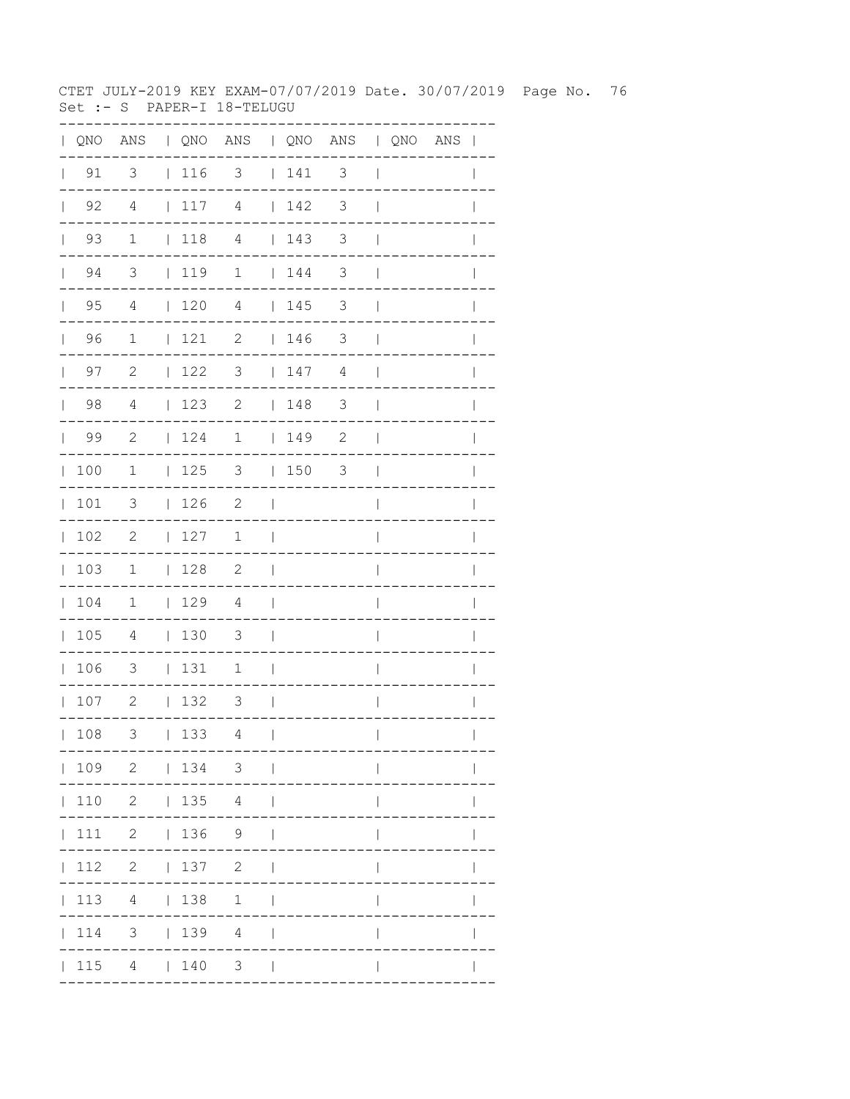CTET JULY-2019 KEY EXAM-07/07/2019 Date. 30/07/2019 Page No. 76 Set :- S PAPER-I 18-TELUGU

|              |                    |                            |                 | QNO ANS   QNO ANS   QNO ANS   QNO ANS |                          |                                    |                            |                          |  | $\blacksquare$ |
|--------------|--------------------|----------------------------|-----------------|---------------------------------------|--------------------------|------------------------------------|----------------------------|--------------------------|--|----------------|
| $\mathbf{L}$ | 91                 | 3                          | 116             | 3                                     |                          | 141                                | 3                          | $\overline{\phantom{a}}$ |  |                |
|              | $\vert$ 92         | $\overline{4}$             | 117             | $\overline{4}$                        |                          | $\begin{array}{c} 142 \end{array}$ | 3                          | $\overline{\phantom{a}}$ |  |                |
|              | $\vert$ 93         | $\mathbf{1}$               | $\vert$ 118     | $\overline{4}$                        |                          | 143                                | 3                          | $\mathbf{I}$             |  |                |
|              | $\vert$ 94         | $\overline{\mathbf{3}}$    | 119 1           |                                       |                          | 144                                | $\mathcal{S}$              | $\overline{\phantom{a}}$ |  |                |
|              | $\vert$ 95         | 4                          | 120             | $\overline{4}$                        |                          | 145                                | $\mathcal{S}$              | $\overline{\phantom{a}}$ |  | $\mathbb{I}$   |
|              | 96                 | $\mathbf{1}$               | 121             | $\overline{\phantom{a}}$              |                          | 146                                | $\overline{\phantom{a}}$   | $\overline{\phantom{a}}$ |  |                |
|              | 97<br>$\mathbf{L}$ | 2                          | 122             | 3                                     |                          | 147                                | 4                          | $\overline{\phantom{a}}$ |  |                |
|              | 98                 | 4                          | 123             | $\mathbf{2}$                          |                          | 148                                | 3                          | $\overline{\phantom{a}}$ |  | $\mathbb{I}$   |
|              | 99                 | $\overline{\phantom{a}}^2$ | 124             | $1 \t 149$                            |                          |                                    | $\overline{\phantom{0}}^2$ | $\overline{\phantom{a}}$ |  | $\mathbf{I}$   |
|              | 100                | $\overline{\phantom{a}}$   | $125$ 3         |                                       |                          | 1503                               |                            | $\overline{\phantom{a}}$ |  |                |
|              | 101                | $\overline{\mathbf{3}}$    | 126             | $\overline{\phantom{a}}$              | $\blacksquare$           |                                    |                            | $\overline{1}$           |  |                |
|              | 102                | $\overline{\phantom{0}}^2$ | 127             | 1                                     | $\Box$                   |                                    |                            | I                        |  | L              |
|              | 103                | $\mathbf{1}$               | 128             | $\overline{\phantom{a}}$              | $\Box$                   |                                    |                            | $\overline{\phantom{a}}$ |  |                |
|              | 104                | $\overline{1}$             | 129             | $\overline{4}$                        | $\mathcal{L}$            |                                    |                            |                          |  |                |
|              | 105                | $\overline{4}$             | $\vert$ 130     | $\overline{\mathbf{3}}$               | $\Box$                   |                                    |                            | $\overline{1}$           |  |                |
|              | 106                | 3                          | 131             | 1                                     | $\mathcal{L}$            |                                    |                            | $\overline{1}$           |  | $\mathbb{I}$   |
|              | 107                | $\overline{\phantom{0}}^2$ | 132             | $\overline{\mathbf{3}}$               | $\sim$                   |                                    |                            | $\mathsf{I}$             |  | $\mathbf{I}$   |
|              | 108                | 3                          | 133             | 4                                     | $\overline{\phantom{a}}$ |                                    |                            | $\mathbf{I}$             |  | $\mathbf{I}$   |
|              |                    |                            |                 | 109 2   134 3                         |                          |                                    |                            |                          |  |                |
|              | $\vert$ 110        |                            |                 | 2   135 4                             | - 1                      |                                    |                            |                          |  |                |
|              | 111                |                            | 2   136 9       |                                       |                          |                                    |                            |                          |  |                |
|              | 112                |                            | $2 \t 137 \t 2$ |                                       | $\perp$                  |                                    |                            |                          |  |                |
|              | $\vert$ 113        |                            | 4   138         | 1                                     | $\perp$                  |                                    |                            |                          |  |                |
|              | 114                |                            | 3   139   4     |                                       | $\mathbf{I}$             |                                    |                            |                          |  |                |
|              |                    | 115 4   140                |                 | $3 \mid$                              |                          |                                    |                            |                          |  |                |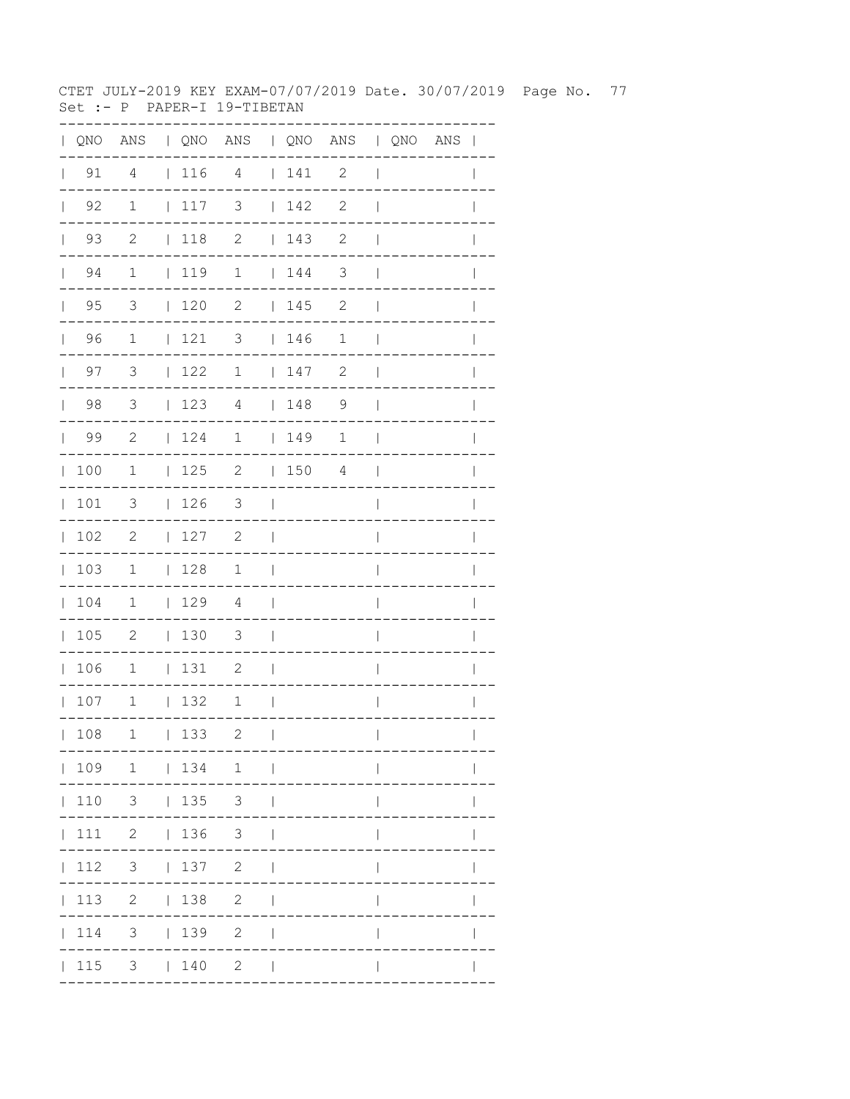CTET JULY-2019 KEY EXAM-07/07/2019 Date. 30/07/2019 Page No. 77 Set :- P PAPER-I 19-TIBETAN

|              |                    | QNO ANS   QNO ANS   QNO ANS   QNO ANS |                                                             |                          |                                   |         |                            |                          |  |              |
|--------------|--------------------|---------------------------------------|-------------------------------------------------------------|--------------------------|-----------------------------------|---------|----------------------------|--------------------------|--|--------------|
| $\mathbf{L}$ | 91                 | 4                                     | $116$ 4                                                     |                          |                                   | $141$ 2 |                            | $\overline{\phantom{a}}$ |  |              |
|              | $\vert$ 92         | 1                                     | $\begin{array}{c} \begin{array}{c} \end{array} \end{array}$ | $\overline{\mathbf{3}}$  |                                   | 142     | $\overline{\phantom{0}}^2$ | $\overline{\phantom{a}}$ |  |              |
|              | $\vert$ 93         | $\overline{c}$                        | $\vert$ 118                                                 | $\overline{\phantom{a}}$ |                                   | 143     | $\overline{\phantom{0}}^2$ | $\overline{\phantom{a}}$ |  |              |
|              | $\vert$ 94         | $\mathbf 1$                           | 119                                                         | $\mathbf{1}$             |                                   | 144     | $\overline{\mathbf{3}}$    | $\overline{1}$           |  |              |
|              | 95<br>$\mathbf{L}$ | 3                                     | $\vert$ 120                                                 | 2                        |                                   | 145     | 2                          | $\mathbf{I}$             |  |              |
|              | $\vert$ 96         | $\overline{1}$                        | 121                                                         | $\overline{\mathbf{3}}$  |                                   | 146     | $\mathbf 1$                | $\blacksquare$           |  |              |
|              | 97<br>$\mathbf{L}$ | $\overline{\mathbf{3}}$               | 122                                                         | $\mathbf{1}$             |                                   | 147     | $\mathbf{2}$               | $\overline{\phantom{a}}$ |  |              |
|              | 98                 | $\overline{\mathbf{3}}$               | 123                                                         | $\overline{4}$           |                                   | 148     | $\overline{9}$             | $\overline{\phantom{a}}$ |  |              |
|              | $\vert$ 99         | $\overline{\phantom{a}}^2$            | 124                                                         | 1   149                  |                                   |         | $\mathbf 1$                | $\blacksquare$           |  |              |
|              | 100                | $\mathbf{1}$                          |                                                             | $125$ 2 $150$ 4          |                                   |         |                            | $\sim$                   |  |              |
| $\mathbf{L}$ | 101                | 3                                     | $\vert$ 126                                                 | $\overline{\mathbf{3}}$  | $\sim$                            |         |                            | $\overline{1}$           |  |              |
|              | 102                | 2                                     | 127                                                         | 2                        | $\mathcal{L}$                     |         |                            | $\overline{1}$           |  |              |
|              | 103                | 1                                     | 128                                                         | $1 \quad \vert$          |                                   |         |                            | $\overline{\phantom{a}}$ |  | $\mathbf{I}$ |
|              | 104                | 1                                     | 129                                                         | $\overline{4}$           | $\sim$ 1                          |         |                            | $\overline{1}$           |  |              |
|              | 105                | $\overline{\phantom{0}}$              | $ 130 \t3$                                                  |                          | $\sim$ 1                          |         |                            | $\overline{\phantom{a}}$ |  |              |
|              | 106                | $\overline{\phantom{0}}$              | 131                                                         | 2                        | $\sim$ 1                          |         |                            | $\overline{\phantom{a}}$ |  | $\mathbb{I}$ |
|              | 107                | $\mathbf{1}$                          | 132                                                         | $\mathbf{1}$             | $\sim$ 1                          |         |                            | $\overline{\phantom{a}}$ |  | $\mathbf{I}$ |
|              | 108                | 1                                     | 133                                                         | 2                        | $\mathbf{I}$                      |         |                            | $\overline{1}$           |  | $\mathbf{I}$ |
|              |                    | $ 109 \t1 \t 134 \t1 \t $             |                                                             |                          |                                   |         |                            |                          |  |              |
|              |                    | 110 3   135 3                         |                                                             |                          | $\perp$                           |         |                            |                          |  |              |
|              |                    | 111 2   136 3                         |                                                             |                          |                                   |         |                            |                          |  |              |
|              |                    | $ 112 \t3 \t 137 \t2$                 |                                                             |                          | $\Box$                            |         |                            | $\mathbf{I}$             |  |              |
|              |                    | 113 2   138 2                         |                                                             |                          | $\Box$                            |         |                            | $\mathbf{I}$             |  |              |
|              |                    | $ 114$ 3 $ 139$ 2                     |                                                             |                          | $\overline{\phantom{a}}$          |         |                            |                          |  |              |
|              |                    | $ 115 \t3 \t 140 \t2$                 |                                                             |                          | <b>Contract Contract Contract</b> |         |                            |                          |  |              |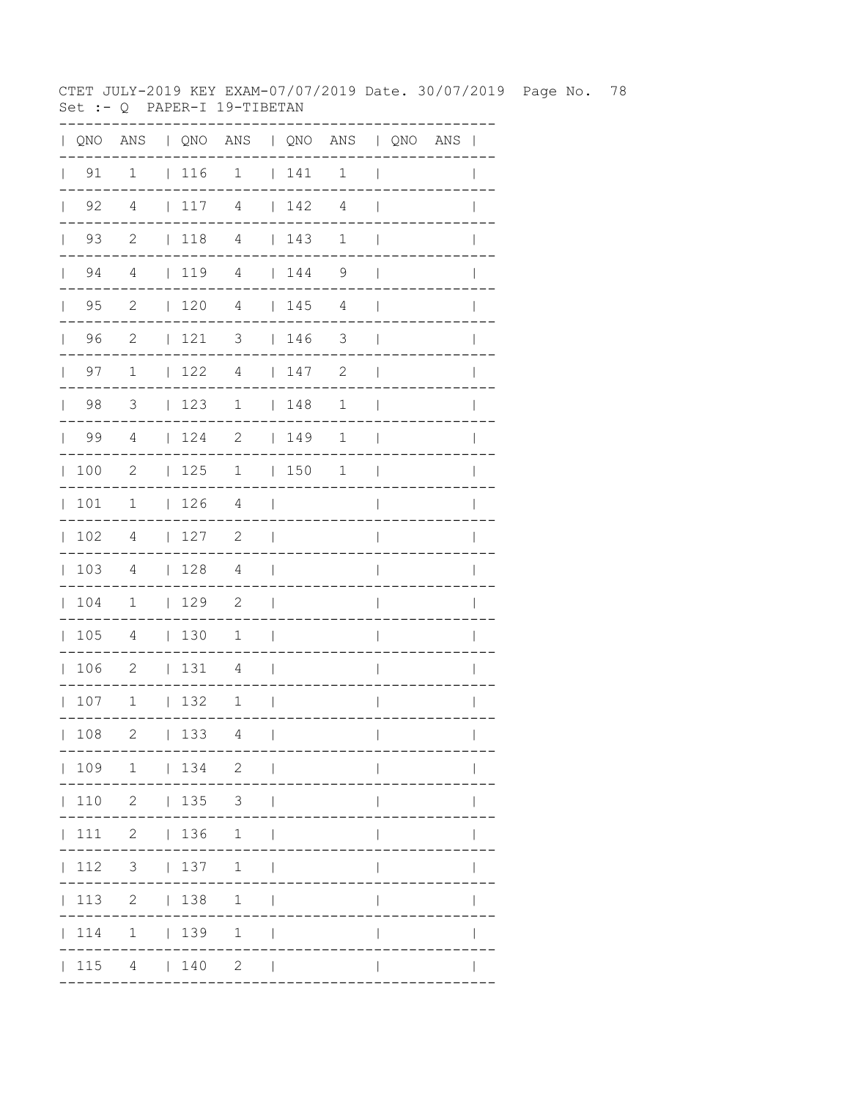CTET JULY-2019 KEY EXAM-07/07/2019 Date. 30/07/2019 Page No. 78 Set :- Q PAPER-I 19-TIBETAN

| QNO | ANS                        |              |     | QNO ANS   QNO ANS   QNO ANS |              |     |                       |                |                            |
|-----|----------------------------|--------------|-----|-----------------------------|--------------|-----|-----------------------|----------------|----------------------------|
| 91  | $\mathbf{1}$               |              | 116 | $\overline{\phantom{a}}$    |              | 141 | $\mathbf{1}$          | ı              |                            |
| 92  | $\overline{4}$             |              | 117 | 4                           |              | 142 | $\overline{4}$        |                |                            |
| 93  | $\overline{\phantom{0}}^2$ |              | 118 | $\overline{4}$              |              | 143 | 1                     |                |                            |
| 94  | $\overline{4}$             |              | 119 | $\sqrt{4}$                  |              | 144 | 9                     |                |                            |
| 95  | 2                          |              | 120 | $\overline{4}$              |              | 145 | 4                     |                |                            |
| 96  | 2                          | L            | 121 | 3                           |              | 146 | 3                     |                |                            |
| 97  | $\mathbf 1$                | $\mathbf{L}$ | 122 | $\overline{4}$              |              | 147 | $\mathbf{2}$          |                |                            |
| 98  | 3                          | L            | 123 | $\mathbf 1$                 | L            | 148 | $\mathbf 1$           |                |                            |
| 99  | 4                          | L            | 124 | $\sqrt{2}$                  | $\mathbf{L}$ | 149 | $\mathbf 1$           |                |                            |
| 100 | $\mathbf{2}$               | L            | 125 | 1                           | L            | 150 | $\mathbf 1$           |                |                            |
| 101 | 1                          | L            | 126 | $\overline{4}$              |              |     |                       |                |                            |
| 102 | 4                          | L            | 127 | $\mathbf{2}$                |              |     |                       |                |                            |
| 103 | 4                          | L            | 128 | 4                           |              |     |                       |                |                            |
| 104 | 1                          | $\mathbf{L}$ | 129 | $\mathbf{2}$                |              |     |                       |                |                            |
| 105 | 4                          | $\mathbf{L}$ | 130 | 1                           |              |     |                       |                |                            |
| 106 | $\mathbf{2}$               | $\mathbf{L}$ | 131 | 4                           |              |     |                       |                |                            |
| 107 | $1\,$                      | $\mathbf{L}$ | 132 | $\mathbf 1$                 |              |     |                       |                |                            |
| 108 | 2                          |              | 133 | 4                           | $\mathbf{1}$ |     | . - - - - - - - - - - | $\mathbf{L}$   | $\mathbf{L}$<br>---------- |
|     |                            |              |     | 109 1   134 2               |              |     |                       |                |                            |
|     |                            |              |     | 110 2   135 3               |              |     |                       |                |                            |
|     |                            |              |     | 111 2   136 1               |              |     |                       |                |                            |
|     |                            |              |     | 112 3   137 1               |              |     |                       | $\mathbf{I}$   |                            |
|     |                            |              |     | 113 2   138 1               |              |     |                       | $\mathsf{I}$   | $\mathbf{I}$               |
|     |                            |              |     | 114 1   139 1               |              |     |                       | $\overline{1}$ |                            |
|     |                            |              |     | $ 115 \t4 \t 140 \t2 \t $   |              |     |                       | $\mathbf{I}$   |                            |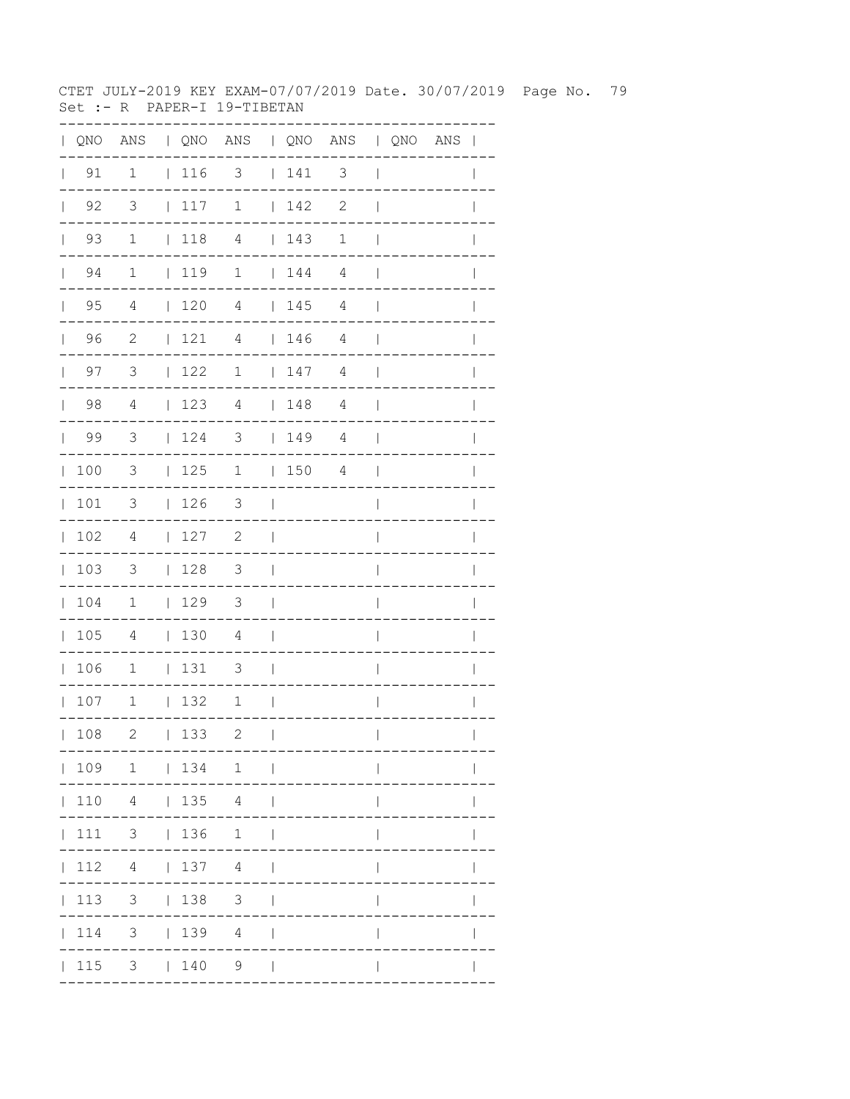CTET JULY-2019 KEY EXAM-07/07/2019 Date. 30/07/2019 Page No. 79 Set :- R PAPER-I 19-TIBETAN

| QNO | $\mathbb{A}\mathbb{N}\mathbb{S}$ |              |     | QNO ANS   QNO ANS   QNO ANS |              |     |                          |                |                       |
|-----|----------------------------------|--------------|-----|-----------------------------|--------------|-----|--------------------------|----------------|-----------------------|
| 91  | $\mathbf{1}$                     |              | 116 | $\overline{\phantom{a}}$    |              | 141 | $\overline{\phantom{a}}$ | $\overline{1}$ |                       |
| 92  | $\overline{\mathbf{3}}$          | $\mathbf{L}$ | 117 | $\mathbf 1$                 |              | 142 | $\mathbf{2}$             |                |                       |
| 93  | $\mathbf{1}$                     |              | 118 | $\overline{4}$              |              | 143 | 1                        |                |                       |
| 94  | $\mathbf{1}$                     |              | 119 | $\mathbf{1}$                |              | 144 | $\overline{4}$           |                |                       |
| 95  | 4                                |              | 120 | $\overline{4}$              |              | 145 | 4                        |                |                       |
| 96  | $\mathbf{2}$                     | L            | 121 | $\sqrt{4}$                  | L            | 146 | 4                        |                |                       |
| 97  | 3                                | L            | 122 | $\mathbf 1$                 | L            | 147 | 4                        |                |                       |
| 98  | $\overline{4}$                   | $\mathbf{I}$ | 123 | $\overline{4}$              | L            | 148 | $\overline{4}$           |                |                       |
| 99  | 3                                | L            | 124 | 3                           | $\mathbf{L}$ | 149 | $\overline{4}$           |                |                       |
| 100 | 3                                | $\mathbf{I}$ | 125 | 1                           | L            | 150 | $\sqrt{4}$               |                |                       |
| 101 | 3                                | L            | 126 | 3                           |              |     |                          |                |                       |
| 102 | 4                                | L            | 127 | $\mathbf{2}$                |              |     |                          |                |                       |
| 103 | 3                                |              | 128 | 3                           |              |     |                          |                |                       |
| 104 | 1                                | L            | 129 | $\mathfrak{Z}$              |              |     |                          |                |                       |
| 105 | 4                                | $\mathbf{L}$ | 130 | $\overline{4}$              |              |     |                          |                |                       |
| 106 | $1\,$                            | L            | 131 | 3                           |              |     |                          |                |                       |
| 107 | $1\,$                            | $\mathbf{L}$ | 132 | $\mathbf 1$                 |              |     |                          |                |                       |
| 108 | 2                                |              | 133 | 2                           | $\Box$       |     | . _ _ _ _ _ _ _ _ _ .    | $\mathbf{L}$   | $\mathbf{L}$          |
|     |                                  |              |     | ---<br>109 1   134 1        |              |     |                          |                | . - - - - - - - - - . |
|     |                                  |              |     | 110 4   135 4               |              |     |                          |                |                       |
|     |                                  |              |     | 111 3   136 1               |              |     |                          |                | $\mathsf{I}$          |
|     |                                  |              |     | $ 112 \t4 \t 137 \t4 \t $   |              |     |                          | $\mathbf{I}$   | $\mathbf{I}$          |
|     |                                  |              |     | 113 3   138 3               |              |     |                          | $\mathsf{I}$   | $\mathbf{I}$          |
|     |                                  |              |     | 114 3   139 4               |              |     |                          | $\overline{1}$ |                       |
|     |                                  |              |     | $ 115 \t3 \t 140 \t9 \t $   |              |     |                          | $\mathsf{I}$   |                       |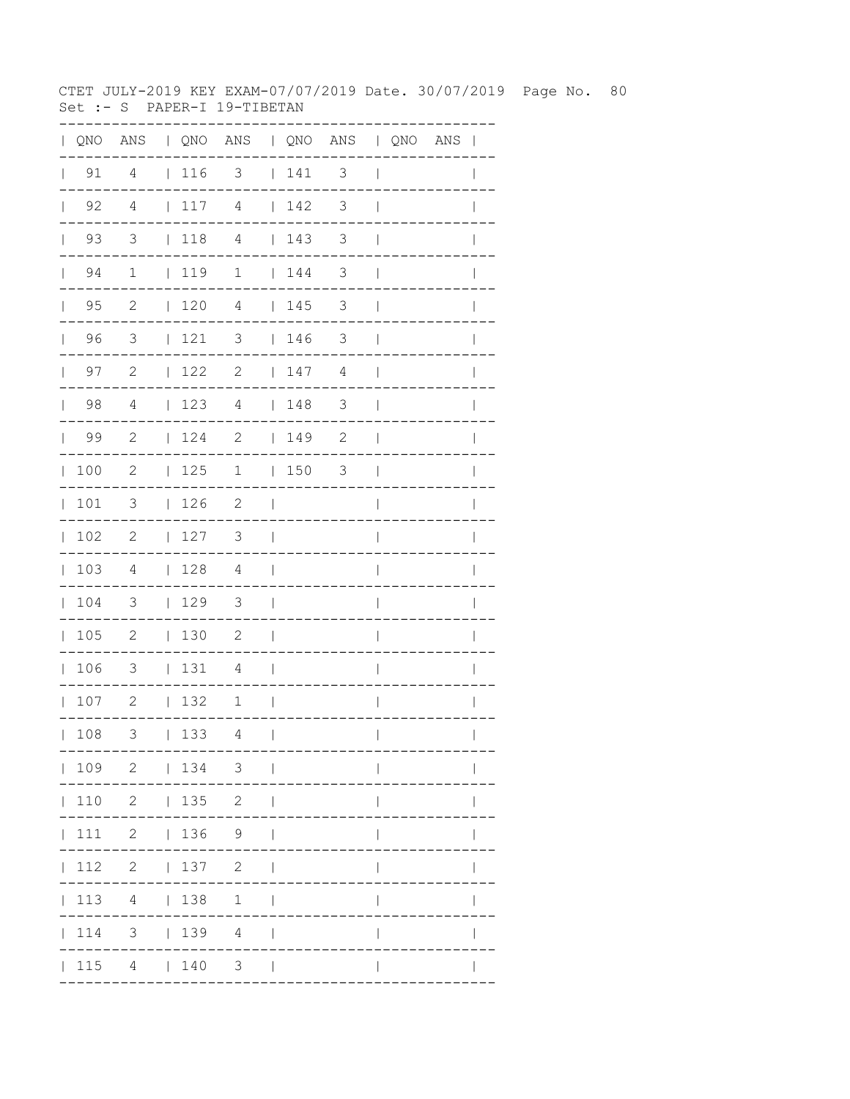CTET JULY-2019 KEY EXAM-07/07/2019 Date. 30/07/2019 Page No. 80 Set :- S PAPER-I 19-TIBETAN

|              |                    | QNO ANS   QNO ANS   QNO ANS   QNO ANS |             |                            |                          |     |                            |                          |  |              |
|--------------|--------------------|---------------------------------------|-------------|----------------------------|--------------------------|-----|----------------------------|--------------------------|--|--------------|
| $\mathbf{L}$ | 91                 | 4                                     | 116         | $3 \t141 \t3$              |                          |     |                            | $\overline{\phantom{a}}$ |  |              |
|              | $\vert$ 92         | $\overline{4}$                        | 117         | $\overline{4}$             |                          | 142 | $\overline{\phantom{a}}$   | $\overline{\phantom{a}}$ |  |              |
|              | $\vert$ 93         | $\overline{\mathbf{3}}$               | $\vert$ 118 | $\overline{4}$             |                          | 143 | $\overline{\phantom{a}}$   | $\mathbf{I}$             |  |              |
|              | $\vert$ 94         | $\mathbf{1}$                          | 119         | $\mathbf{1}$               |                          | 144 | $\overline{\phantom{a}}$   | $\overline{1}$           |  |              |
|              | 95<br>$\mathbf{L}$ | $\overline{\phantom{a}}^2$            | 120         | $\overline{4}$             |                          | 145 | 3                          | $\overline{\phantom{a}}$ |  |              |
|              | 96<br>$\mathbf{L}$ | $\overline{\mathbf{3}}$               | 121         | $\overline{\mathbf{3}}$    |                          | 146 | $\overline{\mathbf{3}}$    | $\overline{\phantom{a}}$ |  |              |
|              | 97<br>$\mathbf{L}$ | $\overline{\phantom{0}}^2$            | $122$ 2     |                            |                          | 147 | 4                          | $\mathbf{I}$             |  |              |
|              | 98                 | $\overline{4}$                        | 123         | $\overline{4}$             |                          | 148 | 3                          | $\overline{\phantom{a}}$ |  |              |
|              | $\vert$ 99         | $\overline{\phantom{0}}^2$            | 124         | $\overline{\phantom{a}}$   |                          | 149 | $\overline{\phantom{0}}^2$ | $\overline{\phantom{a}}$ |  |              |
|              | 100                | $\overline{\phantom{0}}^2$            | 125         | 1   150 3                  |                          |     |                            | $\mathbf{I}$             |  |              |
| $\mathbb{R}$ | 101                | 3                                     | 126         | $\overline{\phantom{0}}^2$ | $\sim$                   |     |                            | $\overline{1}$           |  |              |
|              | 102                | 2                                     | 127         | 3 <sup>7</sup>             | $\sim$                   |     |                            | $\overline{\phantom{a}}$ |  |              |
|              | 103                | $\overline{4}$                        | 128         | 4                          | $\sim$                   |     |                            | $\overline{\phantom{a}}$ |  | $\mathbf{I}$ |
|              | 104                | $\overline{\phantom{a}}$              | 129         | $\overline{\mathbf{3}}$    | $\mathcal{L}$            |     |                            | $\overline{\phantom{a}}$ |  |              |
|              | 105                | $\overline{\phantom{0}}^2$            | $130$ 2     |                            | $\sim$                   |     |                            | $\overline{\phantom{a}}$ |  |              |
|              | 106                | $\overline{\phantom{a}}$              | $131$ 4     |                            | $\sim$                   |     |                            | $\overline{\phantom{a}}$ |  | $\mathbb{I}$ |
|              | 107                | $\overline{\phantom{0}}$              | 132         | $\mathbf{1}$               | $\sim$ 1                 |     |                            | $\overline{\phantom{a}}$ |  | $\mathbf{I}$ |
|              | 108                | 3                                     | 133         | 4                          | $\overline{\phantom{a}}$ |     |                            | $\overline{1}$           |  | $\mathbf{I}$ |
|              |                    | 109 2   134 3                         |             |                            |                          |     |                            |                          |  |              |
|              |                    | 110 2   135 2                         |             |                            | $\perp$                  |     |                            |                          |  |              |
|              |                    | 111 2   136 9                         |             |                            |                          |     |                            |                          |  |              |
|              |                    | $ 112 \t2 \t 137 \t2$                 |             |                            | $\Box$                   |     |                            | $\mathsf{I}$             |  |              |
|              |                    | 113 4   138 1                         |             |                            | $\perp$                  |     |                            | $\mathbf{I}$             |  |              |
|              |                    | $ 114$ 3 $ 139$ 4                     |             |                            | $\perp$                  |     |                            |                          |  |              |
|              |                    | 115 4   140 3                         |             |                            |                          |     |                            |                          |  |              |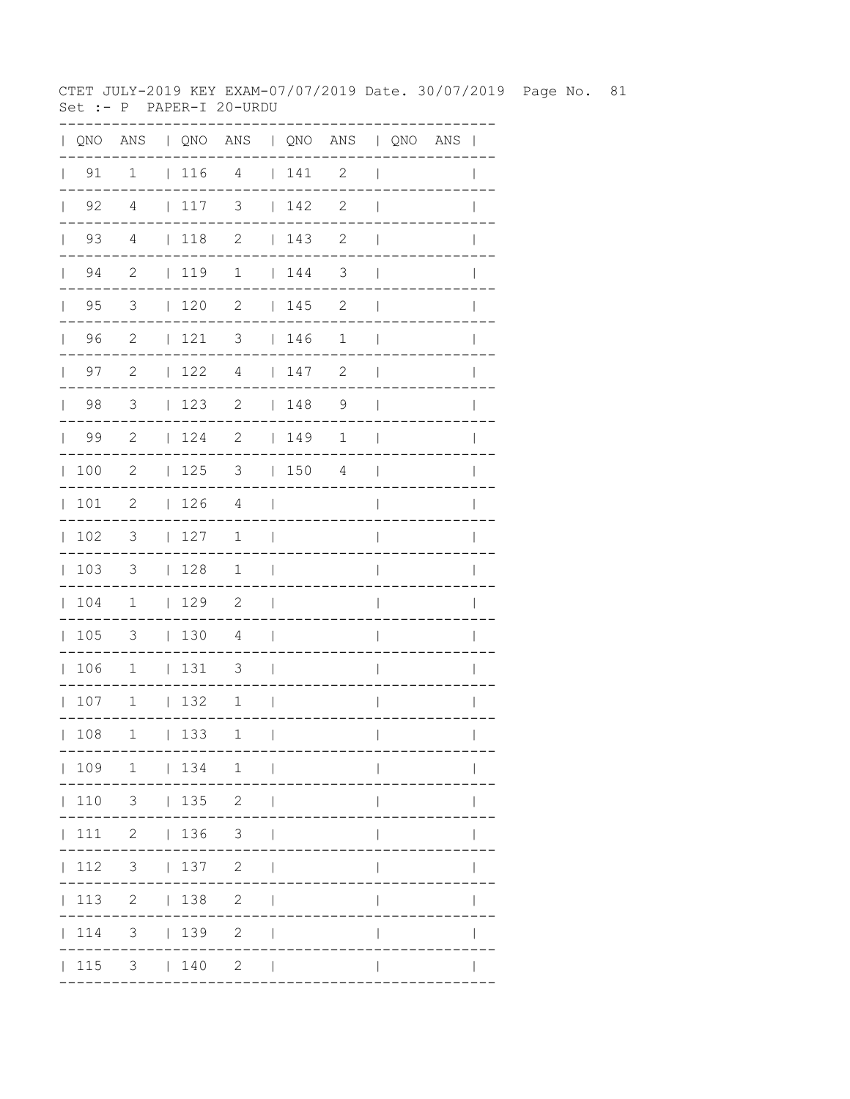CTET JULY-2019 KEY EXAM-07/07/2019 Date. 30/07/2019 Page No. 81 Set :- P PAPER-I 20-URDU

|                                             |                            |                 | QNO ANS   QNO ANS   QNO ANS   QNO ANS |                          |             |              |                          |  | $\mathbf{I}$ |
|---------------------------------------------|----------------------------|-----------------|---------------------------------------|--------------------------|-------------|--------------|--------------------------|--|--------------|
| 91<br>$\mathbf{L}$                          | 1                          | 116             | 4                                     |                          | 141         | 2            | $\overline{\phantom{a}}$ |  |              |
| $\begin{array}{ccc} \vert & 92 \end{array}$ | 4                          | 117             | 3                                     |                          | $\vert$ 142 | 2            | $\overline{\phantom{a}}$ |  |              |
| $\vert$ 93                                  | $\overline{4}$             | $ 118$ 2        |                                       |                          | 143         | $\mathbf{2}$ | $\overline{\phantom{a}}$ |  |              |
| $\vert$ 94                                  | $\overline{\phantom{0}}^2$ | 119 1           |                                       |                          | 144         | 3            | $\overline{\phantom{a}}$ |  |              |
| $\vert$ 95                                  | $\overline{3}$             | $\vert$ 120     | $\overline{\phantom{a}}$              |                          | 145         | $\mathbf{2}$ | $\overline{\phantom{a}}$ |  | $\mathbb{I}$ |
| 96                                          | $\overline{c}$             | 121             | 3   146                               |                          |             | 1            | $\mathbf{I}$             |  |              |
| 97<br>$\mathbf{L}$                          | 2                          | 122             | $\overline{4}$                        |                          | 147         | $\mathbf{2}$ | $\overline{\phantom{a}}$ |  |              |
| 98                                          | $\mathcal{S}$              | 123             | 2                                     |                          | 148         | 9            | $\overline{\phantom{a}}$ |  | $\mathbf{I}$ |
| 99                                          | $\overline{\phantom{0}}^2$ |                 | $124$ 2   149                         |                          |             | 1            | $\overline{\phantom{a}}$ |  | $\mathbf{I}$ |
| 100                                         | $\overline{\phantom{0}}^2$ |                 | $125$ 3 $150$ 4                       |                          |             |              | $\Box$                   |  |              |
| 101                                         | $\overline{\phantom{0}}$   | 126             | $\overline{4}$                        | - 1                      |             |              | $\overline{1}$           |  |              |
| 102                                         | $\overline{\mathbf{3}}$    | 127             | $\mathbf{1}$                          | $\overline{\phantom{0}}$ |             |              | $\overline{\phantom{a}}$ |  | L            |
| 103                                         | $\overline{\phantom{a}}$   | 128             | $\mathbf{1}$                          | $\blacksquare$           |             |              | $\overline{\phantom{a}}$ |  |              |
| 104                                         | $\overline{1}$             | 129             | $\overline{\phantom{a}}^2$            | $\mathcal{L}$            |             |              |                          |  |              |
| 105                                         | 3                          | 130             | $\overline{4}$                        | $\mathcal{L}$            |             |              | $\mathbf{I}$             |  |              |
| 106                                         | $\mathbf 1$                | 131             | 3                                     | $\sim$                   |             |              | $\overline{\phantom{a}}$ |  | $\mathbb{I}$ |
| 107                                         | $\mathbf{1}$               | 132             | $\mathbf 1$                           | $\mathcal{L}$            |             |              | $\mathsf{I}$             |  | $\mathbf{I}$ |
| 108                                         | $\mathbf 1$                | 133             | 1                                     | $\perp$                  |             |              | $\mathbf{I}$             |  | $\mathbf{I}$ |
|                                             |                            |                 | 109 1   134 1                         |                          |             |              |                          |  |              |
|                                             | $ 110 \t3 \t 135 \t2$      |                 |                                       |                          |             |              |                          |  |              |
| $\vert$ 111                                 | 2   136 3                  |                 |                                       |                          |             |              |                          |  |              |
| 112                                         |                            | $3 \t 137 \t 2$ |                                       |                          |             |              |                          |  |              |
| $\vert$ 113                                 |                            | 2   138         | $\overline{2}$                        | $\perp$                  |             |              | $\mathbf{I}$             |  |              |
| 114                                         |                            | $3 \t 139$      | $\mathbf{2}$                          | $\perp$                  |             |              |                          |  |              |
|                                             | 115 3   140                |                 | $2 \mid$                              |                          |             |              |                          |  |              |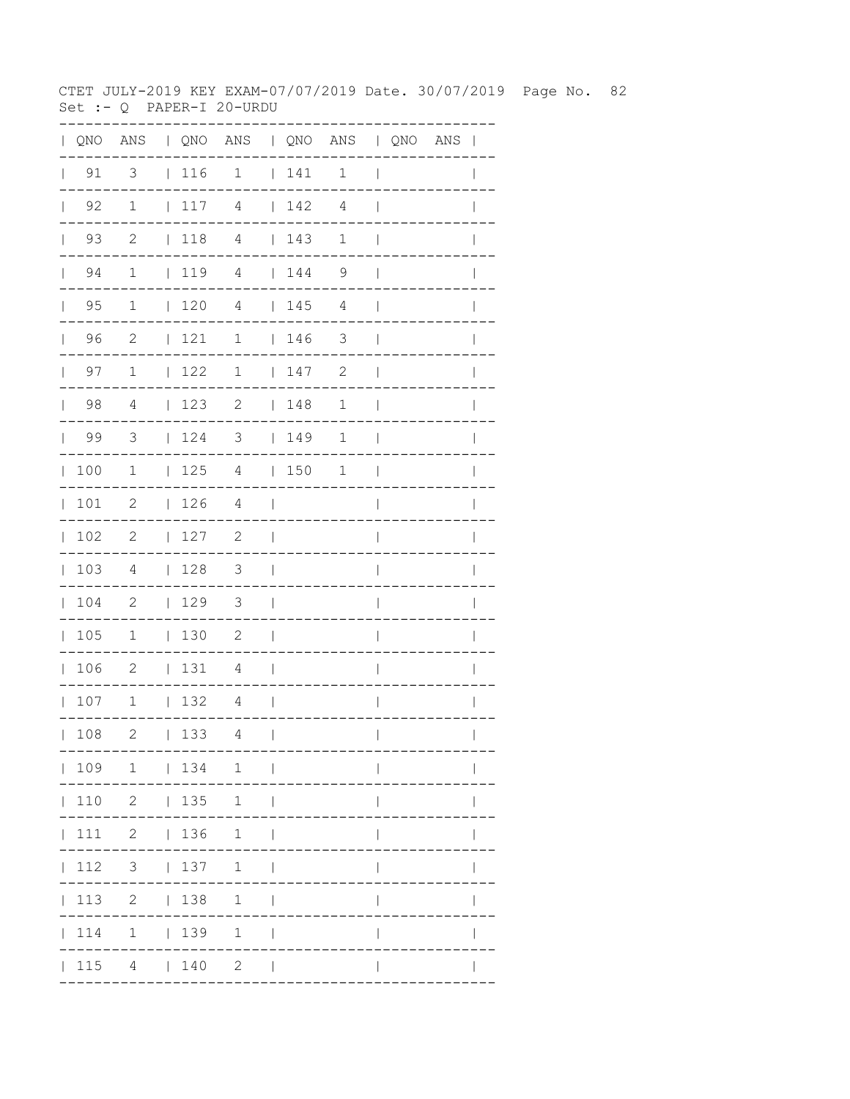CTET JULY-2019 KEY EXAM-07/07/2019 Date. 30/07/2019 Page No. 82 Set :-  $Q$  PAPER-I 20-URDU

|     | 3                                                                                                                                                                                                                    |                                                                                                                  |     | 1                                                                                                                                                |                                                                                                                                                                                                                |                                                                                                                                                 | $\mathbf 1$                                                                                                                                                                                              | $\overline{1}$                         |  |                                       |
|-----|----------------------------------------------------------------------------------------------------------------------------------------------------------------------------------------------------------------------|------------------------------------------------------------------------------------------------------------------|-----|--------------------------------------------------------------------------------------------------------------------------------------------------|----------------------------------------------------------------------------------------------------------------------------------------------------------------------------------------------------------------|-------------------------------------------------------------------------------------------------------------------------------------------------|----------------------------------------------------------------------------------------------------------------------------------------------------------------------------------------------------------|----------------------------------------|--|---------------------------------------|
|     | 1                                                                                                                                                                                                                    | $\mathbb{R}$                                                                                                     | 117 | $\overline{4}$                                                                                                                                   |                                                                                                                                                                                                                |                                                                                                                                                 | 4                                                                                                                                                                                                        | $\overline{\phantom{a}}$               |  |                                       |
|     | $\overline{2}$                                                                                                                                                                                                       |                                                                                                                  | 118 |                                                                                                                                                  |                                                                                                                                                                                                                |                                                                                                                                                 | $\mathbf{1}$                                                                                                                                                                                             | $\mathbf{I}$                           |  |                                       |
|     | $\mathbf{1}$                                                                                                                                                                                                         |                                                                                                                  |     |                                                                                                                                                  |                                                                                                                                                                                                                |                                                                                                                                                 | 9                                                                                                                                                                                                        | $\overline{\phantom{a}}$               |  |                                       |
|     | $\mathbf{1}$                                                                                                                                                                                                         |                                                                                                                  |     |                                                                                                                                                  |                                                                                                                                                                                                                |                                                                                                                                                 | $\overline{4}$                                                                                                                                                                                           | $\overline{\phantom{a}}$               |  | I                                     |
|     | $\overline{c}$                                                                                                                                                                                                       |                                                                                                                  |     | $\mathbf{1}$                                                                                                                                     |                                                                                                                                                                                                                |                                                                                                                                                 |                                                                                                                                                                                                          | $\overline{\phantom{a}}$               |  |                                       |
| 97  | $\mathbf 1$                                                                                                                                                                                                          |                                                                                                                  |     | 1                                                                                                                                                |                                                                                                                                                                                                                |                                                                                                                                                 | $\mathbf{2}$                                                                                                                                                                                             | $\overline{\phantom{a}}$               |  |                                       |
|     | 4                                                                                                                                                                                                                    |                                                                                                                  |     | $\overline{2}$                                                                                                                                   |                                                                                                                                                                                                                |                                                                                                                                                 | 1                                                                                                                                                                                                        | $\overline{\phantom{a}}$               |  | I                                     |
|     | $\overline{\mathbf{3}}$                                                                                                                                                                                              |                                                                                                                  |     |                                                                                                                                                  |                                                                                                                                                                                                                |                                                                                                                                                 | $\mathbf 1$                                                                                                                                                                                              | $\Box$                                 |  | I                                     |
|     |                                                                                                                                                                                                                      |                                                                                                                  |     |                                                                                                                                                  |                                                                                                                                                                                                                |                                                                                                                                                 | $\mathbf{1}$                                                                                                                                                                                             | $\mathbf{I}$                           |  |                                       |
|     |                                                                                                                                                                                                                      |                                                                                                                  |     |                                                                                                                                                  |                                                                                                                                                                                                                |                                                                                                                                                 |                                                                                                                                                                                                          | $\overline{1}$                         |  |                                       |
|     | $\overline{\phantom{0}}^2$                                                                                                                                                                                           |                                                                                                                  |     | $\overline{\phantom{0}}^2$                                                                                                                       |                                                                                                                                                                                                                |                                                                                                                                                 |                                                                                                                                                                                                          | I                                      |  |                                       |
|     | $\overline{4}$                                                                                                                                                                                                       |                                                                                                                  |     |                                                                                                                                                  |                                                                                                                                                                                                                |                                                                                                                                                 |                                                                                                                                                                                                          | I                                      |  |                                       |
|     |                                                                                                                                                                                                                      |                                                                                                                  |     | $\overline{\mathbf{3}}$                                                                                                                          |                                                                                                                                                                                                                |                                                                                                                                                 |                                                                                                                                                                                                          | $\overline{\phantom{a}}$               |  |                                       |
|     | $1\,$                                                                                                                                                                                                                |                                                                                                                  |     |                                                                                                                                                  | $\blacksquare$                                                                                                                                                                                                 |                                                                                                                                                 |                                                                                                                                                                                                          | $\overline{\phantom{a}}$               |  |                                       |
| 106 |                                                                                                                                                                                                                      |                                                                                                                  |     | 4                                                                                                                                                |                                                                                                                                                                                                                |                                                                                                                                                 |                                                                                                                                                                                                          | $\overline{\phantom{a}}$               |  | $\mathbb{I}$                          |
|     | $\overline{1}$                                                                                                                                                                                                       |                                                                                                                  |     |                                                                                                                                                  |                                                                                                                                                                                                                |                                                                                                                                                 |                                                                                                                                                                                                          | $\overline{\phantom{a}}$               |  | $\mathbf{I}$                          |
|     | 2                                                                                                                                                                                                                    |                                                                                                                  |     | $\overline{4}$                                                                                                                                   | $\Box$                                                                                                                                                                                                         |                                                                                                                                                 |                                                                                                                                                                                                          | $\mathbf{I}$                           |  | $\mathbf{I}$                          |
|     |                                                                                                                                                                                                                      |                                                                                                                  |     |                                                                                                                                                  |                                                                                                                                                                                                                |                                                                                                                                                 |                                                                                                                                                                                                          |                                        |  |                                       |
|     |                                                                                                                                                                                                                      |                                                                                                                  |     |                                                                                                                                                  |                                                                                                                                                                                                                |                                                                                                                                                 |                                                                                                                                                                                                          |                                        |  |                                       |
|     |                                                                                                                                                                                                                      |                                                                                                                  |     |                                                                                                                                                  |                                                                                                                                                                                                                |                                                                                                                                                 |                                                                                                                                                                                                          |                                        |  |                                       |
|     |                                                                                                                                                                                                                      |                                                                                                                  |     |                                                                                                                                                  |                                                                                                                                                                                                                |                                                                                                                                                 |                                                                                                                                                                                                          |                                        |  |                                       |
|     |                                                                                                                                                                                                                      |                                                                                                                  |     |                                                                                                                                                  | $\Box$                                                                                                                                                                                                         |                                                                                                                                                 |                                                                                                                                                                                                          | $\mathbb{I}$                           |  |                                       |
|     |                                                                                                                                                                                                                      |                                                                                                                  |     |                                                                                                                                                  |                                                                                                                                                                                                                |                                                                                                                                                 |                                                                                                                                                                                                          |                                        |  |                                       |
|     |                                                                                                                                                                                                                      |                                                                                                                  |     |                                                                                                                                                  |                                                                                                                                                                                                                |                                                                                                                                                 |                                                                                                                                                                                                          |                                        |  |                                       |
|     | $\vert$ 91<br>$\vert$ 92<br>$\vert$ 93<br>$\vert$ 94<br>$\vert$ 95<br> 96<br>$\mathbb{R}$<br> 98<br> 99<br> 100<br> 101<br> 102<br> 103<br>104<br> 105<br>$\mathbf{L}$<br>107<br> 108<br>$\vert$ 111<br> 112<br> 114 | $\overline{1}$<br>$\overline{\phantom{0}}^2$<br>$\overline{\phantom{0}}^2$<br>$\overline{\phantom{a}}^2$<br> 113 |     | $\vert$ 116<br>$\mathcal{L}_{\rm{max}}$<br>120<br> 121<br> 122<br> 123<br>126<br> 127<br>128<br>129<br>$\vert$ 130<br> 131<br>$\vert$ 132<br>133 | $\overline{4}$<br>$119$ 4<br>$\overline{4}$<br>$\overline{4}$<br>$\overline{\mathbf{3}}$<br>$\overline{\phantom{0}}^2$<br>$\overline{4}$<br>$ 110 \t2 \t 135 \t1$<br>2   136 1<br>2   138 1<br>$1 \t 139 \t 1$ | $\sim$<br>$\blacksquare$<br>$\sim$<br>$\sim$<br><b>Contract</b><br>$\mathcal{L}$<br>$ 109 \t1 \t 134 \t1 \t $<br>3   137 1  <br>  115 4   140 2 | $\begin{array}{c} \begin{array}{c} \end{array} \end{array}$<br>$\vert$ 142<br>145<br>$\begin{array}{c} \begin{array}{c} \end{array} \end{array}$<br>147<br>$\vert$ 148<br>$124$ 3   149<br>$125$ 4   150 | 143<br>144<br>$\overline{\phantom{a}}$ |  | QNO ANS   QNO ANS   QNO ANS   QNO ANS |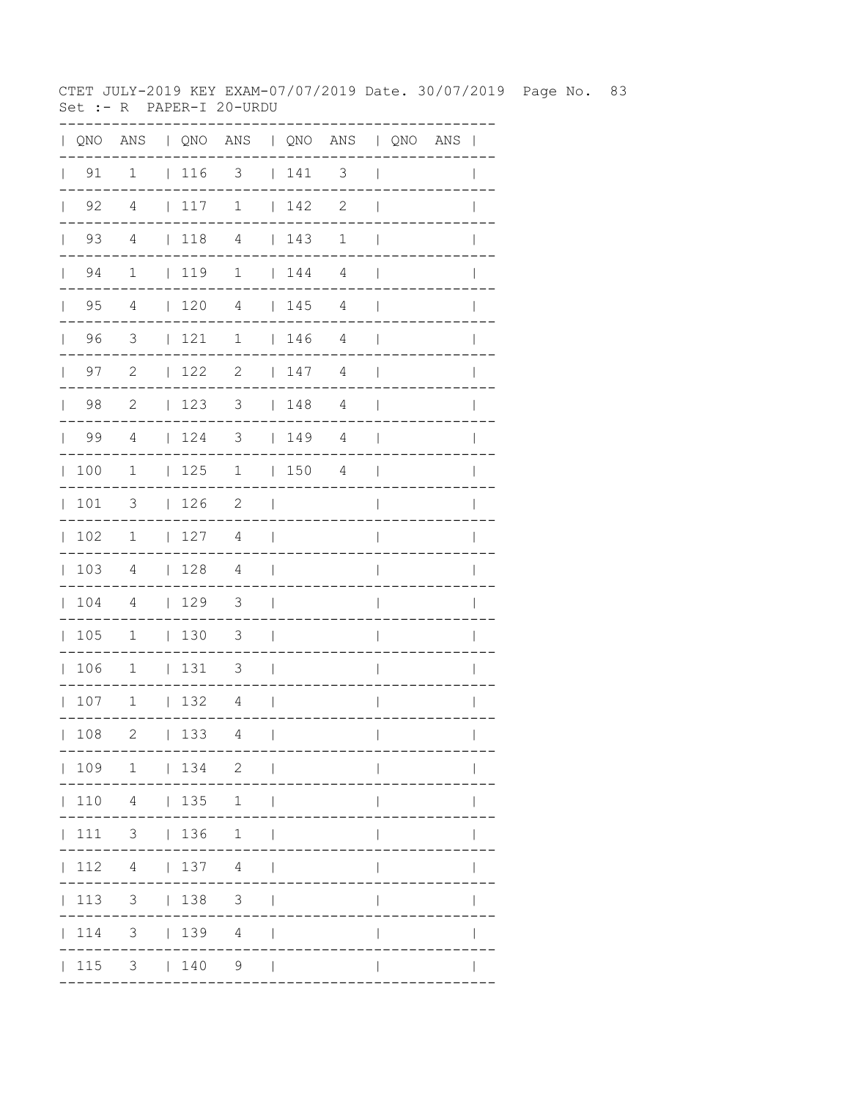CTET JULY-2019 KEY EXAM-07/07/2019 Date. 30/07/2019 Page No. 83 Set :- R PAPER-I 20-URDU

| $\mathbf{L}$ |                      |                          |                                                             | QNO ANS   QNO ANS   QNO ANS   QNO ANS |                          |     |                |                          |  | $\overline{\phantom{a}}$ |
|--------------|----------------------|--------------------------|-------------------------------------------------------------|---------------------------------------|--------------------------|-----|----------------|--------------------------|--|--------------------------|
| $\mathbf{L}$ | 91                   | $\mathbf 1$              |                                                             | $ 116$ 3 $ 141$                       |                          |     | 3              | $\mathbf{I}$             |  |                          |
|              | $\vert$ 92           | 4                        | $117$ 1                                                     |                                       |                          | 142 | $\mathbf{2}$   | $\mathbf{I}$             |  |                          |
|              | 93<br>$\mathbf{L}$   | 4                        | 118                                                         | 4                                     |                          | 143 | $\mathbf 1$    | $\mathbf{I}$             |  |                          |
|              | 94<br>$\mathbb{R}^n$ | $\mathbf 1$              | $\vert$ 119                                                 | $\mathbf{1}$                          |                          | 144 | 4              | $\overline{\phantom{a}}$ |  |                          |
|              | $\vert$ 95           | 4                        | 1204                                                        |                                       |                          | 145 | $\overline{4}$ | $\overline{\phantom{a}}$ |  |                          |
|              | 96                   | $\overline{\mathbf{3}}$  | 121                                                         | $\mathbf 1$                           |                          | 146 | $\overline{4}$ | $\mathbf{I}$             |  |                          |
|              | $\vert$ 97           | 2                        | 122                                                         | $\overline{\phantom{a}}$              |                          | 147 | 4              | $\mathbf{I}$             |  | $\mathbb{I}$             |
|              | $\vert$ 98           | 2                        | 123                                                         | 3   148                               |                          |     | $\overline{4}$ | $\overline{\phantom{a}}$ |  |                          |
|              | $\vert$ 99           | $\overline{4}$           | $\begin{array}{c} \begin{array}{c} \end{array} \end{array}$ | $\overline{\mathbf{3}}$               |                          | 149 | 4              | $\overline{\phantom{a}}$ |  |                          |
|              | 100                  | 1                        | 125                                                         | $\mathbf 1$                           |                          | 150 | 4              | - 1                      |  | $\mathbf{I}$             |
|              | 101                  | 3                        | 126                                                         | $\overline{\phantom{0}}^2$            | $\blacksquare$           |     |                | $\overline{1}$           |  | I                        |
| $\mathbb{R}$ | 102                  | $\overline{1}$           | 127                                                         | 4                                     | $\perp$                  |     |                | I                        |  |                          |
|              | 103                  | $\overline{4}$           | 128                                                         | $\overline{4}$                        | $\Box$                   |     |                | I                        |  |                          |
|              | 104                  | $\overline{4}$           | 129                                                         | $\overline{\mathbf{3}}$               | $\sim$                   |     |                | $\overline{1}$           |  | $\overline{1}$           |
|              | 105                  | $\mathbf{1}$             | 130                                                         | $\overline{\mathbf{3}}$               | $\mathcal{L}$            |     |                | $\overline{\phantom{a}}$ |  |                          |
|              | 106                  | $\overline{\phantom{a}}$ | 131                                                         | $\overline{\phantom{a}}$              | $\sim$                   |     |                | $\overline{\phantom{a}}$ |  |                          |
|              | 107                  | $\overline{1}$           | 132                                                         | $\overline{4}$                        | $\sim$                   |     |                | $\overline{\phantom{a}}$ |  | $\mathbf{I}$             |
|              | 108                  | $\mathbf{2}$             | 133                                                         | 4                                     | $\overline{\phantom{a}}$ |     |                | $\overline{\phantom{a}}$ |  | $\mathbf{I}$             |
|              |                      | 109 1   134 2            |                                                             |                                       | $\sim$ 1                 |     |                |                          |  |                          |
|              | 110                  |                          | 4   135                                                     | $\mathbf{1}$                          | $\blacksquare$           |     |                |                          |  |                          |
|              | 111                  | $3 + 136 + 1$            |                                                             |                                       |                          |     |                |                          |  |                          |
|              | 112                  | $4\overline{ }$          | $137$ 4                                                     |                                       |                          |     |                |                          |  |                          |
|              | 113                  |                          | $3 \t 138$                                                  | 3 <sup>7</sup>                        |                          |     |                |                          |  |                          |
|              | 114                  |                          | 3   139   4                                                 |                                       |                          |     |                |                          |  |                          |
|              | $\vert$ 115          |                          | 3   140                                                     | 9                                     |                          |     |                |                          |  |                          |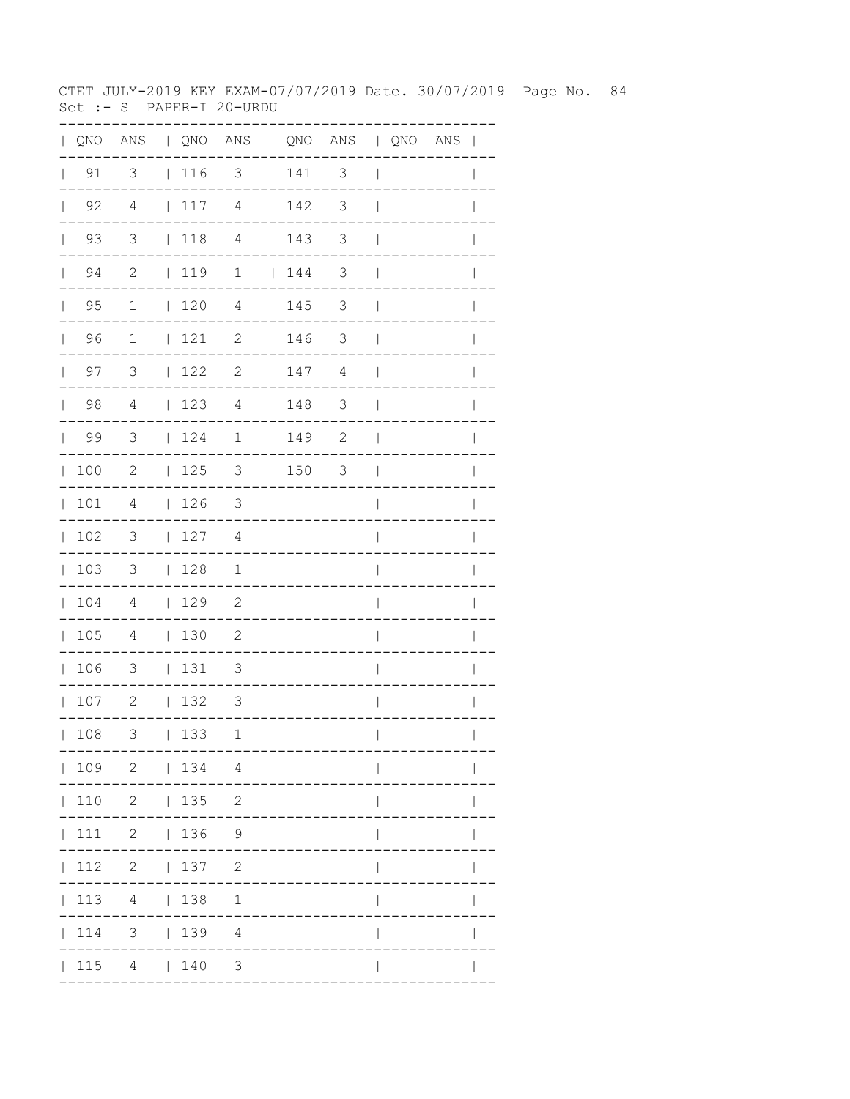CTET JULY-2019 KEY EXAM-07/07/2019 Date. 30/07/2019 Page No. 84 Set :- S PAPER-I 20-URDU

| $\mathbf{L}$ |                      |                          |                 | QNO ANS   QNO ANS   QNO ANS   QNO ANS |                          |         |                          |                          |  | $\overline{\phantom{a}}$ |
|--------------|----------------------|--------------------------|-----------------|---------------------------------------|--------------------------|---------|--------------------------|--------------------------|--|--------------------------|
| $\mathbf{L}$ | 91                   | $\overline{\mathbf{3}}$  |                 | $ 116$ 3 $ 141$                       |                          |         | $\mathcal{S}$            | $\overline{\phantom{a}}$ |  |                          |
|              | $\vert$ 92           | 4                        |                 | $117$ 4 $142$                         |                          |         | 3                        | $\overline{\phantom{a}}$ |  |                          |
|              | 93<br>$\mathbf{L}$   | 3                        | 118             | $\overline{4}$                        |                          | 143     | 3                        | $\mathbf{I}$             |  |                          |
|              | 94<br>$\mathbb{R}^n$ | $\mathbf{2}$             | $1119$ 1        |                                       |                          | 144     | 3                        | $\overline{\phantom{a}}$ |  |                          |
|              | $\vert$ 95           | $\mathbf{1}$             | 1204            |                                       |                          | 145     | 3                        | $\overline{\phantom{a}}$ |  |                          |
|              | 96                   | $\mathbf{1}$             | $121$ 2         |                                       |                          | 146     | 3                        | $\overline{\phantom{a}}$ |  |                          |
|              | $\vert$ 97           | 3                        | $122$ 2         |                                       |                          | 147     | 4                        | $\overline{\phantom{a}}$ |  | $\mathbf{I}$             |
|              | 98                   | $\overline{4}$           | 123             | $\overline{4}$                        |                          | 148     | $\overline{\phantom{a}}$ | $\overline{\phantom{a}}$ |  |                          |
|              | 99                   | $\overline{\mathbf{3}}$  | $\vert$ 124     | $\mathbf 1$                           |                          | $149$ 2 |                          | $\overline{1}$           |  |                          |
|              | 100                  | $\mathbf{2}$             | 125             | $3 \t150$                             |                          |         | 3                        | $\Box$                   |  | $\mathbf{I}$             |
|              | 101                  | $\overline{4}$           | 126             | $\overline{\phantom{a}}$              | $\sim$                   |         |                          | $\overline{\phantom{a}}$ |  | $\mathbf{I}$             |
|              | 102                  | $\overline{\phantom{a}}$ | 127             | 4                                     | $\Box$                   |         |                          | $\overline{1}$           |  |                          |
|              | 103                  | $\overline{\phantom{a}}$ | 128             | $\mathbf{1}$                          | $\overline{\phantom{0}}$ |         |                          | $\overline{\phantom{a}}$ |  |                          |
|              | 104                  | $\overline{4}$           | 129             | $\overline{\phantom{0}}^2$            | $\overline{\phantom{0}}$ |         |                          | $\overline{1}$           |  | $\mathbf{I}$             |
|              | 105                  | $\overline{4}$           | 130             | $\overline{\phantom{a}}^2$            | $\Box$                   |         |                          | $\overline{1}$           |  |                          |
|              | 106                  | $\overline{\phantom{a}}$ | 131             | $\overline{\mathbf{3}}$               | $\Box$                   |         |                          | $\overline{\phantom{a}}$ |  |                          |
|              | 107                  | $\overline{\phantom{a}}$ | 132             | $\overline{\phantom{a}}$              | $\sim$ 1                 |         |                          | $\overline{\phantom{a}}$ |  | I                        |
|              | 108                  | 3                        | 133             | 1                                     | $\overline{1}$           |         |                          | $\overline{\phantom{a}}$ |  | $\mathbf{I}$             |
|              |                      |                          |                 | 109 2   134 4                         |                          |         |                          |                          |  |                          |
|              | 110                  |                          | $2 \t 135 \t 2$ |                                       | - 1                      |         |                          |                          |  |                          |
|              | 111                  |                          | $2 \t 136 \t 9$ |                                       |                          |         |                          |                          |  |                          |
|              | 112                  |                          | 2   137         | $\overline{c}$                        |                          |         |                          |                          |  |                          |
|              | $\vert$ 113          |                          | 4   138         | $\mathbf{1}$                          |                          |         |                          |                          |  |                          |
|              | $\vert$ 114          |                          |                 | $3 \t   139 \t 4$                     |                          |         |                          |                          |  |                          |
|              | 115                  |                          | 4   140         | $3 \mid$                              |                          |         |                          |                          |  |                          |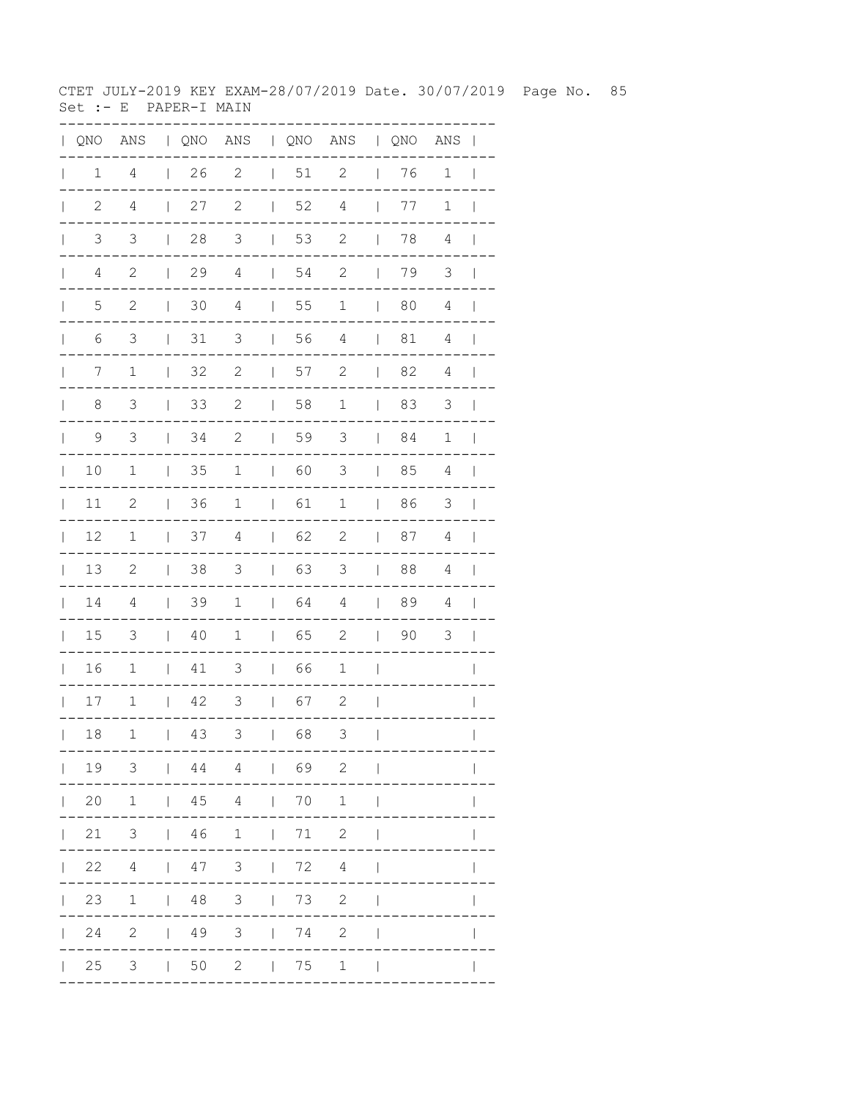CTET JULY-2019 KEY EXAM-28/07/2019 Date. 30/07/2019 Page No. 85  $Set : E$  PAPER-I MAIN

| QNO          | ANS            | $\mathbf{L}$ |    | QNO ANS   QNO ANS  |              |        |                | $\mathbb{R}^n$ | QNO | ANS            |              |
|--------------|----------------|--------------|----|--------------------|--------------|--------|----------------|----------------|-----|----------------|--------------|
| 1            | $\overline{4}$ | $\mathbf{I}$ | 26 | $\sqrt{2}$         | $\mathbf{I}$ | $51\,$ | $\overline{c}$ | $\mathbf{I}$   | 76  | $\mathbf 1$    |              |
| $\mathbf{2}$ | $\overline{4}$ | $\mathsf{I}$ | 27 | $\mathbf{2}$       | $\mathbf{L}$ | 52     | $\overline{4}$ | $\mathbf{L}$   | 77  | $\mathbf 1$    |              |
| 3            | $\mathsf 3$    | L            | 28 | $\mathfrak{Z}$     | L            | 53     | $\mathbf{2}$   | $\mathbf{L}$   | 78  | 4              |              |
| 4            | $\sqrt{2}$     | $\mathbf{L}$ | 29 | $\sqrt{4}$         | $\mathbf{I}$ | 54     | 2              | $\mathbf{I}$   | 79  | 3              |              |
| 5            | 2              | $\mathsf{I}$ | 30 | $\overline{4}$     | $\mathbf{I}$ | 55     | 1              | $\mathbf{I}$   | 80  | 4              |              |
| 6            | 3              |              | 31 | 3                  | L            | 56     | $\overline{4}$ |                | 81  | 4              |              |
| 7            | $\mathbf 1$    | $\mathsf{I}$ | 32 | $\mathbf{2}$       | L            | 57     | $\mathbf{2}$   | $\mathbf{I}$   | 82  | 4              |              |
| 8            | 3              | $\mathsf{I}$ | 33 | $\sqrt{2}$         | L            | 58     | $1\,$          | $\mathbf{I}$   | 83  | $\mathfrak{Z}$ |              |
| 9            | $\mathfrak{Z}$ | $\mathsf{I}$ | 34 | $\sqrt{2}$         | L            | 59     | $\mathsf 3$    | $\mathbf{I}$   | 84  | $1\,$          |              |
| 10           | $\mathbf 1$    |              | 35 | $1\,$              | L            | 60     | 3              | $\mathsf{I}$   | 85  | $\sqrt{4}$     |              |
| 11           | $\mathbf{2}$   | L            | 36 | $1\,$              | L            | 61     | $1\,$          | $\mathbf{I}$   | 86  | 3              |              |
| 12           | $1\,$          |              | 37 | $\overline{4}$     | L            | 62     | $\mathbf{2}$   |                | 87  | 4              |              |
| 13           | $\mathbf{2}$   |              | 38 | 3                  | L            | 63     | 3              |                | 88  | $\sqrt{4}$     |              |
| 14           | $\sqrt{4}$     | L            | 39 | $\mathbf 1$        | L            | 64     | $\overline{4}$ | $\mathbf{I}$   | 89  | $\sqrt{4}$     |              |
| 15           | 3              | L            | 40 | $\mathbf 1$        | L            | 65     | $\mathbf{2}$   | $\mathbf{I}$   | 90  | 3              |              |
| 16           | $\mathbf 1$    | L            | 41 | 3                  | L            | 66     | $\mathbf 1$    | I              |     |                |              |
| 17           | $\mathbf 1$    | L            | 42 | 3                  | L            | 67     | $\mathbf 2$    | ı              |     |                |              |
| 18           | 1              | $\mathbf{L}$ | 43 | 3                  | $\mathbf{I}$ | 68     | 3              | $\mathbf{I}$   |     | ---------      | $\mathbf{I}$ |
|              |                |              |    | 19 3   44 4   69 2 |              |        |                | $\perp$        |     |                |              |
|              |                |              |    | 20 1   45 4   70 1 |              |        |                | $\Box$         |     |                |              |
|              |                |              |    | 21 3   46 1   71 2 |              |        |                |                |     |                |              |
|              |                |              |    | 22 4   47 3   72 4 |              |        |                |                |     |                |              |
|              |                |              |    | 23 1   48 3   73 2 |              |        |                |                |     |                |              |
|              |                |              |    | 24 2   49 3   74 2 |              |        |                |                |     |                |              |
|              |                |              |    | 25 3   50 2   75 1 |              |        |                | $\mathbf{I}$   |     |                |              |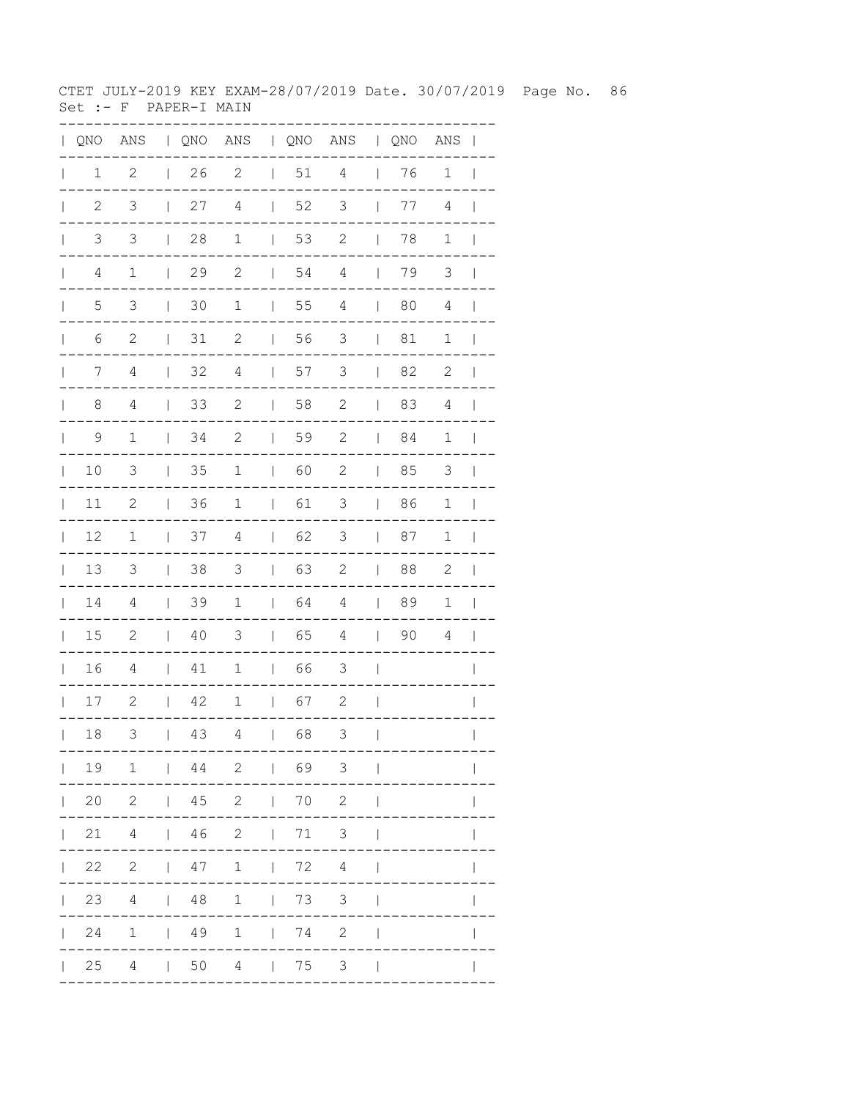CTET JULY-2019 KEY EXAM-28/07/2019 Date. 30/07/2019 Page No. 86  $Set : - F$  PAPER-I MAIN

| QNO  | ANS            | $\mathbf{L}$ |    | QNO ANS   QNO ANS   QNO |              |    |                |              |    | ANS         |              |
|------|----------------|--------------|----|-------------------------|--------------|----|----------------|--------------|----|-------------|--------------|
| 1    | $\mathbf{2}$   | L            | 26 | $\mathbf{2}$            | $\mathbf{L}$ | 51 | $\overline{4}$ |              | 76 | $\mathbf 1$ |              |
| 2    | 3              | L            | 27 | $\overline{4}$          |              | 52 | $\mathfrak{Z}$ |              | 77 | 4           |              |
| 3    | 3              | $\mathsf{I}$ | 28 | $\mathbf 1$             |              | 53 | $\mathbf{2}$   | $\mathbf{L}$ | 78 | $\mathbf 1$ |              |
| 4    | $1\,$          | $\mathbf{L}$ | 29 | $\sqrt{2}$              | $\mathbf{L}$ | 54 | 4              | $\mathbf{I}$ | 79 | 3           |              |
| 5    | 3              | I            | 30 | 1                       |              | 55 | 4              | $\perp$      | 80 | 4           |              |
| 6    | 2              |              | 31 | $\mathbf{2}$            |              | 56 | 3              |              | 81 | 1           |              |
| 7    | 4              | I            | 32 | 4                       |              | 57 | 3              | $\mathbb{I}$ | 82 | 2           |              |
| 8    | 4              |              | 33 | $\sqrt{2}$              |              | 58 | $\sqrt{2}$     | $\mathbf{I}$ | 83 | 4           |              |
| 9    | $1\,$          | L            | 34 | $\sqrt{2}$              |              | 59 | $\sqrt{2}$     | $\mathbf{L}$ | 84 | $\mathbf 1$ |              |
| 10   | 3              |              | 35 | 1                       | $\mathbf{L}$ | 60 | $\sqrt{2}$     | $\mathbf{I}$ | 85 | 3           |              |
| 11   | $\mathbf{2}$   | L            | 36 | $\mathbf 1$             | L            | 61 | 3              | $\mathbf{I}$ | 86 | 1           |              |
| 12   | $1\,$          |              | 37 | 4                       |              | 62 | 3              |              | 87 | 1           |              |
| 13   | $\mathfrak{Z}$ |              | 38 | 3                       |              | 63 | $\mathbf{2}$   |              | 88 | 2           |              |
| 14   | 4              |              | 39 | 1                       | $\mathbf{L}$ | 64 | $\overline{4}$ | $\mathbf{L}$ | 89 | 1           |              |
| 15   | $\mathbf{2}$   | L            | 40 | 3                       | L            | 65 | $\overline{4}$ | $\mathbf{L}$ | 90 | 4           |              |
| 16   | $\overline{4}$ |              | 41 | $\mathbf 1$             | L            | 66 | $\mathfrak{Z}$ |              |    |             |              |
| $17$ | $\mathbf{2}$   | L            | 42 | $\mathbf 1$             | $\mathbf{L}$ | 67 | $\mathbf{2}$   |              |    |             |              |
| 18   | 3              | $\mathbf{I}$ | 43 | 4                       | $\perp$      | 68 | 3              | $\perp$      |    |             | $\mathbb{L}$ |
|      |                |              |    | 19 1   44 2   69 3      |              |    |                |              |    | ---------   |              |
|      |                |              |    | 20 2   45 2   70 2      |              |    |                |              |    |             |              |
|      |                |              |    | 21 4   46 2   71 3      |              |    |                |              |    |             |              |
|      |                |              |    |                         |              |    |                |              |    |             |              |
|      |                |              |    | 23 4   48 1   73 3      |              |    |                |              |    |             |              |
|      |                |              |    | 24 1   49 1   74 2      |              |    |                |              |    |             |              |
|      |                |              |    | 25 4   50 4   75 3      |              |    |                |              |    |             |              |
|      |                |              |    |                         |              |    |                |              |    |             |              |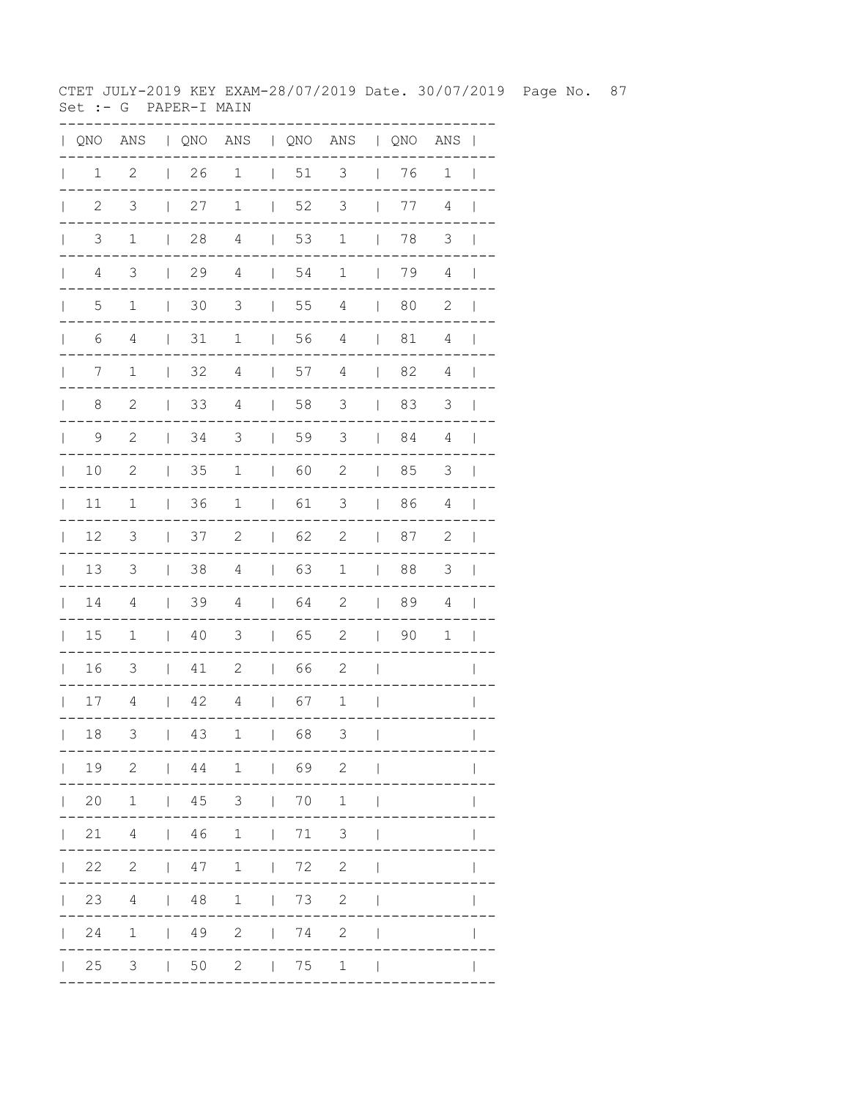CTET JULY-2019 KEY EXAM-28/07/2019 Date. 30/07/2019 Page No. 87 Set :- G PAPER-I MAIN

| QNO            | ANS            |              |    |                |              |    | QNO ANS   QNO ANS  |                | $\sqrt{QNO}$ | ANS            |              |
|----------------|----------------|--------------|----|----------------|--------------|----|--------------------|----------------|--------------|----------------|--------------|
| 1              | $\mathbf{2}$   | $\mathbf{I}$ | 26 | $\mathbf 1$    | $\mathbf{L}$ | 51 | $\mathsf 3$        | $\mathsf{I}$   | 76           | $\mathbf 1$    |              |
| $\overline{2}$ | $\mathfrak{Z}$ |              | 27 | $\mathbf 1$    | $\mathbf{L}$ | 52 | $\mathfrak{Z}$     | $\mathbf{I}$   | 77           | 4              |              |
| 3              | $\mathbf 1$    | $\mathbf{L}$ | 28 | $\overline{4}$ |              | 53 | $\mathbf 1$        | $\mathbb{L}$   | 78           | 3              |              |
| 4              | 3              | L            | 29 | $\sqrt{4}$     | L            | 54 | $\mathbf 1$        | $\perp$        | 79           | $\overline{4}$ |              |
| 5              | 1              | $\mathbf{I}$ | 30 | 3              | L            | 55 | 4                  | $\mathbf{L}$   | 80           | 2              |              |
| 6              | 4              |              | 31 | $\mathbf 1$    |              | 56 | $\overline{4}$     | L              | 81           | 4              |              |
| 7              | $\mathbf 1$    | T            | 32 | $\sqrt{4}$     | L            | 57 | $\sqrt{4}$         | $\mathbf{I}$   | 82           | 4              |              |
| 8              | $\mathbf{2}$   |              | 33 | $\overline{4}$ | L            | 58 | 3                  | $\mathbf{I}$   | 83           | $\mathfrak{Z}$ |              |
| 9              | $\sqrt{2}$     |              | 34 | $\mathfrak{Z}$ |              | 59 | $\mathfrak{Z}$     | $\overline{1}$ | 84           | $\overline{4}$ |              |
| 10             | $\mathbf{2}$   |              | 35 | $\mathbf 1$    | L            | 60 | $\mathbf{2}$       | $\mathsf{I}$   | 85           | 3              |              |
| 11             | 1              |              | 36 | $\mathbf 1$    | L            | 61 | 3                  | $\mathsf{I}$   | 86           | 4              |              |
| 12             | 3              |              | 37 | $\mathbf{2}$   | L            | 62 | $\mathbf{2}$       |                | 87           | $\mathbf{2}$   |              |
| 13             | 3              |              | 38 | $\overline{4}$ |              | 63 | $\mathbf 1$        | $\mathbf{I}$   | 88           | $\mathfrak{Z}$ |              |
| 14             | 4              |              | 39 | $\overline{4}$ | L            | 64 | $\mathbf{2}$       | $\mathbf{I}$   | 89           | 4              |              |
| 15             | $1\,$          | L            | 40 | 3              | L            | 65 | $\mathbf{2}$       | $\mathbf{L}$   | 90           | 1              |              |
| 16             | $\mathfrak{Z}$ |              | 41 | $\mathbf{2}$   | L            | 66 | $\mathbf{2}$       |                |              |                |              |
| 17             | 4              | L            | 42 | $\overline{4}$ | L            | 67 | $\mathbf 1$        |                |              |                |              |
| 18             | 3              | $\mathbf{I}$ | 43 | 1              |              | 68 | 3                  | $\mathbf{I}$   |              | ---------      | $\mathbf{L}$ |
|                |                |              |    |                |              |    | 19 2   44 1   69 2 | $\perp$        |              |                |              |
|                |                |              |    |                |              |    | 20 1   45 3   70 1 | $\perp$        |              |                |              |
|                |                |              |    |                |              |    | 21 4   46 1   71 3 |                |              |                |              |
|                |                |              |    |                |              |    | 22 2   47 1   72 2 |                |              |                |              |
|                |                |              |    |                |              |    | 23 4   48 1   73 2 |                |              |                | $\mathsf{I}$ |
|                |                |              |    |                |              |    | 24 1   49 2   74 2 |                |              |                |              |
|                |                |              |    |                |              |    | 25 3   50 2   75 1 | $\perp$        |              |                |              |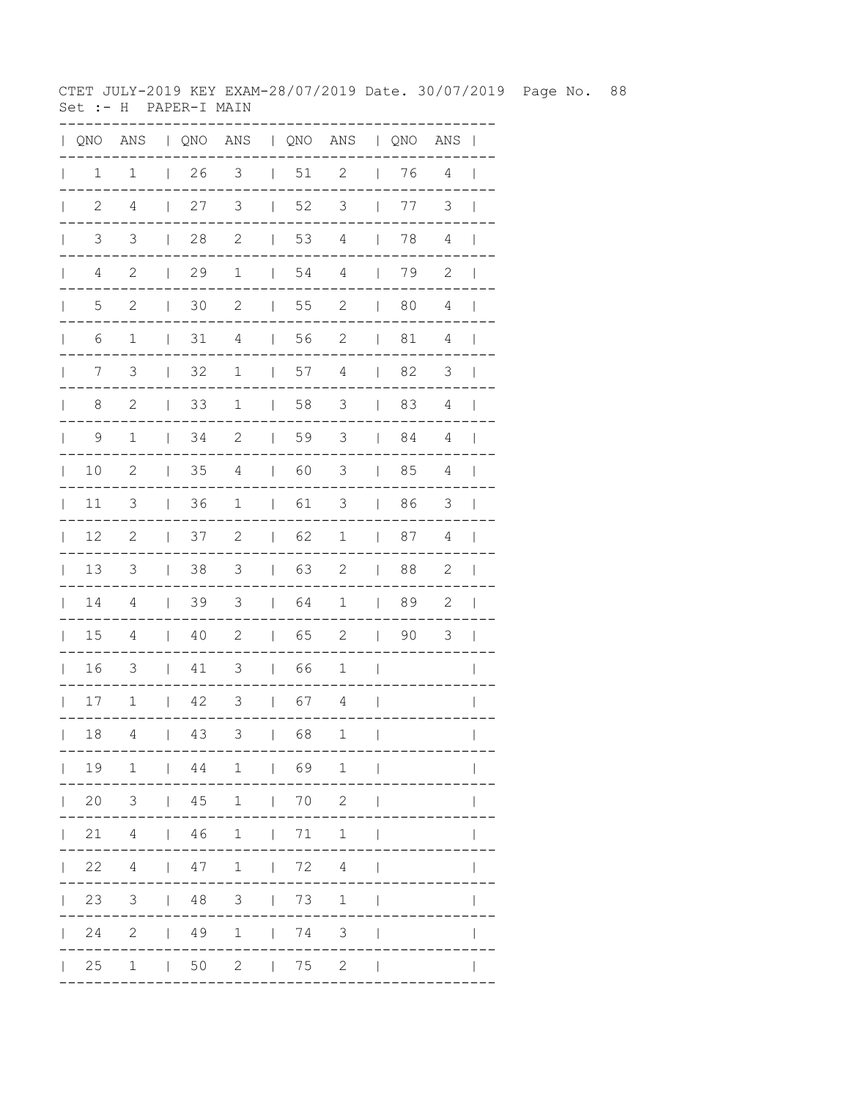CTET JULY-2019 KEY EXAM-28/07/2019 Date. 30/07/2019 Page No. 88 Set :- H PAPER-I MAIN

| $\mathbf{L}$ | QNO            | ANS              |                                       |            |                               |                          |                                     | QNO ANS   QNO ANS   QNO ANS |                                       |    |                | $\mathbf{I}$             |
|--------------|----------------|------------------|---------------------------------------|------------|-------------------------------|--------------------------|-------------------------------------|-----------------------------|---------------------------------------|----|----------------|--------------------------|
| $\mathbf{I}$ | 1              | $\mathbf 1$      | $\mathbf{L}$                          | 26         | 3                             |                          | 51                                  | $\mathbf{2}$                | $\overline{\phantom{a}}$              | 76 | 4              | $\overline{\phantom{a}}$ |
| $\mathbf{L}$ | $\mathbf{2}$   | $\overline{4}$   | $\mathbb{I}$                          | 27         | 3                             | $\mathbb{I}$             | 52                                  | 3                           | $\overline{\phantom{a}}$              | 77 | 3              | $\overline{1}$           |
| $\mathbf{L}$ | $\mathfrak{Z}$ | $\mathfrak{Z}$   | $\begin{array}{c} \hline \end{array}$ | 28         | $\mathbf{2}$                  | $\overline{\phantom{a}}$ | 53                                  | $\sqrt{4}$                  | $\overline{\phantom{a}}$              | 78 | $\sqrt{4}$     | $\overline{\phantom{a}}$ |
| $\mathbb{L}$ | $\sqrt{4}$     | $\mathbf{2}$     | $\begin{array}{c} \hline \end{array}$ | 29         | $\mathbf 1$                   | $\mathbf{I}$             | 54                                  | $\sqrt{4}$                  | $\overline{\phantom{a}}$              | 79 | $\mathbf 2$    | $\overline{\phantom{a}}$ |
| $\mathbf{L}$ | $\mathsf S$    | $\mathbf{2}$     | $\begin{array}{c} \hline \end{array}$ | 30         | $\mathbf{2}$                  | $\mathbb{I}$             | 55                                  | $\mathbf{2}$                | $\overline{\phantom{a}}$              | 80 | $\overline{4}$ | $\mathbf{I}$             |
| $\mathbf{L}$ | 6              | $1\,$            | $\mathbf{I}$                          | $31\,$     | $\overline{4}$                | $\perp$                  | 56                                  | $\mathbf{2}$                | $\overline{\phantom{a}}$              | 81 | 4              | $\Box$                   |
| $\mathbb{L}$ | 7              | 3                | $\overline{\phantom{a}}$              | 32         | $\mathbf 1$                   | $\mathbf{I}$             | 57                                  | $\sqrt{4}$                  | $\overline{1}$                        | 82 | 3              | $\blacksquare$           |
| $\mathbf{L}$ | 8              | $\mathbf{2}$     | $\mathbf{I}$                          | 33         | $\mathbf 1$                   | $\mathbf{I}$             | 58                                  | 3                           | $\mathbf{I}$                          | 83 | 4              | $\blacksquare$           |
| $\mathbb{L}$ | 9              | $\mathbf 1$      | $\mathbf{I}$                          | 34         | 2                             | $\perp$                  | 59                                  | 3                           | $\mathbf{1}$                          | 84 | 4              | $\overline{\phantom{a}}$ |
| $\mathbf{L}$ | 10             | $\mathbf{2}$     | $\overline{\phantom{a}}$              | 35         | 4                             | $\mathbb{R}$             | 60                                  | $\mathcal{S}$               | $\overline{\phantom{a}}$              | 85 | 4              | $\mathbf{I}$             |
| $\mathbf{L}$ | 11             | 3                | $\overline{1}$                        | 36         | $\mathbf 1$                   | $\perp$                  | 61                                  | 3                           | $\mathbf{I}$                          | 86 | $\mathfrak{Z}$ | $\blacksquare$           |
| $\mathbf{L}$ | 12             | $\sqrt{2}$       | $\overline{1}$                        | 37         | $\mathbf{2}$                  | $\mathbb{L}$             | 62                                  | $\mathbf 1$                 | $\overline{\phantom{a}}$              | 87 | 4              | $\overline{\phantom{a}}$ |
| $\mathbf{L}$ | 13             | 3                | $\mathbf{I}$                          | 38         | $\mathcal{S}$                 | $\mathbf{I}$             | 63                                  | $\mathbf{2}$                | $\overline{\phantom{a}}$              | 88 | $\mathbf{2}$   | $\mathbf{I}$             |
| $\mathbf{L}$ | $1\,4$         | 4                | $\mathsf{I}$                          | 39         | 3                             | $\mathbf{L}$             | 64                                  | $\mathbf 1$                 | $\begin{array}{c} \hline \end{array}$ | 89 | $\mathbf{2}$   | $\overline{\phantom{a}}$ |
| $\mathbf{I}$ | 15             | 4                | $\mathsf{I}$                          | 40         | $\mathbf{2}$                  | $\mathbf{L}$             | 65                                  | $\mathbf{2}$                | $\mathsf{I}$                          | 90 | $\mathfrak{Z}$ | $\overline{\phantom{a}}$ |
| L            | 16             | 3                | $\mathbf{I}$                          | 41         | 3                             | $\mathbb{L}$             | 66                                  | $\mathbf 1$                 | $\overline{\phantom{a}}$              |    |                | $\mathsf{I}$             |
| $\mathbb{R}$ | 17             | $\mathbf 1$      | $\mathbf{L}$                          | 42         | 3                             | $\mathbb{L}$             | 67                                  | 4                           | $\overline{\phantom{a}}$              |    |                | $\mathbf{I}$             |
| $\mathbf{I}$ | 18             | 4                | $\mathsf{I}$                          | 43         | 3                             | $\mathbf{I}$             | 68                                  | $1\,$                       | $\overline{\phantom{a}}$              |    |                | $\overline{\phantom{a}}$ |
|              |                | 19 1   44 1   69 |                                       |            |                               |                          |                                     | $\mathbf{1}$                | $\overline{1}$                        |    |                |                          |
|              |                | 20 3   45 1   70 |                                       |            |                               |                          |                                     | $\mathbf{2}$                |                                       |    |                |                          |
|              |                | $21$ 4           |                                       |            | 1461171                       |                          |                                     | $1\,$                       |                                       |    |                |                          |
|              | 22             |                  |                                       |            | 4   47 1   72                 |                          |                                     | $4\overline{ }$             |                                       |    |                |                          |
|              | 23             |                  |                                       |            | $3 \qquad \qquad 48 \qquad 3$ |                          | $\begin{array}{ccc} \end{array}$ 73 | $\mathbf 1$                 | $\overline{\phantom{a}}$              |    |                |                          |
| $\mathbb{L}$ | 24             | 2   49 1   74 3  |                                       |            |                               |                          |                                     |                             | $\overline{\phantom{a}}$              |    |                |                          |
|              | $\vert$ 25     | $\mathbf 1$      |                                       | $\vert$ 50 |                               |                          | $2 \qquad \qquad 75$                | $\mathbf{2}$                |                                       |    |                |                          |
|              |                |                  |                                       |            |                               |                          |                                     |                             |                                       |    |                |                          |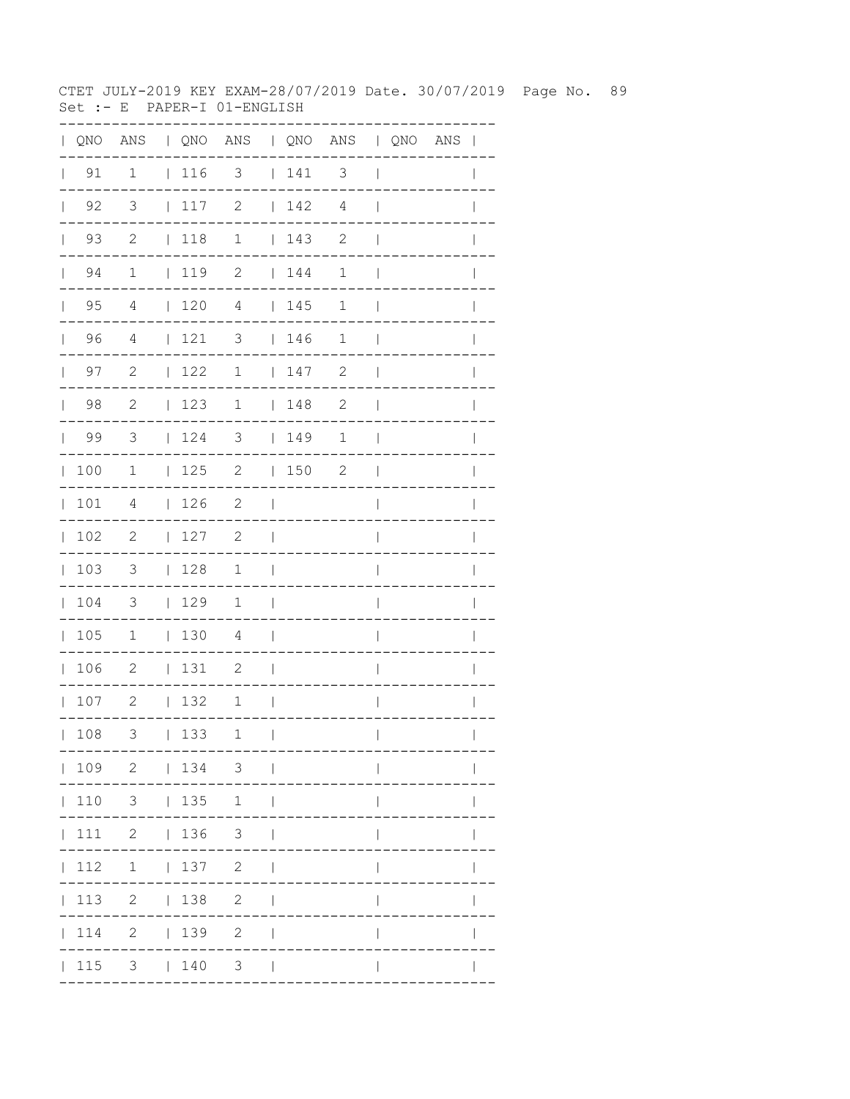CTET JULY-2019 KEY EXAM-28/07/2019 Date. 30/07/2019 Page No. 89 Set :- E PAPER-I 01-ENGLISH

| QNO | ANS                        |              |     | QNO ANS   QNO ANS   QNO ANS |              |     |                          |              |             |              |
|-----|----------------------------|--------------|-----|-----------------------------|--------------|-----|--------------------------|--------------|-------------|--------------|
| 91  | $\mathbf{1}$               |              | 116 | $\overline{\mathbf{3}}$     |              | 141 | $\overline{\phantom{a}}$ |              |             |              |
| 92  | $\overline{3}$             | $\mathbf{L}$ | 117 | $\mathbf{2}$                | $\mathbf{L}$ | 142 | $\overline{4}$           |              |             |              |
| 93  | $\overline{\phantom{0}}^2$ | $\mathbf{L}$ | 118 | $\mathbf 1$                 | $\mathbf{L}$ | 143 | 2                        |              |             |              |
| 94  | $\mathbf 1$                |              | 119 | $\overline{\phantom{0}}$    |              | 144 | $\mathbf 1$              |              |             |              |
| 95  | 4                          | $\mathbf{L}$ | 120 | 4                           |              | 145 | 1                        |              |             |              |
| 96  | 4                          | $\mathbf{L}$ | 121 | 3                           |              | 146 | 1                        |              |             |              |
| 97  | $\mathbf{2}$               | $\mathbf{L}$ | 122 | 1                           |              | 147 | $\mathbf{2}$             |              |             |              |
| 98  | $\mathbf{2}$               | $\mathbf{L}$ | 123 | $\mathbf 1$                 | $\mathbf{L}$ | 148 | $\mathbf{2}$             |              |             |              |
| 99  | $\mathfrak{Z}$             | L            | 124 | 3                           | $\mathbf{L}$ | 149 | 1                        |              |             |              |
| 100 | 1                          | $\mathbf{L}$ | 125 | $\mathbf{2}$                | $\mathbf{L}$ | 150 | $\mathbf{2}$             |              |             |              |
| 101 | 4                          | L            | 126 | $\mathbf{2}$                |              |     |                          |              |             |              |
| 102 | $\mathbf{2}$               | L            | 127 | $\mathbf{2}$                |              |     |                          |              |             |              |
| 103 | 3                          | L            | 128 | $\mathbf 1$                 |              |     |                          |              |             |              |
| 104 | 3                          | L            | 129 | 1                           |              |     |                          |              |             |              |
| 105 | $\mathbf 1$                | $\mathbf{L}$ | 130 | 4                           |              |     |                          |              |             |              |
| 106 | $\mathbf{2}$               | L            | 131 | 2                           |              |     |                          |              |             |              |
| 107 | $\mathbf{2}$               | L            | 132 | 1                           |              |     |                          |              |             |              |
| 108 | 3                          |              | 133 | 1                           | $\Box$       |     | . _ _ _ _ _ _ _ _ _ .    | $\mathbf{L}$ | ----------- | $\mathbf{L}$ |
|     |                            |              |     | 109 2   134 3               |              |     |                          |              |             |              |
|     |                            |              |     | $110$ 3   135 1             |              |     |                          |              |             |              |
|     |                            |              |     | 111 2   136 3               |              |     |                          |              |             |              |
|     |                            |              |     | $ 112 \t1 \t 137 \t2 \t $   |              |     |                          |              |             |              |
|     |                            |              |     | 113 2   138 2               |              |     |                          | L            |             |              |
|     |                            |              |     | 114 2   139 2               |              |     |                          | $\mathbb{L}$ |             |              |
|     |                            |              |     | 115 3   140 3               |              |     |                          |              |             |              |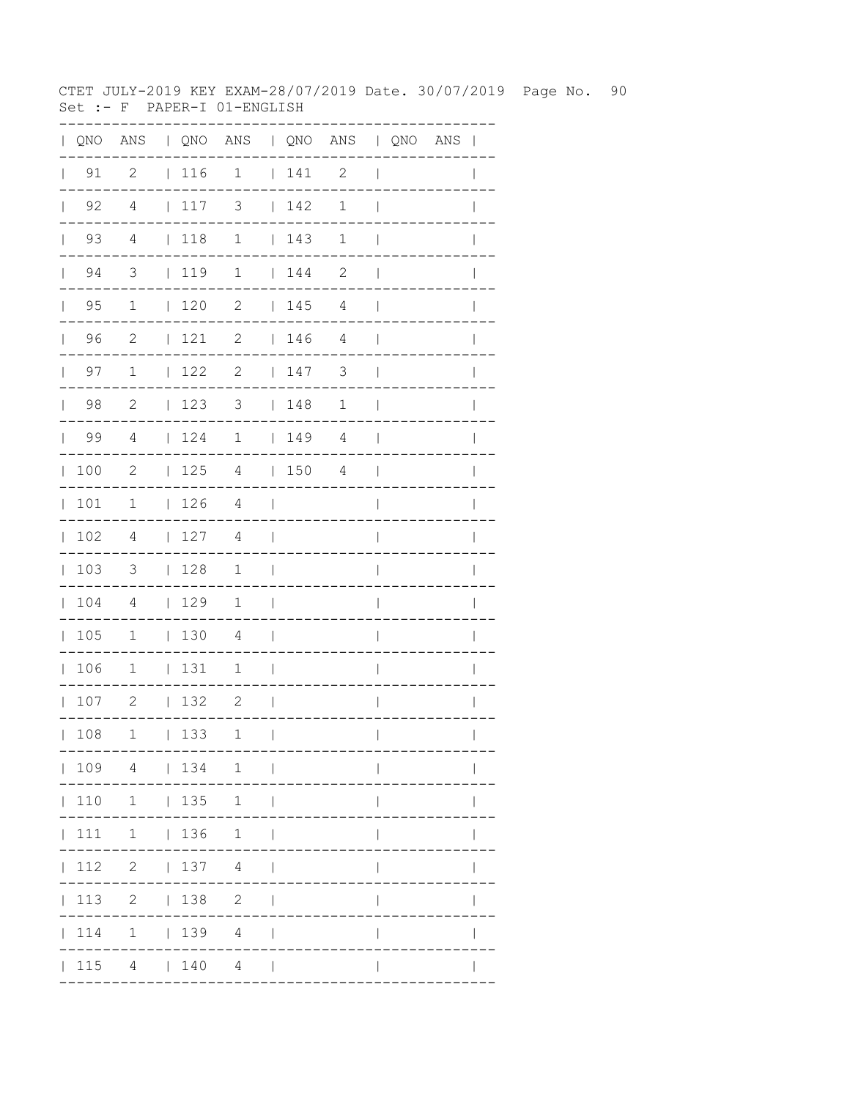CTET JULY-2019 KEY EXAM-28/07/2019 Date. 30/07/2019 Page No. 90 Set :- F PAPER-I 01-ENGLISH

| QNO | ANS                        |              |            | QNO ANS   QNO ANS   QNO ANS |              |     |                       |              |                     |              |
|-----|----------------------------|--------------|------------|-----------------------------|--------------|-----|-----------------------|--------------|---------------------|--------------|
| 91  | $\overline{\phantom{0}}^2$ |              | 116        | $\overline{\phantom{a}}$    |              | 141 | $\overline{c}$        |              |                     |              |
| 92  | $\overline{4}$             | $\mathbf{L}$ | 117        | $\mathfrak{Z}$              | $\mathbf{L}$ | 142 | $1\,$                 |              |                     |              |
| 93  | $\overline{4}$             | $\mathbf{L}$ | 118        | $\mathbf 1$                 | $\mathbf{L}$ | 143 | $\mathbf 1$           |              |                     |              |
| 94  | $\overline{\mathbf{3}}$    |              | 119        | $\overline{1}$              | $\mathbf{L}$ | 144 | $\mathbf{2}$          |              |                     |              |
| 95  | 1                          | $\mathbf{L}$ | 120        | 2                           | $\mathbf{1}$ | 145 | 4                     |              |                     |              |
| 96  | 2                          | $\mathbf{L}$ | 121        | 2                           |              | 146 | 4                     |              |                     |              |
| 97  | $\mathbf 1$                | $\mathbf{L}$ | 122        | 2                           |              | 147 | 3                     |              |                     |              |
| 98  | $\mathbf{2}$               | $\mathbf{L}$ | 123        | 3                           | $\mathbf{L}$ | 148 | $\mathbf 1$           |              |                     |              |
| 99  | $\overline{4}$             | L            | 124        | $\mathbf 1$                 | $\mathbf{L}$ | 149 | $\overline{4}$        |              |                     |              |
| 100 | $\mathbf{2}$               | L            | 125        | 4                           | $\mathbf{L}$ | 150 | 4                     |              |                     |              |
| 101 | 1                          | L            | 126        | 4                           |              |     |                       |              |                     |              |
| 102 | $\overline{4}$             | L            | 127        | 4                           |              |     |                       |              |                     |              |
| 103 | 3                          | L            | 128        | $\mathbf 1$                 |              |     |                       |              |                     |              |
| 104 | 4                          | $\mathbf{L}$ | 129        | 1                           |              |     |                       |              |                     |              |
| 105 | $\mathbf 1$                | $\mathbf{L}$ | 130        | 4                           |              |     |                       |              |                     |              |
| 106 | $\mathbf 1$                | $\mathbf{L}$ | 131        | $\mathbf 1$                 |              |     |                       |              |                     |              |
| 107 | $\mathbf{2}$               | L            | 132        | 2                           |              |     |                       |              |                     |              |
| 108 |                            |              | $1 \t 133$ | 1                           | $\Box$       |     |                       | $\mathbf{L}$ |                     | $\mathbf{L}$ |
|     |                            |              |            | ---<br>  109 4   134 1      |              |     | . _ _ _ _ _ _ _ _ _ . |              | . - - - - - - - - - |              |
|     |                            |              |            | 110 1   135 1               |              |     |                       |              |                     |              |
|     |                            |              |            | 111 1   136 1               |              |     |                       |              |                     |              |
|     |                            |              |            | $ 112 \t2 \t 137 \t4 \t $   |              |     |                       | $\mathbf{L}$ |                     |              |
|     |                            |              |            | 113 2   138 2               |              |     |                       | L            |                     |              |
|     |                            |              |            | 114 1   139 4               |              |     |                       | L            |                     |              |
|     |                            |              |            | $ 115 \t4 \t 140 \t4 \t $   |              |     |                       | L            |                     |              |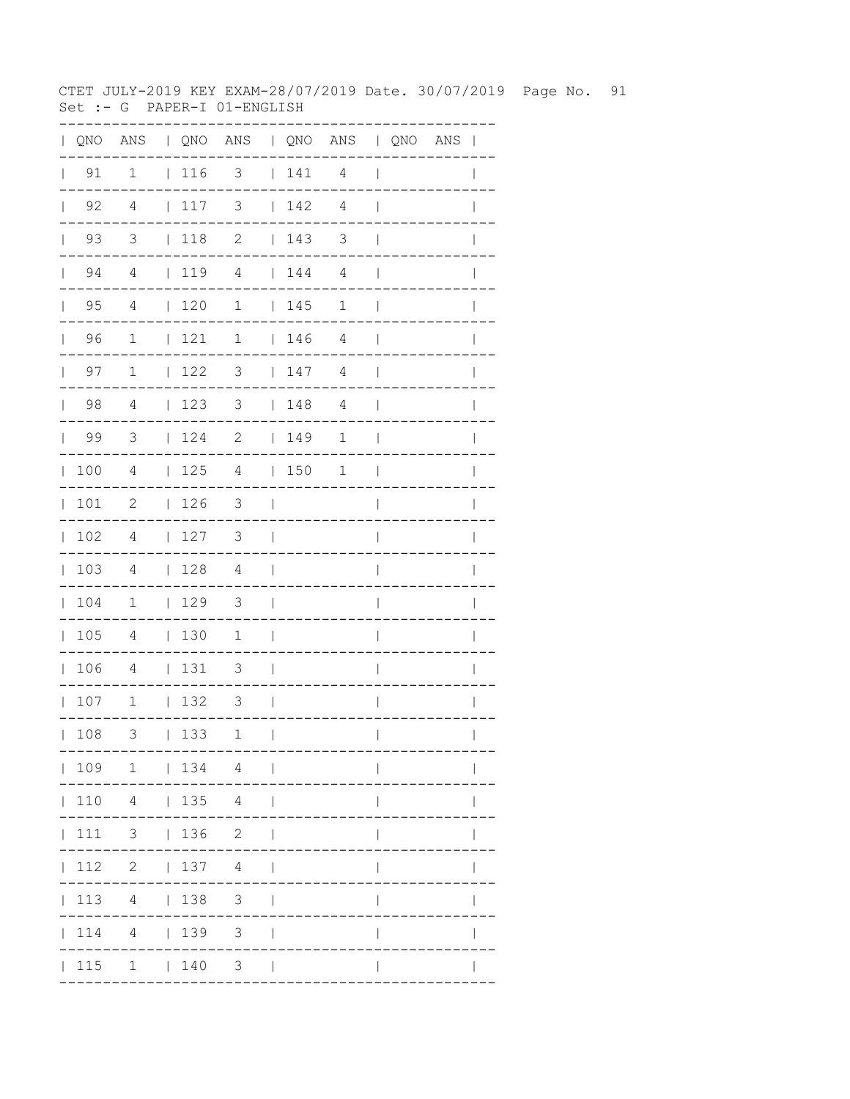CTET JULY-2019 KEY EXAM-28/07/2019 Date. 30/07/2019 Page No. 91 Set :- G PAPER-I 01-ENGLISH

|              |                    | QNO ANS   QNO ANS   QNO ANS   QNO ANS |             |                          |               |     |                          |                          |  |                |
|--------------|--------------------|---------------------------------------|-------------|--------------------------|---------------|-----|--------------------------|--------------------------|--|----------------|
| $\mathbf{L}$ | 91                 | 1                                     | 116         | $\overline{\mathbf{3}}$  |               | 141 | 4                        | $\overline{\phantom{a}}$ |  |                |
|              | $\vert$ 92         | $\overline{4}$                        | 117         | $\overline{\mathbf{3}}$  |               | 142 | 4                        | $\overline{\phantom{a}}$ |  |                |
|              | $\vert$ 93         | $\overline{\mathbf{3}}$               | $\vert$ 118 | $\overline{\phantom{a}}$ |               | 143 | $\overline{\phantom{a}}$ | $\overline{\phantom{a}}$ |  |                |
|              | $\vert$ 94         | $\overline{4}$                        | $\vert$ 119 | $\overline{4}$           |               | 144 | 4                        | $\overline{1}$           |  |                |
|              | 95<br>$\mathbf{L}$ | 4                                     | $\vert$ 120 | $\mathbf 1$              |               | 145 | 1                        | $\overline{\phantom{a}}$ |  |                |
|              | 96<br>$\mathbf{L}$ | $\mathbf{1}$                          | 121         | $\mathbf{1}$             |               | 146 | $\overline{4}$           | $\blacksquare$           |  |                |
| $\mathbb{R}$ | 97                 | $\mathbf{1}$                          | 122         | $\overline{\phantom{a}}$ |               | 147 | 4                        | $\mathbf{I}$             |  |                |
|              | 98                 | $\overline{4}$                        | 123         | $\overline{\mathbf{3}}$  |               | 148 | 4                        | $\overline{\phantom{a}}$ |  |                |
|              | $\vert$ 99         | $\overline{\mathbf{3}}$               |             | $124$ 2   149            |               |     | 1                        | $\overline{\phantom{a}}$ |  | $\overline{1}$ |
|              | 100                | $\overline{4}$                        |             | $125$ 4 $150$ 1          |               |     |                          | $\blacksquare$           |  |                |
| $\mathbb{L}$ | 101                | $\overline{\phantom{0}}^2$            | $\vert$ 126 | $\overline{\mathbf{3}}$  | $\sim$ 1      |     |                          | $\overline{1}$           |  |                |
|              | 102                | 4                                     | 127         | $3 \mid$                 |               |     |                          | $\overline{1}$           |  |                |
|              | 103                | 4                                     | 128         | 4                        | $\sim$        |     |                          | $\overline{\phantom{a}}$ |  | $\mathbf{I}$   |
|              | 104                | $\overline{1}$                        | 129         | $\overline{\mathbf{3}}$  | $\mathcal{L}$ |     |                          | $\overline{\phantom{a}}$ |  |                |
|              | 105                | $\overline{4}$                        | 130         | $\overline{1}$           | $\sim$        |     |                          | $\overline{\phantom{a}}$ |  |                |
|              | 106                | $\overline{4}$                        | $ 131$ 3    |                          | $\sim$        |     |                          | $\overline{\phantom{a}}$ |  | $\mathbf{I}$   |
|              | 107                | $\overline{\phantom{a}}$              | 132         | 3                        | $\sim$ 1      |     |                          | $\overline{\phantom{a}}$ |  | $\mathbf{I}$   |
|              | 108                | 3                                     | 133         | 1                        | $\perp$       |     |                          | $\overline{1}$           |  | $\mathbf{I}$   |
|              |                    | $ 109 \t1 \t 134 \t4 \t $             |             |                          |               |     |                          | $\mathbf{I}$             |  |                |
|              |                    | 110 4   135 4                         |             |                          | $\perp$       |     |                          |                          |  |                |
|              |                    | 111 3   136 2                         |             |                          | $\Box$        |     |                          |                          |  |                |
|              |                    | $ 112 \t2 \t 137 \t4 \t $             |             |                          |               |     |                          | $\mathsf{I}$             |  |                |
|              |                    | 113 4   138 3                         |             |                          |               |     |                          | $\mathbf{I}$             |  |                |
|              |                    | 114 4   139 3                         |             |                          | $\mathbf{I}$  |     |                          |                          |  |                |
|              |                    | 115 1   140 3                         |             |                          |               |     |                          |                          |  |                |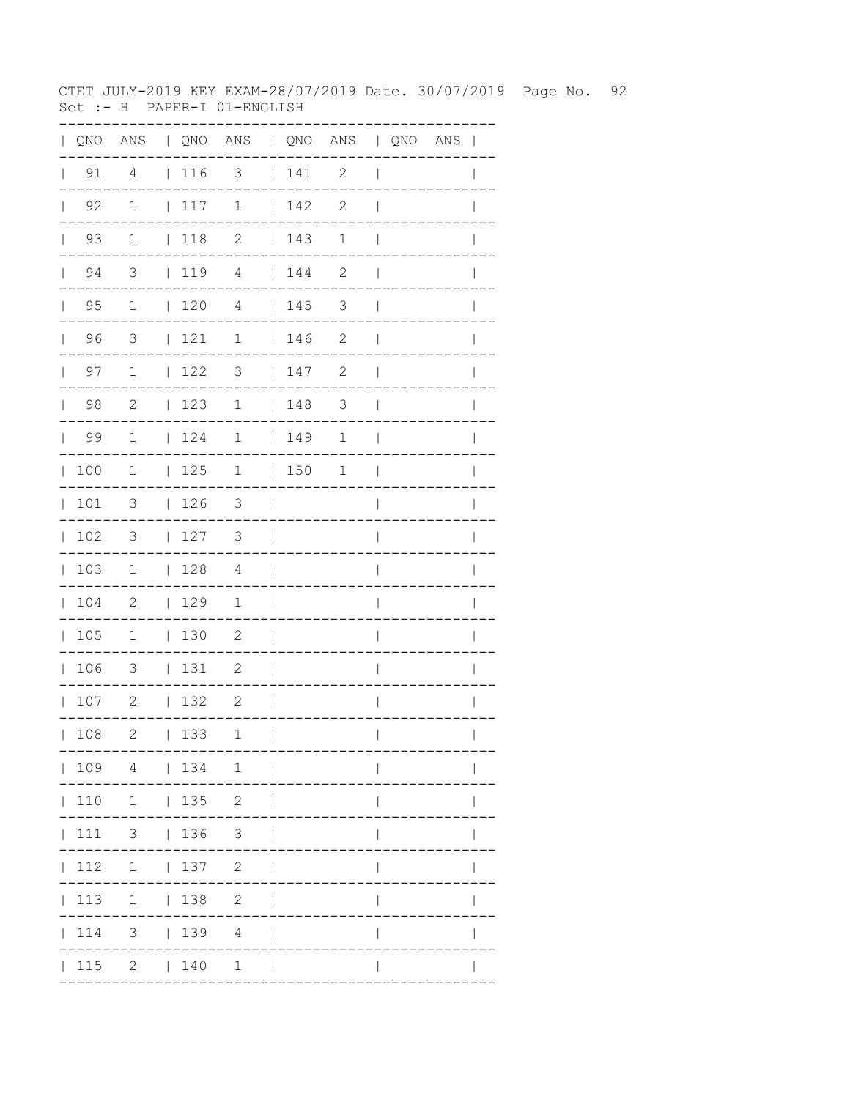CTET JULY-2019 KEY EXAM-28/07/2019 Date. 30/07/2019 Page No. 92 Set :- H PAPER-I 01-ENGLISH

| QNO | ANS                     |              |     | QNO ANS   QNO ANS   QNO ANS                     |              |     |                          |              |             |              |
|-----|-------------------------|--------------|-----|-------------------------------------------------|--------------|-----|--------------------------|--------------|-------------|--------------|
| 91  | $\overline{4}$          |              | 116 | $\overline{\mathbf{3}}$                         |              | 141 | $\overline{\phantom{0}}$ |              |             |              |
| 92  | $\mathbf 1$             | $\mathbf{L}$ | 117 | $\mathbf 1$                                     | $\mathbf{L}$ | 142 | $\mathbf{2}$             |              |             |              |
| 93  | $\mathbf{1}$            | $\mathbf{L}$ | 118 | $\mathbf{2}$                                    | $\mathbf{L}$ | 143 | $\mathbf 1$              |              |             |              |
| 94  | $\overline{\mathbf{3}}$ |              | 119 | $\overline{4}$                                  | $\mathbf{L}$ | 144 | $\mathbf{2}$             |              |             |              |
| 95  | 1                       | $\mathbf{L}$ | 120 | 4                                               |              | 145 | 3                        |              |             |              |
| 96  | 3                       | $\mathbf{L}$ | 121 | 1                                               |              | 146 | 2                        |              |             |              |
| 97  | $\mathbf 1$             | $\mathbf{L}$ | 122 | 3                                               |              | 147 | $\sqrt{2}$               |              |             |              |
| 98  | $\sqrt{2}$              | $\mathbf{L}$ | 123 | 1                                               | $\mathbf{L}$ | 148 | $\mathfrak{Z}$           |              |             |              |
| 99  | $\mathbf 1$             | $\mathbf{L}$ | 124 | 1                                               | $\mathbf{L}$ | 149 | $\mathbf 1$              |              |             |              |
| 100 | 1                       | L            | 125 | $\mathbf 1$                                     | $\mathbf{L}$ | 150 | $\mathbf 1$              |              |             |              |
| 101 | 3                       | $\mathbf{L}$ | 126 | 3                                               |              |     |                          |              |             |              |
| 102 | 3                       | L            | 127 | 3                                               |              |     |                          |              |             |              |
| 103 | 1                       | L            | 128 | 4                                               |              |     |                          |              |             |              |
| 104 | 2                       | $\mathbf{L}$ | 129 | 1                                               |              |     |                          |              |             |              |
| 105 | $\mathbf 1$             | $\mathbf{L}$ | 130 | 2                                               |              |     |                          |              |             |              |
| 106 | 3                       | L            | 131 | 2                                               |              |     |                          |              |             |              |
| 107 | $\mathbf{2}$            | L            | 132 | $\mathbf{2}$                                    |              |     |                          |              |             |              |
| 108 | 2                       |              | 133 | 1<br>$-- -$                                     | $\perp$      |     | . _ _ _ _ _ _ _ _ _ .    | $\mathbf{L}$ | ----------- | $\mathbf{L}$ |
|     |                         |              |     | 109 4   134 1                                   |              |     |                          |              |             |              |
|     |                         |              |     | $110 \quad 1 \quad   \quad 135 \quad 2 \quad  $ |              |     |                          |              |             |              |
|     |                         |              |     | 111 3   136 3                                   |              |     |                          |              |             |              |
|     |                         |              |     | 112 1   137 2                                   |              |     |                          |              |             |              |
|     |                         |              |     | 113 1   138 2                                   |              |     |                          | L            |             |              |
|     |                         |              |     | 114 3   139 4                                   |              |     |                          | L            |             |              |
|     |                         |              |     | $ 115 \t2 \t 140 \t1 \t $                       |              |     |                          |              |             |              |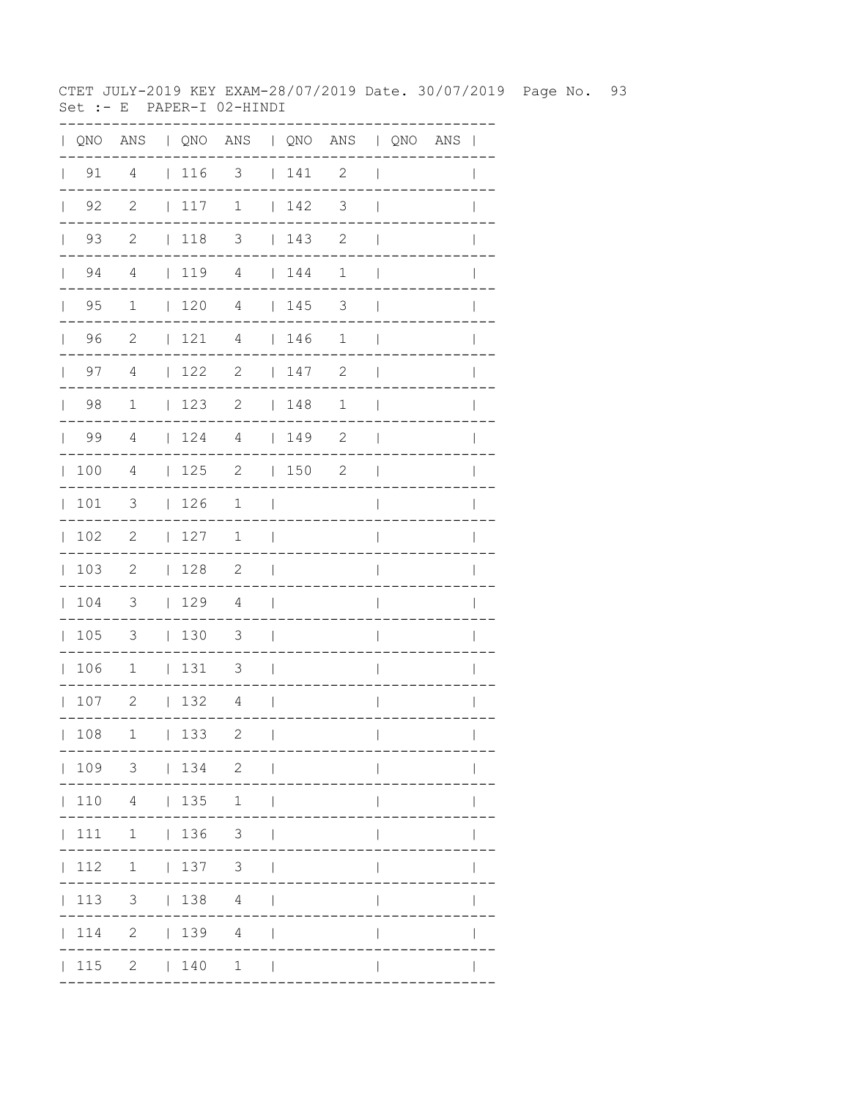CTET JULY-2019 KEY EXAM-28/07/2019 Date. 30/07/2019 Page No. 93 Set :-  $E$  PAPER-I 02-HINDI

|              |                      |                          |                                                             | QNO ANS   QNO ANS   QNO ANS   QNO ANS |                          |         |                |                          |  | $\mathbf{I}$ |
|--------------|----------------------|--------------------------|-------------------------------------------------------------|---------------------------------------|--------------------------|---------|----------------|--------------------------|--|--------------|
|              | $\vert$ 91           | 4                        | $\begin{array}{c} \begin{array}{c} \end{array} \end{array}$ | 3                                     |                          | 141     | 2              | $\mathbf{I}$             |  |              |
| $\mathbb{R}$ | 92                   | $\mathbf{2}$             | 117                                                         | $\mathbf 1$                           |                          | 142     | $\mathfrak{Z}$ | $\mathbf{I}$             |  |              |
|              | 93<br>$\mathbf{L}$   | $\mathbf{2}$             | $\vert$ 118                                                 | 3                                     |                          | 143     | 2              | $\mathbf{I}$             |  |              |
|              | 94<br>$\mathbf{L}$   | 4                        |                                                             | $1194$ $144$                          |                          |         | $\mathbf 1$    | $\overline{\phantom{a}}$ |  |              |
| $\mathbf{L}$ | 95                   | $\mathbf 1$              | $\begin{array}{c} \begin{array}{c} \end{array} \end{array}$ | 4                                     |                          | 145     | 3              | $\overline{\phantom{a}}$ |  |              |
|              | 96<br>$\mathbb{R}^n$ | 2                        | 121                                                         | $\overline{4}$                        |                          | 146     | $\mathbf 1$    | $\mathbf{I}$             |  |              |
|              | 97<br>$\mathbf{L}$   | 4                        | 122                                                         | $\overline{c}$                        |                          | 147     | 2              | $\overline{\phantom{a}}$ |  |              |
| $\mathbf{L}$ | 98                   | $\mathbf 1$              | 123                                                         | 2                                     |                          | 148     | $\mathbf 1$    | $\overline{\phantom{a}}$ |  |              |
| $\mathbf{L}$ | 99                   | 4                        | 124                                                         | $\overline{4}$                        |                          | 149     | $\mathbf{2}$   | $\overline{1}$           |  |              |
| $\mathbb{L}$ | 100                  | $\overline{4}$           | 125                                                         | $\overline{\phantom{a}}$              |                          | $150$ 2 |                | $\overline{\phantom{a}}$ |  |              |
| $\mathbb{L}$ | 101                  | $\mathcal{S}$            | 126                                                         | 1                                     | $\perp$                  |         |                | I                        |  |              |
| $\mathbf{L}$ | 102                  | $\mathbf{2}$             | 127                                                         | 1                                     | $\overline{1}$           |         |                | $\overline{\phantom{a}}$ |  | I            |
|              | 103                  | -2                       | 128                                                         | $\overline{\phantom{0}}^2$            | $\blacksquare$           |         |                | $\overline{1}$           |  | I            |
| $\mathbf{L}$ | 104                  | $\overline{\mathbf{3}}$  | 129                                                         | $\overline{4}$                        | $\overline{\phantom{0}}$ |         |                | I                        |  |              |
| $\mathbf{L}$ | 105                  | $\overline{\phantom{a}}$ | 130                                                         | $\overline{\mathbf{3}}$               | $\mathcal{L}$            |         |                | I                        |  |              |
|              | 106                  | $\mathbf{1}$             | 131                                                         | 3                                     | $\mathcal{L}$            |         |                | $\overline{\phantom{a}}$ |  |              |
|              | 107                  | $\overline{\phantom{a}}$ | 132                                                         | 4                                     | $\mathbf{I}$             |         |                | I                        |  |              |
|              | 108                  | $\mathbf 1$              | 133                                                         | 2                                     | $\mathbf{I}$             |         |                | $\mathbf{I}$             |  |              |
|              |                      |                          |                                                             | 109 3   134 2                         |                          |         |                |                          |  |              |
|              |                      | 110 4   135              |                                                             | 1                                     | $\blacksquare$           |         |                |                          |  |              |
|              | 111                  | $1 \t 136 \t 3$          |                                                             |                                       |                          |         |                |                          |  |              |
|              | 112                  | $\overline{1}$           | 137 3                                                       |                                       |                          |         |                |                          |  |              |
|              | 113                  | 3 <sup>7</sup>           | 1384                                                        |                                       |                          |         |                |                          |  |              |
|              | $\vert$ 114          |                          | 2   139 4                                                   |                                       |                          |         |                |                          |  |              |
|              | 115                  |                          | 2   140                                                     | $\mathbf{1}$                          |                          |         |                |                          |  |              |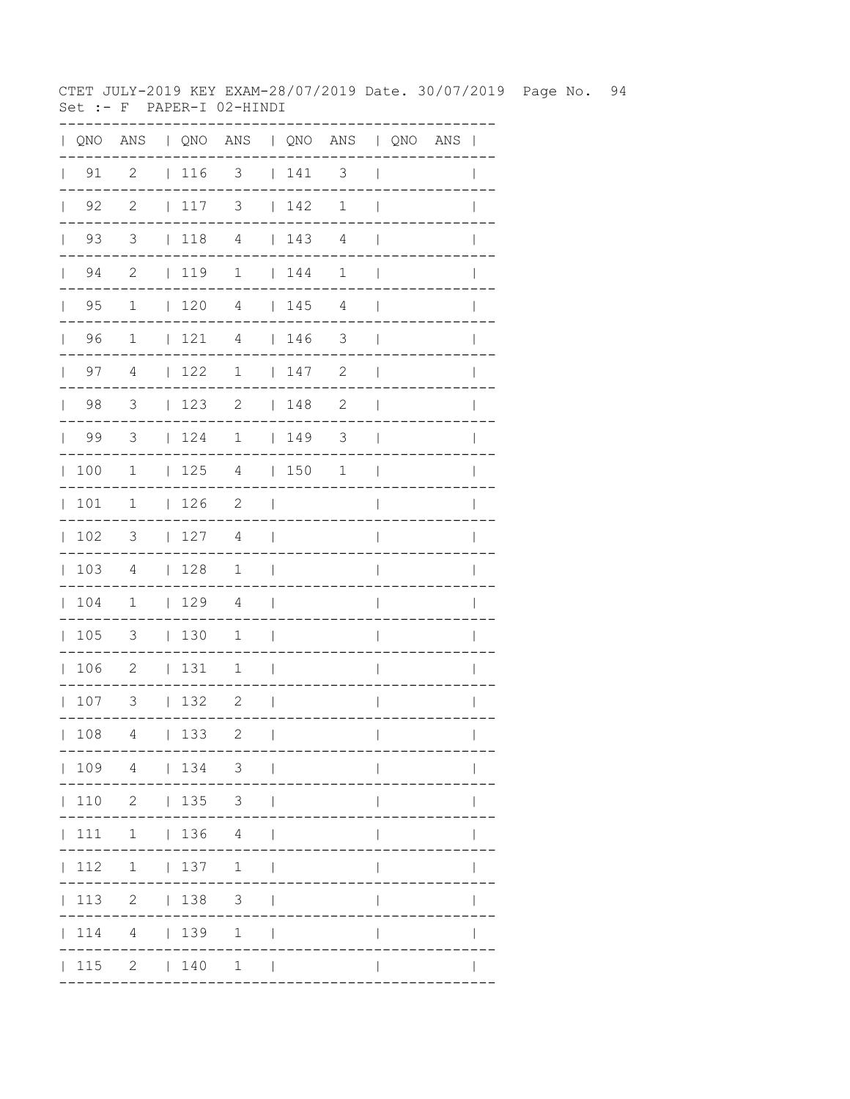CTET JULY-2019 KEY EXAM-28/07/2019 Date. 30/07/2019 Page No. 94 Set :-  $F$  PAPER-I 02-HINDI

| QNO | ANS                        |              |     | QNO ANS   QNO ANS   QNO ANS |              |     |                          |              |                       |              |
|-----|----------------------------|--------------|-----|-----------------------------|--------------|-----|--------------------------|--------------|-----------------------|--------------|
| 91  | $\overline{\phantom{0}}^2$ |              | 116 | $\overline{\phantom{a}}$    |              | 141 | $\overline{\phantom{a}}$ |              |                       |              |
| 92  | $\overline{\phantom{0}}^2$ | $\mathbf{L}$ | 117 | 3                           | $\mathbf{L}$ | 142 | $\mathbf 1$              |              |                       |              |
| 93  | $\overline{\mathbf{3}}$    | $\mathbf{L}$ | 118 | $\overline{4}$              | $\mathbf{L}$ | 143 | $\overline{4}$           |              |                       |              |
| 94  | $\overline{\phantom{0}}^2$ |              | 119 | 1                           | $\mathbf{L}$ | 144 | $\mathbf{1}$             |              |                       |              |
| 95  | 1                          | $\mathbf{L}$ | 120 | 4                           |              | 145 | 4                        |              |                       |              |
| 96  | 1                          | L            | 121 | 4                           |              | 146 | 3                        |              |                       |              |
| 97  | 4                          | L            | 122 | 1                           |              | 147 | $\sqrt{2}$               |              |                       |              |
| 98  | 3                          | $\mathbf{L}$ | 123 | 2                           | L            | 148 | $\mathbf{2}$             |              |                       |              |
| 99  | 3                          | L            | 124 | $\mathbf 1$                 | $\mathbf{L}$ | 149 | $\mathfrak{Z}$           |              |                       |              |
| 100 | 1                          | L            | 125 | 4                           | $\mathbf{L}$ | 150 | $\mathbf 1$              |              |                       |              |
| 101 | 1                          | $\mathbf{L}$ | 126 | $\mathbf{2}$                |              |     |                          |              |                       |              |
| 102 | 3                          | L            | 127 | 4                           |              |     |                          |              |                       |              |
| 103 | 4                          | L            | 128 | 1                           |              |     |                          |              |                       |              |
| 104 | 1                          | $\mathbf{L}$ | 129 | 4                           |              |     |                          |              |                       |              |
| 105 | 3                          | $\mathbf{L}$ | 130 | $\mathbf 1$                 |              |     |                          |              |                       |              |
| 106 | $\mathbf{2}$               | L            | 131 | $\mathbf 1$                 |              |     |                          |              |                       |              |
| 107 | 3                          | $\mathbf{L}$ | 132 | 2                           |              |     |                          |              |                       |              |
| 108 | 4                          |              | 133 | 2                           | $\Box$       |     |                          | $\mathbf{L}$ |                       | $\mathbf{L}$ |
|     |                            |              |     | 109 4   134 3               |              |     | . _ _ _ _ _ _ _ _ _ .    |              | . - - - - - - - - - . |              |
|     |                            |              |     | 110 2   135 3               |              |     |                          |              |                       |              |
|     |                            |              |     | $ 111 \t1 \t136 \t4 \t $    |              |     |                          |              |                       |              |
|     |                            |              |     | 112 1   137 1               |              |     |                          |              |                       |              |
|     |                            |              |     | 113 2   138 3               |              |     |                          | L            |                       |              |
|     |                            |              |     | 114 4   139 1               |              |     |                          | $\mathbf{I}$ |                       |              |
|     |                            |              |     | $ 115 \t2 \t 140 \t1 \t $   |              |     |                          |              |                       |              |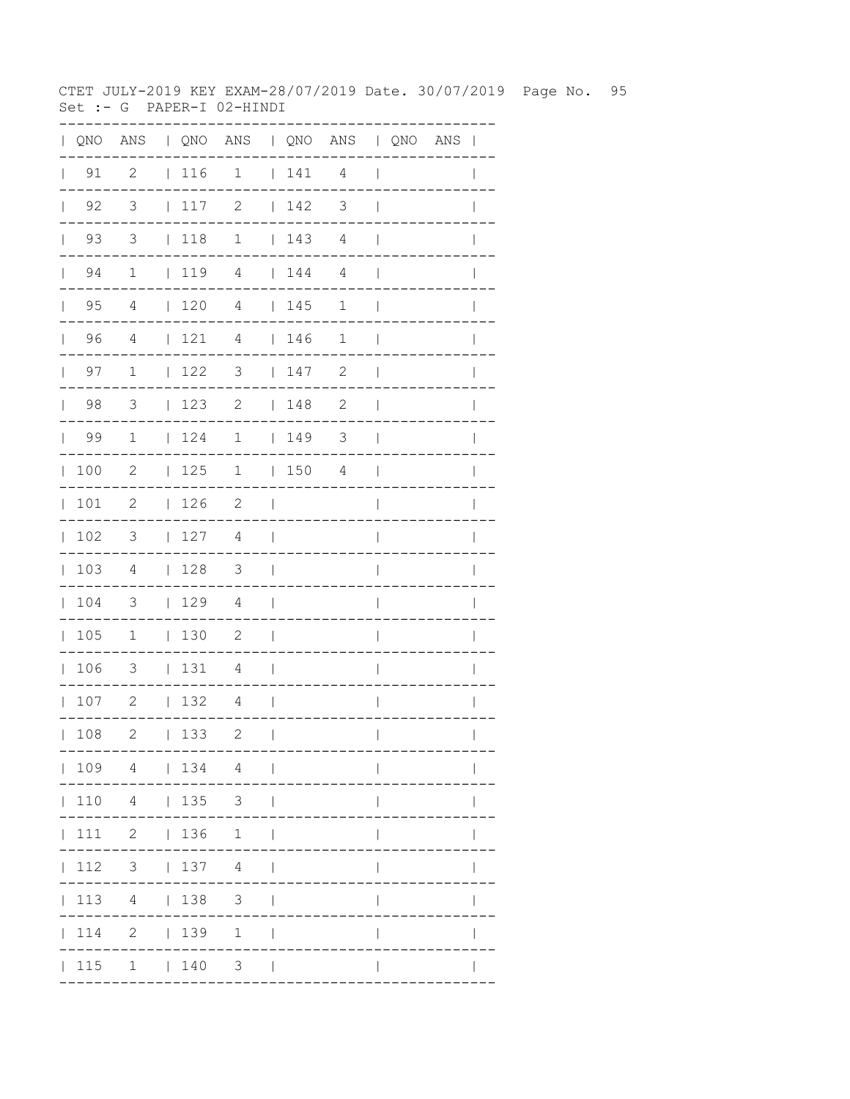CTET JULY-2019 KEY EXAM-28/07/2019 Date. 30/07/2019 Page No. 95 Set :-  $G$  PAPER-I 02-HINDI

|              |                    |                          |                                                             | QNO ANS   QNO ANS   QNO ANS   QNO ANS |                          |                                                             |                |                          |  | $\mathbf{I}$ |
|--------------|--------------------|--------------------------|-------------------------------------------------------------|---------------------------------------|--------------------------|-------------------------------------------------------------|----------------|--------------------------|--|--------------|
|              | $\vert$ 91         | $\overline{c}$           | $\begin{array}{c} \begin{array}{c} \end{array} \end{array}$ | $\mathbf 1$                           |                          | $\begin{array}{c} \begin{array}{c} \end{array} \end{array}$ | $\overline{4}$ | $\mathbf{I}$             |  |              |
| $\mathbb{R}$ | 92                 | 3                        | 117                                                         | 2                                     |                          | 142                                                         | 3              | $\mathbf{I}$             |  |              |
|              | 93<br>$\mathbf{L}$ | 3                        | $\vert$ 118                                                 | $\mathbf 1$                           |                          | 143                                                         | $\overline{4}$ | $\mathbf{I}$             |  |              |
|              | 94<br>$\mathbf{L}$ | $\mathbf{1}$             |                                                             | $1194$ $144$                          |                          |                                                             | 4              | $\overline{1}$           |  |              |
| $\mathbb{R}$ | 95                 | 4                        | $\begin{array}{c} 120 \\ -120 \end{array}$                  | 4                                     |                          | 145                                                         | $\mathbf 1$    | $\mathbf{I}$             |  |              |
|              | 96<br>$\mathbf{L}$ | $\overline{4}$           | 121                                                         | 4                                     |                          | 146                                                         | 1              | $\mathbf{I}$             |  |              |
|              | 97<br>$\mathbf{L}$ | $\mathbf{1}$             | 122                                                         | 3                                     |                          | 147                                                         | 2              | $\mathbf{I}$             |  |              |
| $\mathbf{L}$ | 98                 | 3                        | 123                                                         | 2                                     |                          | 148                                                         | $\mathbf{2}$   | $\overline{\phantom{a}}$ |  |              |
|              | 99                 | 1                        | 124                                                         | $\mathbf 1$                           |                          | 149                                                         | $\mathcal{S}$  | $\overline{\phantom{a}}$ |  |              |
| $\mathbb{L}$ | 100                | 2                        | 125                                                         | $\mathbf{1}$                          |                          | 1504                                                        |                | $\overline{\phantom{a}}$ |  |              |
| $\mathbb{L}$ | 101                | $\mathbf{2}$             | 126                                                         | 2                                     | $\Box$                   |                                                             |                | I                        |  |              |
| $\mathbf{L}$ | 102                | 3                        | 127                                                         | 4                                     | $\overline{\phantom{0}}$ |                                                             |                | $\overline{\phantom{a}}$ |  | I            |
|              | 103                | 4                        | 128                                                         | $\overline{\mathbf{3}}$               | $\blacksquare$           |                                                             |                | $\overline{1}$           |  | I            |
| $\mathbf{L}$ | 104                | $\overline{\phantom{a}}$ | 129                                                         | $\overline{4}$                        | $\overline{\phantom{a}}$ |                                                             |                | I                        |  |              |
| $\mathbf{L}$ | 105                | $\overline{\phantom{a}}$ | 130                                                         | $\overline{\phantom{0}}$              | $\overline{\phantom{a}}$ |                                                             |                | I                        |  |              |
| $\mathbf{L}$ | 106                | $\overline{\phantom{a}}$ | 131                                                         | 4                                     | $\overline{\phantom{0}}$ |                                                             |                | $\overline{\phantom{a}}$ |  |              |
|              | 107                | $\overline{\phantom{a}}$ | 132                                                         | 4                                     | $\mathbf{I}$             |                                                             |                | $\overline{\phantom{a}}$ |  |              |
|              | 108                | 2                        | 133                                                         | 2                                     | $\mathbf{I}$             |                                                             |                | $\mathbf{I}$             |  |              |
|              |                    | 109 4   134 4            |                                                             | <b>Contract Contract</b>              |                          |                                                             |                |                          |  |              |
|              | 110 4              |                          | $ 135 $ 3                                                   |                                       |                          |                                                             |                |                          |  |              |
|              |                    | 111 2   136 1            |                                                             |                                       |                          |                                                             |                |                          |  |              |
|              | 112                | $3 \t137 \t4$            |                                                             |                                       |                          |                                                             |                |                          |  |              |
|              | 113                |                          |                                                             | 4   138 3                             |                          |                                                             |                |                          |  |              |
|              | 114                |                          | 2   139                                                     | $\mathbf{1}$                          |                          |                                                             |                |                          |  |              |
|              | 115                |                          | 1   140                                                     | 3 <sup>7</sup>                        |                          |                                                             |                |                          |  |              |